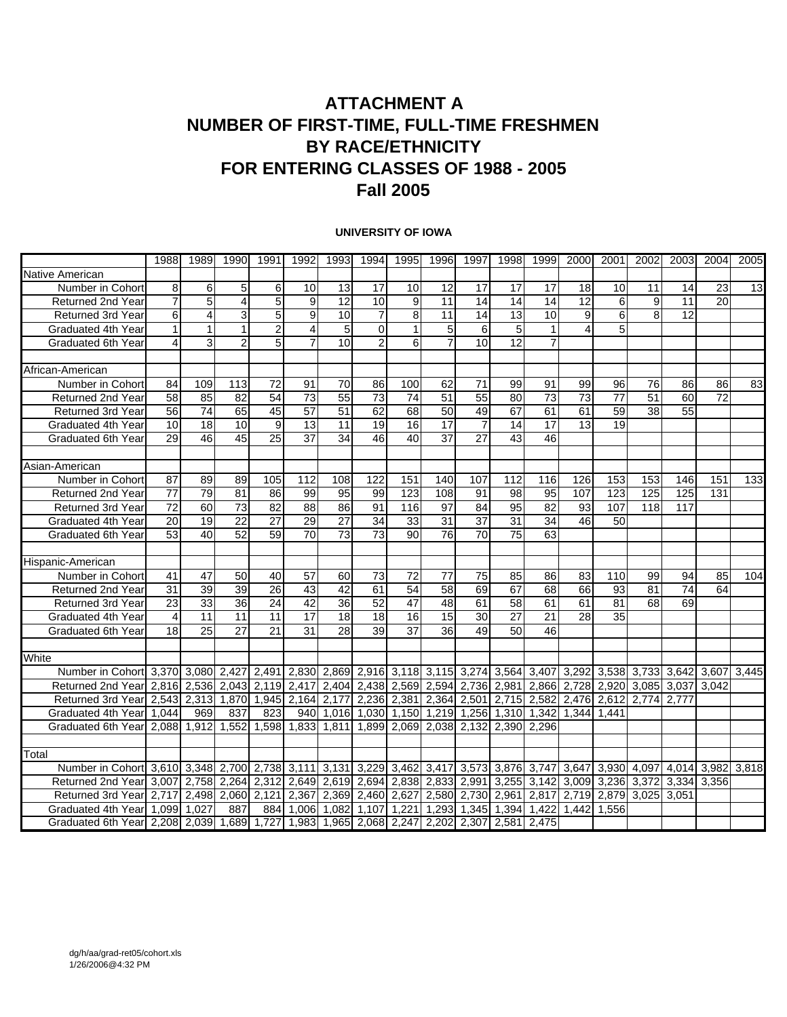## **ATTACHMENT A NUMBER OF FIRST-TIME, FULL-TIME FRESHMEN BY RACE/ETHNICITY FOR ENTERING CLASSES OF 1988 - 2005 Fall 2005**

#### **UNIVERSITY OF IOWA**

|                                                                    | 1988            | 1989            | 1990                    | 1991                    | 1992            | 1993            | 1994            | 1995                    | 1996            | 1997            | 1998            | 1999            | 2000            | 2001            | 2002  | 2003              | 2004            | 2005            |
|--------------------------------------------------------------------|-----------------|-----------------|-------------------------|-------------------------|-----------------|-----------------|-----------------|-------------------------|-----------------|-----------------|-----------------|-----------------|-----------------|-----------------|-------|-------------------|-----------------|-----------------|
| Native American                                                    |                 |                 |                         |                         |                 |                 |                 |                         |                 |                 |                 |                 |                 |                 |       |                   |                 |                 |
| Number in Cohort                                                   | 8               | 6               | 5                       | 6                       | 10              | 13              | 17              | 10                      | $\overline{12}$ | $\overline{17}$ | 17              | 17              | $\overline{18}$ | 10              | 11    | 14                | 23              | $\overline{13}$ |
| Returned 2nd Year                                                  | $\overline{7}$  | $\overline{5}$  | $\overline{\mathbf{4}}$ | 5                       | 9               | 12              | 10              | $\overline{9}$          | 11              | $\overline{14}$ | $\overline{14}$ | $\overline{14}$ | $\overline{12}$ | 6               | 9     | 11                | 20              |                 |
| Returned 3rd Year                                                  | 6               | 4               | 3                       | 5                       | 9               | 10              | $\overline{7}$  | 8                       | 11              | 14              | 13              | 10              | 9               | 6               | 8     | 12                |                 |                 |
| Graduated 4th Year                                                 | $\mathbf{1}$    | $\mathbf 1$     | $\mathbf{1}$            | $\overline{2}$          | 4               | 5               | $\Omega$        | $\mathbf 1$             | 5               | 6               | 5               | 1               | 4               | 5               |       |                   |                 |                 |
| Graduated 6th Year                                                 | 4               | 3               | $\overline{2}$          | 5                       |                 | 10              | $\overline{2}$  | 6                       | $\overline{7}$  | 10              | $\overline{12}$ | $\overline{7}$  |                 |                 |       |                   |                 |                 |
|                                                                    |                 |                 |                         |                         |                 |                 |                 |                         |                 |                 |                 |                 |                 |                 |       |                   |                 |                 |
| African-American                                                   |                 |                 |                         |                         |                 |                 |                 |                         |                 |                 |                 |                 |                 |                 |       |                   |                 |                 |
| Number in Cohort                                                   | 84              | 109             | 113                     | $\overline{72}$         | 91              | 70              | 86              | 100                     | 62              | $\overline{71}$ | 99              | 91              | 99              | 96              | 76    | 86                | 86              | 83              |
| Returned 2nd Year                                                  | 58              | 85              | 82                      | 54                      | 73              | 55              | 73              | 74                      | 51              | 55              | 80              | 73              | 73              | $\overline{77}$ | 51    | 60                | $\overline{72}$ |                 |
| Returned 3rd Year                                                  | 56              | $\overline{74}$ | 65                      | 45                      | 57              | 51              | 62              | 68                      | 50              | 49              | 67              | 61              | 61              | 59              | 38    | 55                |                 |                 |
| Graduated 4th Year                                                 | 10              | 18              | 10                      | 9                       | 13              | 11              | 19              | 16                      | 17              | $\overline{7}$  | 14              | 17              | 13              | 19              |       |                   |                 |                 |
| <b>Graduated 6th Year</b>                                          | $\overline{29}$ | $\overline{46}$ | $\overline{45}$         | $\overline{25}$         | $\overline{37}$ | $\overline{34}$ | $\overline{46}$ | $\overline{40}$         | $\overline{37}$ | $\overline{27}$ | 43              | 46              |                 |                 |       |                   |                 |                 |
|                                                                    |                 |                 |                         |                         |                 |                 |                 |                         |                 |                 |                 |                 |                 |                 |       |                   |                 |                 |
| Asian-American                                                     |                 |                 |                         |                         |                 |                 |                 |                         |                 |                 |                 |                 |                 |                 |       |                   |                 |                 |
| Number in Cohort                                                   | 87              | 89              | 89                      | 105                     | 112             | 108             | 122             | 151                     | 140             | 107             | 112             | 116             | 126             | 153             | 153   | 146               | 151             | 133             |
| Returned 2nd Year                                                  | 77              | 79              | 81                      | 86                      | 99              | 95              | 99              | 123                     | 108             | 91              | 98              | 95              | 107             | 123             | 125   | 125               | 131             |                 |
| <b>Returned 3rd Year</b>                                           | 72              | 60              | 73                      | 82                      | 88              | 86              | 91              | 116                     | 97              | 84              | 95              | 82              | 93              | 107             | 118   | 117               |                 |                 |
| Graduated 4th Year                                                 | 20              | $\overline{19}$ | $\overline{22}$         | $\overline{27}$         | 29              | $\overline{27}$ | 34              | 33                      | 31              | $\overline{37}$ | 31              | 34              | 46              | 50              |       |                   |                 |                 |
| Graduated 6th Year                                                 | 53              | 40              | $\overline{52}$         | 59                      | $\overline{70}$ | 73              | $\overline{73}$ | 90                      | 76              | $\overline{70}$ | $\overline{75}$ | 63              |                 |                 |       |                   |                 |                 |
|                                                                    |                 |                 |                         |                         |                 |                 |                 |                         |                 |                 |                 |                 |                 |                 |       |                   |                 |                 |
| Hispanic-American                                                  |                 |                 |                         |                         |                 |                 |                 |                         |                 |                 |                 |                 |                 |                 |       |                   |                 |                 |
| Number in Cohort                                                   | 41              | 47              | 50                      | 40                      | $\overline{57}$ | 60              | 73              | 72                      | $\overline{77}$ | $\overline{75}$ | 85              | 86              | 83              | 110             | 99    | 94                | 85              | 104             |
| Returned 2nd Year                                                  | 31              | $\overline{39}$ | 39                      | $\overline{26}$         | 43              | 42              | 61              | 54                      | 58              | 69              | 67              | 68              | 66              | 93              | 81    | 74                | 64              |                 |
| Returned 3rd Year                                                  | 23              | 33              | 36                      | 24                      | 42              | 36              | 52              | 47                      | 48              | 61              | 58              | 61              | 61              | 81              | 68    | 69                |                 |                 |
| Graduated 4th Year                                                 | 4               | 11              | 11                      | 11                      | 17              | 18              | 18              | 16                      | 15              | 30              | $\overline{27}$ | 21              | 28              | 35              |       |                   |                 |                 |
| Graduated 6th Year                                                 | $\overline{18}$ | $\overline{25}$ | $\overline{27}$         | $\overline{21}$         | $\overline{31}$ | $\overline{28}$ | 39              | $\overline{37}$         | 36              | 49              | $\overline{50}$ | $\overline{46}$ |                 |                 |       |                   |                 |                 |
|                                                                    |                 |                 |                         |                         |                 |                 |                 |                         |                 |                 |                 |                 |                 |                 |       |                   |                 |                 |
| White                                                              |                 |                 |                         |                         |                 |                 |                 |                         |                 |                 |                 |                 |                 |                 |       |                   |                 |                 |
| Number in Cohort 3,370 3,080                                       |                 |                 |                         | 2,427 2,491 2,830 2,869 |                 |                 |                 | 2,916 3,118 3,115 3,274 |                 |                 | 3,564           | 3.407           | 3,292           | 3,538           | 3,733 | 3,642 3,607       |                 | 3.445           |
| Returned 2nd Year                                                  | 2,816 2,536     |                 |                         | 2,043 2,119 2,417       |                 | 2,404           |                 | 2,438 2,569             | 2,594           | 2,736           | 2,981           | 2,866           | 2,728           | 2,920           |       | 3,085 3,037 3,042 |                 |                 |
| Returned 3rd Year                                                  | 2,543           | 2,313           |                         | 1,870 1,945             | $2,164$ 2,177   |                 |                 | 2,236 2,381             | 2,364           | 2,501           | 2,715           | 2,582           | 2,476           | 2,612           | 2,774 | 2,777             |                 |                 |
| Graduated 4th Year                                                 | 1.044           | 969             | 837                     | 823                     | 940             | 1.016           | 1.030           | 1.150                   |                 | 1,219 1,256     | 1,310           | 1,342           | 1.344           | 1.441           |       |                   |                 |                 |
| Graduated 6th Yearl                                                | 2.088           | 1,912           | 1,552                   | 1,598                   | 1,833           | 1.811           | 1,899           | 2.069                   | 2,038 2,132     |                 | 2,390           | 2.296           |                 |                 |       |                   |                 |                 |
|                                                                    |                 |                 |                         |                         |                 |                 |                 |                         |                 |                 |                 |                 |                 |                 |       |                   |                 |                 |
| Total                                                              |                 |                 |                         |                         |                 |                 |                 |                         |                 |                 |                 |                 |                 |                 |       |                   |                 |                 |
| Number in Cohort 3,610 3,348                                       |                 |                 |                         | 2,700 2,738 3,111 3,131 |                 |                 | 3,229           | 3,462                   | 3,417           | 3,573           | 3,876           | 3.747           | 3.647           | 3,930           | 4.097 | 4,014 3,982       |                 | 3,818           |
| Returned 2nd Year                                                  | 3,007           | 2,758           |                         | 2,264 2,312             | 2,649 2,619     |                 |                 | 2,694 2,838             | 2,833 2,991     |                 | 3,255           | 3,142           | 3,009           | 3,236           | 3,372 | 3,334 3,356       |                 |                 |
| Returned 3rd Year                                                  | 2,717           | 2,498           | 2,060 2,121             |                         |                 | 2,367 2,369     | 2,460 2,627     |                         |                 | 2,580 2,730     | 2,961           | 2,817           | 2,719           | 2,879           | 3,025 | 3,051             |                 |                 |
| Graduated 4th Year                                                 | 1.099           | 1.027           | 887                     | 884                     | 1.006           | 1.082           | 1.107           | 1.221                   | 1,293           | 1,345           | 1,394           | 1.422           | 1.442           | 1.556           |       |                   |                 |                 |
| Graduated 6th Year 2,208 2,039 1,689 1,727 1,983 1,965 2,068 2,247 |                 |                 |                         |                         |                 |                 |                 |                         | 2.202 2.307     |                 | 2,581           | 2.475           |                 |                 |       |                   |                 |                 |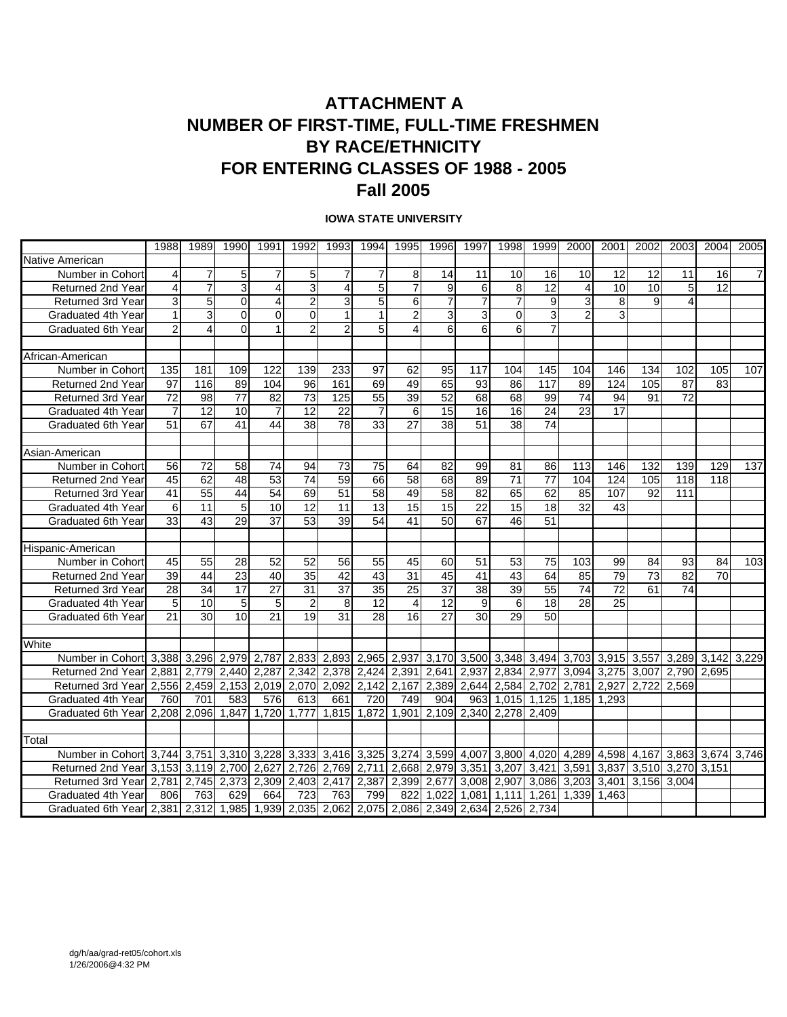### **ATTACHMENT A NUMBER OF FIRST-TIME, FULL-TIME FRESHMEN BY RACE/ETHNICITY FOR ENTERING CLASSES OF 1988 - 2005 Fall 2005**

#### **IOWA STATE UNIVERSITY**

| 1995<br>1999<br>2003<br>1988<br>1989<br>1990<br>1991<br>1992<br>1993<br>1994<br>1996<br>1997<br>1998<br>2000<br>2001<br>2002<br>2004<br>2005<br>Native American<br>$\overline{7}$<br>$5\overline{)}$<br>5<br>$\overline{7}$<br>8<br>Number in Cohort<br>4<br>$\overline{7}$<br>$\overline{7}$<br>$\overline{7}$<br>14<br>11<br>10<br>16<br>10<br>12<br>12<br>11<br>16<br>5<br>$\overline{3}$<br>3<br>$\overline{7}$<br>9<br>6<br>8<br>12<br>10<br>12<br>Returned 2nd Year<br>4<br>7<br>4<br>$\overline{4}$<br>10<br>5<br>4<br>$\overline{7}$<br>$\overline{7}$<br>3<br>5<br>$\overline{7}$<br>5 <sup>1</sup><br>$\Omega$<br>$\overline{2}$<br>6<br>9<br>3<br>8<br><b>Returned 3rd Year</b><br>3<br>4<br>9<br>4<br>$\overline{c}$<br>3<br>3<br>0<br>3<br>$\overline{2}$<br>Graduated 4th Year<br>3<br>$\Omega$<br>$\Omega$<br>1<br>$\mathbf{1}$<br>3<br>0<br>$\Omega$<br>$\overline{2}$<br>5<br>6<br>6<br>6<br>$\overline{7}$<br>$\mathfrak{p}$<br>$\overline{4}$<br>Graduated 6th Year<br>$\overline{2}$<br>4<br>African-American<br>135<br>181<br>109<br>122<br>139<br>233<br>97<br>62<br>95<br>117<br>104<br>145<br>104<br>146<br>134<br>105<br>107<br>Number in Cohort<br>102<br>69<br>65<br>93<br>97<br>116<br>89<br>96<br>161<br>49<br>86<br>117<br>89<br>124<br>105<br>87<br>83<br><b>Returned 2nd Year</b><br>104<br>$\overline{73}$<br>52<br>74<br>72<br>72<br>98<br>77<br>125<br>55<br>39<br>68<br>68<br><b>Returned 3rd Year</b><br>82<br>99<br>94<br>91<br>$\overline{12}$<br>10<br>$\overline{12}$<br>$\overline{22}$<br>$\overline{15}$<br>23<br>$\overline{17}$<br>Graduated 4th Year<br>7<br>$\overline{7}$<br>$\overline{7}$<br>6<br>16<br>16<br>24<br>51<br>67<br>38<br>78<br>33<br>27<br>38<br>51<br>$\overline{38}$<br>74<br>41<br>44<br>Graduated 6th Year<br>Asian-American<br>$\overline{72}$<br>58<br>73<br>75<br>$\overline{82}$<br>99<br>113<br>129<br>137<br>56<br>74<br>94<br>64<br>81<br>86<br>146<br>132<br>139<br>Number in Cohort<br>45<br>62<br>48<br>74<br>59<br>68<br>89<br>71<br>77<br>104<br>118<br>Returned 2nd Year<br>53<br>66<br>58<br>124<br>105<br>118<br>55<br>$\overline{51}$<br>$\overline{58}$<br>$\overline{58}$<br>$\overline{82}$<br>41<br>44<br>54<br>69<br>49<br>65<br>62<br>85<br>107<br>$\overline{111}$<br><b>Returned 3rd Year</b><br>92<br>$\overline{12}$<br>15<br>11<br>5<br>10<br>11<br>13<br>15<br>15<br>22<br>18<br>32<br>43<br>Graduated 4th Year<br>6<br>53<br>29<br>37<br>39<br>54<br>50<br>67<br>51<br>33<br>43<br>41<br>46<br>Graduated 6th Year<br>Hispanic-American<br>45<br>55<br>28<br>52<br>52<br>56<br>55<br>45<br>60<br>51<br>53<br>75<br>103<br>99<br>103<br>84<br>93<br>84<br>Number in Cohort<br>79<br>$\overline{39}$<br>$\overline{44}$<br>$\overline{23}$<br>$\overline{35}$<br>$\overline{42}$<br>$\overline{43}$<br>$\overline{31}$<br>$\overline{45}$<br>41<br>43<br>85<br>$\overline{73}$<br>$\overline{82}$<br>$\overline{70}$<br>40<br>64<br>Returned 2nd Year<br>$\overline{74}$<br>34<br>17<br>31<br>37<br>37<br>38<br>39<br>72<br>74<br><b>Returned 3rd Year</b><br>28<br>27<br>35<br>25<br>55<br>61<br>5<br>$\overline{12}$<br>$\overline{12}$<br>9<br>5<br>10<br>$\overline{2}$<br>8<br>18<br>28<br>25<br>Graduated 4th Year<br>5<br>6<br>$\overline{4}$<br>$\overline{27}$<br>21<br>30<br>10 <sup>1</sup><br>21<br>19<br>31<br>28<br>30<br>29<br>50<br>16<br>Graduated 6th Year<br>White<br>2,893<br>Number in Cohort 3,388 3,296 2,979 2,787 2,833<br>2,965 2,937<br>3,170 3,500 3,348<br>3,494<br>3,703<br>3,915 3,557<br>3,289 3,142<br>3,229<br>2,440 2,287 2,342 2,378<br>2,424 2,391<br>2,641<br>2,937<br>3,275<br>Returned 2nd Year 2,881<br>2,779<br>2,834<br>2,977<br>3,094<br>3,007<br>2,790 2,695<br>2,153 2,019<br>2,070 2,092<br>2,142<br>2,167<br>2,389<br>2,702<br>2,781<br>2,927<br>2.722<br>Returned 3rd Year<br>2,556<br>2,459<br>2,644<br>2,584<br>2.569<br>749<br>Graduated 4th Year<br>760<br>701<br>583<br>576<br>613<br>661<br>720<br>904<br>963<br>1,125<br>1.293<br>1,015<br>1,185<br>2,208 2,096<br>1,847<br>1,720 1,777<br>1,815<br>1,872<br>1,901<br>2,109 2,340<br>$\overline{2,278}$<br>Graduated 6th Yearl<br>2,409<br>Total<br>Number in Cohort 3,744 3,751<br>3,310 3,228 3,333 3,416<br>3,325 3,274 3,599<br>3,800<br>4,020<br>4,289<br>4,007<br>4,598 4,167<br>3,863 3,674<br>3,746<br>Returned 2nd Year 3.153 3.119<br>2,700<br>2.627<br>2.726<br>2.769<br>2,711<br>2,668<br>2,979<br>3.351<br>3.207<br>3.421<br>3.837<br>3,510 3,270 3,151<br>3.591<br>2,781<br>2,745<br>2,373<br>2,309 2,403 2,417<br>2,387<br>2,399<br>2,677<br>3,008<br>2,907<br>3,086<br>3,203<br>3,401<br>Returned 3rd Year<br>3,156<br>3,004<br>723<br>806<br>763<br>629<br>664<br>763<br>799<br>822<br>1,022<br>1,081<br>1,111<br>1,261<br>1,339<br>1.463<br>Graduated 4th Year<br>Graduated 6th Year 2,381 2,312 1,985 1,939 2,035 2,062 2,075 2,086 2,349 2,634 2,526<br>2.734 |  |  |  |  |  |  |  |  |  |  |
|-----------------------------------------------------------------------------------------------------------------------------------------------------------------------------------------------------------------------------------------------------------------------------------------------------------------------------------------------------------------------------------------------------------------------------------------------------------------------------------------------------------------------------------------------------------------------------------------------------------------------------------------------------------------------------------------------------------------------------------------------------------------------------------------------------------------------------------------------------------------------------------------------------------------------------------------------------------------------------------------------------------------------------------------------------------------------------------------------------------------------------------------------------------------------------------------------------------------------------------------------------------------------------------------------------------------------------------------------------------------------------------------------------------------------------------------------------------------------------------------------------------------------------------------------------------------------------------------------------------------------------------------------------------------------------------------------------------------------------------------------------------------------------------------------------------------------------------------------------------------------------------------------------------------------------------------------------------------------------------------------------------------------------------------------------------------------------------------------------------------------------------------------------------------------------------------------------------------------------------------------------------------------------------------------------------------------------------------------------------------------------------------------------------------------------------------------------------------------------------------------------------------------------------------------------------------------------------------------------------------------------------------------------------------------------------------------------------------------------------------------------------------------------------------------------------------------------------------------------------------------------------------------------------------------------------------------------------------------------------------------------------------------------------------------------------------------------------------------------------------------------------------------------------------------------------------------------------------------------------------------------------------------------------------------------------------------------------------------------------------------------------------------------------------------------------------------------------------------------------------------------------------------------------------------------------------------------------------------------------------------------------------------------------------------------------------------------------------------------------------------------------------------------------------------------------------------------------------------------------------------------------------------------------------------------------------------------------------------------------------------------------------------------------------------------------------------------------------------------------------------------------------------------------------------------------------------------------------------------------------------------------------------------------------------------------------------------------------------------------------------------------------------------------------------------------------------------------------------------------------------------------------------------------------------------------------------------------------------------------------------------------------------------------------------------------------------------------------------------------------------------------------------------------------------------------------------------------------------------------------------------------------|--|--|--|--|--|--|--|--|--|--|
|                                                                                                                                                                                                                                                                                                                                                                                                                                                                                                                                                                                                                                                                                                                                                                                                                                                                                                                                                                                                                                                                                                                                                                                                                                                                                                                                                                                                                                                                                                                                                                                                                                                                                                                                                                                                                                                                                                                                                                                                                                                                                                                                                                                                                                                                                                                                                                                                                                                                                                                                                                                                                                                                                                                                                                                                                                                                                                                                                                                                                                                                                                                                                                                                                                                                                                                                                                                                                                                                                                                                                                                                                                                                                                                                                                                                                                                                                                                                                                                                                                                                                                                                                                                                                                                                                                                                                                                                                                                                                                                                                                                                                                                                                                                                                                                                                                                                                         |  |  |  |  |  |  |  |  |  |  |
|                                                                                                                                                                                                                                                                                                                                                                                                                                                                                                                                                                                                                                                                                                                                                                                                                                                                                                                                                                                                                                                                                                                                                                                                                                                                                                                                                                                                                                                                                                                                                                                                                                                                                                                                                                                                                                                                                                                                                                                                                                                                                                                                                                                                                                                                                                                                                                                                                                                                                                                                                                                                                                                                                                                                                                                                                                                                                                                                                                                                                                                                                                                                                                                                                                                                                                                                                                                                                                                                                                                                                                                                                                                                                                                                                                                                                                                                                                                                                                                                                                                                                                                                                                                                                                                                                                                                                                                                                                                                                                                                                                                                                                                                                                                                                                                                                                                                                         |  |  |  |  |  |  |  |  |  |  |
|                                                                                                                                                                                                                                                                                                                                                                                                                                                                                                                                                                                                                                                                                                                                                                                                                                                                                                                                                                                                                                                                                                                                                                                                                                                                                                                                                                                                                                                                                                                                                                                                                                                                                                                                                                                                                                                                                                                                                                                                                                                                                                                                                                                                                                                                                                                                                                                                                                                                                                                                                                                                                                                                                                                                                                                                                                                                                                                                                                                                                                                                                                                                                                                                                                                                                                                                                                                                                                                                                                                                                                                                                                                                                                                                                                                                                                                                                                                                                                                                                                                                                                                                                                                                                                                                                                                                                                                                                                                                                                                                                                                                                                                                                                                                                                                                                                                                                         |  |  |  |  |  |  |  |  |  |  |
|                                                                                                                                                                                                                                                                                                                                                                                                                                                                                                                                                                                                                                                                                                                                                                                                                                                                                                                                                                                                                                                                                                                                                                                                                                                                                                                                                                                                                                                                                                                                                                                                                                                                                                                                                                                                                                                                                                                                                                                                                                                                                                                                                                                                                                                                                                                                                                                                                                                                                                                                                                                                                                                                                                                                                                                                                                                                                                                                                                                                                                                                                                                                                                                                                                                                                                                                                                                                                                                                                                                                                                                                                                                                                                                                                                                                                                                                                                                                                                                                                                                                                                                                                                                                                                                                                                                                                                                                                                                                                                                                                                                                                                                                                                                                                                                                                                                                                         |  |  |  |  |  |  |  |  |  |  |
|                                                                                                                                                                                                                                                                                                                                                                                                                                                                                                                                                                                                                                                                                                                                                                                                                                                                                                                                                                                                                                                                                                                                                                                                                                                                                                                                                                                                                                                                                                                                                                                                                                                                                                                                                                                                                                                                                                                                                                                                                                                                                                                                                                                                                                                                                                                                                                                                                                                                                                                                                                                                                                                                                                                                                                                                                                                                                                                                                                                                                                                                                                                                                                                                                                                                                                                                                                                                                                                                                                                                                                                                                                                                                                                                                                                                                                                                                                                                                                                                                                                                                                                                                                                                                                                                                                                                                                                                                                                                                                                                                                                                                                                                                                                                                                                                                                                                                         |  |  |  |  |  |  |  |  |  |  |
|                                                                                                                                                                                                                                                                                                                                                                                                                                                                                                                                                                                                                                                                                                                                                                                                                                                                                                                                                                                                                                                                                                                                                                                                                                                                                                                                                                                                                                                                                                                                                                                                                                                                                                                                                                                                                                                                                                                                                                                                                                                                                                                                                                                                                                                                                                                                                                                                                                                                                                                                                                                                                                                                                                                                                                                                                                                                                                                                                                                                                                                                                                                                                                                                                                                                                                                                                                                                                                                                                                                                                                                                                                                                                                                                                                                                                                                                                                                                                                                                                                                                                                                                                                                                                                                                                                                                                                                                                                                                                                                                                                                                                                                                                                                                                                                                                                                                                         |  |  |  |  |  |  |  |  |  |  |
|                                                                                                                                                                                                                                                                                                                                                                                                                                                                                                                                                                                                                                                                                                                                                                                                                                                                                                                                                                                                                                                                                                                                                                                                                                                                                                                                                                                                                                                                                                                                                                                                                                                                                                                                                                                                                                                                                                                                                                                                                                                                                                                                                                                                                                                                                                                                                                                                                                                                                                                                                                                                                                                                                                                                                                                                                                                                                                                                                                                                                                                                                                                                                                                                                                                                                                                                                                                                                                                                                                                                                                                                                                                                                                                                                                                                                                                                                                                                                                                                                                                                                                                                                                                                                                                                                                                                                                                                                                                                                                                                                                                                                                                                                                                                                                                                                                                                                         |  |  |  |  |  |  |  |  |  |  |
|                                                                                                                                                                                                                                                                                                                                                                                                                                                                                                                                                                                                                                                                                                                                                                                                                                                                                                                                                                                                                                                                                                                                                                                                                                                                                                                                                                                                                                                                                                                                                                                                                                                                                                                                                                                                                                                                                                                                                                                                                                                                                                                                                                                                                                                                                                                                                                                                                                                                                                                                                                                                                                                                                                                                                                                                                                                                                                                                                                                                                                                                                                                                                                                                                                                                                                                                                                                                                                                                                                                                                                                                                                                                                                                                                                                                                                                                                                                                                                                                                                                                                                                                                                                                                                                                                                                                                                                                                                                                                                                                                                                                                                                                                                                                                                                                                                                                                         |  |  |  |  |  |  |  |  |  |  |
|                                                                                                                                                                                                                                                                                                                                                                                                                                                                                                                                                                                                                                                                                                                                                                                                                                                                                                                                                                                                                                                                                                                                                                                                                                                                                                                                                                                                                                                                                                                                                                                                                                                                                                                                                                                                                                                                                                                                                                                                                                                                                                                                                                                                                                                                                                                                                                                                                                                                                                                                                                                                                                                                                                                                                                                                                                                                                                                                                                                                                                                                                                                                                                                                                                                                                                                                                                                                                                                                                                                                                                                                                                                                                                                                                                                                                                                                                                                                                                                                                                                                                                                                                                                                                                                                                                                                                                                                                                                                                                                                                                                                                                                                                                                                                                                                                                                                                         |  |  |  |  |  |  |  |  |  |  |
|                                                                                                                                                                                                                                                                                                                                                                                                                                                                                                                                                                                                                                                                                                                                                                                                                                                                                                                                                                                                                                                                                                                                                                                                                                                                                                                                                                                                                                                                                                                                                                                                                                                                                                                                                                                                                                                                                                                                                                                                                                                                                                                                                                                                                                                                                                                                                                                                                                                                                                                                                                                                                                                                                                                                                                                                                                                                                                                                                                                                                                                                                                                                                                                                                                                                                                                                                                                                                                                                                                                                                                                                                                                                                                                                                                                                                                                                                                                                                                                                                                                                                                                                                                                                                                                                                                                                                                                                                                                                                                                                                                                                                                                                                                                                                                                                                                                                                         |  |  |  |  |  |  |  |  |  |  |
|                                                                                                                                                                                                                                                                                                                                                                                                                                                                                                                                                                                                                                                                                                                                                                                                                                                                                                                                                                                                                                                                                                                                                                                                                                                                                                                                                                                                                                                                                                                                                                                                                                                                                                                                                                                                                                                                                                                                                                                                                                                                                                                                                                                                                                                                                                                                                                                                                                                                                                                                                                                                                                                                                                                                                                                                                                                                                                                                                                                                                                                                                                                                                                                                                                                                                                                                                                                                                                                                                                                                                                                                                                                                                                                                                                                                                                                                                                                                                                                                                                                                                                                                                                                                                                                                                                                                                                                                                                                                                                                                                                                                                                                                                                                                                                                                                                                                                         |  |  |  |  |  |  |  |  |  |  |
|                                                                                                                                                                                                                                                                                                                                                                                                                                                                                                                                                                                                                                                                                                                                                                                                                                                                                                                                                                                                                                                                                                                                                                                                                                                                                                                                                                                                                                                                                                                                                                                                                                                                                                                                                                                                                                                                                                                                                                                                                                                                                                                                                                                                                                                                                                                                                                                                                                                                                                                                                                                                                                                                                                                                                                                                                                                                                                                                                                                                                                                                                                                                                                                                                                                                                                                                                                                                                                                                                                                                                                                                                                                                                                                                                                                                                                                                                                                                                                                                                                                                                                                                                                                                                                                                                                                                                                                                                                                                                                                                                                                                                                                                                                                                                                                                                                                                                         |  |  |  |  |  |  |  |  |  |  |
|                                                                                                                                                                                                                                                                                                                                                                                                                                                                                                                                                                                                                                                                                                                                                                                                                                                                                                                                                                                                                                                                                                                                                                                                                                                                                                                                                                                                                                                                                                                                                                                                                                                                                                                                                                                                                                                                                                                                                                                                                                                                                                                                                                                                                                                                                                                                                                                                                                                                                                                                                                                                                                                                                                                                                                                                                                                                                                                                                                                                                                                                                                                                                                                                                                                                                                                                                                                                                                                                                                                                                                                                                                                                                                                                                                                                                                                                                                                                                                                                                                                                                                                                                                                                                                                                                                                                                                                                                                                                                                                                                                                                                                                                                                                                                                                                                                                                                         |  |  |  |  |  |  |  |  |  |  |
|                                                                                                                                                                                                                                                                                                                                                                                                                                                                                                                                                                                                                                                                                                                                                                                                                                                                                                                                                                                                                                                                                                                                                                                                                                                                                                                                                                                                                                                                                                                                                                                                                                                                                                                                                                                                                                                                                                                                                                                                                                                                                                                                                                                                                                                                                                                                                                                                                                                                                                                                                                                                                                                                                                                                                                                                                                                                                                                                                                                                                                                                                                                                                                                                                                                                                                                                                                                                                                                                                                                                                                                                                                                                                                                                                                                                                                                                                                                                                                                                                                                                                                                                                                                                                                                                                                                                                                                                                                                                                                                                                                                                                                                                                                                                                                                                                                                                                         |  |  |  |  |  |  |  |  |  |  |
|                                                                                                                                                                                                                                                                                                                                                                                                                                                                                                                                                                                                                                                                                                                                                                                                                                                                                                                                                                                                                                                                                                                                                                                                                                                                                                                                                                                                                                                                                                                                                                                                                                                                                                                                                                                                                                                                                                                                                                                                                                                                                                                                                                                                                                                                                                                                                                                                                                                                                                                                                                                                                                                                                                                                                                                                                                                                                                                                                                                                                                                                                                                                                                                                                                                                                                                                                                                                                                                                                                                                                                                                                                                                                                                                                                                                                                                                                                                                                                                                                                                                                                                                                                                                                                                                                                                                                                                                                                                                                                                                                                                                                                                                                                                                                                                                                                                                                         |  |  |  |  |  |  |  |  |  |  |
|                                                                                                                                                                                                                                                                                                                                                                                                                                                                                                                                                                                                                                                                                                                                                                                                                                                                                                                                                                                                                                                                                                                                                                                                                                                                                                                                                                                                                                                                                                                                                                                                                                                                                                                                                                                                                                                                                                                                                                                                                                                                                                                                                                                                                                                                                                                                                                                                                                                                                                                                                                                                                                                                                                                                                                                                                                                                                                                                                                                                                                                                                                                                                                                                                                                                                                                                                                                                                                                                                                                                                                                                                                                                                                                                                                                                                                                                                                                                                                                                                                                                                                                                                                                                                                                                                                                                                                                                                                                                                                                                                                                                                                                                                                                                                                                                                                                                                         |  |  |  |  |  |  |  |  |  |  |
|                                                                                                                                                                                                                                                                                                                                                                                                                                                                                                                                                                                                                                                                                                                                                                                                                                                                                                                                                                                                                                                                                                                                                                                                                                                                                                                                                                                                                                                                                                                                                                                                                                                                                                                                                                                                                                                                                                                                                                                                                                                                                                                                                                                                                                                                                                                                                                                                                                                                                                                                                                                                                                                                                                                                                                                                                                                                                                                                                                                                                                                                                                                                                                                                                                                                                                                                                                                                                                                                                                                                                                                                                                                                                                                                                                                                                                                                                                                                                                                                                                                                                                                                                                                                                                                                                                                                                                                                                                                                                                                                                                                                                                                                                                                                                                                                                                                                                         |  |  |  |  |  |  |  |  |  |  |
|                                                                                                                                                                                                                                                                                                                                                                                                                                                                                                                                                                                                                                                                                                                                                                                                                                                                                                                                                                                                                                                                                                                                                                                                                                                                                                                                                                                                                                                                                                                                                                                                                                                                                                                                                                                                                                                                                                                                                                                                                                                                                                                                                                                                                                                                                                                                                                                                                                                                                                                                                                                                                                                                                                                                                                                                                                                                                                                                                                                                                                                                                                                                                                                                                                                                                                                                                                                                                                                                                                                                                                                                                                                                                                                                                                                                                                                                                                                                                                                                                                                                                                                                                                                                                                                                                                                                                                                                                                                                                                                                                                                                                                                                                                                                                                                                                                                                                         |  |  |  |  |  |  |  |  |  |  |
|                                                                                                                                                                                                                                                                                                                                                                                                                                                                                                                                                                                                                                                                                                                                                                                                                                                                                                                                                                                                                                                                                                                                                                                                                                                                                                                                                                                                                                                                                                                                                                                                                                                                                                                                                                                                                                                                                                                                                                                                                                                                                                                                                                                                                                                                                                                                                                                                                                                                                                                                                                                                                                                                                                                                                                                                                                                                                                                                                                                                                                                                                                                                                                                                                                                                                                                                                                                                                                                                                                                                                                                                                                                                                                                                                                                                                                                                                                                                                                                                                                                                                                                                                                                                                                                                                                                                                                                                                                                                                                                                                                                                                                                                                                                                                                                                                                                                                         |  |  |  |  |  |  |  |  |  |  |
|                                                                                                                                                                                                                                                                                                                                                                                                                                                                                                                                                                                                                                                                                                                                                                                                                                                                                                                                                                                                                                                                                                                                                                                                                                                                                                                                                                                                                                                                                                                                                                                                                                                                                                                                                                                                                                                                                                                                                                                                                                                                                                                                                                                                                                                                                                                                                                                                                                                                                                                                                                                                                                                                                                                                                                                                                                                                                                                                                                                                                                                                                                                                                                                                                                                                                                                                                                                                                                                                                                                                                                                                                                                                                                                                                                                                                                                                                                                                                                                                                                                                                                                                                                                                                                                                                                                                                                                                                                                                                                                                                                                                                                                                                                                                                                                                                                                                                         |  |  |  |  |  |  |  |  |  |  |
|                                                                                                                                                                                                                                                                                                                                                                                                                                                                                                                                                                                                                                                                                                                                                                                                                                                                                                                                                                                                                                                                                                                                                                                                                                                                                                                                                                                                                                                                                                                                                                                                                                                                                                                                                                                                                                                                                                                                                                                                                                                                                                                                                                                                                                                                                                                                                                                                                                                                                                                                                                                                                                                                                                                                                                                                                                                                                                                                                                                                                                                                                                                                                                                                                                                                                                                                                                                                                                                                                                                                                                                                                                                                                                                                                                                                                                                                                                                                                                                                                                                                                                                                                                                                                                                                                                                                                                                                                                                                                                                                                                                                                                                                                                                                                                                                                                                                                         |  |  |  |  |  |  |  |  |  |  |
|                                                                                                                                                                                                                                                                                                                                                                                                                                                                                                                                                                                                                                                                                                                                                                                                                                                                                                                                                                                                                                                                                                                                                                                                                                                                                                                                                                                                                                                                                                                                                                                                                                                                                                                                                                                                                                                                                                                                                                                                                                                                                                                                                                                                                                                                                                                                                                                                                                                                                                                                                                                                                                                                                                                                                                                                                                                                                                                                                                                                                                                                                                                                                                                                                                                                                                                                                                                                                                                                                                                                                                                                                                                                                                                                                                                                                                                                                                                                                                                                                                                                                                                                                                                                                                                                                                                                                                                                                                                                                                                                                                                                                                                                                                                                                                                                                                                                                         |  |  |  |  |  |  |  |  |  |  |
|                                                                                                                                                                                                                                                                                                                                                                                                                                                                                                                                                                                                                                                                                                                                                                                                                                                                                                                                                                                                                                                                                                                                                                                                                                                                                                                                                                                                                                                                                                                                                                                                                                                                                                                                                                                                                                                                                                                                                                                                                                                                                                                                                                                                                                                                                                                                                                                                                                                                                                                                                                                                                                                                                                                                                                                                                                                                                                                                                                                                                                                                                                                                                                                                                                                                                                                                                                                                                                                                                                                                                                                                                                                                                                                                                                                                                                                                                                                                                                                                                                                                                                                                                                                                                                                                                                                                                                                                                                                                                                                                                                                                                                                                                                                                                                                                                                                                                         |  |  |  |  |  |  |  |  |  |  |
|                                                                                                                                                                                                                                                                                                                                                                                                                                                                                                                                                                                                                                                                                                                                                                                                                                                                                                                                                                                                                                                                                                                                                                                                                                                                                                                                                                                                                                                                                                                                                                                                                                                                                                                                                                                                                                                                                                                                                                                                                                                                                                                                                                                                                                                                                                                                                                                                                                                                                                                                                                                                                                                                                                                                                                                                                                                                                                                                                                                                                                                                                                                                                                                                                                                                                                                                                                                                                                                                                                                                                                                                                                                                                                                                                                                                                                                                                                                                                                                                                                                                                                                                                                                                                                                                                                                                                                                                                                                                                                                                                                                                                                                                                                                                                                                                                                                                                         |  |  |  |  |  |  |  |  |  |  |
|                                                                                                                                                                                                                                                                                                                                                                                                                                                                                                                                                                                                                                                                                                                                                                                                                                                                                                                                                                                                                                                                                                                                                                                                                                                                                                                                                                                                                                                                                                                                                                                                                                                                                                                                                                                                                                                                                                                                                                                                                                                                                                                                                                                                                                                                                                                                                                                                                                                                                                                                                                                                                                                                                                                                                                                                                                                                                                                                                                                                                                                                                                                                                                                                                                                                                                                                                                                                                                                                                                                                                                                                                                                                                                                                                                                                                                                                                                                                                                                                                                                                                                                                                                                                                                                                                                                                                                                                                                                                                                                                                                                                                                                                                                                                                                                                                                                                                         |  |  |  |  |  |  |  |  |  |  |
|                                                                                                                                                                                                                                                                                                                                                                                                                                                                                                                                                                                                                                                                                                                                                                                                                                                                                                                                                                                                                                                                                                                                                                                                                                                                                                                                                                                                                                                                                                                                                                                                                                                                                                                                                                                                                                                                                                                                                                                                                                                                                                                                                                                                                                                                                                                                                                                                                                                                                                                                                                                                                                                                                                                                                                                                                                                                                                                                                                                                                                                                                                                                                                                                                                                                                                                                                                                                                                                                                                                                                                                                                                                                                                                                                                                                                                                                                                                                                                                                                                                                                                                                                                                                                                                                                                                                                                                                                                                                                                                                                                                                                                                                                                                                                                                                                                                                                         |  |  |  |  |  |  |  |  |  |  |
|                                                                                                                                                                                                                                                                                                                                                                                                                                                                                                                                                                                                                                                                                                                                                                                                                                                                                                                                                                                                                                                                                                                                                                                                                                                                                                                                                                                                                                                                                                                                                                                                                                                                                                                                                                                                                                                                                                                                                                                                                                                                                                                                                                                                                                                                                                                                                                                                                                                                                                                                                                                                                                                                                                                                                                                                                                                                                                                                                                                                                                                                                                                                                                                                                                                                                                                                                                                                                                                                                                                                                                                                                                                                                                                                                                                                                                                                                                                                                                                                                                                                                                                                                                                                                                                                                                                                                                                                                                                                                                                                                                                                                                                                                                                                                                                                                                                                                         |  |  |  |  |  |  |  |  |  |  |
|                                                                                                                                                                                                                                                                                                                                                                                                                                                                                                                                                                                                                                                                                                                                                                                                                                                                                                                                                                                                                                                                                                                                                                                                                                                                                                                                                                                                                                                                                                                                                                                                                                                                                                                                                                                                                                                                                                                                                                                                                                                                                                                                                                                                                                                                                                                                                                                                                                                                                                                                                                                                                                                                                                                                                                                                                                                                                                                                                                                                                                                                                                                                                                                                                                                                                                                                                                                                                                                                                                                                                                                                                                                                                                                                                                                                                                                                                                                                                                                                                                                                                                                                                                                                                                                                                                                                                                                                                                                                                                                                                                                                                                                                                                                                                                                                                                                                                         |  |  |  |  |  |  |  |  |  |  |
|                                                                                                                                                                                                                                                                                                                                                                                                                                                                                                                                                                                                                                                                                                                                                                                                                                                                                                                                                                                                                                                                                                                                                                                                                                                                                                                                                                                                                                                                                                                                                                                                                                                                                                                                                                                                                                                                                                                                                                                                                                                                                                                                                                                                                                                                                                                                                                                                                                                                                                                                                                                                                                                                                                                                                                                                                                                                                                                                                                                                                                                                                                                                                                                                                                                                                                                                                                                                                                                                                                                                                                                                                                                                                                                                                                                                                                                                                                                                                                                                                                                                                                                                                                                                                                                                                                                                                                                                                                                                                                                                                                                                                                                                                                                                                                                                                                                                                         |  |  |  |  |  |  |  |  |  |  |
|                                                                                                                                                                                                                                                                                                                                                                                                                                                                                                                                                                                                                                                                                                                                                                                                                                                                                                                                                                                                                                                                                                                                                                                                                                                                                                                                                                                                                                                                                                                                                                                                                                                                                                                                                                                                                                                                                                                                                                                                                                                                                                                                                                                                                                                                                                                                                                                                                                                                                                                                                                                                                                                                                                                                                                                                                                                                                                                                                                                                                                                                                                                                                                                                                                                                                                                                                                                                                                                                                                                                                                                                                                                                                                                                                                                                                                                                                                                                                                                                                                                                                                                                                                                                                                                                                                                                                                                                                                                                                                                                                                                                                                                                                                                                                                                                                                                                                         |  |  |  |  |  |  |  |  |  |  |
|                                                                                                                                                                                                                                                                                                                                                                                                                                                                                                                                                                                                                                                                                                                                                                                                                                                                                                                                                                                                                                                                                                                                                                                                                                                                                                                                                                                                                                                                                                                                                                                                                                                                                                                                                                                                                                                                                                                                                                                                                                                                                                                                                                                                                                                                                                                                                                                                                                                                                                                                                                                                                                                                                                                                                                                                                                                                                                                                                                                                                                                                                                                                                                                                                                                                                                                                                                                                                                                                                                                                                                                                                                                                                                                                                                                                                                                                                                                                                                                                                                                                                                                                                                                                                                                                                                                                                                                                                                                                                                                                                                                                                                                                                                                                                                                                                                                                                         |  |  |  |  |  |  |  |  |  |  |
|                                                                                                                                                                                                                                                                                                                                                                                                                                                                                                                                                                                                                                                                                                                                                                                                                                                                                                                                                                                                                                                                                                                                                                                                                                                                                                                                                                                                                                                                                                                                                                                                                                                                                                                                                                                                                                                                                                                                                                                                                                                                                                                                                                                                                                                                                                                                                                                                                                                                                                                                                                                                                                                                                                                                                                                                                                                                                                                                                                                                                                                                                                                                                                                                                                                                                                                                                                                                                                                                                                                                                                                                                                                                                                                                                                                                                                                                                                                                                                                                                                                                                                                                                                                                                                                                                                                                                                                                                                                                                                                                                                                                                                                                                                                                                                                                                                                                                         |  |  |  |  |  |  |  |  |  |  |
|                                                                                                                                                                                                                                                                                                                                                                                                                                                                                                                                                                                                                                                                                                                                                                                                                                                                                                                                                                                                                                                                                                                                                                                                                                                                                                                                                                                                                                                                                                                                                                                                                                                                                                                                                                                                                                                                                                                                                                                                                                                                                                                                                                                                                                                                                                                                                                                                                                                                                                                                                                                                                                                                                                                                                                                                                                                                                                                                                                                                                                                                                                                                                                                                                                                                                                                                                                                                                                                                                                                                                                                                                                                                                                                                                                                                                                                                                                                                                                                                                                                                                                                                                                                                                                                                                                                                                                                                                                                                                                                                                                                                                                                                                                                                                                                                                                                                                         |  |  |  |  |  |  |  |  |  |  |
|                                                                                                                                                                                                                                                                                                                                                                                                                                                                                                                                                                                                                                                                                                                                                                                                                                                                                                                                                                                                                                                                                                                                                                                                                                                                                                                                                                                                                                                                                                                                                                                                                                                                                                                                                                                                                                                                                                                                                                                                                                                                                                                                                                                                                                                                                                                                                                                                                                                                                                                                                                                                                                                                                                                                                                                                                                                                                                                                                                                                                                                                                                                                                                                                                                                                                                                                                                                                                                                                                                                                                                                                                                                                                                                                                                                                                                                                                                                                                                                                                                                                                                                                                                                                                                                                                                                                                                                                                                                                                                                                                                                                                                                                                                                                                                                                                                                                                         |  |  |  |  |  |  |  |  |  |  |
|                                                                                                                                                                                                                                                                                                                                                                                                                                                                                                                                                                                                                                                                                                                                                                                                                                                                                                                                                                                                                                                                                                                                                                                                                                                                                                                                                                                                                                                                                                                                                                                                                                                                                                                                                                                                                                                                                                                                                                                                                                                                                                                                                                                                                                                                                                                                                                                                                                                                                                                                                                                                                                                                                                                                                                                                                                                                                                                                                                                                                                                                                                                                                                                                                                                                                                                                                                                                                                                                                                                                                                                                                                                                                                                                                                                                                                                                                                                                                                                                                                                                                                                                                                                                                                                                                                                                                                                                                                                                                                                                                                                                                                                                                                                                                                                                                                                                                         |  |  |  |  |  |  |  |  |  |  |
|                                                                                                                                                                                                                                                                                                                                                                                                                                                                                                                                                                                                                                                                                                                                                                                                                                                                                                                                                                                                                                                                                                                                                                                                                                                                                                                                                                                                                                                                                                                                                                                                                                                                                                                                                                                                                                                                                                                                                                                                                                                                                                                                                                                                                                                                                                                                                                                                                                                                                                                                                                                                                                                                                                                                                                                                                                                                                                                                                                                                                                                                                                                                                                                                                                                                                                                                                                                                                                                                                                                                                                                                                                                                                                                                                                                                                                                                                                                                                                                                                                                                                                                                                                                                                                                                                                                                                                                                                                                                                                                                                                                                                                                                                                                                                                                                                                                                                         |  |  |  |  |  |  |  |  |  |  |
|                                                                                                                                                                                                                                                                                                                                                                                                                                                                                                                                                                                                                                                                                                                                                                                                                                                                                                                                                                                                                                                                                                                                                                                                                                                                                                                                                                                                                                                                                                                                                                                                                                                                                                                                                                                                                                                                                                                                                                                                                                                                                                                                                                                                                                                                                                                                                                                                                                                                                                                                                                                                                                                                                                                                                                                                                                                                                                                                                                                                                                                                                                                                                                                                                                                                                                                                                                                                                                                                                                                                                                                                                                                                                                                                                                                                                                                                                                                                                                                                                                                                                                                                                                                                                                                                                                                                                                                                                                                                                                                                                                                                                                                                                                                                                                                                                                                                                         |  |  |  |  |  |  |  |  |  |  |
|                                                                                                                                                                                                                                                                                                                                                                                                                                                                                                                                                                                                                                                                                                                                                                                                                                                                                                                                                                                                                                                                                                                                                                                                                                                                                                                                                                                                                                                                                                                                                                                                                                                                                                                                                                                                                                                                                                                                                                                                                                                                                                                                                                                                                                                                                                                                                                                                                                                                                                                                                                                                                                                                                                                                                                                                                                                                                                                                                                                                                                                                                                                                                                                                                                                                                                                                                                                                                                                                                                                                                                                                                                                                                                                                                                                                                                                                                                                                                                                                                                                                                                                                                                                                                                                                                                                                                                                                                                                                                                                                                                                                                                                                                                                                                                                                                                                                                         |  |  |  |  |  |  |  |  |  |  |
|                                                                                                                                                                                                                                                                                                                                                                                                                                                                                                                                                                                                                                                                                                                                                                                                                                                                                                                                                                                                                                                                                                                                                                                                                                                                                                                                                                                                                                                                                                                                                                                                                                                                                                                                                                                                                                                                                                                                                                                                                                                                                                                                                                                                                                                                                                                                                                                                                                                                                                                                                                                                                                                                                                                                                                                                                                                                                                                                                                                                                                                                                                                                                                                                                                                                                                                                                                                                                                                                                                                                                                                                                                                                                                                                                                                                                                                                                                                                                                                                                                                                                                                                                                                                                                                                                                                                                                                                                                                                                                                                                                                                                                                                                                                                                                                                                                                                                         |  |  |  |  |  |  |  |  |  |  |
|                                                                                                                                                                                                                                                                                                                                                                                                                                                                                                                                                                                                                                                                                                                                                                                                                                                                                                                                                                                                                                                                                                                                                                                                                                                                                                                                                                                                                                                                                                                                                                                                                                                                                                                                                                                                                                                                                                                                                                                                                                                                                                                                                                                                                                                                                                                                                                                                                                                                                                                                                                                                                                                                                                                                                                                                                                                                                                                                                                                                                                                                                                                                                                                                                                                                                                                                                                                                                                                                                                                                                                                                                                                                                                                                                                                                                                                                                                                                                                                                                                                                                                                                                                                                                                                                                                                                                                                                                                                                                                                                                                                                                                                                                                                                                                                                                                                                                         |  |  |  |  |  |  |  |  |  |  |
|                                                                                                                                                                                                                                                                                                                                                                                                                                                                                                                                                                                                                                                                                                                                                                                                                                                                                                                                                                                                                                                                                                                                                                                                                                                                                                                                                                                                                                                                                                                                                                                                                                                                                                                                                                                                                                                                                                                                                                                                                                                                                                                                                                                                                                                                                                                                                                                                                                                                                                                                                                                                                                                                                                                                                                                                                                                                                                                                                                                                                                                                                                                                                                                                                                                                                                                                                                                                                                                                                                                                                                                                                                                                                                                                                                                                                                                                                                                                                                                                                                                                                                                                                                                                                                                                                                                                                                                                                                                                                                                                                                                                                                                                                                                                                                                                                                                                                         |  |  |  |  |  |  |  |  |  |  |
|                                                                                                                                                                                                                                                                                                                                                                                                                                                                                                                                                                                                                                                                                                                                                                                                                                                                                                                                                                                                                                                                                                                                                                                                                                                                                                                                                                                                                                                                                                                                                                                                                                                                                                                                                                                                                                                                                                                                                                                                                                                                                                                                                                                                                                                                                                                                                                                                                                                                                                                                                                                                                                                                                                                                                                                                                                                                                                                                                                                                                                                                                                                                                                                                                                                                                                                                                                                                                                                                                                                                                                                                                                                                                                                                                                                                                                                                                                                                                                                                                                                                                                                                                                                                                                                                                                                                                                                                                                                                                                                                                                                                                                                                                                                                                                                                                                                                                         |  |  |  |  |  |  |  |  |  |  |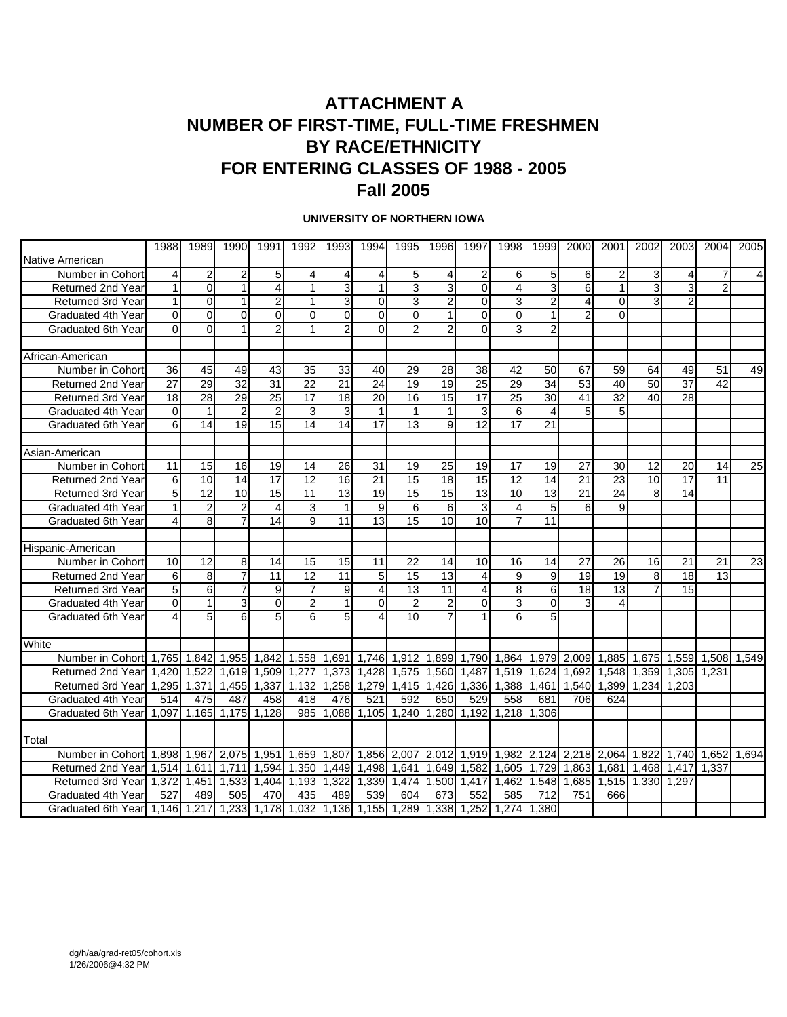### **ATTACHMENT A NUMBER OF FIRST-TIME, FULL-TIME FRESHMEN BY RACE/ETHNICITY FOR ENTERING CLASSES OF 1988 - 2005 Fall 2005**

#### **UNIVERSITY OF NORTHERN IOWA**

|                                                                                | 1988            | 1989             | 1990            | 1991            | 1992            | 1993            | 1994                    | 1995            | 1996            | 1997            | 1998        | 1999            | 2000           | 2001            | 2002            | 2003              | 2004  | 2005            |
|--------------------------------------------------------------------------------|-----------------|------------------|-----------------|-----------------|-----------------|-----------------|-------------------------|-----------------|-----------------|-----------------|-------------|-----------------|----------------|-----------------|-----------------|-------------------|-------|-----------------|
| Native American                                                                |                 |                  |                 |                 |                 |                 |                         |                 |                 |                 |             |                 |                |                 |                 |                   |       |                 |
| Number in Cohort                                                               | $\overline{4}$  | $\overline{c}$   | $\overline{c}$  | 5               | 4               | 4               | 4                       | 5               | 4               | $\overline{c}$  | 6           | 5               | 6              | $\overline{c}$  | 3               | 4                 |       | $\overline{4}$  |
| <b>Returned 2nd Year</b>                                                       | 1               | $\Omega$         | 1               | 4               | $\mathbf{1}$    | 3               | $\mathbf{1}$            | 3               | 3               | $\Omega$        | 4           | 3               | 6              | 1               | 3               | 3                 |       |                 |
| <b>Returned 3rd Year</b>                                                       | 1               | $\Omega$         | 1               | $\overline{2}$  | 1               | 3               | $\Omega$                | 3               | $\overline{2}$  | $\mathbf{0}$    | 3           | $\overline{2}$  | 4              | $\Omega$        | 3               | 2                 |       |                 |
| Graduated 4th Year                                                             | $\Omega$        | $\Omega$         | $\Omega$        | $\Omega$        | $\Omega$        | 0               | $\Omega$                | $\Omega$        | 1               | $\mathbf{0}$    | $\mathbf 0$ | 1               | $\overline{2}$ | $\Omega$        |                 |                   |       |                 |
| Graduated 6th Year                                                             | $\Omega$        | $\Omega$         |                 | $\overline{2}$  |                 | $\overline{2}$  | $\Omega$                | $\overline{2}$  | $\overline{2}$  | $\Omega$        | 3           | $\overline{2}$  |                |                 |                 |                   |       |                 |
|                                                                                |                 |                  |                 |                 |                 |                 |                         |                 |                 |                 |             |                 |                |                 |                 |                   |       |                 |
| African-American                                                               |                 |                  |                 |                 |                 |                 |                         |                 |                 |                 |             |                 |                |                 |                 |                   |       |                 |
| Number in Cohort                                                               | 36              | 45               | 49              | 43              | 35              | 33              | 40                      | 29              | 28              | 38              | 42          | 50              | 67             | 59              | 64              | 49                | 51    | 49              |
| Returned 2nd Year                                                              | $\overline{27}$ | 29               | $\overline{32}$ | $\overline{31}$ | $\overline{22}$ | $\overline{21}$ | $\overline{24}$         | 19              | $\overline{19}$ | $\overline{25}$ | 29          | $\overline{34}$ | 53             | 40              | $\overline{50}$ | $\overline{37}$   | 42    |                 |
| <b>Returned 3rd Year</b>                                                       | 18              | 28               | 29              | 25              | 17              | 18              | 20                      | 16              | 15              | 17              | 25          | 30              | 41             | $\overline{32}$ | 40              | 28                |       |                 |
| Graduated 4th Year                                                             | $\Omega$        | $\mathbf{1}$     | $\overline{2}$  | $\overline{2}$  | 3               | 3               | 1                       | $\mathbf 1$     | 1               | 3               | 6           | 4               | 5              | 5               |                 |                   |       |                 |
| Graduated 6th Year                                                             | 6               | 14               | 19              | 15              | 14              | 14              | 17                      | 13              | 9               | 12              | 17          | 21              |                |                 |                 |                   |       |                 |
|                                                                                |                 |                  |                 |                 |                 |                 |                         |                 |                 |                 |             |                 |                |                 |                 |                   |       |                 |
| Asian-American                                                                 |                 |                  |                 |                 |                 |                 |                         |                 |                 |                 |             |                 |                |                 |                 |                   |       |                 |
| Number in Cohort                                                               | 11              | 15               | 16              | 19              | 14              | 26              | $\overline{31}$         | 19              | 25              | 19              | 17          | 19              | 27             | 30              | 12              | 20                | 14    | 25              |
| <b>Returned 2nd Year</b>                                                       | 6               | 10               | 14              | 17              | 12              | 16              | 21                      | 15              | 18              | 15              | 12          | 14              | 21             | 23              | 10              | 17                | 11    |                 |
| <b>Returned 3rd Year</b>                                                       | 5               | $\overline{12}$  | 10              | 15              | 11              | 13              | 19                      | 15              | $\overline{15}$ | 13              | 10          | 13              | 21             | 24              | 8               | 14                |       |                 |
| Graduated 4th Year                                                             | 1               | $\overline{2}$   | $\overline{2}$  | $\overline{4}$  | 3               | $\mathbf{1}$    | $\overline{9}$          | 6               | 6               | $\overline{3}$  | 4           | 5               | 6              | 9               |                 |                   |       |                 |
| Graduated 6th Year                                                             | 4               | 8                |                 | 14              | 9               | 11              | 13                      | 15              | $\overline{10}$ | 10              | 7           | 11              |                |                 |                 |                   |       |                 |
|                                                                                |                 |                  |                 |                 |                 |                 |                         |                 |                 |                 |             |                 |                |                 |                 |                   |       |                 |
| Hispanic-American                                                              |                 |                  |                 |                 |                 |                 |                         |                 |                 |                 |             |                 |                |                 |                 |                   |       |                 |
| Number in Cohort                                                               | 10              | 12               | 8               | 14              | 15              | 15              | 11                      | 22              | 14              | 10              | 16          | 14              | 27             | 26              | 16              | 21                | 21    | $\overline{23}$ |
| <b>Returned 2nd Year</b>                                                       | 6               | 8                | $\overline{7}$  | 11              | $\overline{12}$ | 11              | 5                       | 15              | $\overline{13}$ | $\overline{4}$  | 9           | 9               | 19             | 19              | 8               | 18                | 13    |                 |
| <b>Returned 3rd Year</b>                                                       | 5               | $6 \overline{6}$ | $\overline{7}$  | 9               | 7               | 9               | 4                       | $\overline{13}$ | $\overline{11}$ | 4               | 8           | 6               | 18             | 13              | 7               | 15                |       |                 |
| Graduated 4th Year                                                             | $\Omega$        | $\mathbf{1}$     | 3               | $\Omega$        | $\overline{2}$  | 1               | 0                       | $\overline{2}$  | 2               | $\mathbf 0$     | 3           | 0               | 3              | 4               |                 |                   |       |                 |
| Graduated 6th Year                                                             | 4               | 5                | 6               | 5               | 6               | 5               | $\overline{\mathbf{4}}$ | 10              | $\overline{7}$  | 1               | 6           | 5               |                |                 |                 |                   |       |                 |
|                                                                                |                 |                  |                 |                 |                 |                 |                         |                 |                 |                 |             |                 |                |                 |                 |                   |       |                 |
| White                                                                          |                 |                  |                 |                 |                 |                 |                         |                 |                 |                 |             |                 |                |                 |                 |                   |       |                 |
| Number in Cohort 1.765 1.842                                                   |                 |                  | 1,955           | 1.842           | 1,558 1,691     |                 |                         | 1.746 1.912     | 1,899           | 1.790           | 1.864       | 1,979 2,009     |                | 1.885           |                 | 1.675 1.559 1.508 |       | 1.549           |
| Returned 2nd Year 1.420                                                        |                 | 1,522            | 1,619           | 1,509           | 1,277           | 1,373           | 1,428                   | 1,575           | 1,560 1,487     |                 | 1.519       | 1.624           | 1.692          |                 | 1,548 1,359     | 1,305             | 1.231 |                 |
| Returned 3rd Year                                                              | 1.295           | 1,371            | 1.455           | 1,337           | 1.132           | 1.258           | 1,279                   | 1.415           | 1.426           | 1,336           | 1.388       | 1,461           | 1.540          | 1.399           | 1.234           | 1.203             |       |                 |
| Graduated 4th Year                                                             | 514             | 475              | 487             | 458             | 418             | 476             | 521                     | 592             | 650             | 529             | 558         | 681             | 706            | 624             |                 |                   |       |                 |
| Graduated 6th Year 1,097 1,165                                                 |                 |                  | 1,175           | 1,128           | 985             | 1.088           |                         | 1,105 1,240     | 1,280 1,192     |                 | 1,218       | 1.306           |                |                 |                 |                   |       |                 |
|                                                                                |                 |                  |                 |                 |                 |                 |                         |                 |                 |                 |             |                 |                |                 |                 |                   |       |                 |
| Total                                                                          |                 |                  |                 |                 |                 |                 |                         |                 |                 |                 |             |                 |                |                 |                 |                   |       |                 |
| Number in Cohort                                                               | 1.898           | 1,967            | 2,075           | 1,951           | 1.659           | 1.807           |                         | 1,856 2,007     | 2,012           | 1.919           | 1.982       | 2,124           | 2.218          | 2,064           | 1.822           | 1,740             | 1.652 | 1.694           |
| Returned 2nd Yearl 1.514                                                       |                 | 1.611            | 1.711           | 1,594           | 1.350           | 1.449           |                         | 1.498 1.641     | 1.649           | 1,582           | 1.605       | 1.729           | 1.863          | 1.681           | 1.468           | 1.417             | 1.337 |                 |
| Returned 3rd Year 1,372                                                        |                 | 1,451            | 1,533           | 1,404           | 1,193           | 1,322           |                         | 1,339 1,474     | 1,500 1,417     |                 | 1,462       | 1,548           | 1,685          |                 | 1,515 1,330     | 1,297             |       |                 |
| Graduated 4th Year                                                             | 527             | 489              | 505             | 470             | 435             | 489             | 539                     | 604             | 673             | 552             | 585         | 712             | 751            | 666             |                 |                   |       |                 |
| Graduated 6th Year 1,146 1,217 1,233 1,178 1,032 1,136 1,155 1,289 1,338 1,252 |                 |                  |                 |                 |                 |                 |                         |                 |                 |                 |             | 1.274 1.380     |                |                 |                 |                   |       |                 |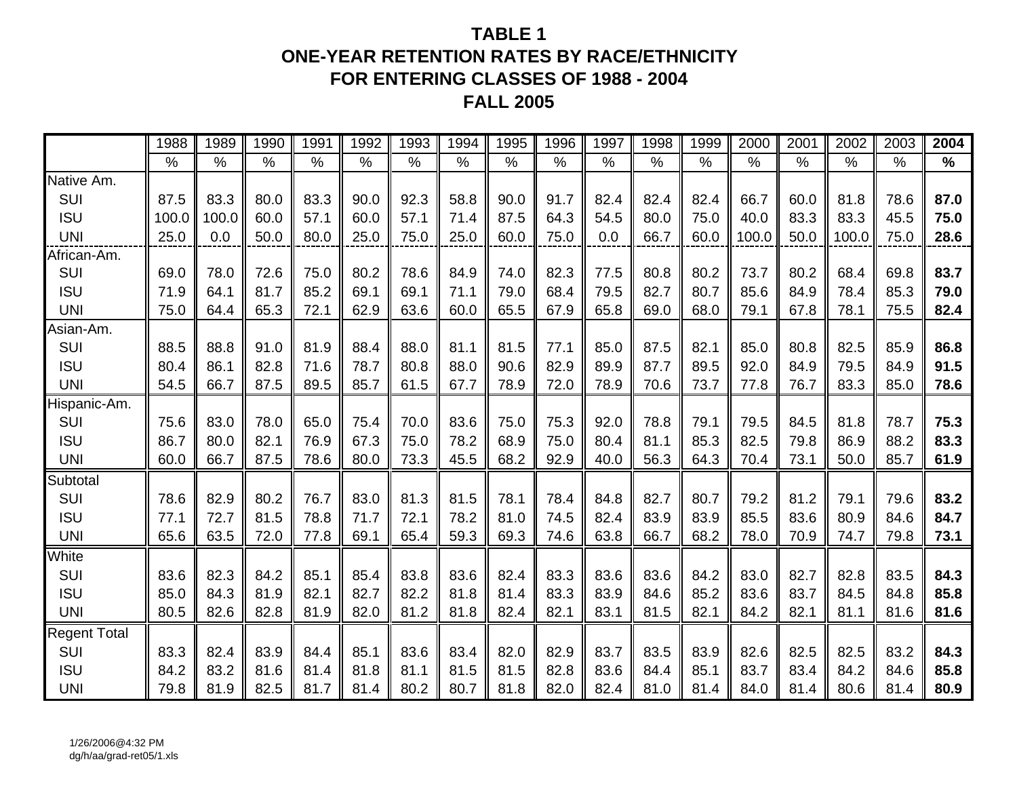## **TABLE 1ONE-YEAR RETENTION RATES BY RACE/ETHNICITY FOR ENTERING CLASSES OF 1988 - 2004 FALL 2005**

|                     | 1988  | 1989  | 1990 | 1991 | 1992 | 1993 | 1994 | 1995 | 1996 | 1997 | 1998          | 1999 | 2000  | 2001 | 2002  | 2003          | 2004 |
|---------------------|-------|-------|------|------|------|------|------|------|------|------|---------------|------|-------|------|-------|---------------|------|
|                     | $\%$  | $\%$  | $\%$ | $\%$ | $\%$ | $\%$ | $\%$ | $\%$ | $\%$ | $\%$ | $\frac{0}{0}$ | $\%$ | $\%$  | $\%$ | %     | $\frac{0}{0}$ | $\%$ |
| Native Am.          |       |       |      |      |      |      |      |      |      |      |               |      |       |      |       |               |      |
| SUI                 | 87.5  | 83.3  | 80.0 | 83.3 | 90.0 | 92.3 | 58.8 | 90.0 | 91.7 | 82.4 | 82.4          | 82.4 | 66.7  | 60.0 | 81.8  | 78.6          | 87.0 |
| <b>ISU</b>          | 100.0 | 100.0 | 60.0 | 57.1 | 60.0 | 57.1 | 71.4 | 87.5 | 64.3 | 54.5 | 80.0          | 75.0 | 40.0  | 83.3 | 83.3  | 45.5          | 75.0 |
| <b>UNI</b>          | 25.0  | 0.0   | 50.0 | 80.0 | 25.0 | 75.0 | 25.0 | 60.0 | 75.0 | 0.0  | 66.7          | 60.0 | 100.0 | 50.0 | 100.0 | 75.0          | 28.6 |
| African-Am.         |       |       |      |      |      |      |      |      |      |      |               |      |       |      |       |               |      |
| SUI                 | 69.0  | 78.0  | 72.6 | 75.0 | 80.2 | 78.6 | 84.9 | 74.0 | 82.3 | 77.5 | 80.8          | 80.2 | 73.7  | 80.2 | 68.4  | 69.8          | 83.7 |
| <b>ISU</b>          | 71.9  | 64.1  | 81.7 | 85.2 | 69.1 | 69.1 | 71.1 | 79.0 | 68.4 | 79.5 | 82.7          | 80.7 | 85.6  | 84.9 | 78.4  | 85.3          | 79.0 |
| <b>UNI</b>          | 75.0  | 64.4  | 65.3 | 72.1 | 62.9 | 63.6 | 60.0 | 65.5 | 67.9 | 65.8 | 69.0          | 68.0 | 79.1  | 67.8 | 78.1  | 75.5          | 82.4 |
| Asian-Am.           |       |       |      |      |      |      |      |      |      |      |               |      |       |      |       |               |      |
| SUI                 | 88.5  | 88.8  | 91.0 | 81.9 | 88.4 | 88.0 | 81.1 | 81.5 | 77.1 | 85.0 | 87.5          | 82.1 | 85.0  | 80.8 | 82.5  | 85.9          | 86.8 |
| <b>ISU</b>          | 80.4  | 86.1  | 82.8 | 71.6 | 78.7 | 80.8 | 88.0 | 90.6 | 82.9 | 89.9 | 87.7          | 89.5 | 92.0  | 84.9 | 79.5  | 84.9          | 91.5 |
| <b>UNI</b>          | 54.5  | 66.7  | 87.5 | 89.5 | 85.7 | 61.5 | 67.7 | 78.9 | 72.0 | 78.9 | 70.6          | 73.7 | 77.8  | 76.7 | 83.3  | 85.0          | 78.6 |
| Hispanic-Am.        |       |       |      |      |      |      |      |      |      |      |               |      |       |      |       |               |      |
| SUI                 | 75.6  | 83.0  | 78.0 | 65.0 | 75.4 | 70.0 | 83.6 | 75.0 | 75.3 | 92.0 | 78.8          | 79.1 | 79.5  | 84.5 | 81.8  | 78.7          | 75.3 |
| <b>ISU</b>          | 86.7  | 80.0  | 82.1 | 76.9 | 67.3 | 75.0 | 78.2 | 68.9 | 75.0 | 80.4 | 81.1          | 85.3 | 82.5  | 79.8 | 86.9  | 88.2          | 83.3 |
| <b>UNI</b>          | 60.0  | 66.7  | 87.5 | 78.6 | 80.0 | 73.3 | 45.5 | 68.2 | 92.9 | 40.0 | 56.3          | 64.3 | 70.4  | 73.1 | 50.0  | 85.7          | 61.9 |
| Subtotal            |       |       |      |      |      |      |      |      |      |      |               |      |       |      |       |               |      |
| SUI                 | 78.6  | 82.9  | 80.2 | 76.7 | 83.0 | 81.3 | 81.5 | 78.1 | 78.4 | 84.8 | 82.7          | 80.7 | 79.2  | 81.2 | 79.1  | 79.6          | 83.2 |
| <b>ISU</b>          | 77.1  | 72.7  | 81.5 | 78.8 | 71.7 | 72.1 | 78.2 | 81.0 | 74.5 | 82.4 | 83.9          | 83.9 | 85.5  | 83.6 | 80.9  | 84.6          | 84.7 |
| <b>UNI</b>          | 65.6  | 63.5  | 72.0 | 77.8 | 69.1 | 65.4 | 59.3 | 69.3 | 74.6 | 63.8 | 66.7          | 68.2 | 78.0  | 70.9 | 74.7  | 79.8          | 73.1 |
| White               |       |       |      |      |      |      |      |      |      |      |               |      |       |      |       |               |      |
| SUI                 | 83.6  | 82.3  | 84.2 | 85.1 | 85.4 | 83.8 | 83.6 | 82.4 | 83.3 | 83.6 | 83.6          | 84.2 | 83.0  | 82.7 | 82.8  | 83.5          | 84.3 |
| <b>ISU</b>          | 85.0  | 84.3  | 81.9 | 82.1 | 82.7 | 82.2 | 81.8 | 81.4 | 83.3 | 83.9 | 84.6          | 85.2 | 83.6  | 83.7 | 84.5  | 84.8          | 85.8 |
| <b>UNI</b>          | 80.5  | 82.6  | 82.8 | 81.9 | 82.0 | 81.2 | 81.8 | 82.4 | 82.1 | 83.1 | 81.5          | 82.1 | 84.2  | 82.1 | 81.1  | 81.6          | 81.6 |
| <b>Regent Total</b> |       |       |      |      |      |      |      |      |      |      |               |      |       |      |       |               |      |
| SUI                 | 83.3  | 82.4  | 83.9 | 84.4 | 85.1 | 83.6 | 83.4 | 82.0 | 82.9 | 83.7 | 83.5          | 83.9 | 82.6  | 82.5 | 82.5  | 83.2          | 84.3 |
| <b>ISU</b>          | 84.2  | 83.2  | 81.6 | 81.4 | 81.8 | 81.1 | 81.5 | 81.5 | 82.8 | 83.6 | 84.4          | 85.1 | 83.7  | 83.4 | 84.2  | 84.6          | 85.8 |
| <b>UNI</b>          | 79.8  | 81.9  | 82.5 | 81.7 | 81.4 | 80.2 | 80.7 | 81.8 | 82.0 | 82.4 | 81.0          | 81.4 | 84.0  | 81.4 | 80.6  | 81.4          | 80.9 |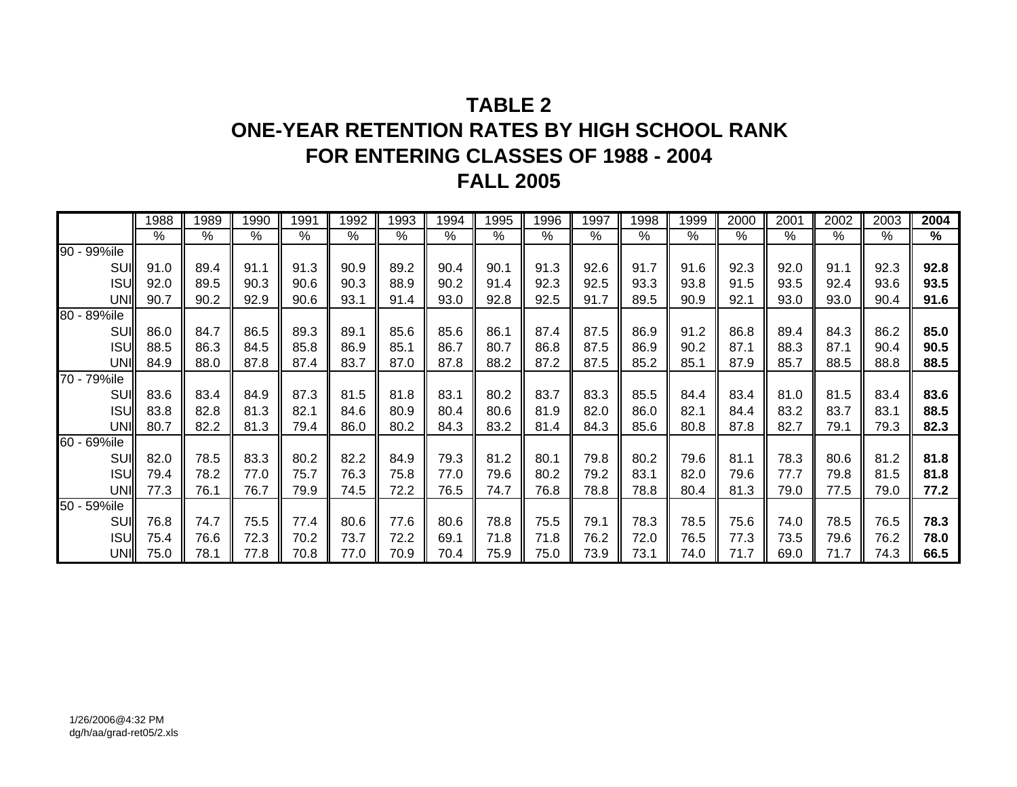# **TABLE 2ONE-YEAR RETENTION RATES BY HIGH SCHOOL RANK FOR ENTERING CLASSES OF 1988 - 2004 FALL 2005**

|             | 1988 | 1989 | 1990 | 1991 | 1992 | 1993 | 1994 | 1995 | 1996 | 1997 | 1998 | 1999 | 2000 | 2001 | 2002 | 2003 | 2004 |
|-------------|------|------|------|------|------|------|------|------|------|------|------|------|------|------|------|------|------|
|             | %    | $\%$ | %    | $\%$ | $\%$ | %    | $\%$ | %    | %    | %    | $\%$ | %    | %    | %    | %    | %    | $\%$ |
| 90 - 99%ile |      |      |      |      |      |      |      |      |      |      |      |      |      |      |      |      |      |
| SUI         | 91.0 | 89.4 | 91.1 | 91.3 | 90.9 | 89.2 | 90.4 | 90.1 | 91.3 | 92.6 | 91.7 | 91.6 | 92.3 | 92.0 | 91.1 | 92.3 | 92.8 |
| <b>ISUI</b> | 92.0 | 89.5 | 90.3 | 90.6 | 90.3 | 88.9 | 90.2 | 91.4 | 92.3 | 92.5 | 93.3 | 93.8 | 91.5 | 93.5 | 92.4 | 93.6 | 93.5 |
| UNI         | 90.7 | 90.2 | 92.9 | 90.6 | 93.1 | 91.4 | 93.0 | 92.8 | 92.5 | 91.7 | 89.5 | 90.9 | 92.1 | 93.0 | 93.0 | 90.4 | 91.6 |
| 80 - 89%ile |      |      |      |      |      |      |      |      |      |      |      |      |      |      |      |      |      |
| <b>SUI</b>  | 86.0 | 84.7 | 86.5 | 89.3 | 89.1 | 85.6 | 85.6 | 86.1 | 87.4 | 87.5 | 86.9 | 91.2 | 86.8 | 89.4 | 84.3 | 86.2 | 85.0 |
| <b>ISUI</b> | 88.5 | 86.3 | 84.5 | 85.8 | 86.9 | 85.1 | 86.7 | 80.7 | 86.8 | 87.5 | 86.9 | 90.2 | 87.1 | 88.3 | 87.1 | 90.4 | 90.5 |
| UNII        | 84.9 | 88.0 | 87.8 | 87.4 | 83.7 | 87.0 | 87.8 | 88.2 | 87.2 | 87.5 | 85.2 | 85.1 | 87.9 | 85.7 | 88.5 | 88.8 | 88.5 |
| 70 - 79%ile |      |      |      |      |      |      |      |      |      |      |      |      |      |      |      |      |      |
| <b>SUI</b>  | 83.6 | 83.4 | 84.9 | 87.3 | 81.5 | 81.8 | 83.1 | 80.2 | 83.7 | 83.3 | 85.5 | 84.4 | 83.4 | 81.0 | 81.5 | 83.4 | 83.6 |
| <b>ISUI</b> | 83.8 | 82.8 | 81.3 | 82.1 | 84.6 | 80.9 | 80.4 | 80.6 | 81.9 | 82.0 | 86.0 | 82.1 | 84.4 | 83.2 | 83.7 | 83.1 | 88.5 |
| UNI         | 80.7 | 82.2 | 81.3 | 79.4 | 86.0 | 80.2 | 84.3 | 83.2 | 81.4 | 84.3 | 85.6 | 80.8 | 87.8 | 82.7 | 79.1 | 79.3 | 82.3 |
| 60 - 69%ile |      |      |      |      |      |      |      |      |      |      |      |      |      |      |      |      |      |
| SUI         | 82.0 | 78.5 | 83.3 | 80.2 | 82.2 | 84.9 | 79.3 | 81.2 | 80.1 | 79.8 | 80.2 | 79.6 | 81.1 | 78.3 | 80.6 | 81.2 | 81.8 |
| <b>ISUI</b> | 79.4 | 78.2 | 77.0 | 75.7 | 76.3 | 75.8 | 77.0 | 79.6 | 80.2 | 79.2 | 83.1 | 82.0 | 79.6 | 77.7 | 79.8 | 81.5 | 81.8 |
| UNII        | 77.3 | 76.1 | 76.7 | 79.9 | 74.5 | 72.2 | 76.5 | 74.7 | 76.8 | 78.8 | 78.8 | 80.4 | 81.3 | 79.0 | 77.5 | 79.0 | 77.2 |
| 50 - 59%ile |      |      |      |      |      |      |      |      |      |      |      |      |      |      |      |      |      |
| <b>SUI</b>  | 76.8 | 74.7 | 75.5 | 77.4 | 80.6 | 77.6 | 80.6 | 78.8 | 75.5 | 79.1 | 78.3 | 78.5 | 75.6 | 74.0 | 78.5 | 76.5 | 78.3 |
| <b>ISUI</b> | 75.4 | 76.6 | 72.3 | 70.2 | 73.7 | 72.2 | 69.1 | 71.8 | 71.8 | 76.2 | 72.0 | 76.5 | 77.3 | 73.5 | 79.6 | 76.2 | 78.0 |
| UNI         | 75.0 | 78.1 | 77.8 | 70.8 | 77.0 | 70.9 | 70.4 | 75.9 | 75.0 | 73.9 | 73.1 | 74.0 | 71.7 | 69.0 | 71.7 | 74.3 | 66.5 |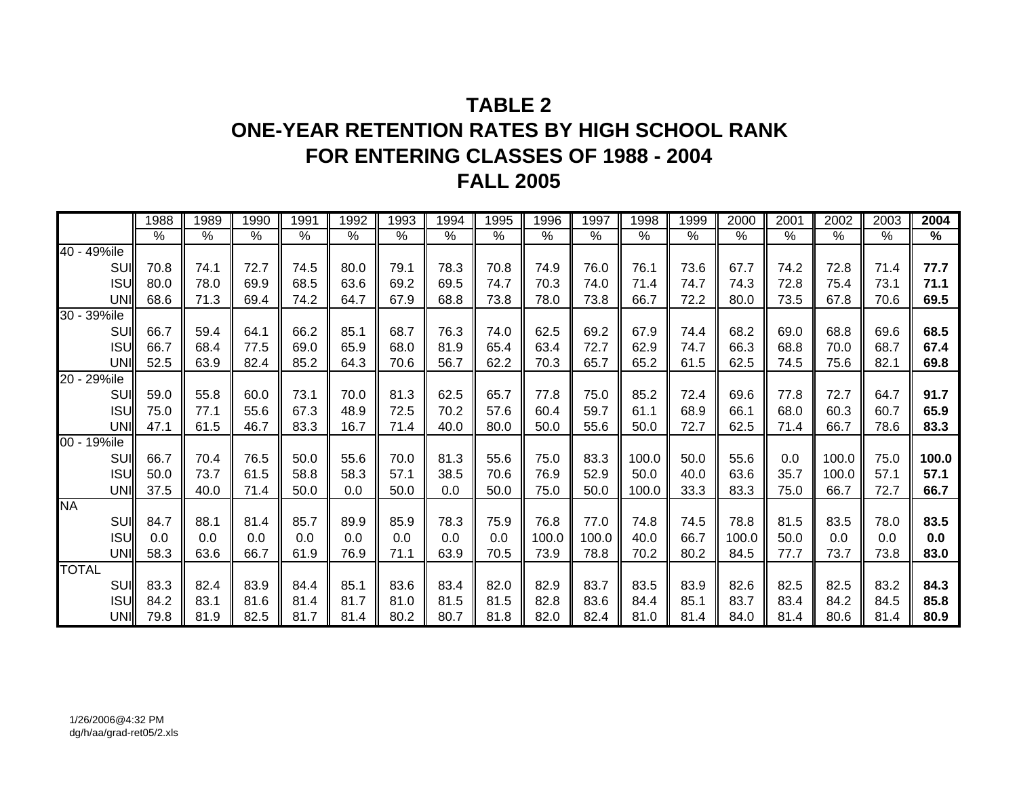# **TABLE 2ONE-YEAR RETENTION RATES BY HIGH SCHOOL RANK FOR ENTERING CLASSES OF 1988 - 2004 FALL 2005**

|              | 1988 | 1989          | 1990          | 1991          | 1992          | 1993          | 1994          | 1995          | 1996          | 1997          | 1998          | 1999          | 2000  | 2001          | 2002          | 2003 | 2004          |
|--------------|------|---------------|---------------|---------------|---------------|---------------|---------------|---------------|---------------|---------------|---------------|---------------|-------|---------------|---------------|------|---------------|
|              | $\%$ | $\frac{8}{6}$ | $\frac{8}{6}$ | $\frac{9}{6}$ | $\frac{8}{6}$ | $\frac{9}{6}$ | $\frac{8}{6}$ | $\frac{9}{6}$ | $\frac{9}{6}$ | $\frac{9}{6}$ | $\frac{9}{6}$ | $\frac{9}{6}$ | $\%$  | $\frac{1}{6}$ | $\frac{9}{6}$ | $\%$ | $\frac{9}{6}$ |
| 40 - 49%ile  |      |               |               |               |               |               |               |               |               |               |               |               |       |               |               |      |               |
| SUI          | 70.8 | 74.1          | 72.7          | 74.5          | 80.0          | 79.1          | 78.3          | 70.8          | 74.9          | 76.0          | 76.1          | 73.6          | 67.7  | 74.2          | 72.8          | 71.4 | 77.7          |
| <b>ISUI</b>  | 80.0 | 78.0          | 69.9          | 68.5          | 63.6          | 69.2          | 69.5          | 74.7          | 70.3          | 74.0          | 71.4          | 74.7          | 74.3  | 72.8          | 75.4          | 73.1 | 71.1          |
| UNI          | 68.6 | 71.3          | 69.4          | 74.2          | 64.7          | 67.9          | 68.8          | 73.8          | 78.0          | 73.8          | 66.7          | 72.2          | 80.0  | 73.5          | 67.8          | 70.6 | 69.5          |
| 30 - 39%ile  |      |               |               |               |               |               |               |               |               |               |               |               |       |               |               |      |               |
| SUII         | 66.7 | 59.4          | 64.1          | 66.2          | 85.1          | 68.7          | 76.3          | 74.0          | 62.5          | 69.2          | 67.9          | 74.4          | 68.2  | 69.0          | 68.8          | 69.6 | 68.5          |
| <b>ISUI</b>  | 66.7 | 68.4          | 77.5          | 69.0          | 65.9          | 68.0          | 81.9          | 65.4          | 63.4          | 72.7          | 62.9          | 74.7          | 66.3  | 68.8          | 70.0          | 68.7 | 67.4          |
| UNI          | 52.5 | 63.9          | 82.4          | 85.2          | 64.3          | 70.6          | 56.7          | 62.2          | 70.3          | 65.7          | 65.2          | 61.5          | 62.5  | 74.5          | 75.6          | 82.1 | 69.8          |
| 20 - 29%ile  |      |               |               |               |               |               |               |               |               |               |               |               |       |               |               |      |               |
| SUII         | 59.0 | 55.8          | 60.0          | 73.1          | 70.0          | 81.3          | 62.5          | 65.7          | 77.8          | 75.0          | 85.2          | 72.4          | 69.6  | 77.8          | 72.7          | 64.7 | 91.7          |
| <b>ISU</b>   | 75.0 | 77.1          | 55.6          | 67.3          | 48.9          | 72.5          | 70.2          | 57.6          | 60.4          | 59.7          | 61.1          | 68.9          | 66.1  | 68.0          | 60.3          | 60.7 | 65.9          |
| UNI          | 47.1 | 61.5          | 46.7          | 83.3          | 16.7          | 71.4          | 40.0          | 80.0          | 50.0          | 55.6          | 50.0          | 72.7          | 62.5  | 71.4          | 66.7          | 78.6 | 83.3          |
| 00 - 19%ile  |      |               |               |               |               |               |               |               |               |               |               |               |       |               |               |      |               |
| SUI          | 66.7 | 70.4          | 76.5          | 50.0          | 55.6          | 70.0          | 81.3          | 55.6          | 75.0          | 83.3          | 100.0         | 50.0          | 55.6  | 0.0           | 100.0         | 75.0 | 100.0         |
| <b>ISU</b>   | 50.0 | 73.7          | 61.5          | 58.8          | 58.3          | 57.1          | 38.5          | 70.6          | 76.9          | 52.9          | 50.0          | 40.0          | 63.6  | 35.7          | 100.0         | 57.1 | 57.1          |
| UNI          | 37.5 | 40.0          | 71.4          | 50.0          | 0.0           | 50.0          | 0.0           | 50.0          | 75.0          | 50.0          | 100.0         | 33.3          | 83.3  | 75.0          | 66.7          | 72.7 | 66.7          |
| <b>NA</b>    |      |               |               |               |               |               |               |               |               |               |               |               |       |               |               |      |               |
| SUI          | 84.7 | 88.1          | 81.4          | 85.7          | 89.9          | 85.9          | 78.3          | 75.9          | 76.8          | 77.0          | 74.8          | 74.5          | 78.8  | 81.5          | 83.5          | 78.0 | 83.5          |
| <b>ISUI</b>  | 0.0  | 0.0           | 0.0           | 0.0           | 0.0           | 0.0           | 0.0           | 0.0           | 100.0         | 100.0         | 40.0          | 66.7          | 100.0 | 50.0          | 0.0           | 0.0  | 0.0           |
| UNI          | 58.3 | 63.6          | 66.7          | 61.9          | 76.9          | 71.1          | 63.9          | 70.5          | 73.9          | 78.8          | 70.2          | 80.2          | 84.5  | 77.7          | 73.7          | 73.8 | 83.0          |
| <b>TOTAL</b> |      |               |               |               |               |               |               |               |               |               |               |               |       |               |               |      |               |
| SUI          | 83.3 | 82.4          | 83.9          | 84.4          | 85.1          | 83.6          | 83.4          | 82.0          | 82.9          | 83.7          | 83.5          | 83.9          | 82.6  | 82.5          | 82.5          | 83.2 | 84.3          |
| <b>ISUI</b>  | 84.2 | 83.1          | 81.6          | 81.4          | 81.7          | 81.0          | 81.5          | 81.5          | 82.8          | 83.6          | 84.4          | 85.1          | 83.7  | 83.4          | 84.2          | 84.5 | 85.8          |
| UNI          | 79.8 | 81.9          | 82.5          | 81.7          | 81.4          | 80.2          | 80.7          | 81.8          | 82.0          | 82.4          | 81.0          | 81.4          | 84.C  | 81.4          | 80.6          | 81.4 | 80.9          |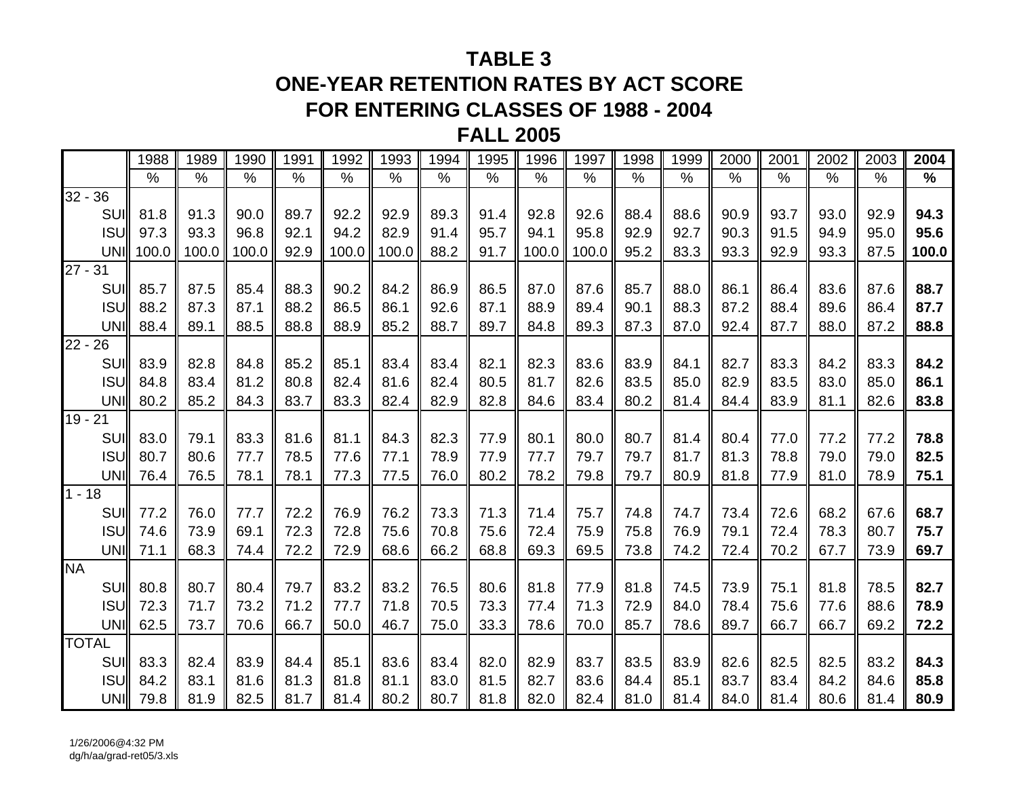## **TABLE 3**

## **ONE-YEAR RETENTION RATES BY ACT SCORE FOR ENTERING CLASSES OF 1988 - 2004**

### **FALL 2005**

|              | 1988      | 1989          | 1990  | 1991 | 1992  | 1993  | 1994 | 1995 | 1996  | 1997  | 1998 | 1999          | 2000 | 2001 | 2002 | 2003 | 2004  |
|--------------|-----------|---------------|-------|------|-------|-------|------|------|-------|-------|------|---------------|------|------|------|------|-------|
|              | $\%$      | $\frac{0}{0}$ | $\%$  | $\%$ | $\%$  | $\%$  | $\%$ | $\%$ | $\%$  | $\%$  | $\%$ | $\frac{0}{0}$ | $\%$ | $\%$ | $\%$ | $\%$ | $\%$  |
| $32 - 36$    |           |               |       |      |       |       |      |      |       |       |      |               |      |      |      |      |       |
| SUI          | 81.8      | 91.3          | 90.0  | 89.7 | 92.2  | 92.9  | 89.3 | 91.4 | 92.8  | 92.6  | 88.4 | 88.6          | 90.9 | 93.7 | 93.0 | 92.9 | 94.3  |
| <b>ISUI</b>  | 97.3      | 93.3          | 96.8  | 92.1 | 94.2  | 82.9  | 91.4 | 95.7 | 94.1  | 95.8  | 92.9 | 92.7          | 90.3 | 91.5 | 94.9 | 95.0 | 95.6  |
|              | UNI 100.0 | 100.0         | 100.0 | 92.9 | 100.0 | 100.0 | 88.2 | 91.7 | 100.0 | 100.0 | 95.2 | 83.3          | 93.3 | 92.9 | 93.3 | 87.5 | 100.0 |
| $27 - 31$    |           |               |       |      |       |       |      |      |       |       |      |               |      |      |      |      |       |
| SUI          | 85.7      | 87.5          | 85.4  | 88.3 | 90.2  | 84.2  | 86.9 | 86.5 | 87.0  | 87.6  | 85.7 | 88.0          | 86.1 | 86.4 | 83.6 | 87.6 | 88.7  |
| <b>ISUI</b>  | 88.2      | 87.3          | 87.1  | 88.2 | 86.5  | 86.1  | 92.6 | 87.1 | 88.9  | 89.4  | 90.1 | 88.3          | 87.2 | 88.4 | 89.6 | 86.4 | 87.7  |
| UNI          | 88.4      | 89.1          | 88.5  | 88.8 | 88.9  | 85.2  | 88.7 | 89.7 | 84.8  | 89.3  | 87.3 | 87.0          | 92.4 | 87.7 | 88.0 | 87.2 | 88.8  |
| $22 - 26$    |           |               |       |      |       |       |      |      |       |       |      |               |      |      |      |      |       |
| SUI          | 83.9      | 82.8          | 84.8  | 85.2 | 85.1  | 83.4  | 83.4 | 82.1 | 82.3  | 83.6  | 83.9 | 84.1          | 82.7 | 83.3 | 84.2 | 83.3 | 84.2  |
| <b>ISUI</b>  | 84.8      | 83.4          | 81.2  | 80.8 | 82.4  | 81.6  | 82.4 | 80.5 | 81.7  | 82.6  | 83.5 | 85.0          | 82.9 | 83.5 | 83.0 | 85.0 | 86.1  |
| UNI          | 80.2      | 85.2          | 84.3  | 83.7 | 83.3  | 82.4  | 82.9 | 82.8 | 84.6  | 83.4  | 80.2 | 81.4          | 84.4 | 83.9 | 81.1 | 82.6 | 83.8  |
| $19 - 21$    |           |               |       |      |       |       |      |      |       |       |      |               |      |      |      |      |       |
| SUII         | 83.0      | 79.1          | 83.3  | 81.6 | 81.1  | 84.3  | 82.3 | 77.9 | 80.1  | 80.0  | 80.7 | 81.4          | 80.4 | 77.0 | 77.2 | 77.2 | 78.8  |
| <b>ISU</b>   | 80.7      | 80.6          | 77.7  | 78.5 | 77.6  | 77.1  | 78.9 | 77.9 | 77.7  | 79.7  | 79.7 | 81.7          | 81.3 | 78.8 | 79.0 | 79.0 | 82.5  |
| UNI          | 76.4      | 76.5          | 78.1  | 78.1 | 77.3  | 77.5  | 76.0 | 80.2 | 78.2  | 79.8  | 79.7 | 80.9          | 81.8 | 77.9 | 81.0 | 78.9 | 75.1  |
| $1 - 18$     |           |               |       |      |       |       |      |      |       |       |      |               |      |      |      |      |       |
| SUII         | 77.2      | 76.0          | 77.7  | 72.2 | 76.9  | 76.2  | 73.3 | 71.3 | 71.4  | 75.7  | 74.8 | 74.7          | 73.4 | 72.6 | 68.2 | 67.6 | 68.7  |
| <b>ISUI</b>  | 74.6      | 73.9          | 69.1  | 72.3 | 72.8  | 75.6  | 70.8 | 75.6 | 72.4  | 75.9  | 75.8 | 76.9          | 79.1 | 72.4 | 78.3 | 80.7 | 75.7  |
| UNII         | 71.1      | 68.3          | 74.4  | 72.2 | 72.9  | 68.6  | 66.2 | 68.8 | 69.3  | 69.5  | 73.8 | 74.2          | 72.4 | 70.2 | 67.7 | 73.9 | 69.7  |
| <b>NA</b>    |           |               |       |      |       |       |      |      |       |       |      |               |      |      |      |      |       |
| SUI          | 80.8      | 80.7          | 80.4  | 79.7 | 83.2  | 83.2  | 76.5 | 80.6 | 81.8  | 77.9  | 81.8 | 74.5          | 73.9 | 75.1 | 81.8 | 78.5 | 82.7  |
| <b>ISU</b>   | 72.3      | 71.7          | 73.2  | 71.2 | 77.7  | 71.8  | 70.5 | 73.3 | 77.4  | 71.3  | 72.9 | 84.0          | 78.4 | 75.6 | 77.6 | 88.6 | 78.9  |
| UNI          | 62.5      | 73.7          | 70.6  | 66.7 | 50.0  | 46.7  | 75.0 | 33.3 | 78.6  | 70.0  | 85.7 | 78.6          | 89.7 | 66.7 | 66.7 | 69.2 | 72.2  |
| <b>TOTAL</b> |           |               |       |      |       |       |      |      |       |       |      |               |      |      |      |      |       |
| SUII         | 83.3      | 82.4          | 83.9  | 84.4 | 85.1  | 83.6  | 83.4 | 82.0 | 82.9  | 83.7  | 83.5 | 83.9          | 82.6 | 82.5 | 82.5 | 83.2 | 84.3  |
| <b>ISU</b>   | 84.2      | 83.1          | 81.6  | 81.3 | 81.8  | 81.1  | 83.0 | 81.5 | 82.7  | 83.6  | 84.4 | 85.1          | 83.7 | 83.4 | 84.2 | 84.6 | 85.8  |
| UNI          | 79.8      | 81.9          | 82.5  | 81.7 | 81.4  | 80.2  | 80.7 | 81.8 | 82.0  | 82.4  | 81.0 | 81.4          | 84.0 | 81.4 | 80.6 | 81.4 | 80.9  |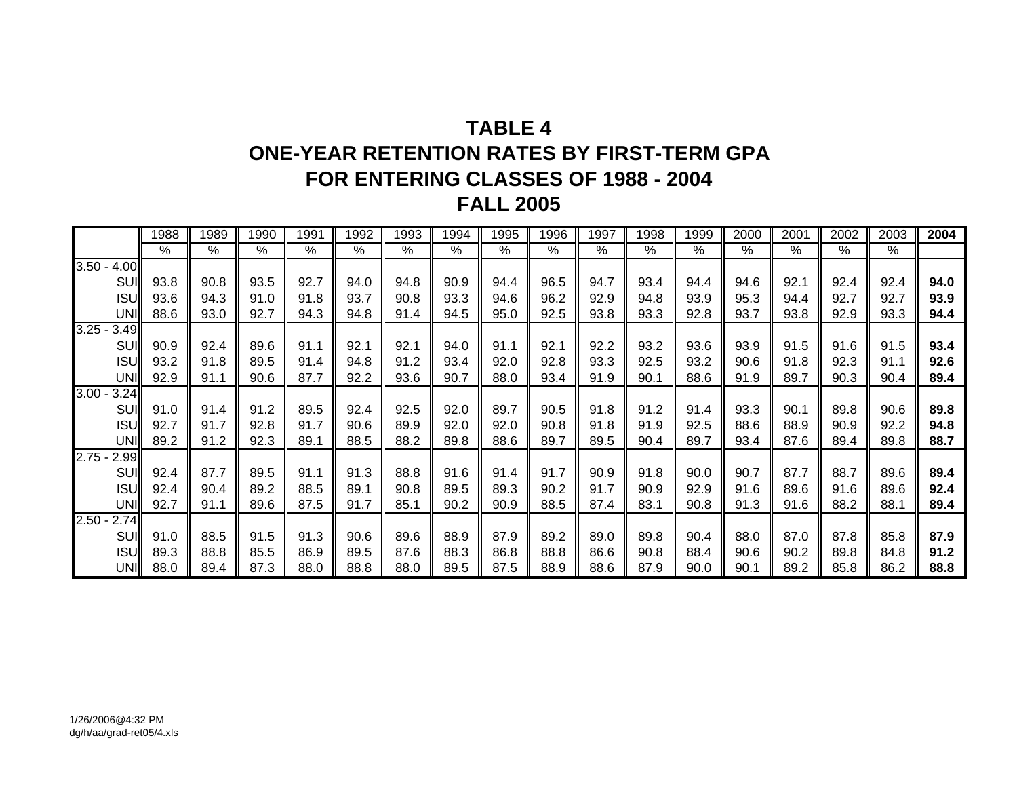# **TABLE 4ONE-YEAR RETENTION RATES BY FIRST-TERM GPAFOR ENTERING CLASSES OF 1988 - 2004 FALL 2005**

|                  | 1988          | 1989 | 1990 | 1991 | 1992 | 1993 | 1994          | 1995       | 1996 | 1997          | 1998 | 1999          | 2000          | 2001          | 2002 | 2003 | 2004 |
|------------------|---------------|------|------|------|------|------|---------------|------------|------|---------------|------|---------------|---------------|---------------|------|------|------|
|                  | $\frac{0}{0}$ | %    | $\%$ | $\%$ | $\%$ | %    | $\frac{0}{0}$ | $\sqrt{6}$ | $\%$ | $\frac{0}{0}$ | $\%$ | $\frac{0}{0}$ | $\frac{0}{0}$ | $\frac{0}{0}$ | %    | %    |      |
| $3.50 -$<br>4.00 |               |      |      |      |      |      |               |            |      |               |      |               |               |               |      |      |      |
| SUI              | 93.8          | 90.8 | 93.5 | 92.7 | 94.0 | 94.8 | 90.9          | 94.4       | 96.5 | 94.7          | 93.4 | 94.4          | 94.6          | 92.1          | 92.4 | 92.4 | 94.0 |
| <b>ISUI</b>      | 93.6          | 94.3 | 91.0 | 91.8 | 93.7 | 90.8 | 93.3          | 94.6       | 96.2 | 92.9          | 94.8 | 93.9          | 95.3          | 94.4          | 92.7 | 92.7 | 93.9 |
| UNI              | 88.6          | 93.0 | 92.7 | 94.3 | 94.8 | 91.4 | 94.5          | 95.0       | 92.5 | 93.8          | 93.3 | 92.8          | 93.7          | 93.8          | 92.9 | 93.3 | 94.4 |
| $3.25 -$<br>3.49 |               |      |      |      |      |      |               |            |      |               |      |               |               |               |      |      |      |
| SUI              | 90.9          | 92.4 | 89.6 | 91.1 | 92.1 | 92.1 | 94.0          | 91.1       | 92.1 | 92.2          | 93.2 | 93.6          | 93.9          | 91.5          | 91.6 | 91.5 | 93.4 |
| <b>ISUI</b>      | 93.2          | 91.8 | 89.5 | 91.4 | 94.8 | 91.2 | 93.4          | 92.0       | 92.8 | 93.3          | 92.5 | 93.2          | 90.6          | 91.8          | 92.3 | 91.1 | 92.6 |
| UNI              | 92.9          | 91.1 | 90.6 | 87.7 | 92.2 | 93.6 | 90.7          | 88.0       | 93.4 | 91.9          | 90.1 | 88.6          | 91.9          | 89.7          | 90.3 | 90.4 | 89.4 |
| $3.00 -$<br>3.24 |               |      |      |      |      |      |               |            |      |               |      |               |               |               |      |      |      |
| SUI              | 91.0          | 91.4 | 91.2 | 89.5 | 92.4 | 92.5 | 92.0          | 89.7       | 90.5 | 91.8          | 91.2 | 91.4          | 93.3          | 90.1          | 89.8 | 90.6 | 89.8 |
| <b>ISUI</b>      | 92.7          | 91.7 | 92.8 | 91.7 | 90.6 | 89.9 | 92.0          | 92.0       | 90.8 | 91.8          | 91.9 | 92.5          | 88.6          | 88.9          | 90.9 | 92.2 | 94.8 |
| UNI              | 89.2          | 91.2 | 92.3 | 89.1 | 88.5 | 88.2 | 89.8          | 88.6       | 89.7 | 89.5          | 90.4 | 89.7          | 93.4          | 87.6          | 89.4 | 89.8 | 88.7 |
| $2.75 -$<br>2.99 |               |      |      |      |      |      |               |            |      |               |      |               |               |               |      |      |      |
| <b>SUI</b>       | 92.4          | 87.7 | 89.5 | 91.1 | 91.3 | 88.8 | 91.6          | 91.4       | 91.7 | 90.9          | 91.8 | 90.0          | 90.7          | 87.7          | 88.7 | 89.6 | 89.4 |
| <b>ISUI</b>      | 92.4          | 90.4 | 89.2 | 88.5 | 89.1 | 90.8 | 89.5          | 89.3       | 90.2 | 91.7          | 90.9 | 92.9          | 91.6          | 89.6          | 91.6 | 89.6 | 92.4 |
| UNI              | 92.7          | 91.1 | 89.6 | 87.5 | 91.7 | 85.1 | 90.2          | 90.9       | 88.5 | 87.4          | 83.1 | 90.8          | 91.3          | 91.6          | 88.2 | 88.1 | 89.4 |
| $2.50 -$<br>2.74 |               |      |      |      |      |      |               |            |      |               |      |               |               |               |      |      |      |
| SUI              | 91.0          | 88.5 | 91.5 | 91.3 | 90.6 | 89.6 | 88.9          | 87.9       | 89.2 | 89.0          | 89.8 | 90.4          | 88.0          | 87.0          | 87.8 | 85.8 | 87.9 |
| <b>ISUI</b>      | 89.3          | 88.8 | 85.5 | 86.9 | 89.5 | 87.6 | 88.3          | 86.8       | 88.8 | 86.6          | 90.8 | 88.4          | 90.6          | 90.2          | 89.8 | 84.8 | 91.2 |
| <b>UNI</b>       | 88.0          | 89.4 | 87.3 | 88.0 | 88.8 | 88.0 | 89.5          | 87.5       | 88.9 | 88.6          | 87.9 | 90.0          | 90.7          | 89.2          | 85.8 | 86.2 | 88.8 |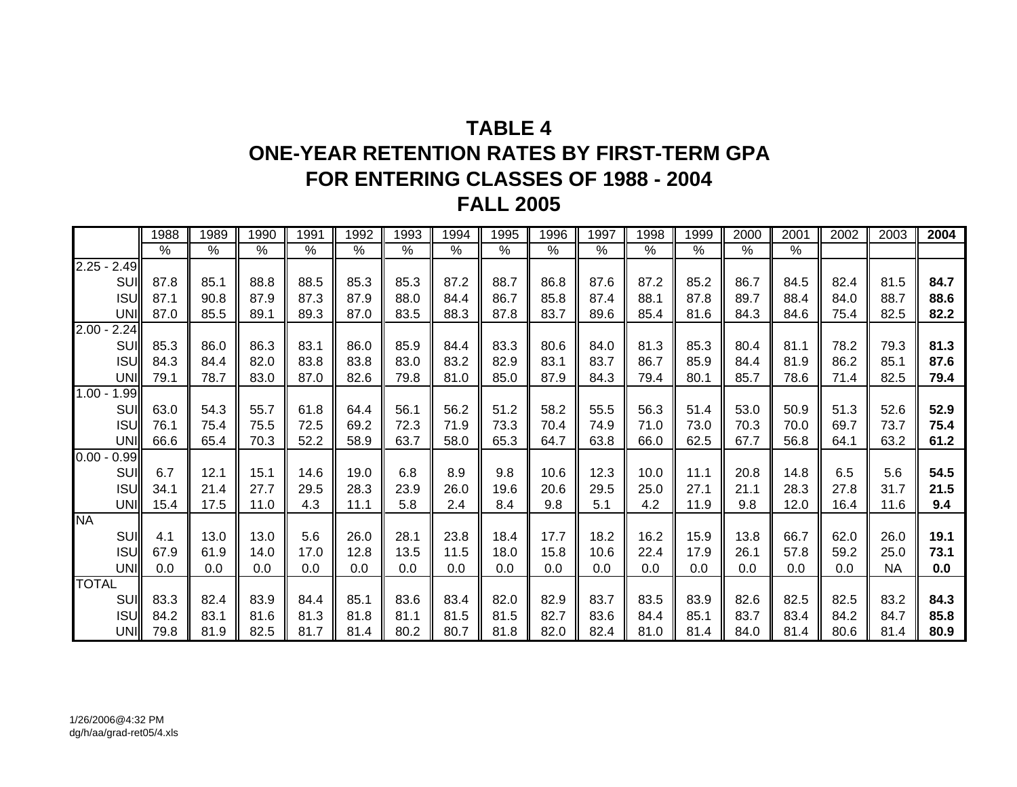# **TABLE 4ONE-YEAR RETENTION RATES BY FIRST-TERM GPAFOR ENTERING CLASSES OF 1988 - 2004 FALL 2005**

|              |                  | 1988          | 1989          | 1990          | 1991 | 1992          | 1993          | 1994          | 1995                     | 1996          | 1997          | 1998          | 1999          | 2000                     | 2001          | 2002 | 2003      | 2004 |
|--------------|------------------|---------------|---------------|---------------|------|---------------|---------------|---------------|--------------------------|---------------|---------------|---------------|---------------|--------------------------|---------------|------|-----------|------|
|              |                  | $\frac{9}{6}$ | $\frac{9}{6}$ | $\frac{9}{6}$ | $\%$ | $\frac{8}{6}$ | $\frac{8}{6}$ | $\frac{8}{6}$ | $\overline{\frac{9}{6}}$ | $\frac{1}{6}$ | $\frac{9}{6}$ | $\frac{9}{6}$ | $\frac{9}{6}$ | $\overline{\frac{9}{6}}$ | $\frac{1}{2}$ |      |           |      |
| $2.25 -$     | 2.49             |               |               |               |      |               |               |               |                          |               |               |               |               |                          |               |      |           |      |
|              | SUI              | 87.8          | 85.1          | 88.8          | 88.5 | 85.3          | 85.3          | 87.2          | 88.7                     | 86.8          | 87.6          | 87.2          | 85.2          | 86.7                     | 84.5          | 82.4 | 81.5      | 84.7 |
|              | <b>ISUI</b>      | 87.1          | 90.8          | 87.9          | 87.3 | 87.9          | 88.0          | 84.4          | 86.7                     | 85.8          | 87.4          | 88.1          | 87.8          | 89.7                     | 88.4          | 84.0 | 88.7      | 88.6 |
|              | UNI              | 87.0          | 85.5          | 89.1          | 89.3 | 87.0          | 83.5          | 88.3          | 87.8                     | 83.7          | 89.6          | 85.4          | 81.6          | 84.3                     | 84.6          | 75.4 | 82.5      | 82.2 |
| 2.00         | 2.24             |               |               |               |      |               |               |               |                          |               |               |               |               |                          |               |      |           |      |
|              | SUI              | 85.3          | 86.0          | 86.3          | 83.1 | 86.0          | 85.9          | 84.4          | 83.3                     | 80.6          | 84.0          | 81.3          | 85.3          | 80.4                     | 81.1          | 78.2 | 79.3      | 81.3 |
|              | <b>ISU</b>       | 84.3          | 84.4          | 82.0          | 83.8 | 83.8          | 83.0          | 83.2          | 82.9                     | 83.1          | 83.7          | 86.7          | 85.9          | 84.4                     | 81.9          | 86.2 | 85.1      | 87.6 |
|              | UNI              | 79.1          | 78.7          | 83.0          | 87.0 | 82.6          | 79.8          | 81.0          | 85.0                     | 87.9          | 84.3          | 79.4          | 80.1          | 85.7                     | 78.6          | 71.4 | 82.5      | 79.4 |
| $1.00 -$     | .99 <sub>l</sub> |               |               |               |      |               |               |               |                          |               |               |               |               |                          |               |      |           |      |
|              | SUI              | 63.0          | 54.3          | 55.7          | 61.8 | 64.4          | 56.1          | 56.2          | 51.2                     | 58.2          | 55.5          | 56.3          | 51.4          | 53.0                     | 50.9          | 51.3 | 52.6      | 52.9 |
|              | <b>ISU</b>       | 76.1          | 75.4          | 75.5          | 72.5 | 69.2          | 72.3          | 71.9          | 73.3                     | 70.4          | 74.9          | 71.0          | 73.0          | 70.3                     | 70.0          | 69.7 | 73.7      | 75.4 |
|              | UNI              | 66.6          | 65.4          | 70.3          | 52.2 | 58.9          | 63.7          | 58.0          | 65.3                     | 64.7          | 63.8          | 66.0          | 62.5          | 67.7                     | 56.8          | 64.1 | 63.2      | 61.2 |
| $0.00 -$     | 0.99             |               |               |               |      |               |               |               |                          |               |               |               |               |                          |               |      |           |      |
|              | SUI              | 6.7           | 12.1          | 15.1          | 14.6 | 19.0          | 6.8           | 8.9           | 9.8                      | 10.6          | 12.3          | 10.0          | 11.1          | 20.8                     | 14.8          | 6.5  | 5.6       | 54.5 |
|              | <b>ISUI</b>      | 34.1          | 21.4          | 27.7          | 29.5 | 28.3          | 23.9          | 26.0          | 19.6                     | 20.6          | 29.5          | 25.0          | 27.1          | 21.1                     | 28.3          | 27.8 | 31.7      | 21.5 |
|              | UNI              | 15.4          | 17.5          | 11.0          | 4.3  | 11.1          | 5.8           | 2.4           | 8.4                      | 9.8           | 5.1           | 4.2           | 11.9          | 9.8                      | 12.0          | 16.4 | 11.6      | 9.4  |
| <b>NA</b>    |                  |               |               |               |      |               |               |               |                          |               |               |               |               |                          |               |      |           |      |
|              | SUI              | 4.1           | 13.0          | 13.0          | 5.6  | 26.0          | 28.1          | 23.8          | 18.4                     | 17.7          | 18.2          | 16.2          | 15.9          | 13.8                     | 66.7          | 62.0 | 26.0      | 19.1 |
|              | <b>ISUI</b>      | 67.9          | 61.9          | 14.0          | 17.0 | 12.8          | 13.5          | 11.5          | 18.0                     | 15.8          | 10.6          | 22.4          | 17.9          | 26.1                     | 57.8          | 59.2 | 25.0      | 73.1 |
|              | UNI              | 0.0           | 0.0           | 0.0           | 0.0  | 0.0           | 0.0           | 0.0           | 0.0                      | 0.0           | 0.0           | 0.0           | 0.0           | 0.0                      | 0.0           | 0.0  | <b>NA</b> | 0.0  |
| <b>TOTAL</b> |                  |               |               |               |      |               |               |               |                          |               |               |               |               |                          |               |      |           |      |
|              | SUI              | 83.3          | 82.4          | 83.9          | 84.4 | 85.1          | 83.6          | 83.4          | 82.0                     | 82.9          | 83.7          | 83.5          | 83.9          | 82.6                     | 82.5          | 82.5 | 83.2      | 84.3 |
|              | <b>ISU</b>       | 84.2          | 83.1          | 81.6          | 81.3 | 81.8          | 81.1          | 81.5          | 81.5                     | 82.7          | 83.6          | 84.4          | 85.1          | 83.7                     | 83.4          | 84.2 | 84.7      | 85.8 |
|              | UNI              | 79.8          | 81.9          | 82.5          | 81.7 | 81.4          | 80.2          | 80.7          | 81.8                     | 82.0          | 82.4          | 81.0          | 81.4          | 84.0                     | 81.4          | 80.6 | 81.4      | 80.9 |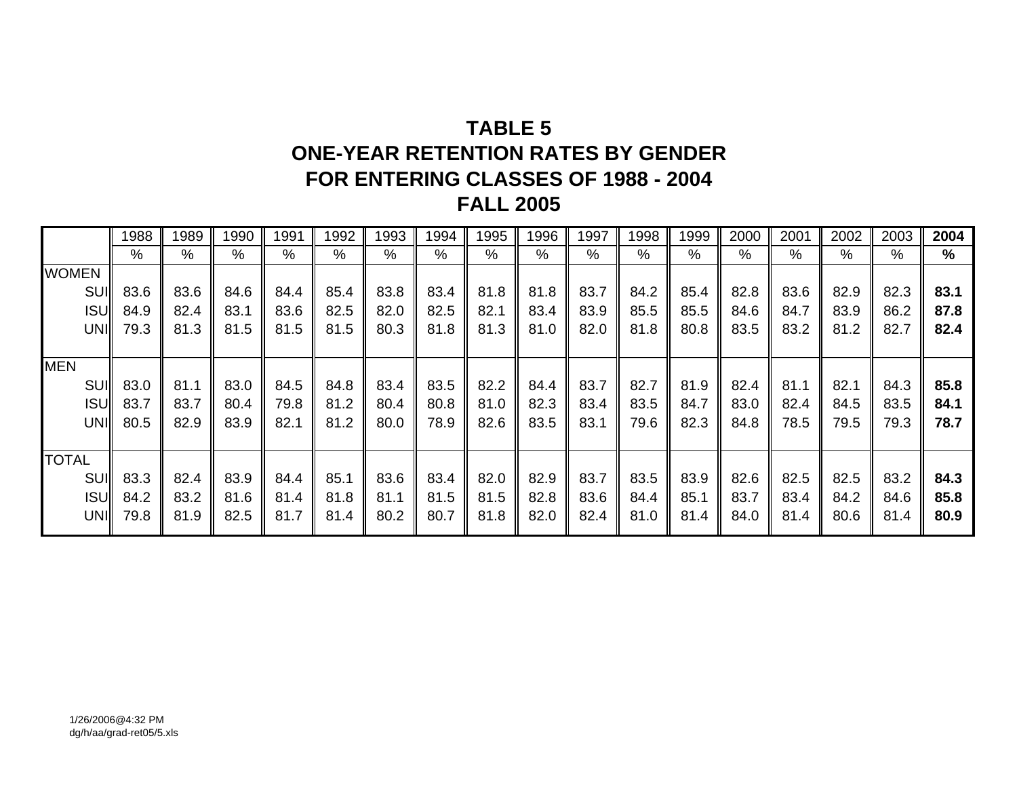# **TABLE 5ONE-YEAR RETENTION RATES BY GENDER FOR ENTERING CLASSES OF 1988 - 2004 FALL 2005**

|              | 1988 | 1989          | 1990 | 1991          | 1992          | 1993 | 1994 | 1995 | 1996          | 1997 | 1998 | 1999 | 2000 | 2001 | 2002          | 2003 | 2004          |
|--------------|------|---------------|------|---------------|---------------|------|------|------|---------------|------|------|------|------|------|---------------|------|---------------|
|              | %    | $\frac{0}{0}$ | $\%$ | $\frac{0}{0}$ | $\frac{0}{0}$ | %    | $\%$ | %    | $\frac{0}{0}$ | $\%$ | %    | %    | %    | %    | $\frac{0}{0}$ | %    | $\frac{9}{6}$ |
| <b>WOMEN</b> |      |               |      |               |               |      |      |      |               |      |      |      |      |      |               |      |               |
| SUI          | 83.6 | 83.6          | 84.6 | 84.4          | 85.4          | 83.8 | 83.4 | 81.8 | 81.8          | 83.7 | 84.2 | 85.4 | 82.8 | 83.6 | 82.9          | 82.3 | 83.1          |
| <b>ISUI</b>  | 84.9 | 82.4          | 83.1 | 83.6          | 82.5          | 82.0 | 82.5 | 82.1 | 83.4          | 83.9 | 85.5 | 85.5 | 84.6 | 84.7 | 83.9          | 86.2 | 87.8          |
| UNI          | 79.3 | 81.3          | 81.5 | 81.5          | 81.5          | 80.3 | 81.8 | 81.3 | 81.0          | 82.0 | 81.8 | 80.8 | 83.5 | 83.2 | 81.2          | 82.7 | 82.4          |
|              |      |               |      |               |               |      |      |      |               |      |      |      |      |      |               |      |               |
| <b>MEN</b>   |      |               |      |               |               |      |      |      |               |      |      |      |      |      |               |      |               |
| SUI          | 83.0 | 81.1          | 83.0 | 84.5          | 84.8          | 83.4 | 83.5 | 82.2 | 84.4          | 83.7 | 82.7 | 81.9 | 82.4 | 81.1 | 82.1          | 84.3 | 85.8          |
| <b>ISUI</b>  | 83.7 | 83.7          | 80.4 | 79.8          | 81.2          | 80.4 | 80.8 | 81.0 | 82.3          | 83.4 | 83.5 | 84.7 | 83.0 | 82.4 | 84.5          | 83.5 | 84.1          |
| UNI          | 80.5 | 82.9          | 83.9 | 82.1          | 81.2          | 80.0 | 78.9 | 82.6 | 83.5          | 83.1 | 79.6 | 82.3 | 84.8 | 78.5 | 79.5          | 79.3 | 78.7          |
|              |      |               |      |               |               |      |      |      |               |      |      |      |      |      |               |      |               |
| <b>TOTAL</b> |      |               |      |               |               |      |      |      |               |      |      |      |      |      |               |      |               |
| <b>SUII</b>  | 83.3 | 82.4          | 83.9 | 84.4          | 85.1          | 83.6 | 83.4 | 82.0 | 82.9          | 83.7 | 83.5 | 83.9 | 82.6 | 82.5 | 82.5          | 83.2 | 84.3          |
| <b>ISUI</b>  | 84.2 | 83.2          | 81.6 | 81.4          | 81.8          | 81.1 | 81.5 | 81.5 | 82.8          | 83.6 | 84.4 | 85.1 | 83.7 | 83.4 | 84.2          | 84.6 | 85.8          |
| UNI          | 79.8 | 81.9          | 82.5 | 81.7          | 81.4          | 80.2 | 80.7 | 81.8 | 82.0          | 82.4 | 81.0 | 81.4 | 84.0 | 81.4 | 80.6          | 81.4 | 80.9          |
|              |      |               |      |               |               |      |      |      |               |      |      |      |      |      |               |      |               |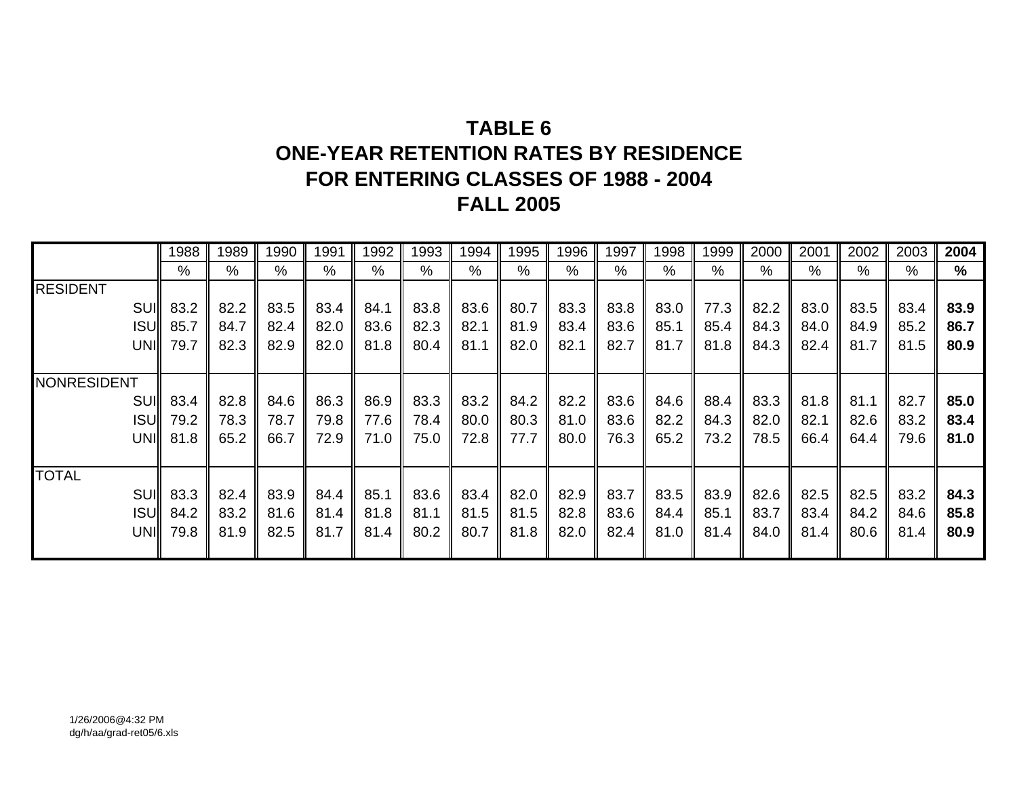# **TABLE 6ONE-YEAR RETENTION RATES BY RESIDENCE FOR ENTERING CLASSES OF 1988 - 2004 FALL 2005**

|                    | 1988 | 1989 | 1990 | 1991 | 1992 | 1993 | 1994 | 1995          | 1996          | 1997 | 1998 | 1999 | 2000          | 2001          | 2002 | 2003 | 2004 |
|--------------------|------|------|------|------|------|------|------|---------------|---------------|------|------|------|---------------|---------------|------|------|------|
|                    | %    | %    | $\%$ | %    | %    | $\%$ | %    | $\frac{0}{0}$ | $\frac{0}{0}$ | %    | $\%$ | %    | $\frac{0}{0}$ | $\frac{0}{0}$ | %    | %    | %    |
| <b>RESIDENT</b>    |      |      |      |      |      |      |      |               |               |      |      |      |               |               |      |      |      |
| SUII               | 83.2 | 82.2 | 83.5 | 83.4 | 84.1 | 83.8 | 83.6 | 80.7          | 83.3          | 83.8 | 83.0 | 77.3 | 82.2          | 83.0          | 83.5 | 83.4 | 83.9 |
| <b>ISU</b>         | 85.7 | 84.7 | 82.4 | 82.0 | 83.6 | 82.3 | 82.1 | 81.9          | 83.4          | 83.6 | 85.1 | 85.4 | 84.3          | 84.0          | 84.9 | 85.2 | 86.7 |
| UNII               | 79.7 | 82.3 | 82.9 | 82.0 | 81.8 | 80.4 | 81.1 | 82.0          | 82.1          | 82.7 | 81.7 | 81.8 | 84.3          | 82.4          | 81.7 | 81.5 | 80.9 |
|                    |      |      |      |      |      |      |      |               |               |      |      |      |               |               |      |      |      |
| <b>NONRESIDENT</b> |      |      |      |      |      |      |      |               |               |      |      |      |               |               |      |      |      |
| SUI                | 83.4 | 82.8 | 84.6 | 86.3 | 86.9 | 83.3 | 83.2 | 84.2          | 82.2          | 83.6 | 84.6 | 88.4 | 83.3          | 81.8          | 81.1 | 82.7 | 85.0 |
| <b>ISU</b>         | 79.2 | 78.3 | 78.7 | 79.8 | 77.6 | 78.4 | 80.0 | 80.3          | 81.0          | 83.6 | 82.2 | 84.3 | 82.0          | 82.1          | 82.6 | 83.2 | 83.4 |
| UNII               | 81.8 | 65.2 | 66.7 | 72.9 | 71.0 | 75.0 | 72.8 | 77.7          | 80.0          | 76.3 | 65.2 | 73.2 | 78.5          | 66.4          | 64.4 | 79.6 | 81.0 |
|                    |      |      |      |      |      |      |      |               |               |      |      |      |               |               |      |      |      |
| <b>TOTAL</b>       |      |      |      |      |      |      |      |               |               |      |      |      |               |               |      |      |      |
| SUII               | 83.3 | 82.4 | 83.9 | 84.4 | 85.1 | 83.6 | 83.4 | 82.0          | 82.9          | 83.7 | 83.5 | 83.9 | 82.6          | 82.5          | 82.5 | 83.2 | 84.3 |
| <b>ISUI</b>        | 84.2 | 83.2 | 81.6 | 81.4 | 81.8 | 81.1 | 81.5 | 81.5          | 82.8          | 83.6 | 84.4 | 85.1 | 83.7          | 83.4          | 84.2 | 84.6 | 85.8 |
| UNII               | 79.8 | 81.9 | 82.5 | 81.7 | 81.4 | 80.2 | 80.7 | 81.8          | 82.0          | 82.4 | 81.0 | 81.4 | 84.0          | 81.4          | 80.6 | 81.4 | 80.9 |
|                    |      |      |      |      |      |      |      |               |               |      |      |      |               |               |      |      |      |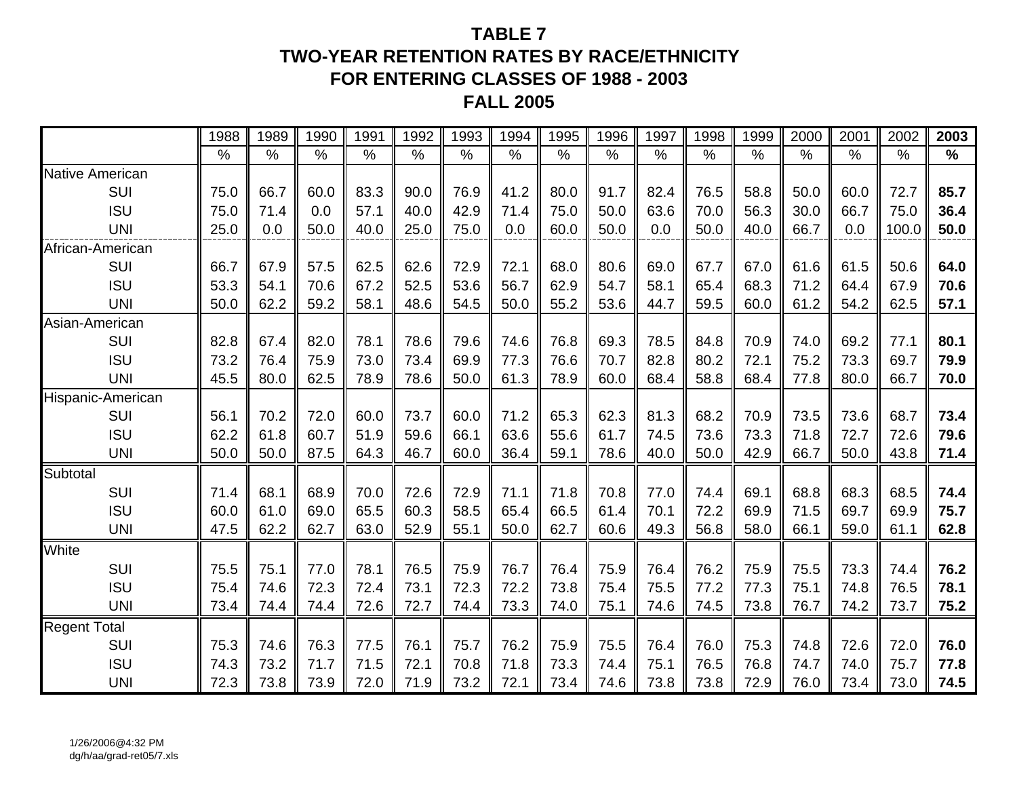## **TABLE 7TWO-YEAR RETENTION RATES BY RACE/ETHNICITYFOR ENTERING CLASSES OF 1988 - 2003 FALL 2005**

|                        | 1988 | 1989 | 1990          | 1991          | 1992 | 1993 | 1994 | 1995          | 1996          | 1997          | 1998          | 1999          | 2000          | 2001          | $200\overline{2}$ | 2003          |
|------------------------|------|------|---------------|---------------|------|------|------|---------------|---------------|---------------|---------------|---------------|---------------|---------------|-------------------|---------------|
|                        | $\%$ | $\%$ | $\frac{0}{0}$ | $\frac{0}{0}$ | $\%$ | $\%$ | $\%$ | $\frac{0}{0}$ | $\frac{0}{0}$ | $\frac{0}{0}$ | $\frac{0}{0}$ | $\frac{9}{6}$ | $\frac{1}{2}$ | $\frac{0}{0}$ | $\frac{0}{0}$     | $\frac{0}{0}$ |
| <b>Native American</b> |      |      |               |               |      |      |      |               |               |               |               |               |               |               |                   |               |
| SUI                    | 75.0 | 66.7 | 60.0          | 83.3          | 90.0 | 76.9 | 41.2 | 80.0          | 91.7          | 82.4          | 76.5          | 58.8          | 50.0          | 60.0          | 72.7              | 85.7          |
| <b>ISU</b>             | 75.0 | 71.4 | 0.0           | 57.1          | 40.0 | 42.9 | 71.4 | 75.0          | 50.0          | 63.6          | 70.0          | 56.3          | 30.0          | 66.7          | 75.0              | 36.4          |
| <b>UNI</b>             | 25.0 | 0.0  | 50.0          | 40.0          | 25.0 | 75.0 | 0.0  | 60.0          | 50.0          | 0.0           | 50.0          | 40.0          | 66.7          | 0.0           | 100.0             | 50.0          |
| African-American       |      |      |               |               |      |      |      |               |               |               |               |               |               |               |                   |               |
| SUI                    | 66.7 | 67.9 | 57.5          | 62.5          | 62.6 | 72.9 | 72.1 | 68.0          | 80.6          | 69.0          | 67.7          | 67.0          | 61.6          | 61.5          | 50.6              | 64.0          |
| <b>ISU</b>             | 53.3 | 54.1 | 70.6          | 67.2          | 52.5 | 53.6 | 56.7 | 62.9          | 54.7          | 58.1          | 65.4          | 68.3          | 71.2          | 64.4          | 67.9              | 70.6          |
| <b>UNI</b>             | 50.0 | 62.2 | 59.2          | 58.1          | 48.6 | 54.5 | 50.0 | 55.2          | 53.6          | 44.7          | 59.5          | 60.0          | 61.2          | 54.2          | 62.5              | 57.1          |
| Asian-American         |      |      |               |               |      |      |      |               |               |               |               |               |               |               |                   |               |
| SUI                    | 82.8 | 67.4 | 82.0          | 78.1          | 78.6 | 79.6 | 74.6 | 76.8          | 69.3          | 78.5          | 84.8          | 70.9          | 74.0          | 69.2          | 77.1              | 80.1          |
| <b>ISU</b>             | 73.2 | 76.4 | 75.9          | 73.0          | 73.4 | 69.9 | 77.3 | 76.6          | 70.7          | 82.8          | 80.2          | 72.1          | 75.2          | 73.3          | 69.7              | 79.9          |
| <b>UNI</b>             | 45.5 | 80.0 | 62.5          | 78.9          | 78.6 | 50.0 | 61.3 | 78.9          | 60.0          | 68.4          | 58.8          | 68.4          | 77.8          | 80.0          | 66.7              | 70.0          |
| Hispanic-American      |      |      |               |               |      |      |      |               |               |               |               |               |               |               |                   |               |
| SUI                    | 56.1 | 70.2 | 72.0          | 60.0          | 73.7 | 60.0 | 71.2 | 65.3          | 62.3          | 81.3          | 68.2          | 70.9          | 73.5          | 73.6          | 68.7              | 73.4          |
| <b>ISU</b>             | 62.2 | 61.8 | 60.7          | 51.9          | 59.6 | 66.1 | 63.6 | 55.6          | 61.7          | 74.5          | 73.6          | 73.3          | 71.8          | 72.7          | 72.6              | 79.6          |
| <b>UNI</b>             | 50.0 | 50.0 | 87.5          | 64.3          | 46.7 | 60.0 | 36.4 | 59.1          | 78.6          | 40.0          | 50.0          | 42.9          | 66.7          | 50.0          | 43.8              | 71.4          |
| Subtotal               |      |      |               |               |      |      |      |               |               |               |               |               |               |               |                   |               |
| SUI                    | 71.4 | 68.1 | 68.9          | 70.0          | 72.6 | 72.9 | 71.1 | 71.8          | 70.8          | 77.0          | 74.4          | 69.1          | 68.8          | 68.3          | 68.5              | 74.4          |
| <b>ISU</b>             | 60.0 | 61.0 | 69.0          | 65.5          | 60.3 | 58.5 | 65.4 | 66.5          | 61.4          | 70.1          | 72.2          | 69.9          | 71.5          | 69.7          | 69.9              | 75.7          |
| <b>UNI</b>             | 47.5 | 62.2 | 62.7          | 63.0          | 52.9 | 55.1 | 50.0 | 62.7          | 60.6          | 49.3          | 56.8          | 58.0          | 66.1          | 59.0          | 61.1              | 62.8          |
| White                  |      |      |               |               |      |      |      |               |               |               |               |               |               |               |                   |               |
| SUI                    | 75.5 | 75.1 | 77.0          | 78.1          | 76.5 | 75.9 | 76.7 | 76.4          | 75.9          | 76.4          | 76.2          | 75.9          | 75.5          | 73.3          | 74.4              | 76.2          |
| <b>ISU</b>             | 75.4 | 74.6 | 72.3          | 72.4          | 73.1 | 72.3 | 72.2 | 73.8          | 75.4          | 75.5          | 77.2          | 77.3          | 75.1          | 74.8          | 76.5              | 78.1          |
| <b>UNI</b>             | 73.4 | 74.4 | 74.4          | 72.6          | 72.7 | 74.4 | 73.3 | 74.0          | 75.1          | 74.6          | 74.5          | 73.8          | 76.7          | 74.2          | 73.7              | 75.2          |
| <b>Regent Total</b>    |      |      |               |               |      |      |      |               |               |               |               |               |               |               |                   |               |
| SUI                    | 75.3 | 74.6 | 76.3          | 77.5          | 76.1 | 75.7 | 76.2 | 75.9          | 75.5          | 76.4          | 76.0          | 75.3          | 74.8          | 72.6          | 72.0              | 76.0          |
| <b>ISU</b>             | 74.3 | 73.2 | 71.7          | 71.5          | 72.1 | 70.8 | 71.8 | 73.3          | 74.4          | 75.1          | 76.5          | 76.8          | 74.7          | 74.0          | 75.7              | 77.8          |
| <b>UNI</b>             | 72.3 | 73.8 | 73.9          | 72.0          | 71.9 | 73.2 | 72.1 | 73.4          | 74.6          | 73.8          | 73.8          | 72.9          | 76.0          | 73.4          | 73.0              | 74.5          |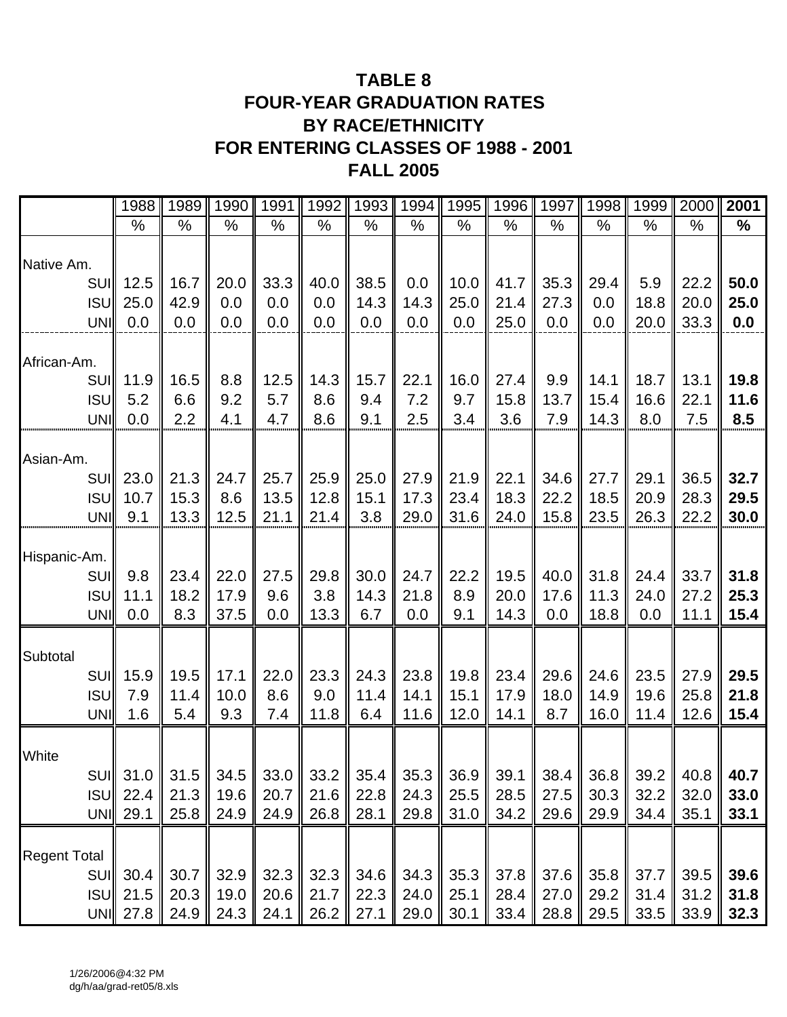## **TABLE 8 FOUR-YEAR GRADUATION RATES BY RACE/ETHNICITY FOR ENTERING CLASSES OF 1988 - 2001 FALL 2005**

|                     | 1988       | 1989 | 1990 | 1991 | 1992   | 1993 | 1994 |      | 1995   1996 | 1997 |        | 1998   1999          | 2000             | 2001 |
|---------------------|------------|------|------|------|--------|------|------|------|-------------|------|--------|----------------------|------------------|------|
|                     | %          | %    | %    | %    | %      | %    | %    | %    | %           | $\%$ | $\%$   | $\%$                 | %                | $\%$ |
| Native Am.          |            |      |      |      |        |      |      |      |             |      |        |                      |                  |      |
| SUII                | 12.5       | 16.7 | 20.0 | 33.3 | 40.0   | 38.5 | 0.0  | 10.0 | 41.7        | 35.3 | 29.4   | 5.9                  | 22.2             | 50.0 |
| <b>ISUI</b>         | 25.0       | 42.9 | 0.0  | 0.0  | 0.0    | 14.3 | 14.3 | 25.0 | 21.4        | 27.3 | 0.0    | 18.8                 | 20.0             | 25.0 |
| UNI                 | 0.0        | 0.0  | 0.0  | 0.0  | 0.0    | 0.0  | 0.0  | 0.0  | 25.0        | 0.0  | 0.0    | 20.0                 | 33.3             | 0.0  |
| African-Am.         |            |      |      |      |        |      |      |      |             |      |        |                      |                  |      |
| <b>SUI</b>          | 11.9       | 16.5 | 8.8  | 12.5 | 14.3   | 15.7 | 22.1 | 16.0 | 27.4        | 9.9  | 14.1   | 18.7                 | 13.1             | 19.8 |
| <b>ISUI</b>         | 5.2        | 6.6  | 9.2  | 5.7  | 8.6    | 9.4  | 7.2  | 9.7  | 15.8        | 13.7 | 15.4   | 16.6                 | 22.1             | 11.6 |
| UNI                 | 0.0        | 2.2  | 4.1  | 4.7  | 8.6    | 9.1  | 2.5  | 3.4  | 3.6         | 7.9  | 14.3   | 8.0                  | 7.5              | 8.5  |
| Asian-Am.           |            |      |      |      |        |      |      |      |             |      |        |                      |                  |      |
| SUII                | 23.0       | 21.3 | 24.7 | 25.7 | 25.9   | 25.0 | 27.9 | 21.9 | 22.1        | 34.6 | 27.7   | 29.1                 | 36.5             | 32.7 |
| <b>ISUI</b>         | 10.7       | 15.3 | 8.6  | 13.5 | 12.8   | 15.1 | 17.3 | 23.4 | 18.3        | 22.2 | 18.5   | 20.9                 | 28.3             | 29.5 |
| UNI                 | 9.1        | 13.3 | 12.5 | 21.1 | 21.4   | 3.8  | 29.0 | 31.6 | 24.0        | 15.8 | 23.5   | 26.3                 | 22.2             | 30.0 |
|                     |            |      |      |      |        |      |      |      |             |      |        |                      |                  |      |
| Hispanic-Am.        |            |      |      |      |        |      |      |      |             |      |        |                      |                  |      |
| <b>SUI</b>          | 9.8        | 23.4 | 22.0 | 27.5 | 29.8   | 30.0 | 24.7 | 22.2 | 19.5        | 40.0 | 31.8   | 24.4                 | 33.7             | 31.8 |
| <b>ISUI</b>         | 11.1       | 18.2 | 17.9 | 9.6  | 3.8    | 14.3 | 21.8 | 8.9  | 20.0        | 17.6 | 11.3   | 24.0                 | 27.2             | 25.3 |
| UNI                 | 0.0        | 8.3  | 37.5 | 0.0  | 13.3   | 6.7  | 0.0  | 9.1  | 14.3        | 0.0  | 18.8   | 0.0                  | 11.1             | 15.4 |
| Subtotal            |            |      |      |      |        |      |      |      |             |      |        |                      |                  |      |
| SUII                | 15.9       | 19.5 | 17.1 | 22.0 | 23.3   | 24.3 | 23.8 | 19.8 | 23.4        | 29.6 | 24.6   | 23.5                 | 27.9             | 29.5 |
| <b>ISUI</b>         | 7.9        | 11.4 | 10.0 | 8.6  | 9.0    | 11.4 | 14.1 | 15.1 | 17.9        | 18.0 | 14.9   | 19.6                 | 25.8             | 21.8 |
| UNI                 | 1.6        | 5.4  | 9.3  | 7.4  | 11.8   | 6.4  | 11.6 | 12.0 | 14.1        | 8.7  | 16.0   | 11.4                 | 12.6             | 15.4 |
| White               |            |      |      |      |        |      |      |      |             |      |        |                      |                  |      |
|                     | SUI   31.0 | 31.5 | 34.5 | 33.0 | $33.2$ | 35.4 | 35.3 | 36.9 | 39.1        | 38.4 | $36.8$ | $39.2$               | 40.8             | 40.7 |
|                     | $ISU$ 22.4 | 21.3 | 19.6 | 20.7 | 21.6   | 22.8 | 24.3 | 25.5 | 28.5        | 27.5 | 30.3   | 32.2                 | 32.0             | 33.0 |
|                     | UNI 29.1   | 25.8 | 24.9 | 24.9 | 26.8   | 28.1 | 29.8 | 31.0 | 34.2        | 29.6 | 29.9   | 34.4                 | 35.1             | 33.1 |
|                     |            |      |      |      |        |      |      |      |             |      |        |                      |                  |      |
| <b>Regent Total</b> |            |      |      |      |        |      |      |      |             |      |        |                      |                  |      |
|                     | SUI 30.4   | 30.7 | 32.9 | 32.3 | 32.3   | 34.6 | 34.3 | 35.3 | 37.8        | 37.6 |        | $35.8$ 37.7          | $\parallel$ 39.5 | 39.6 |
| <b>ISUI</b>         | 21.5       | 20.3 | 19.0 | 20.6 | 21.7   | 22.3 | 24.0 | 25.1 | 28.4        | 27.0 | 29.2   | $31.4$ 31.2          |                  | 31.8 |
|                     | UNI 27.8   | 24.9 | 24.3 | 24.1 | 26.2   | 27.1 | 29.0 | 30.1 | 33.4        | 28.8 |        | $29.5$   33.5   33.9 |                  | 32.3 |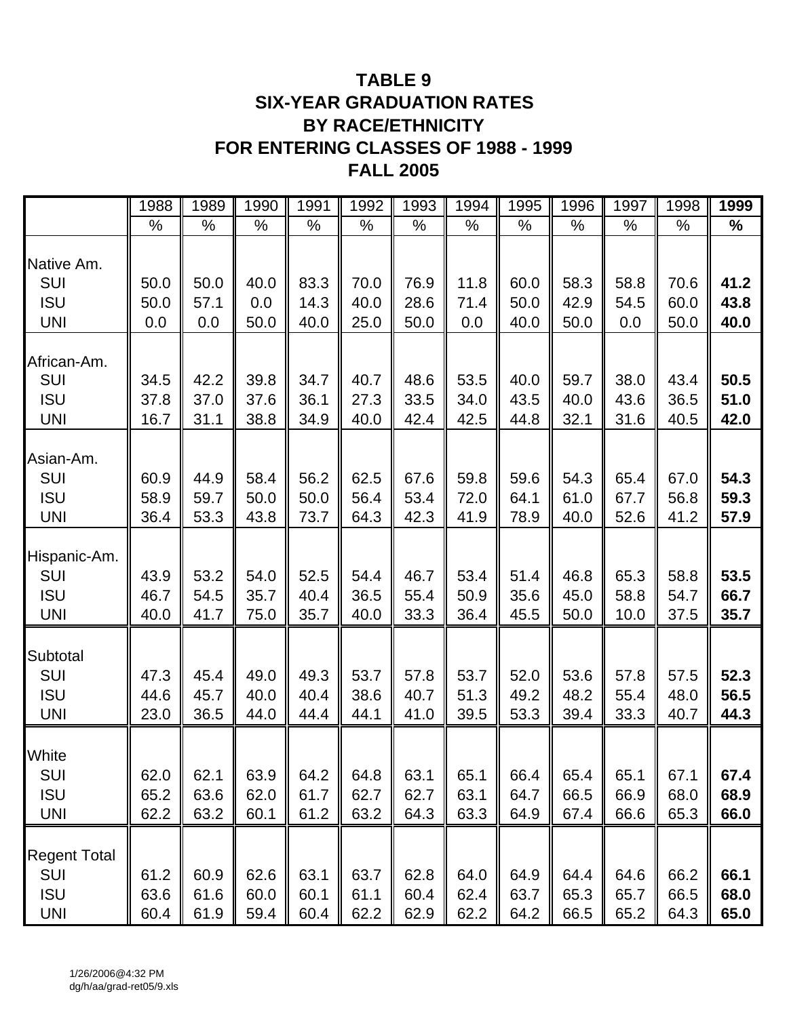## **TABLE 9 SIX-YEAR GRADUATION RATES BY RACE/ETHNICITY FOR ENTERING CLASSES OF 1988 - 1999 FALL 2005**

|                                                        | 1988                 | 1989                 | 1990                 | 1991                 | 1992                 | 1993                 | 1994                 | 1995                 | 1996                 | 1997                 | 1998                 | 1999                 |
|--------------------------------------------------------|----------------------|----------------------|----------------------|----------------------|----------------------|----------------------|----------------------|----------------------|----------------------|----------------------|----------------------|----------------------|
|                                                        | %                    | %                    | $\%$                 | $\%$                 | %                    | %                    | %                    | %                    | $\%$                 | %                    | $\%$                 | $\frac{0}{0}$        |
| Native Am.<br>SUI                                      | 50.0                 | 50.0                 | 40.0                 | 83.3                 | 70.0                 | 76.9                 | 11.8                 | 60.0                 | 58.3                 | 58.8                 | 70.6                 | 41.2                 |
| <b>ISU</b>                                             | 50.0                 | 57.1                 | 0.0                  | 14.3                 | 40.0                 | 28.6                 | 71.4                 | 50.0                 | 42.9                 | 54.5                 | 60.0                 | 43.8                 |
| <b>UNI</b>                                             | 0.0                  | 0.0                  | 50.0                 | 40.0                 | 25.0                 | 50.0                 | 0.0                  | 40.0                 | 50.0                 | 0.0                  | 50.0                 | 40.0                 |
| African-Am.<br>SUI                                     | 34.5                 | 42.2                 | 39.8                 | 34.7                 | 40.7                 | 48.6                 | 53.5                 | 40.0                 | 59.7                 | 38.0                 | 43.4                 | 50.5                 |
| <b>ISU</b>                                             | 37.8                 | 37.0                 | 37.6                 | 36.1                 | 27.3                 | 33.5                 | 34.0                 | 43.5                 | 40.0                 | 43.6                 | 36.5                 | 51.0                 |
| <b>UNI</b>                                             | 16.7                 | 31.1                 | 38.8                 | 34.9                 | 40.0                 | 42.4                 | 42.5                 | 44.8                 | 32.1                 | 31.6                 | 40.5                 | 42.0                 |
| Asian-Am.<br>SUI<br><b>ISU</b><br><b>UNI</b>           | 60.9<br>58.9<br>36.4 | 44.9<br>59.7<br>53.3 | 58.4<br>50.0<br>43.8 | 56.2<br>50.0<br>73.7 | 62.5<br>56.4<br>64.3 | 67.6<br>53.4<br>42.3 | 59.8<br>72.0<br>41.9 | 59.6<br>64.1<br>78.9 | 54.3<br>61.0<br>40.0 | 65.4<br>67.7<br>52.6 | 67.0<br>56.8<br>41.2 | 54.3<br>59.3<br>57.9 |
| Hispanic-Am.<br>SUI<br><b>ISU</b><br><b>UNI</b>        | 43.9<br>46.7<br>40.0 | 53.2<br>54.5<br>41.7 | 54.0<br>35.7<br>75.0 | 52.5<br>40.4<br>35.7 | 54.4<br>36.5<br>40.0 | 46.7<br>55.4<br>33.3 | 53.4<br>50.9<br>36.4 | 51.4<br>35.6<br>45.5 | 46.8<br>45.0<br>50.0 | 65.3<br>58.8<br>10.0 | 58.8<br>54.7<br>37.5 | 53.5<br>66.7<br>35.7 |
| Subtotal<br>SUI<br><b>ISU</b><br><b>UNI</b>            | 47.3<br>44.6<br>23.0 | 45.4<br>45.7<br>36.5 | 49.0<br>40.0<br>44.0 | 49.3<br>40.4<br>44.4 | 53.7<br>38.6<br>44.1 | 57.8<br>40.7<br>41.0 | 53.7<br>51.3<br>39.5 | 52.0<br>49.2<br>53.3 | 53.6<br>48.2<br>39.4 | 57.8<br>55.4<br>33.3 | 57.5<br>48.0<br>40.7 | 52.3<br>56.5<br>44.3 |
| White<br>SUI<br><b>ISU</b><br><b>UNI</b>               | 62.0<br>65.2<br>62.2 | 62.1<br>63.6<br>63.2 | 63.9<br>62.0<br>60.1 | 64.2<br>61.7<br>61.2 | 64.8<br>62.7<br>63.2 | 63.1<br>62.7<br>64.3 | 65.1<br>63.1<br>63.3 | 66.4<br>64.7<br>64.9 | 65.4<br>66.5<br>67.4 | 65.1<br>66.9<br>66.6 | 6/.1<br>68.0<br>65.3 | 67.4<br>68.9<br>66.0 |
| <b>Regent Total</b><br>SUI<br><b>ISU</b><br><b>UNI</b> | 61.2<br>63.6<br>60.4 | 60.9<br>61.6<br>61.9 | 62.6<br>60.0<br>59.4 | 63.1<br>60.1<br>60.4 | 63.7<br>61.1<br>62.2 | 62.8<br>60.4<br>62.9 | 64.0<br>62.4<br>62.2 | 64.9<br>63.7<br>64.2 | 64.4<br>65.3<br>66.5 | 64.6<br>65.7<br>65.2 | 66.2<br>66.5<br>64.3 | 66.1<br>68.0<br>65.0 |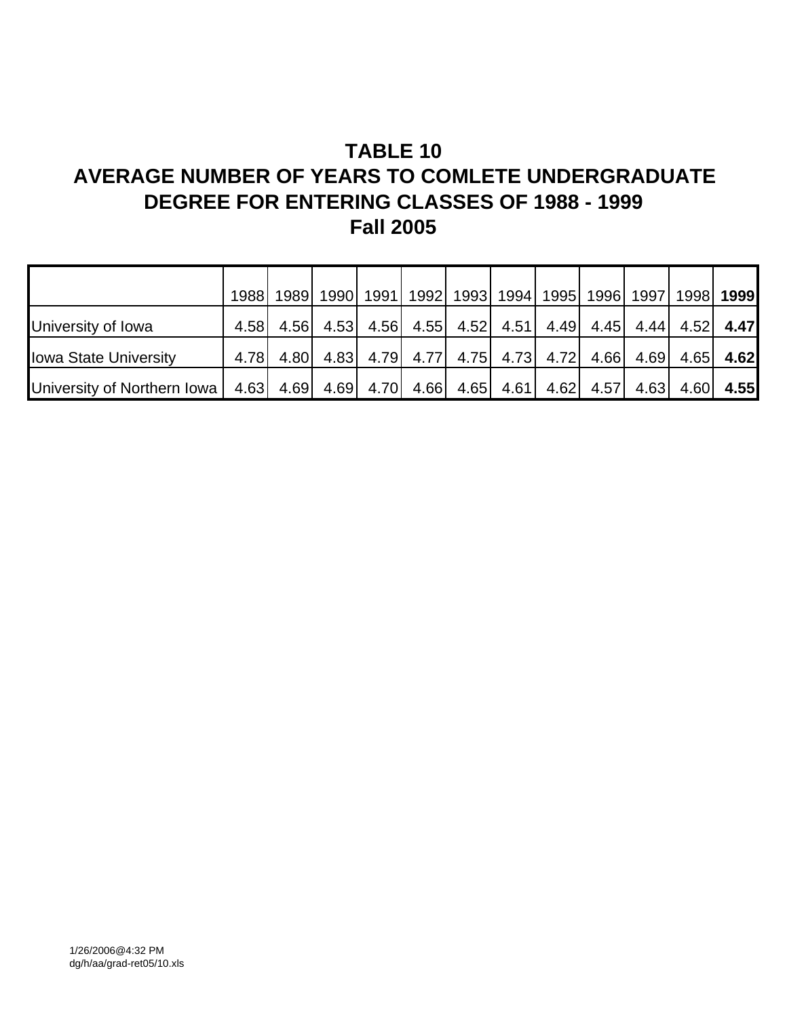# **TABLE 10**

# **AVERAGE NUMBER OF YEARS TO COMLETE UNDERGRADUATE DEGREE FOR ENTERING CLASSES OF 1988 - 1999 Fall 2005**

|                                                                                                                 | 1988 |           | 1989   1990   1991   1992   1993   1994   1995   1996   1997   1998   1999 |  |  |             |  |
|-----------------------------------------------------------------------------------------------------------------|------|-----------|----------------------------------------------------------------------------|--|--|-------------|--|
| University of Iowa                                                                                              | 4.58 | 4.56 4.53 | 4.56 4.55 4.52 4.51 4.49 4.45 4.44 4.52 4.47                               |  |  |             |  |
| <b>Iowa State University</b>                                                                                    | 4.78 | 4.80 4.83 | 4.79 4.77 4.75 4.73 4.72 4.66 4.69                                         |  |  | $4.65$ 4.62 |  |
| University of Northern Iowa   4.63   4.69   4.69   4.70   4.66   4.65   4.61   4.62   4.57   4.63   4.60   4.55 |      |           |                                                                            |  |  |             |  |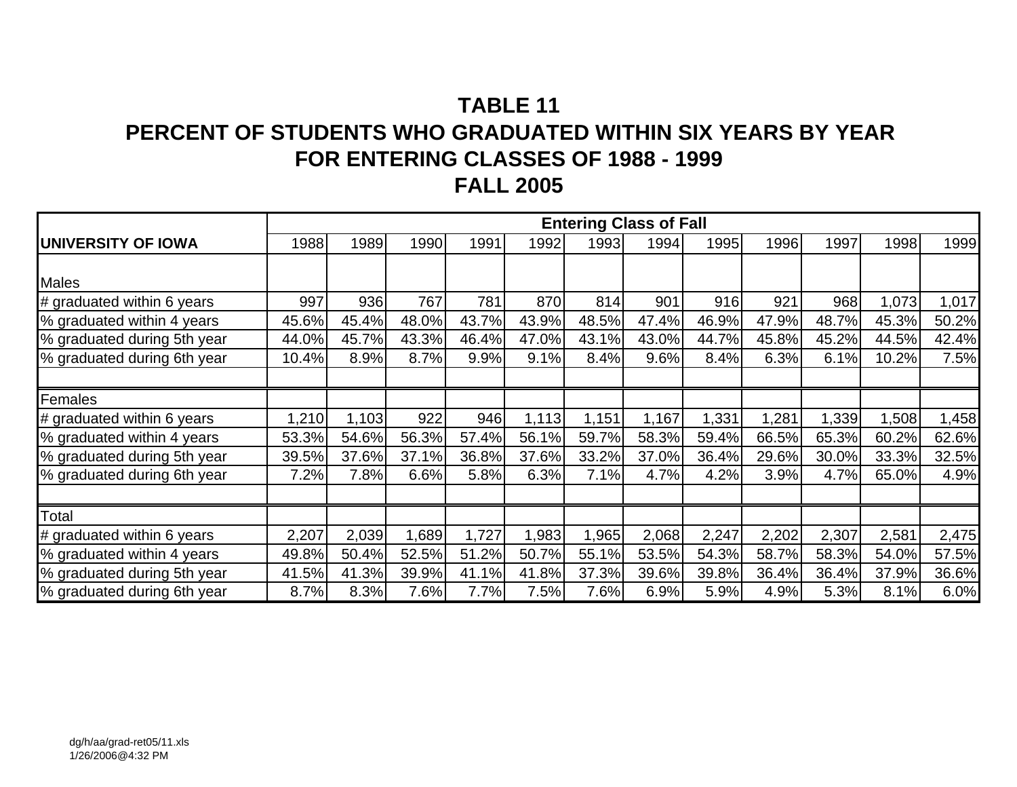# **TABLE 11PERCENT OF STUDENTS WHO GRADUATED WITHIN SIX YEARS BY YEAR FOR ENTERING CLASSES OF 1988 - 1999 FALL 2005**

|                             |       |       |       |       |       |       | <b>Entering Class of Fall</b> |       |       |       |       |       |
|-----------------------------|-------|-------|-------|-------|-------|-------|-------------------------------|-------|-------|-------|-------|-------|
| UNIVERSITY OF IOWA          | 1988  | 1989  | 1990  | 1991  | 1992  | 1993  | 1994                          | 1995  | 1996  | 1997  | 1998  | 1999  |
|                             |       |       |       |       |       |       |                               |       |       |       |       |       |
| Males                       |       |       |       |       |       |       |                               |       |       |       |       |       |
| # graduated within 6 years  | 997   | 936   | 767   | 781   | 870   | 814   | 901                           | 916   | 921   | 968   | 1,073 | 1,017 |
| % graduated within 4 years  | 45.6% | 45.4% | 48.0% | 43.7% | 43.9% | 48.5% | 47.4%                         | 46.9% | 47.9% | 48.7% | 45.3% | 50.2% |
| % graduated during 5th year | 44.0% | 45.7% | 43.3% | 46.4% | 47.0% | 43.1% | 43.0%                         | 44.7% | 45.8% | 45.2% | 44.5% | 42.4% |
| % graduated during 6th year | 10.4% | 8.9%  | 8.7%  | 9.9%  | 9.1%  | 8.4%  | 9.6%                          | 8.4%  | 6.3%  | 6.1%  | 10.2% | 7.5%  |
|                             |       |       |       |       |       |       |                               |       |       |       |       |       |
| Females                     |       |       |       |       |       |       |                               |       |       |       |       |       |
| # graduated within 6 years  | 1,210 | 1,103 | 922   | 946   | 1,113 | 1,151 | 1,167                         | 1,331 | 1,281 | ,339  | 1,508 | 1,458 |
| % graduated within 4 years  | 53.3% | 54.6% | 56.3% | 57.4% | 56.1% | 59.7% | 58.3%                         | 59.4% | 66.5% | 65.3% | 60.2% | 62.6% |
| % graduated during 5th year | 39.5% | 37.6% | 37.1% | 36.8% | 37.6% | 33.2% | 37.0%                         | 36.4% | 29.6% | 30.0% | 33.3% | 32.5% |
| % graduated during 6th year | 7.2%  | 7.8%  | 6.6%  | 5.8%  | 6.3%  | 7.1%  | 4.7%                          | 4.2%  | 3.9%  | 4.7%  | 65.0% | 4.9%  |
|                             |       |       |       |       |       |       |                               |       |       |       |       |       |
| Total                       |       |       |       |       |       |       |                               |       |       |       |       |       |
| # graduated within 6 years  | 2,207 | 2,039 | 1,689 | 1,727 | 1,983 | 1,965 | 2,068                         | 2,247 | 2,202 | 2,307 | 2,581 | 2,475 |
| % graduated within 4 years  | 49.8% | 50.4% | 52.5% | 51.2% | 50.7% | 55.1% | 53.5%                         | 54.3% | 58.7% | 58.3% | 54.0% | 57.5% |
| % graduated during 5th year | 41.5% | 41.3% | 39.9% | 41.1% | 41.8% | 37.3% | 39.6%                         | 39.8% | 36.4% | 36.4% | 37.9% | 36.6% |
| % graduated during 6th year | 8.7%  | 8.3%  | 7.6%  | 7.7%  | 7.5%  | 7.6%  | 6.9%                          | 5.9%  | 4.9%  | 5.3%  | 8.1%  | 6.0%  |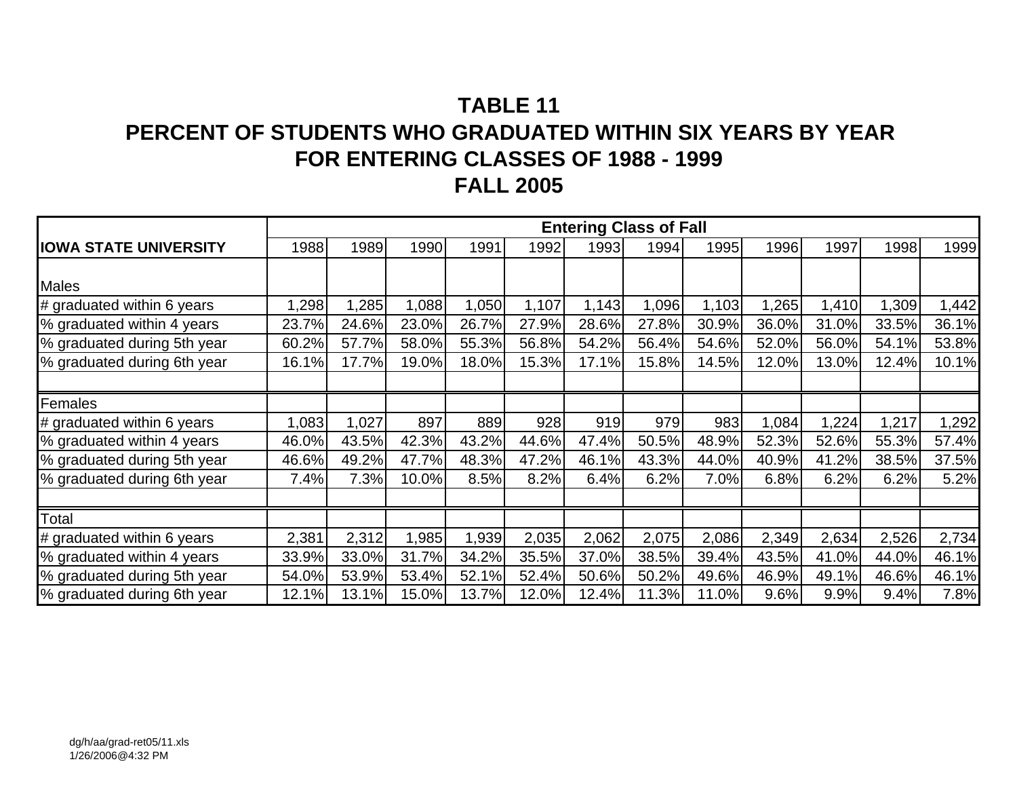# **TABLE 11PERCENT OF STUDENTS WHO GRADUATED WITHIN SIX YEARS BY YEAR FOR ENTERING CLASSES OF 1988 - 1999 FALL 2005**

|                              |       |       |       |       |       |       | <b>Entering Class of Fall</b> |       |       |       |       |       |
|------------------------------|-------|-------|-------|-------|-------|-------|-------------------------------|-------|-------|-------|-------|-------|
| <b>IOWA STATE UNIVERSITY</b> | 1988  | 1989  | 1990  | 1991  | 1992  | 1993  | 1994                          | 1995  | 1996  | 1997  | 1998  | 1999  |
|                              |       |       |       |       |       |       |                               |       |       |       |       |       |
| <b>Males</b>                 |       |       |       |       |       |       |                               |       |       |       |       |       |
| # graduated within 6 years   | 1,298 | 1,285 | 1,088 | ,050  | 1,107 | 1,143 | 1,096                         | 1,103 | 1,265 | ,410  | 1,309 | 1,442 |
| % graduated within 4 years   | 23.7% | 24.6% | 23.0% | 26.7% | 27.9% | 28.6% | 27.8%                         | 30.9% | 36.0% | 31.0% | 33.5% | 36.1% |
| % graduated during 5th year  | 60.2% | 57.7% | 58.0% | 55.3% | 56.8% | 54.2% | 56.4%                         | 54.6% | 52.0% | 56.0% | 54.1% | 53.8% |
| % graduated during 6th year  | 16.1% | 17.7% | 19.0% | 18.0% | 15.3% | 17.1% | 15.8%                         | 14.5% | 12.0% | 13.0% | 12.4% | 10.1% |
|                              |       |       |       |       |       |       |                               |       |       |       |       |       |
| Females                      |       |       |       |       |       |       |                               |       |       |       |       |       |
| # graduated within 6 years   | 1,083 | 1,027 | 897   | 889   | 928   | 919   | 979                           | 983   | 1,084 | ,224  | 1,217 | 1,292 |
| % graduated within 4 years   | 46.0% | 43.5% | 42.3% | 43.2% | 44.6% | 47.4% | 50.5%                         | 48.9% | 52.3% | 52.6% | 55.3% | 57.4% |
| % graduated during 5th year  | 46.6% | 49.2% | 47.7% | 48.3% | 47.2% | 46.1% | 43.3%                         | 44.0% | 40.9% | 41.2% | 38.5% | 37.5% |
| % graduated during 6th year  | 7.4%  | 7.3%  | 10.0% | 8.5%  | 8.2%  | 6.4%  | 6.2%                          | 7.0%  | 6.8%  | 6.2%  | 6.2%  | 5.2%  |
|                              |       |       |       |       |       |       |                               |       |       |       |       |       |
| Total                        |       |       |       |       |       |       |                               |       |       |       |       |       |
| # graduated within 6 years   | 2,381 | 2,312 | 1,985 | 1,939 | 2,035 | 2,062 | 2,075                         | 2,086 | 2,349 | 2,634 | 2,526 | 2,734 |
| % graduated within 4 years   | 33.9% | 33.0% | 31.7% | 34.2% | 35.5% | 37.0% | 38.5%                         | 39.4% | 43.5% | 41.0% | 44.0% | 46.1% |
| % graduated during 5th year  | 54.0% | 53.9% | 53.4% | 52.1% | 52.4% | 50.6% | 50.2%                         | 49.6% | 46.9% | 49.1% | 46.6% | 46.1% |
| % graduated during 6th year  | 12.1% | 13.1% | 15.0% | 13.7% | 12.0% | 12.4% | 11.3%                         | 11.0% | 9.6%  | 9.9%  | 9.4%  | 7.8%  |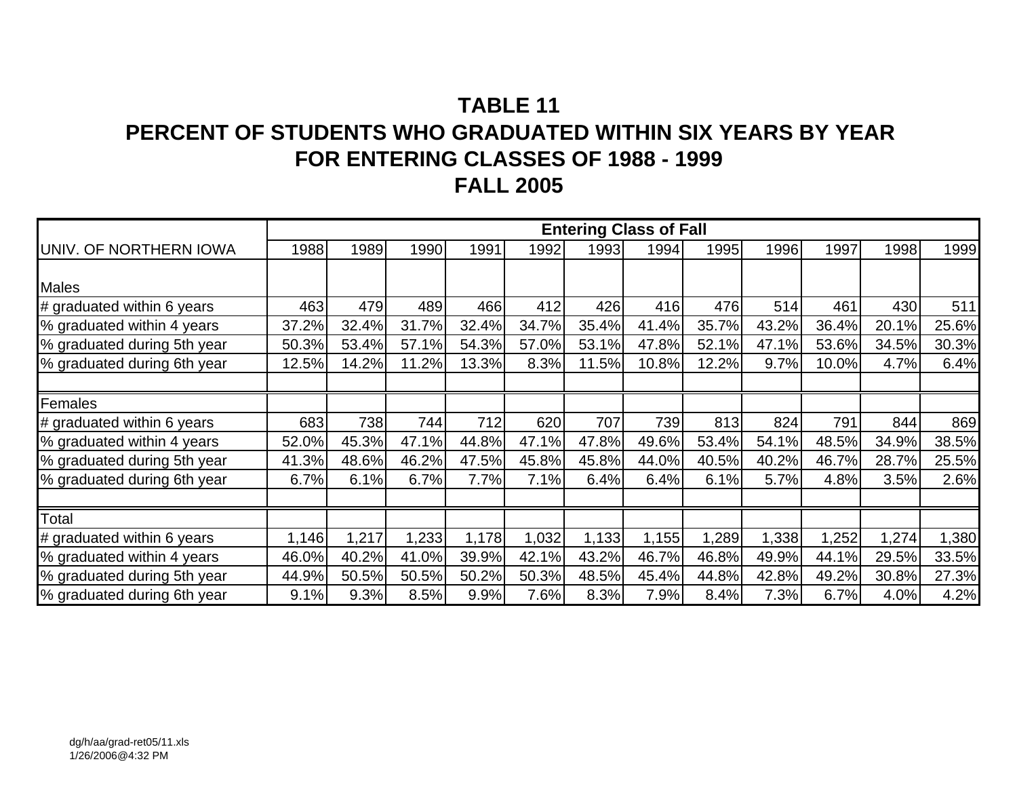# **TABLE 11PERCENT OF STUDENTS WHO GRADUATED WITHIN SIX YEARS BY YEAR FOR ENTERING CLASSES OF 1988 - 1999 FALL 2005**

|                             |       |       |       |       |       | <b>Entering Class of Fall</b> |       |       |       |       |       |       |
|-----------------------------|-------|-------|-------|-------|-------|-------------------------------|-------|-------|-------|-------|-------|-------|
| UNIV. OF NORTHERN IOWA      | 1988  | 1989  | 1990  | 1991  | 1992  | 1993                          | 1994  | 1995  | 1996  | 1997  | 1998  | 1999  |
|                             |       |       |       |       |       |                               |       |       |       |       |       |       |
| <b>Males</b>                |       |       |       |       |       |                               |       |       |       |       |       |       |
| # graduated within 6 years  | 463   | 479   | 489   | 466   | 412   | 426                           | 416   | 476   | 514   | 461   | 430   | 511   |
| % graduated within 4 years  | 37.2% | 32.4% | 31.7% | 32.4% | 34.7% | 35.4%                         | 41.4% | 35.7% | 43.2% | 36.4% | 20.1% | 25.6% |
| % graduated during 5th year | 50.3% | 53.4% | 57.1% | 54.3% | 57.0% | 53.1%                         | 47.8% | 52.1% | 47.1% | 53.6% | 34.5% | 30.3% |
| % graduated during 6th year | 12.5% | 14.2% | 11.2% | 13.3% | 8.3%  | 11.5%                         | 10.8% | 12.2% | 9.7%  | 10.0% | 4.7%  | 6.4%  |
|                             |       |       |       |       |       |                               |       |       |       |       |       |       |
| Females                     |       |       |       |       |       |                               |       |       |       |       |       |       |
| # graduated within 6 years  | 683   | 738   | 744   | 712   | 620   | 707                           | 739   | 813   | 824   | 791   | 844   | 869   |
| % graduated within 4 years  | 52.0% | 45.3% | 47.1% | 44.8% | 47.1% | 47.8%                         | 49.6% | 53.4% | 54.1% | 48.5% | 34.9% | 38.5% |
| % graduated during 5th year | 41.3% | 48.6% | 46.2% | 47.5% | 45.8% | 45.8%                         | 44.0% | 40.5% | 40.2% | 46.7% | 28.7% | 25.5% |
| % graduated during 6th year | 6.7%  | 6.1%  | 6.7%  | 7.7%  | 7.1%  | 6.4%                          | 6.4%  | 6.1%  | 5.7%  | 4.8%  | 3.5%  | 2.6%  |
|                             |       |       |       |       |       |                               |       |       |       |       |       |       |
| Total                       |       |       |       |       |       |                               |       |       |       |       |       |       |
| # graduated within 6 years  | 1,146 | 1,217 | 1,233 | 1,178 | 1,032 | 1,133                         | 1,155 | 1,289 | 1,338 | ,252  | 1,274 | 1,380 |
| % graduated within 4 years  | 46.0% | 40.2% | 41.0% | 39.9% | 42.1% | 43.2%                         | 46.7% | 46.8% | 49.9% | 44.1% | 29.5% | 33.5% |
| % graduated during 5th year | 44.9% | 50.5% | 50.5% | 50.2% | 50.3% | 48.5%                         | 45.4% | 44.8% | 42.8% | 49.2% | 30.8% | 27.3% |
| % graduated during 6th year | 9.1%  | 9.3%  | 8.5%  | 9.9%  | 7.6%  | 8.3%                          | 7.9%  | 8.4%  | 7.3%  | 6.7%  | 4.0%  | 4.2%  |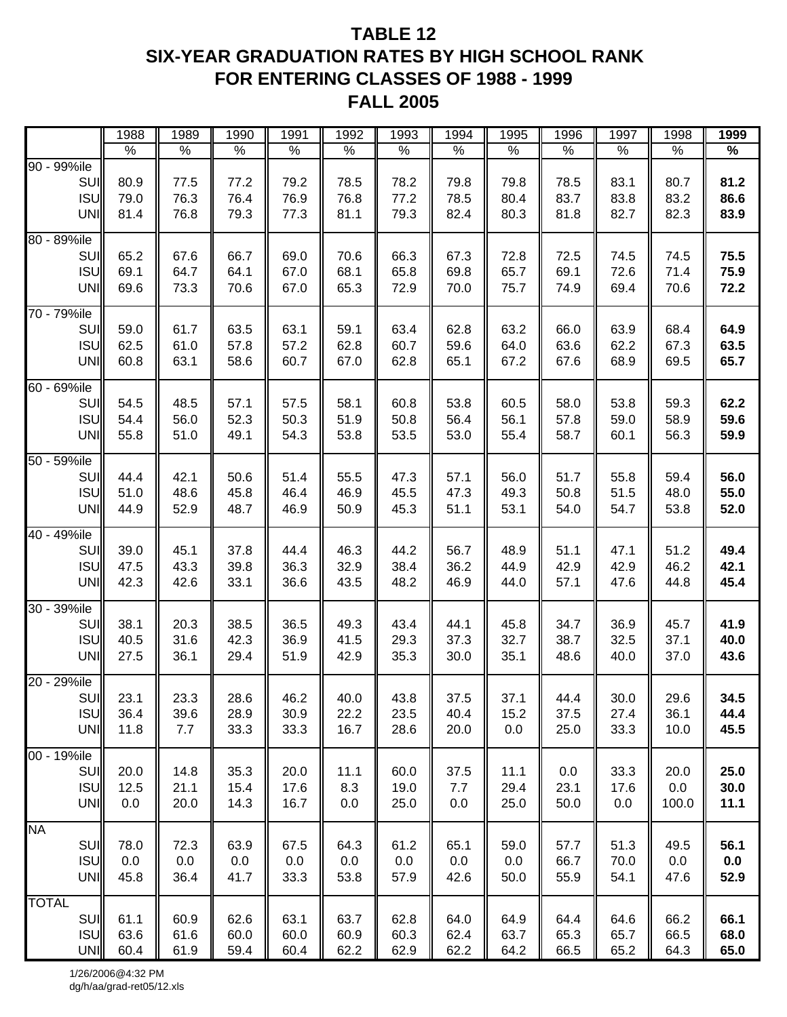## **TABLE 12 SIX-YEAR GRADUATION RATES BY HIGH SCHOOL RANK FOR ENTERING CLASSES OF 1988 - 1999 FALL 2005**

|              |                          | 1988         | 1989         | 1990         | 1991         | 1992         | 1993         | 1994         | 1995         | 1996         | 1997         | 1998         | 1999         |
|--------------|--------------------------|--------------|--------------|--------------|--------------|--------------|--------------|--------------|--------------|--------------|--------------|--------------|--------------|
|              |                          | $\%$         | $\%$         | $\%$         | $\%$         | $\%$         | $\%$         | %            | $\%$         | $\%$         | $\%$         | $\%$         | $\%$         |
| 90 - 99%ile  |                          |              |              |              |              |              |              |              |              |              |              |              |              |
|              | SUI                      | 80.9         | 77.5         | 77.2         | 79.2         | 78.5         | 78.2         | 79.8         | 79.8         | 78.5         | 83.1         | 80.7         | 81.2         |
|              | <b>ISU</b>               | 79.0         | 76.3         | 76.4         | 76.9         | 76.8         | 77.2         | 78.5         | 80.4         | 83.7         | 83.8         | 83.2         | 86.6         |
|              | UNI                      | 81.4         | 76.8         | 79.3         | 77.3         | 81.1         | 79.3         | 82.4         | 80.3         | 81.8         | 82.7         | 82.3         | 83.9         |
| 80 - 89%ile  |                          |              |              |              |              |              |              |              |              |              |              |              |              |
|              | SUI                      | 65.2         | 67.6         | 66.7         | 69.0         | 70.6         | 66.3         | 67.3         | 72.8         | 72.5         | 74.5         | 74.5         | 75.5         |
|              | <b>ISU</b>               | 69.1         | 64.7         | 64.1         | 67.0         | 68.1         | 65.8         | 69.8         | 65.7         | 69.1         | 72.6         | 71.4         | 75.9         |
|              | UNI                      | 69.6         | 73.3         | 70.6         | 67.0         | 65.3         | 72.9         | 70.0         | 75.7         | 74.9         | 69.4         | 70.6         | 72.2         |
|              |                          |              |              |              |              |              |              |              |              |              |              |              |              |
| 70 - 79%ile  | SUI                      | 59.0         | 61.7         | 63.5         | 63.1         | 59.1         | 63.4         | 62.8         | 63.2         | 66.0         | 63.9         | 68.4         | 64.9         |
|              | <b>ISU</b>               | 62.5         | 61.0         | 57.8         | 57.2         | 62.8         | 60.7         | 59.6         | 64.0         | 63.6         | 62.2         | 67.3         | 63.5         |
|              | UNI                      | 60.8         | 63.1         | 58.6         | 60.7         | 67.0         | 62.8         | 65.1         | 67.2         | 67.6         | 68.9         | 69.5         | 65.7         |
|              |                          |              |              |              |              |              |              |              |              |              |              |              |              |
| 60 - 69%ile  |                          |              |              |              |              |              |              |              |              |              |              |              |              |
|              | SUI                      | 54.5         | 48.5         | 57.1         | 57.5         | 58.1         | 60.8         | 53.8         | 60.5         | 58.0         | 53.8         | 59.3         | 62.2         |
|              | <b>ISU</b>               | 54.4         | 56.0         | 52.3         | 50.3         | 51.9         | 50.8         | 56.4         | 56.1         | 57.8         | 59.0         | 58.9         | 59.6         |
|              | UNI                      | 55.8         | 51.0         | 49.1         | 54.3         | 53.8         | 53.5         | 53.0         | 55.4         | 58.7         | 60.1         | 56.3         | 59.9         |
| 50 - 59%ile  |                          |              |              |              |              |              |              |              |              |              |              |              |              |
|              | <b>SUI</b>               | 44.4         | 42.1         | 50.6         | 51.4         | 55.5         | 47.3         | 57.1         | 56.0         | 51.7         | 55.8         | 59.4         | 56.0         |
|              | <b>ISU</b>               | 51.0         | 48.6         | 45.8         | 46.4         | 46.9         | 45.5         | 47.3         | 49.3         | 50.8         | 51.5         | 48.0         | 55.0         |
|              | UNI                      | 44.9         | 52.9         | 48.7         | 46.9         | 50.9         | 45.3         | 51.1         | 53.1         | 54.0         | 54.7         | 53.8         | 52.0         |
|              |                          |              |              |              |              |              |              |              |              |              |              |              |              |
| 40 - 49%ile  |                          |              |              |              |              |              |              |              |              |              |              |              |              |
|              | <b>SUI</b><br><b>ISU</b> | 39.0<br>47.5 | 45.1<br>43.3 | 37.8         | 44.4         | 46.3         | 44.2         | 56.7<br>36.2 | 48.9<br>44.9 | 51.1<br>42.9 | 47.1<br>42.9 | 51.2         | 49.4<br>42.1 |
|              | <b>UNI</b>               | 42.3         | 42.6         | 39.8<br>33.1 | 36.3<br>36.6 | 32.9<br>43.5 | 38.4<br>48.2 | 46.9         | 44.0         | 57.1         | 47.6         | 46.2<br>44.8 | 45.4         |
|              |                          |              |              |              |              |              |              |              |              |              |              |              |              |
| 30 - 39%ile  |                          |              |              |              |              |              |              |              |              |              |              |              |              |
|              | SUI                      | 38.1         | 20.3         | 38.5         | 36.5         | 49.3         | 43.4         | 44.1         | 45.8         | 34.7         | 36.9         | 45.7         | 41.9         |
|              | <b>ISU</b>               | 40.5         | 31.6         | 42.3         | 36.9         | 41.5         | 29.3         | 37.3         | 32.7         | 38.7         | 32.5         | 37.1         | 40.0         |
|              | UNI                      | 27.5         | 36.1         | 29.4         | 51.9         | 42.9         | 35.3         | 30.0         | 35.1         | 48.6         | 40.0         | 37.0         | 43.6         |
| 20 - 29%ile  |                          |              |              |              |              |              |              |              |              |              |              |              |              |
|              | SUI                      | 23.1         | 23.3         | 28.6         | 46.2         | 40.0         | 43.8         | 37.5         | 37.1         | 44.4         | 30.0         | 29.6         | 34.5         |
|              | <b>ISU</b>               | 36.4         | 39.6         | 28.9         | 30.9         | 22.2         | 23.5         | 40.4         | 15.2         | 37.5         | 27.4         | 36.1         | 44.4         |
|              | UNI                      | 11.8         | 7.7          | 33.3         | 33.3         | 16.7         | 28.6         | 20.0         | 0.0          | 25.0         | 33.3         | 10.0         | 45.5         |
|              |                          |              |              |              |              |              |              |              |              |              |              |              |              |
| 00 - 19%ile  | SUI                      |              |              | 35.3         |              | 11.1         |              | 37.5         |              |              | 33.3         |              | 25.0         |
|              | ISU                      | 20.0<br>12.5 | 14.8<br>21.1 | 15.4         | 20.0<br>17.6 | 8.3          | 60.0<br>19.0 | 7.7          | 11.1<br>29.4 | 0.0<br>23.1  | 17.6         | 20.0<br>0.0  | 30.0         |
|              | <b>UNI</b>               | 0.0          | 20.0         | 14.3         | 16.7         | 0.0          | 25.0         | 0.0          | 25.0         | 50.0         | 0.0          | 100.0        | 11.1         |
|              |                          |              |              |              |              |              |              |              |              |              |              |              |              |
| <b>NA</b>    |                          |              |              |              |              |              |              |              |              |              |              |              |              |
|              | <b>SUI</b>               | 78.0         | 72.3         | 63.9         | 67.5         | 64.3         | 61.2         | 65.1         | 59.0         | 57.7         | 51.3         | 49.5         | 56.1         |
|              | ISU                      | 0.0          | 0.0          | 0.0          | 0.0          | 0.0          | 0.0          | 0.0          | 0.0          | 66.7         | 70.0         | 0.0          | 0.0          |
|              | UNI                      | 45.8         | 36.4         | 41.7         | 33.3         | 53.8         | 57.9         | 42.6         | 50.0         | 55.9         | 54.1         | 47.6         | 52.9         |
| <b>TOTAL</b> |                          |              |              |              |              |              |              |              |              |              |              |              |              |
|              | <b>SUI</b>               | 61.1         | 60.9         | 62.6         | 63.1         | 63.7         | 62.8         | 64.0         | 64.9         | 64.4         | 64.6         | 66.2         | 66.1         |
|              | <b>ISU</b>               | 63.6         | 61.6         | 60.0         | 60.0         | 60.9         | 60.3         | 62.4         | 63.7         | 65.3         | 65.7         | 66.5         | 68.0         |
|              | UNI                      | 60.4         | 61.9         | 59.4         | 60.4         | 62.2         | 62.9         | 62.2         | 64.2         | 66.5         | 65.2         | 64.3         | 65.0         |

1/26/2006@4:32 PM dg/h/aa/grad-ret05/12.xls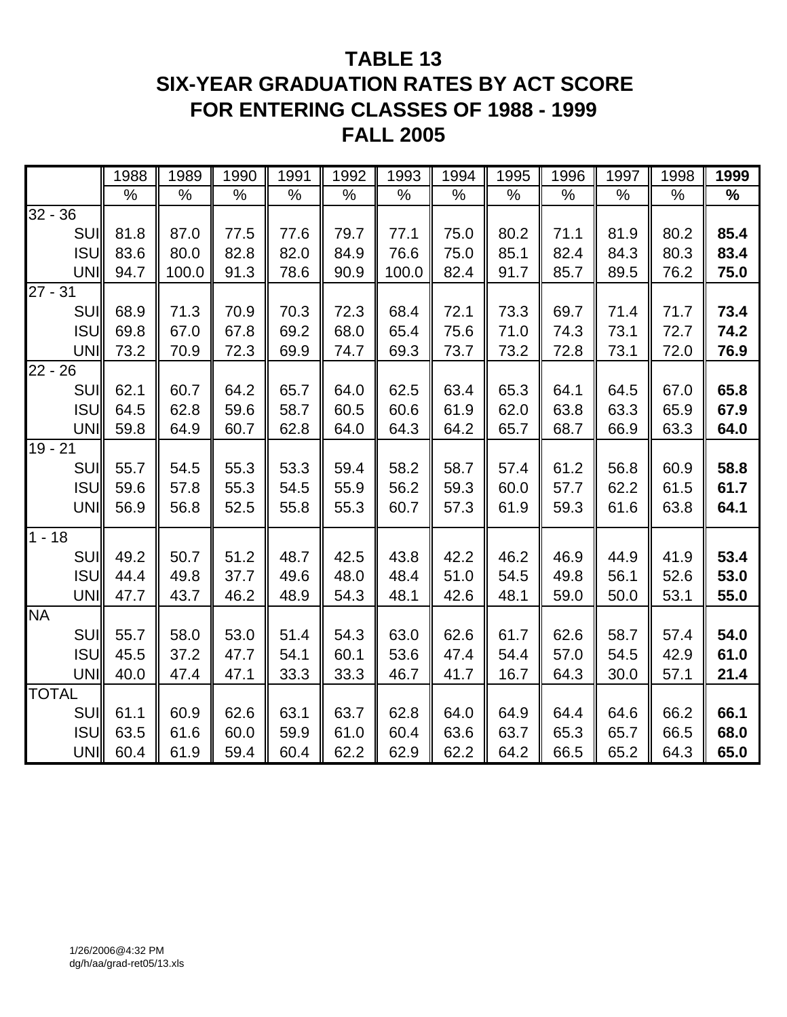# **TABLE 13 SIX-YEAR GRADUATION RATES BY ACT SCORE FOR ENTERING CLASSES OF 1988 - 1999 FALL 2005**

|              |            | 1988 | 1989  | 1990 | 1991 | 1992 | 1993  | 1994 | 1995 | 1996 | 1997 | 1998 | 1999 |
|--------------|------------|------|-------|------|------|------|-------|------|------|------|------|------|------|
|              |            | %    | %     | $\%$ | $\%$ | $\%$ | %     | %    | $\%$ | $\%$ | %    | %    | %    |
| $32 - 36$    |            |      |       |      |      |      |       |      |      |      |      |      |      |
|              | <b>SUI</b> | 81.8 | 87.0  | 77.5 | 77.6 | 79.7 | 77.1  | 75.0 | 80.2 | 71.1 | 81.9 | 80.2 | 85.4 |
|              | <b>ISU</b> | 83.6 | 80.0  | 82.8 | 82.0 | 84.9 | 76.6  | 75.0 | 85.1 | 82.4 | 84.3 | 80.3 | 83.4 |
|              | UNI        | 94.7 | 100.0 | 91.3 | 78.6 | 90.9 | 100.0 | 82.4 | 91.7 | 85.7 | 89.5 | 76.2 | 75.0 |
| $27 - 31$    |            |      |       |      |      |      |       |      |      |      |      |      |      |
|              | <b>SUI</b> | 68.9 | 71.3  | 70.9 | 70.3 | 72.3 | 68.4  | 72.1 | 73.3 | 69.7 | 71.4 | 71.7 | 73.4 |
|              | <b>ISU</b> | 69.8 | 67.0  | 67.8 | 69.2 | 68.0 | 65.4  | 75.6 | 71.0 | 74.3 | 73.1 | 72.7 | 74.2 |
|              | UNI        | 73.2 | 70.9  | 72.3 | 69.9 | 74.7 | 69.3  | 73.7 | 73.2 | 72.8 | 73.1 | 72.0 | 76.9 |
| $22 - 26$    |            |      |       |      |      |      |       |      |      |      |      |      |      |
|              | <b>SUI</b> | 62.1 | 60.7  | 64.2 | 65.7 | 64.0 | 62.5  | 63.4 | 65.3 | 64.1 | 64.5 | 67.0 | 65.8 |
|              | <b>ISU</b> | 64.5 | 62.8  | 59.6 | 58.7 | 60.5 | 60.6  | 61.9 | 62.0 | 63.8 | 63.3 | 65.9 | 67.9 |
|              | <b>UNI</b> | 59.8 | 64.9  | 60.7 | 62.8 | 64.0 | 64.3  | 64.2 | 65.7 | 68.7 | 66.9 | 63.3 | 64.0 |
| $19 - 21$    |            |      |       |      |      |      |       |      |      |      |      |      |      |
|              | SUI        | 55.7 | 54.5  | 55.3 | 53.3 | 59.4 | 58.2  | 58.7 | 57.4 | 61.2 | 56.8 | 60.9 | 58.8 |
|              | <b>ISU</b> | 59.6 | 57.8  | 55.3 | 54.5 | 55.9 | 56.2  | 59.3 | 60.0 | 57.7 | 62.2 | 61.5 | 61.7 |
|              | UNI        | 56.9 | 56.8  | 52.5 | 55.8 | 55.3 | 60.7  | 57.3 | 61.9 | 59.3 | 61.6 | 63.8 | 64.1 |
| $1 - 18$     |            |      |       |      |      |      |       |      |      |      |      |      |      |
|              | <b>SUI</b> | 49.2 | 50.7  | 51.2 | 48.7 | 42.5 | 43.8  | 42.2 | 46.2 | 46.9 | 44.9 | 41.9 | 53.4 |
|              | <b>ISU</b> | 44.4 | 49.8  | 37.7 | 49.6 | 48.0 | 48.4  | 51.0 | 54.5 | 49.8 | 56.1 | 52.6 | 53.0 |
|              | <b>UNI</b> | 47.7 | 43.7  | 46.2 | 48.9 | 54.3 | 48.1  | 42.6 | 48.1 | 59.0 | 50.0 | 53.1 | 55.0 |
| <b>NA</b>    |            |      |       |      |      |      |       |      |      |      |      |      |      |
|              | <b>SUI</b> | 55.7 | 58.0  | 53.0 | 51.4 | 54.3 | 63.0  | 62.6 | 61.7 | 62.6 | 58.7 | 57.4 | 54.0 |
|              | <b>ISU</b> | 45.5 | 37.2  | 47.7 | 54.1 | 60.1 | 53.6  | 47.4 | 54.4 | 57.0 | 54.5 | 42.9 | 61.0 |
|              | UNI        | 40.0 | 47.4  | 47.1 | 33.3 | 33.3 | 46.7  | 41.7 | 16.7 | 64.3 | 30.0 | 57.1 | 21.4 |
| <b>TOTAL</b> |            |      |       |      |      |      |       |      |      |      |      |      |      |
|              | <b>SUI</b> | 61.1 | 60.9  | 62.6 | 63.1 | 63.7 | 62.8  | 64.0 | 64.9 | 64.4 | 64.6 | 66.2 | 66.1 |
|              | <b>ISU</b> | 63.5 | 61.6  | 60.0 | 59.9 | 61.0 | 60.4  | 63.6 | 63.7 | 65.3 | 65.7 | 66.5 | 68.0 |
|              | UNI        | 60.4 | 61.9  | 59.4 | 60.4 | 62.2 | 62.9  | 62.2 | 64.2 | 66.5 | 65.2 | 64.3 | 65.0 |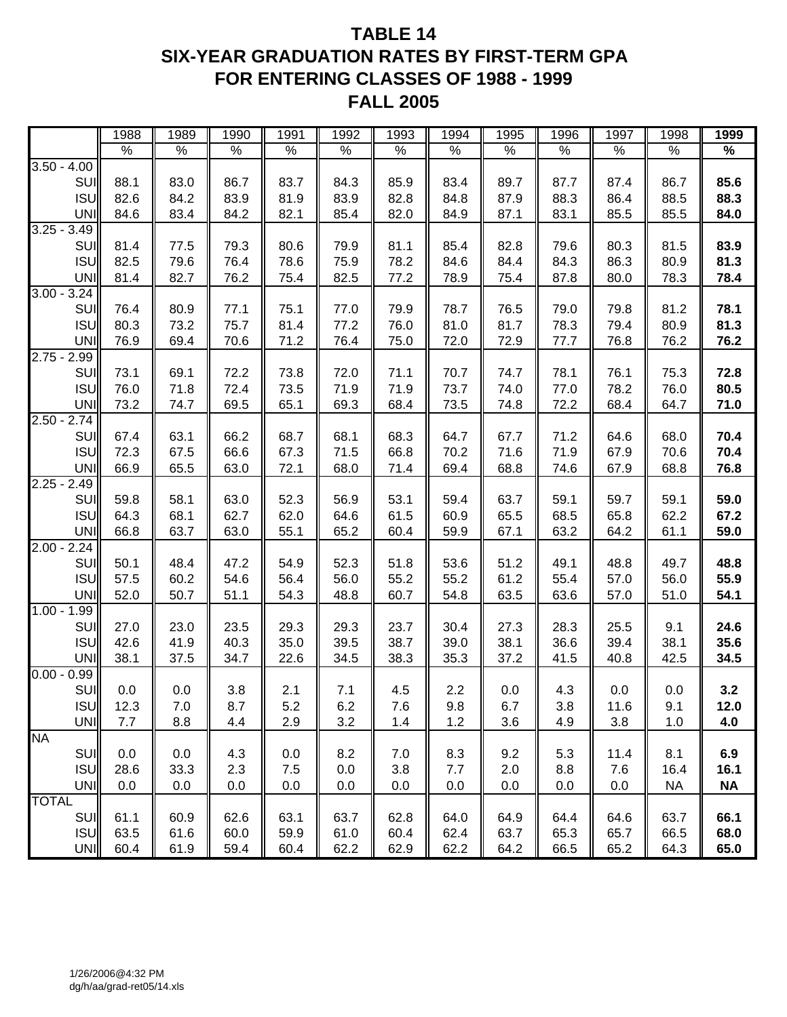## **TABLE 14 SIX-YEAR GRADUATION RATES BY FIRST-TERM GPA FOR ENTERING CLASSES OF 1988 - 1999 FALL 2005**

|                  | 1988        | 1989 | 1990       | 1991 | 1992 | 1993 | 1994 | 1995 | 1996 | 1997 | 1998      | 1999      |
|------------------|-------------|------|------------|------|------|------|------|------|------|------|-----------|-----------|
|                  | $\%$        | $\%$ | $\%$       | $\%$ | $\%$ | $\%$ | $\%$ | $\%$ | $\%$ | $\%$ | $\%$      | $\%$      |
| $3.50 - 4.00$    |             |      |            |      |      |      |      |      |      |      |           |           |
| SUI              | 88.1        | 83.0 | 86.7       | 83.7 | 84.3 | 85.9 | 83.4 | 89.7 | 87.7 | 87.4 | 86.7      | 85.6      |
| <b>ISU</b>       | 82.6        | 84.2 | 83.9       | 81.9 | 83.9 | 82.8 | 84.8 | 87.9 | 88.3 | 86.4 | 88.5      | 88.3      |
| <b>UNI</b>       | 84.6        | 83.4 | 84.2       | 82.1 | 85.4 | 82.0 | 84.9 | 87.1 | 83.1 | 85.5 | 85.5      | 84.0      |
| $3.25 - 3.49$    |             |      |            |      |      |      |      |      |      |      |           |           |
| SUI              | 81.4        | 77.5 | 79.3       | 80.6 | 79.9 | 81.1 | 85.4 | 82.8 | 79.6 | 80.3 | 81.5      | 83.9      |
| <b>ISU</b>       | 82.5        | 79.6 | 76.4       | 78.6 | 75.9 | 78.2 | 84.6 | 84.4 | 84.3 | 86.3 | 80.9      | 81.3      |
| <b>UNI</b>       | 81.4        | 82.7 | 76.2       | 75.4 | 82.5 | 77.2 | 78.9 | 75.4 | 87.8 | 80.0 | 78.3      | 78.4      |
| $3.00 -$<br>3.24 |             |      |            |      |      |      |      |      |      |      |           |           |
| SUI              | 76.4        | 80.9 | 77.1       | 75.1 | 77.0 | 79.9 | 78.7 | 76.5 | 79.0 | 79.8 | 81.2      | 78.1      |
| <b>ISU</b>       | 80.3        | 73.2 | 75.7       | 81.4 | 77.2 | 76.0 | 81.0 | 81.7 | 78.3 | 79.4 | 80.9      | 81.3      |
| <b>UNI</b>       | 76.9        | 69.4 | 70.6       | 71.2 | 76.4 | 75.0 | 72.0 | 72.9 | 77.7 | 76.8 | 76.2      | 76.2      |
| $2.75 - 2.99$    |             |      |            |      |      |      |      |      |      |      |           |           |
| SUI              | 73.1        | 69.1 | 72.2       | 73.8 | 72.0 | 71.1 | 70.7 | 74.7 | 78.1 | 76.1 | 75.3      | 72.8      |
| <b>ISU</b>       | 76.0        | 71.8 | 72.4       | 73.5 | 71.9 | 71.9 | 73.7 | 74.0 | 77.0 | 78.2 | 76.0      | 80.5      |
| <b>UNI</b>       | 73.2        | 74.7 | 69.5       | 65.1 | 69.3 | 68.4 | 73.5 | 74.8 | 72.2 | 68.4 | 64.7      | 71.0      |
| $2.50 -$<br>2.74 |             |      |            |      |      |      |      |      |      |      |           |           |
| SUI              | 67.4        | 63.1 | 66.2       | 68.7 | 68.1 | 68.3 | 64.7 | 67.7 | 71.2 | 64.6 | 68.0      | 70.4      |
| <b>ISU</b>       | 72.3        | 67.5 | 66.6       | 67.3 | 71.5 | 66.8 | 70.2 | 71.6 | 71.9 | 67.9 | 70.6      | 70.4      |
| <b>UNI</b>       | 66.9        | 65.5 | 63.0       | 72.1 | 68.0 | 71.4 | 69.4 | 68.8 | 74.6 | 67.9 | 68.8      | 76.8      |
| $2.25 - 2.49$    |             |      |            |      |      |      |      |      |      |      |           |           |
| SUI              | 59.8        | 58.1 | 63.0       | 52.3 | 56.9 | 53.1 | 59.4 | 63.7 | 59.1 | 59.7 | 59.1      | 59.0      |
| <b>ISU</b>       | 64.3        | 68.1 | 62.7       | 62.0 | 64.6 | 61.5 | 60.9 | 65.5 | 68.5 | 65.8 | 62.2      | 67.2      |
| <b>UNI</b>       | 66.8        | 63.7 | 63.0       | 55.1 | 65.2 | 60.4 | 59.9 | 67.1 | 63.2 | 64.2 | 61.1      | 59.0      |
| $2.00 - 2.24$    |             |      |            |      |      |      |      |      |      |      |           |           |
| SUI              | 50.1        | 48.4 | 47.2       | 54.9 | 52.3 | 51.8 | 53.6 | 51.2 | 49.1 | 48.8 | 49.7      | 48.8      |
| <b>ISU</b>       | 57.5        | 60.2 | 54.6       | 56.4 | 56.0 | 55.2 | 55.2 | 61.2 | 55.4 | 57.0 | 56.0      | 55.9      |
| <b>UNI</b>       | 52.0        | 50.7 | 51.1       | 54.3 | 48.8 | 60.7 | 54.8 | 63.5 | 63.6 | 57.0 | 51.0      | 54.1      |
| 1.99<br>$1.00 -$ |             |      |            |      |      |      |      |      |      |      |           |           |
| SUI              | 27.0        | 23.0 | 23.5       | 29.3 | 29.3 | 23.7 | 30.4 | 27.3 | 28.3 | 25.5 | 9.1       | 24.6      |
| <b>ISU</b>       | 42.6        | 41.9 | 40.3       | 35.0 | 39.5 | 38.7 | 39.0 | 38.1 | 36.6 | 39.4 | 38.1      | 35.6      |
| <b>UNI</b>       | 38.1        | 37.5 | 34.7       | 22.6 | 34.5 | 38.3 | 35.3 | 37.2 | 41.5 | 40.8 | 42.5      | 34.5      |
| $0.00 - 0.99$    |             |      |            |      |      |      |      |      |      |      |           |           |
| <b>SUI</b>       | 0.0         | 0.0  | 3.8        | 2.1  | 7.1  | 4.5  | 2.2  | 0.0  | 4.3  | 0.0  | 0.0       | 3.2       |
| <b>ISU</b>       |             |      |            | 5.2  | 6.2  |      | 9.8  |      |      | 11.6 | 9.1       | 12.0      |
| <b>UNI</b>       | 12.3<br>7.7 | 7.0  | 8.7<br>4.4 |      |      | 7.6  |      | 6.7  | 3.8  |      |           | 4.0       |
| <b>NA</b>        |             | 8.8  |            | 2.9  | 3.2  | 1.4  | 1.2  | 3.6  | 4.9  | 3.8  | 1.0       |           |
|                  |             |      |            |      |      |      |      |      |      |      |           |           |
| SUI              | 0.0         | 0.0  | 4.3        | 0.0  | 8.2  | 7.0  | 8.3  | 9.2  | 5.3  | 11.4 | 8.1       | 6.9       |
| <b>ISU</b>       | 28.6        | 33.3 | 2.3        | 7.5  | 0.0  | 3.8  | 7.7  | 2.0  | 8.8  | 7.6  | 16.4      | 16.1      |
| UNI              | 0.0         | 0.0  | 0.0        | 0.0  | 0.0  | 0.0  | 0.0  | 0.0  | 0.0  | 0.0  | <b>NA</b> | <b>NA</b> |
| <b>TOTAL</b>     |             |      |            |      |      |      |      |      |      |      |           |           |
| SUI              | 61.1        | 60.9 | 62.6       | 63.1 | 63.7 | 62.8 | 64.0 | 64.9 | 64.4 | 64.6 | 63.7      | 66.1      |
| <b>ISU</b>       | 63.5        | 61.6 | 60.0       | 59.9 | 61.0 | 60.4 | 62.4 | 63.7 | 65.3 | 65.7 | 66.5      | 68.0      |
| UNI              | 60.4        | 61.9 | 59.4       | 60.4 | 62.2 | 62.9 | 62.2 | 64.2 | 66.5 | 65.2 | 64.3      | 65.0      |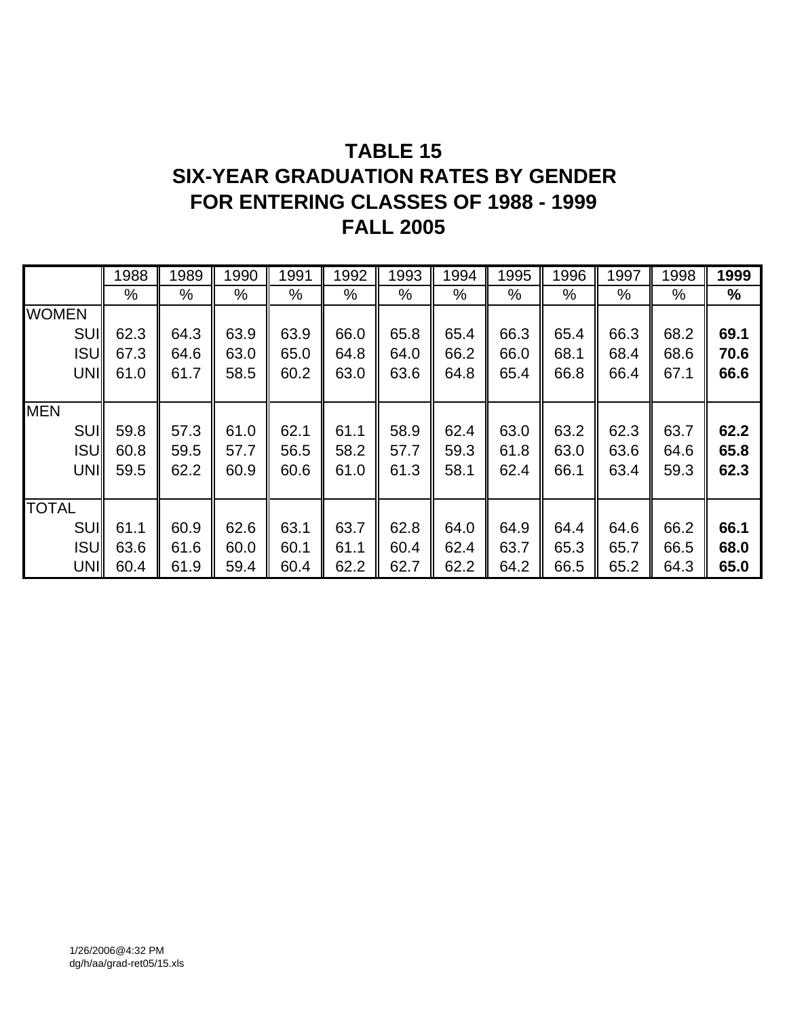# **TABLE 15 SIX-YEAR GRADUATION RATES BY GENDER FOR ENTERING CLASSES OF 1988 - 1999 FALL 2005**

|              | 1988 | 1989 | 1990 | 1991 | 1992 | 1993 | 1994 | 1995 | 1996 | 1997 | 1998 | 1999 |
|--------------|------|------|------|------|------|------|------|------|------|------|------|------|
|              | %    | %    | %    | %    | $\%$ | $\%$ | $\%$ | $\%$ | $\%$ | %    | $\%$ | %    |
| <b>WOMEN</b> |      |      |      |      |      |      |      |      |      |      |      |      |
| <b>SUII</b>  | 62.3 | 64.3 | 63.9 | 63.9 | 66.0 | 65.8 | 65.4 | 66.3 | 65.4 | 66.3 | 68.2 | 69.1 |
| <b>ISUI</b>  | 67.3 | 64.6 | 63.0 | 65.0 | 64.8 | 64.0 | 66.2 | 66.0 | 68.1 | 68.4 | 68.6 | 70.6 |
| UNI          | 61.0 | 61.7 | 58.5 | 60.2 | 63.0 | 63.6 | 64.8 | 65.4 | 66.8 | 66.4 | 67.1 | 66.6 |
|              |      |      |      |      |      |      |      |      |      |      |      |      |
| <b>MEN</b>   |      |      |      |      |      |      |      |      |      |      |      |      |
| <b>SUII</b>  | 59.8 | 57.3 | 61.0 | 62.1 | 61.1 | 58.9 | 62.4 | 63.0 | 63.2 | 62.3 | 63.7 | 62.2 |
| <b>ISUI</b>  | 60.8 | 59.5 | 57.7 | 56.5 | 58.2 | 57.7 | 59.3 | 61.8 | 63.0 | 63.6 | 64.6 | 65.8 |
| UNII         | 59.5 | 62.2 | 60.9 | 60.6 | 61.0 | 61.3 | 58.1 | 62.4 | 66.1 | 63.4 | 59.3 | 62.3 |
|              |      |      |      |      |      |      |      |      |      |      |      |      |
| <b>TOTAL</b> |      |      |      |      |      |      |      |      |      |      |      |      |
| <b>SUII</b>  | 61.1 | 60.9 | 62.6 | 63.1 | 63.7 | 62.8 | 64.0 | 64.9 | 64.4 | 64.6 | 66.2 | 66.1 |
| <b>ISUI</b>  | 63.6 | 61.6 | 60.0 | 60.1 | 61.1 | 60.4 | 62.4 | 63.7 | 65.3 | 65.7 | 66.5 | 68.0 |
| UNII         | 60.4 | 61.9 | 59.4 | 60.4 | 62.2 | 62.7 | 62.2 | 64.2 | 66.5 | 65.2 | 64.3 | 65.0 |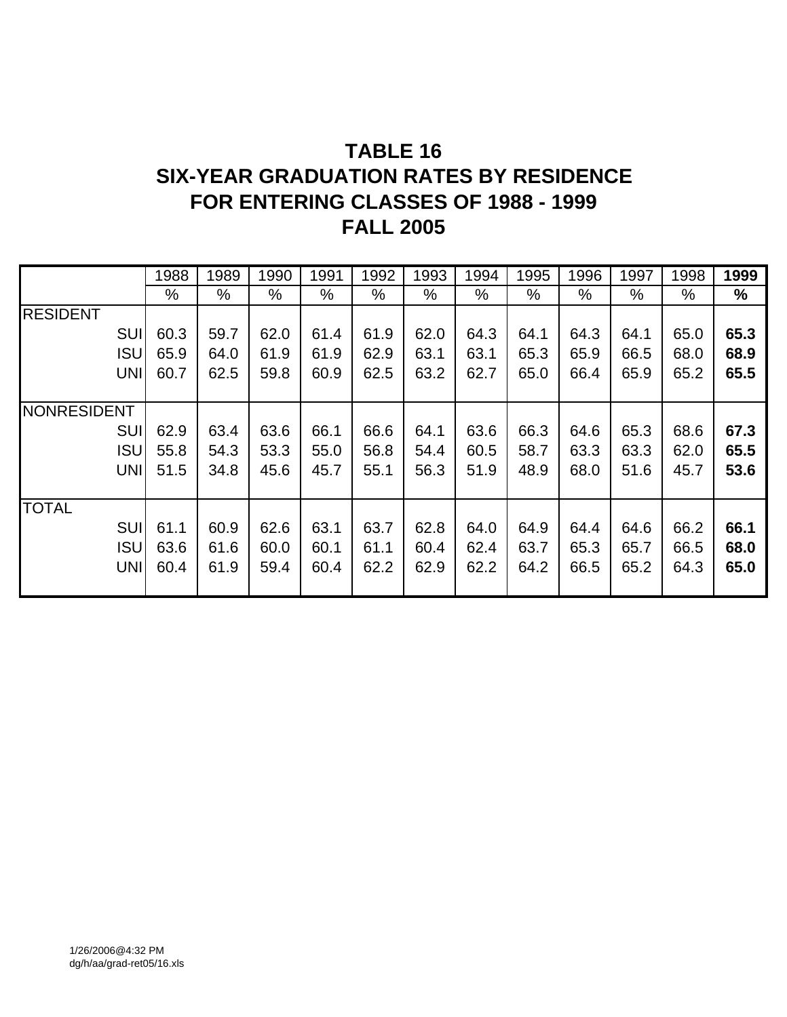# **TABLE 16 SIX-YEAR GRADUATION RATES BY RESIDENCE FOR ENTERING CLASSES OF 1988 - 1999 FALL 2005**

|                    |            | 1988 | 1989 | 1990 | 1991 | 1992 | 1993 | 1994 | 1995 | 1996 | 1997 | 1998          | 1999          |
|--------------------|------------|------|------|------|------|------|------|------|------|------|------|---------------|---------------|
|                    |            | $\%$ | %    | %    | %    | $\%$ | %    | $\%$ | %    | %    | $\%$ | $\frac{0}{0}$ | $\frac{1}{2}$ |
| <b>RESIDENT</b>    |            |      |      |      |      |      |      |      |      |      |      |               |               |
|                    | <b>SUI</b> | 60.3 | 59.7 | 62.0 | 61.4 | 61.9 | 62.0 | 64.3 | 64.1 | 64.3 | 64.1 | 65.0          | 65.3          |
|                    | <b>ISU</b> | 65.9 | 64.0 | 61.9 | 61.9 | 62.9 | 63.1 | 63.1 | 65.3 | 65.9 | 66.5 | 68.0          | 68.9          |
|                    | <b>UNI</b> | 60.7 | 62.5 | 59.8 | 60.9 | 62.5 | 63.2 | 62.7 | 65.0 | 66.4 | 65.9 | 65.2          | 65.5          |
|                    |            |      |      |      |      |      |      |      |      |      |      |               |               |
| <b>NONRESIDENT</b> |            |      |      |      |      |      |      |      |      |      |      |               |               |
|                    | <b>SUI</b> | 62.9 | 63.4 | 63.6 | 66.1 | 66.6 | 64.1 | 63.6 | 66.3 | 64.6 | 65.3 | 68.6          | 67.3          |
|                    | <b>ISU</b> | 55.8 | 54.3 | 53.3 | 55.0 | 56.8 | 54.4 | 60.5 | 58.7 | 63.3 | 63.3 | 62.0          | 65.5          |
|                    | <b>UNI</b> | 51.5 | 34.8 | 45.6 | 45.7 | 55.1 | 56.3 | 51.9 | 48.9 | 68.0 | 51.6 | 45.7          | 53.6          |
|                    |            |      |      |      |      |      |      |      |      |      |      |               |               |
| <b>TOTAL</b>       |            |      |      |      |      |      |      |      |      |      |      |               |               |
|                    | <b>SUI</b> | 61.1 | 60.9 | 62.6 | 63.1 | 63.7 | 62.8 | 64.0 | 64.9 | 64.4 | 64.6 | 66.2          | 66.1          |
|                    | <b>ISU</b> | 63.6 | 61.6 | 60.0 | 60.1 | 61.1 | 60.4 | 62.4 | 63.7 | 65.3 | 65.7 | 66.5          | 68.0          |
|                    | <b>UNI</b> | 60.4 | 61.9 | 59.4 | 60.4 | 62.2 | 62.9 | 62.2 | 64.2 | 66.5 | 65.2 | 64.3          | 65.0          |
|                    |            |      |      |      |      |      |      |      |      |      |      |               |               |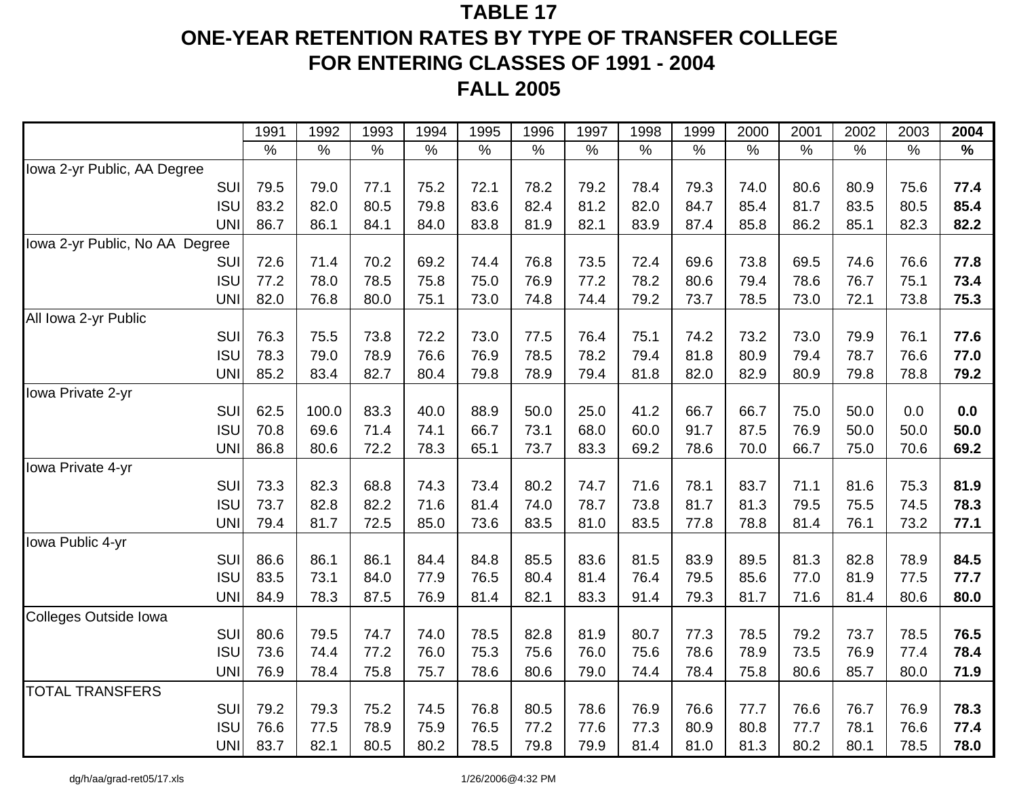# **TABLE 17ONE-YEAR RETENTION RATES BY TYPE OF TRANSFER COLLEGE FOR ENTERING CLASSES OF 1991 - 2004**

**FALL 2005**

|                                | 1991 | 1992  | 1993 | 1994 | 1995 | 1996 | 1997 | 1998 | 1999 | 2000 | 2001 | 2002 | 2003 | 2004 |
|--------------------------------|------|-------|------|------|------|------|------|------|------|------|------|------|------|------|
|                                | $\%$ | $\%$  | $\%$ | $\%$ | $\%$ | $\%$ | $\%$ | $\%$ | $\%$ | $\%$ | $\%$ | $\%$ | $\%$ | $\%$ |
| Iowa 2-yr Public, AA Degree    |      |       |      |      |      |      |      |      |      |      |      |      |      |      |
| SUI                            | 79.5 | 79.0  | 77.1 | 75.2 | 72.1 | 78.2 | 79.2 | 78.4 | 79.3 | 74.0 | 80.6 | 80.9 | 75.6 | 77.4 |
| <b>ISU</b>                     | 83.2 | 82.0  | 80.5 | 79.8 | 83.6 | 82.4 | 81.2 | 82.0 | 84.7 | 85.4 | 81.7 | 83.5 | 80.5 | 85.4 |
| <b>UNI</b>                     | 86.7 | 86.1  | 84.1 | 84.0 | 83.8 | 81.9 | 82.1 | 83.9 | 87.4 | 85.8 | 86.2 | 85.1 | 82.3 | 82.2 |
| lowa 2-yr Public, No AA Degree |      |       |      |      |      |      |      |      |      |      |      |      |      |      |
| SUI                            | 72.6 | 71.4  | 70.2 | 69.2 | 74.4 | 76.8 | 73.5 | 72.4 | 69.6 | 73.8 | 69.5 | 74.6 | 76.6 | 77.8 |
| <b>ISU</b>                     | 77.2 | 78.0  | 78.5 | 75.8 | 75.0 | 76.9 | 77.2 | 78.2 | 80.6 | 79.4 | 78.6 | 76.7 | 75.1 | 73.4 |
| <b>UNI</b>                     | 82.0 | 76.8  | 80.0 | 75.1 | 73.0 | 74.8 | 74.4 | 79.2 | 73.7 | 78.5 | 73.0 | 72.1 | 73.8 | 75.3 |
| All Iowa 2-yr Public           |      |       |      |      |      |      |      |      |      |      |      |      |      |      |
| SUI                            | 76.3 | 75.5  | 73.8 | 72.2 | 73.0 | 77.5 | 76.4 | 75.1 | 74.2 | 73.2 | 73.0 | 79.9 | 76.1 | 77.6 |
| <b>ISU</b>                     | 78.3 | 79.0  | 78.9 | 76.6 | 76.9 | 78.5 | 78.2 | 79.4 | 81.8 | 80.9 | 79.4 | 78.7 | 76.6 | 77.0 |
| <b>UNI</b>                     | 85.2 | 83.4  | 82.7 | 80.4 | 79.8 | 78.9 | 79.4 | 81.8 | 82.0 | 82.9 | 80.9 | 79.8 | 78.8 | 79.2 |
| Iowa Private 2-yr              |      |       |      |      |      |      |      |      |      |      |      |      |      |      |
| SUI                            | 62.5 | 100.0 | 83.3 | 40.0 | 88.9 | 50.0 | 25.0 | 41.2 | 66.7 | 66.7 | 75.0 | 50.0 | 0.0  | 0.0  |
| <b>ISU</b>                     | 70.8 | 69.6  | 71.4 | 74.1 | 66.7 | 73.1 | 68.0 | 60.0 | 91.7 | 87.5 | 76.9 | 50.0 | 50.0 | 50.0 |
| <b>UNI</b>                     | 86.8 | 80.6  | 72.2 | 78.3 | 65.1 | 73.7 | 83.3 | 69.2 | 78.6 | 70.0 | 66.7 | 75.0 | 70.6 | 69.2 |
| <b>Iowa Private 4-yr</b>       |      |       |      |      |      |      |      |      |      |      |      |      |      |      |
| SUI                            | 73.3 | 82.3  | 68.8 | 74.3 | 73.4 | 80.2 | 74.7 | 71.6 | 78.1 | 83.7 | 71.1 | 81.6 | 75.3 | 81.9 |
| <b>ISU</b>                     | 73.7 | 82.8  | 82.2 | 71.6 | 81.4 | 74.0 | 78.7 | 73.8 | 81.7 | 81.3 | 79.5 | 75.5 | 74.5 | 78.3 |
| <b>UNI</b>                     | 79.4 | 81.7  | 72.5 | 85.0 | 73.6 | 83.5 | 81.0 | 83.5 | 77.8 | 78.8 | 81.4 | 76.1 | 73.2 | 77.1 |
| Iowa Public 4-yr               |      |       |      |      |      |      |      |      |      |      |      |      |      |      |
| SUI                            | 86.6 | 86.1  | 86.1 | 84.4 | 84.8 | 85.5 | 83.6 | 81.5 | 83.9 | 89.5 | 81.3 | 82.8 | 78.9 | 84.5 |
| <b>ISU</b>                     | 83.5 | 73.1  | 84.0 | 77.9 | 76.5 | 80.4 | 81.4 | 76.4 | 79.5 | 85.6 | 77.0 | 81.9 | 77.5 | 77.7 |
| <b>UNI</b>                     | 84.9 | 78.3  | 87.5 | 76.9 | 81.4 | 82.1 | 83.3 | 91.4 | 79.3 | 81.7 | 71.6 | 81.4 | 80.6 | 80.0 |
| Colleges Outside Iowa          |      |       |      |      |      |      |      |      |      |      |      |      |      |      |
| SUI                            | 80.6 | 79.5  | 74.7 | 74.0 | 78.5 | 82.8 | 81.9 | 80.7 | 77.3 | 78.5 | 79.2 | 73.7 | 78.5 | 76.5 |
| <b>ISU</b>                     | 73.6 | 74.4  | 77.2 | 76.0 | 75.3 | 75.6 | 76.0 | 75.6 | 78.6 | 78.9 | 73.5 | 76.9 | 77.4 | 78.4 |
| <b>UNI</b>                     | 76.9 | 78.4  | 75.8 | 75.7 | 78.6 | 80.6 | 79.0 | 74.4 | 78.4 | 75.8 | 80.6 | 85.7 | 80.0 | 71.9 |
| <b>TOTAL TRANSFERS</b>         |      |       |      |      |      |      |      |      |      |      |      |      |      |      |
| SUI                            | 79.2 | 79.3  | 75.2 | 74.5 | 76.8 | 80.5 | 78.6 | 76.9 | 76.6 | 77.7 | 76.6 | 76.7 | 76.9 | 78.3 |
| <b>ISU</b>                     | 76.6 | 77.5  | 78.9 | 75.9 | 76.5 | 77.2 | 77.6 | 77.3 | 80.9 | 80.8 | 77.7 | 78.1 | 76.6 | 77.4 |
| <b>UNI</b>                     | 83.7 | 82.1  | 80.5 | 80.2 | 78.5 | 79.8 | 79.9 | 81.4 | 81.0 | 81.3 | 80.2 | 80.1 | 78.5 | 78.0 |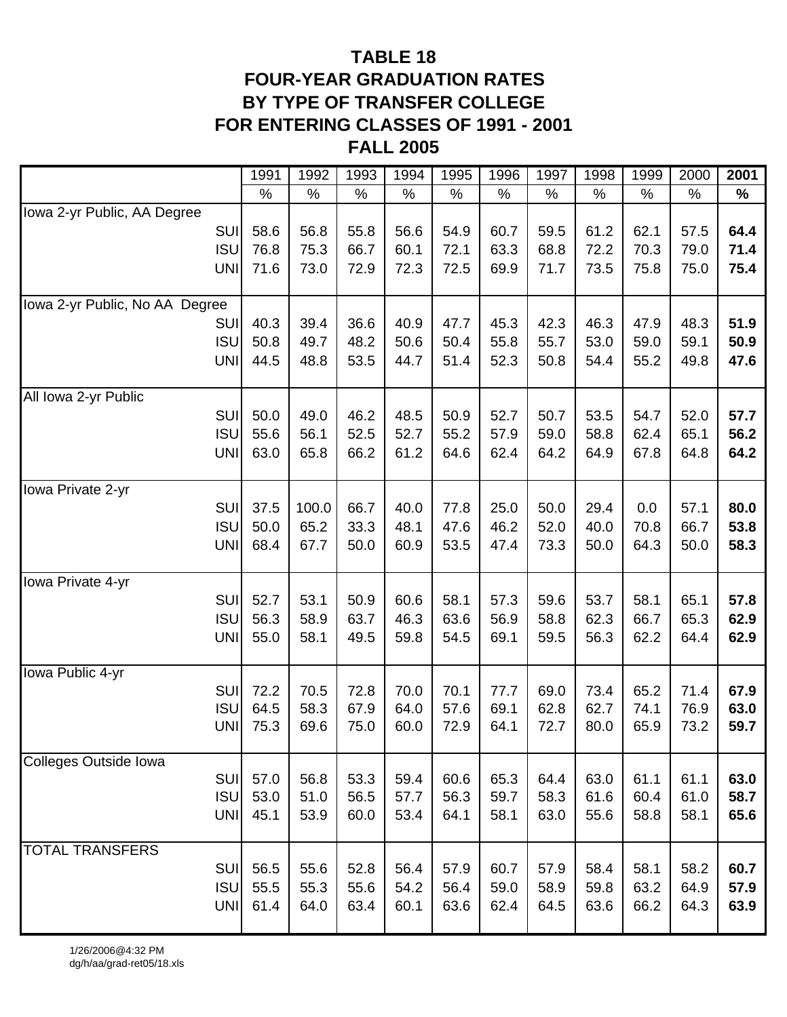## **TABLE 18 FOUR-YEAR GRADUATION RATES BY TYPE OF TRANSFER COLLEGE FOR ENTERING CLASSES OF 1991 - 2001 FALL 2005**

|                                | 1991 | 1992  | 1993 | 1994 | 1995 | 1996 | 1997 | 1998 | 1999 | 2000 | 2001 |
|--------------------------------|------|-------|------|------|------|------|------|------|------|------|------|
|                                | $\%$ | $\%$  | $\%$ | $\%$ | $\%$ | $\%$ | $\%$ | $\%$ | $\%$ | $\%$ | ℅    |
| Iowa 2-yr Public, AA Degree    |      |       |      |      |      |      |      |      |      |      |      |
| SUI                            | 58.6 | 56.8  | 55.8 | 56.6 | 54.9 | 60.7 | 59.5 | 61.2 | 62.1 | 57.5 | 64.4 |
| <b>ISU</b>                     | 76.8 | 75.3  | 66.7 | 60.1 | 72.1 | 63.3 | 68.8 | 72.2 | 70.3 | 79.0 | 71.4 |
| <b>UNI</b>                     | 71.6 | 73.0  | 72.9 | 72.3 | 72.5 | 69.9 | 71.7 | 73.5 | 75.8 | 75.0 | 75.4 |
| lowa 2-yr Public, No AA Degree |      |       |      |      |      |      |      |      |      |      |      |
| SUI                            | 40.3 | 39.4  | 36.6 | 40.9 | 47.7 | 45.3 | 42.3 | 46.3 | 47.9 | 48.3 | 51.9 |
| <b>ISU</b>                     | 50.8 | 49.7  | 48.2 | 50.6 | 50.4 | 55.8 | 55.7 | 53.0 | 59.0 | 59.1 | 50.9 |
| <b>UNI</b>                     | 44.5 | 48.8  | 53.5 | 44.7 | 51.4 | 52.3 | 50.8 | 54.4 | 55.2 | 49.8 | 47.6 |
|                                |      |       |      |      |      |      |      |      |      |      |      |
| All Iowa 2-yr Public           |      |       |      |      |      |      |      |      |      |      |      |
| SUI                            | 50.0 | 49.0  | 46.2 | 48.5 | 50.9 | 52.7 | 50.7 | 53.5 | 54.7 | 52.0 | 57.7 |
| <b>ISU</b>                     | 55.6 | 56.1  | 52.5 | 52.7 | 55.2 | 57.9 | 59.0 | 58.8 | 62.4 | 65.1 | 56.2 |
| <b>UNI</b>                     | 63.0 | 65.8  | 66.2 | 61.2 | 64.6 | 62.4 | 64.2 | 64.9 | 67.8 | 64.8 | 64.2 |
| Iowa Private 2-yr              |      |       |      |      |      |      |      |      |      |      |      |
| SUI                            | 37.5 | 100.0 | 66.7 | 40.0 | 77.8 | 25.0 | 50.0 | 29.4 | 0.0  | 57.1 | 80.0 |
| <b>ISU</b>                     | 50.0 | 65.2  | 33.3 | 48.1 | 47.6 | 46.2 | 52.0 | 40.0 | 70.8 | 66.7 | 53.8 |
| <b>UNI</b>                     | 68.4 | 67.7  | 50.0 | 60.9 | 53.5 | 47.4 | 73.3 | 50.0 | 64.3 | 50.0 | 58.3 |
|                                |      |       |      |      |      |      |      |      |      |      |      |
| Iowa Private 4-yr              |      |       |      |      |      |      |      |      |      |      |      |
| SUI                            | 52.7 | 53.1  | 50.9 | 60.6 | 58.1 | 57.3 | 59.6 | 53.7 | 58.1 | 65.1 | 57.8 |
| <b>ISU</b>                     | 56.3 | 58.9  | 63.7 | 46.3 | 63.6 | 56.9 | 58.8 | 62.3 | 66.7 | 65.3 | 62.9 |
| <b>UNI</b>                     | 55.0 | 58.1  | 49.5 | 59.8 | 54.5 | 69.1 | 59.5 | 56.3 | 62.2 | 64.4 | 62.9 |
| Iowa Public 4-yr               |      |       |      |      |      |      |      |      |      |      |      |
| SUI                            | 72.2 | 70.5  | 72.8 | 70.0 | 70.1 | 77.7 | 69.0 | 73.4 | 65.2 | 71.4 | 67.9 |
| <b>ISU</b>                     | 64.5 | 58.3  | 67.9 | 64.0 | 57.6 | 69.1 | 62.8 | 62.7 | 74.1 | 76.9 | 63.0 |
| <b>UNI</b>                     | 75.3 | 69.6  | 75.0 | 60.0 | 72.9 | 64.1 | 72.7 | 80.0 | 65.9 | 73.2 | 59.7 |
| Colleges Outside Iowa          |      |       |      |      |      |      |      |      |      |      |      |
| SUI                            | 57.0 | 56.8  | 53.3 | 59.4 | 60.6 | 65.3 | 64.4 | 63.0 | 61.1 | 61.1 | 63.0 |
| <b>ISU</b>                     | 53.0 | 51.0  | 56.5 | 57.7 | 56.3 | 59.7 | 58.3 | 61.6 | 60.4 | 61.0 | 58.7 |
| <b>UNI</b>                     | 45.1 | 53.9  | 60.0 | 53.4 | 64.1 | 58.1 | 63.0 | 55.6 | 58.8 | 58.1 | 65.6 |
|                                |      |       |      |      |      |      |      |      |      |      |      |
| <b>TOTAL TRANSFERS</b>         |      |       |      |      |      |      |      |      |      |      |      |
| <b>SUI</b>                     | 56.5 | 55.6  | 52.8 | 56.4 | 57.9 | 60.7 | 57.9 | 58.4 | 58.1 | 58.2 | 60.7 |
| <b>ISU</b>                     | 55.5 | 55.3  | 55.6 | 54.2 | 56.4 | 59.0 | 58.9 | 59.8 | 63.2 | 64.9 | 57.9 |
| <b>UNI</b>                     | 61.4 | 64.0  | 63.4 | 60.1 | 63.6 | 62.4 | 64.5 | 63.6 | 66.2 | 64.3 | 63.9 |
|                                |      |       |      |      |      |      |      |      |      |      |      |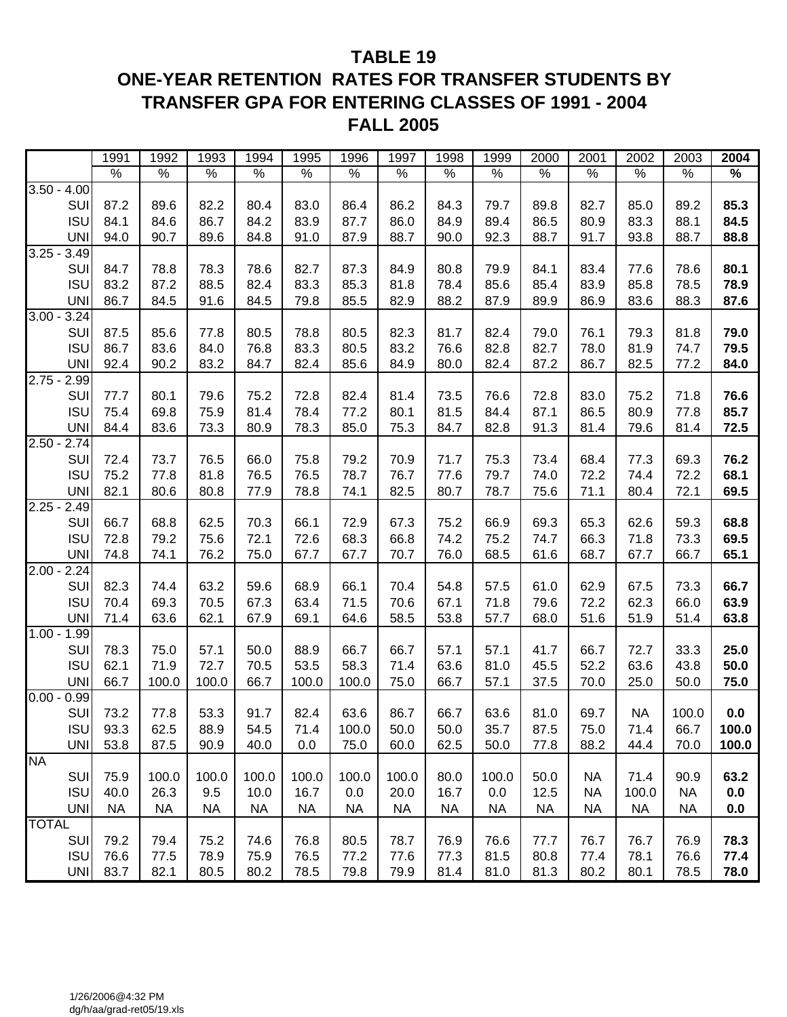## **TABLE 19 ONE-YEAR RETENTION RATES FOR TRANSFER STUDENTS BY TRANSFER GPA FOR ENTERING CLASSES OF 1991 - 2004 FALL 2005**

|               |             | 1991      | 1992      | 1993      | 1994      | 1995      | 1996      | 1997      | 1998      | 1999      | 2000      | 2001      | 2002      | 2003      | 2004  |
|---------------|-------------|-----------|-----------|-----------|-----------|-----------|-----------|-----------|-----------|-----------|-----------|-----------|-----------|-----------|-------|
|               |             | $\%$      | $\%$      | $\%$      | $\%$      | $\%$      | $\%$      | $\%$      | $\%$      | $\%$      | $\%$      | $\%$      | $\%$      | $\%$      | $\%$  |
| $3.50 - 4.00$ |             |           |           |           |           |           |           |           |           |           |           |           |           |           |       |
|               | SUI         | 87.2      | 89.6      | 82.2      | 80.4      | 83.0      | 86.4      | 86.2      | 84.3      | 79.7      | 89.8      | 82.7      | 85.0      | 89.2      | 85.3  |
|               | <b>ISU</b>  | 84.1      | 84.6      | 86.7      | 84.2      | 83.9      | 87.7      | 86.0      | 84.9      | 89.4      | 86.5      | 80.9      | 83.3      | 88.1      | 84.5  |
|               | <b>UNI</b>  | 94.0      | 90.7      | 89.6      | 84.8      | 91.0      | 87.9      | 88.7      | 90.0      | 92.3      | 88.7      | 91.7      | 93.8      | 88.7      | 88.8  |
| $3.25 -$      | 3.49        |           |           |           |           |           |           |           |           |           |           |           |           |           |       |
|               | SUI         | 84.7      | 78.8      | 78.3      | 78.6      | 82.7      | 87.3      | 84.9      | 80.8      | 79.9      | 84.1      | 83.4      | 77.6      | 78.6      | 80.1  |
|               | <b>ISU</b>  | 83.2      | 87.2      | 88.5      | 82.4      | 83.3      | 85.3      | 81.8      | 78.4      | 85.6      | 85.4      | 83.9      | 85.8      | 78.5      | 78.9  |
|               | <b>UNI</b>  | 86.7      | 84.5      | 91.6      | 84.5      | 79.8      | 85.5      | 82.9      | 88.2      | 87.9      | 89.9      | 86.9      | 83.6      | 88.3      | 87.6  |
| $3.00 -$      | 3.24        |           |           |           |           |           |           |           |           |           |           |           |           |           |       |
|               | SUI         | 87.5      | 85.6      | 77.8      | 80.5      | 78.8      | 80.5      | 82.3      | 81.7      | 82.4      | 79.0      | 76.1      | 79.3      | 81.8      | 79.0  |
|               | <b>ISU</b>  | 86.7      | 83.6      | 84.0      | 76.8      | 83.3      | 80.5      | 83.2      | 76.6      | 82.8      | 82.7      | 78.0      | 81.9      | 74.7      | 79.5  |
|               | <b>UNI</b>  | 92.4      | 90.2      | 83.2      | 84.7      | 82.4      | 85.6      | 84.9      | 80.0      | 82.4      | 87.2      | 86.7      | 82.5      | 77.2      | 84.0  |
| $2.75 - 2.99$ |             |           |           |           |           |           |           |           |           |           |           |           |           |           |       |
|               | SUI         | 77.7      | 80.1      | 79.6      | 75.2      | 72.8      | 82.4      | 81.4      | 73.5      | 76.6      | 72.8      | 83.0      | 75.2      | 71.8      | 76.6  |
|               | <b>ISU</b>  | 75.4      | 69.8      | 75.9      | 81.4      | 78.4      | 77.2      | 80.1      | 81.5      | 84.4      | 87.1      | 86.5      | 80.9      | 77.8      | 85.7  |
|               | <b>UNI</b>  | 84.4      | 83.6      | 73.3      | 80.9      | 78.3      | 85.0      | 75.3      | 84.7      | 82.8      | 91.3      | 81.4      | 79.6      | 81.4      | 72.5  |
| 2.50          | 2.74        |           |           |           |           |           |           |           |           |           |           |           |           |           |       |
|               | SUI         | 72.4      | 73.7      | 76.5      | 66.0      | 75.8      | 79.2      | 70.9      | 71.7      | 75.3      | 73.4      | 68.4      | 77.3      | 69.3      | 76.2  |
|               | <b>ISU</b>  | 75.2      | 77.8      | 81.8      | 76.5      | 76.5      | 78.7      | 76.7      | 77.6      | 79.7      | 74.0      | 72.2      | 74.4      | 72.2      | 68.1  |
|               | <b>UNI</b>  | 82.1      | 80.6      | 80.8      | 77.9      | 78.8      | 74.1      | 82.5      | 80.7      | 78.7      | 75.6      | 71.1      | 80.4      | 72.1      | 69.5  |
| $2.25 -$      | 2.49        |           |           |           |           |           |           |           |           |           |           |           |           |           |       |
|               | SUI         | 66.7      | 68.8      | 62.5      | 70.3      | 66.1      | 72.9      | 67.3      | 75.2      | 66.9      | 69.3      | 65.3      | 62.6      | 59.3      | 68.8  |
|               | <b>ISU</b>  | 72.8      | 79.2      | 75.6      | 72.1      | 72.6      | 68.3      | 66.8      | 74.2      | 75.2      | 74.7      | 66.3      | 71.8      | 73.3      | 69.5  |
|               | <b>UNI</b>  | 74.8      | 74.1      | 76.2      | 75.0      | 67.7      | 67.7      | 70.7      | 76.0      | 68.5      | 61.6      | 68.7      | 67.7      | 66.7      | 65.1  |
| $2.00 - 2.24$ |             |           |           |           |           |           |           |           |           |           |           |           |           |           |       |
|               | SUI         | 82.3      | 74.4      | 63.2      | 59.6      | 68.9      | 66.1      | 70.4      | 54.8      | 57.5      | 61.0      | 62.9      | 67.5      | 73.3      | 66.7  |
|               | <b>ISU</b>  | 70.4      | 69.3      | 70.5      | 67.3      | 63.4      | 71.5      | 70.6      | 67.1      | 71.8      | 79.6      | 72.2      | 62.3      | 66.0      | 63.9  |
|               | <b>UNI</b>  | 71.4      | 63.6      | 62.1      | 67.9      | 69.1      | 64.6      | 58.5      | 53.8      | 57.7      | 68.0      | 51.6      | 51.9      | 51.4      | 63.8  |
| $1.00 - 1.99$ |             |           |           |           |           |           |           |           |           |           |           |           |           |           |       |
|               | SUI         | 78.3      | 75.0      | 57.1      | 50.0      | 88.9      | 66.7      | 66.7      | 57.1      | 57.1      | 41.7      | 66.7      | 72.7      | 33.3      | 25.0  |
|               | <b>ISU</b>  | 62.1      | 71.9      | 72.7      | 70.5      | 53.5      | 58.3      | 71.4      | 63.6      | 81.0      | 45.5      | 52.2      | 63.6      | 43.8      | 50.0  |
|               | <b>UNI</b>  | 66.7      | 100.0     | 100.0     | 66.7      | 100.0     | 100.0     | 75.0      | 66.7      | 57.1      | 37.5      | 70.0      | 25.0      | 50.0      | 75.0  |
| $0.00 - 0.99$ |             |           |           |           |           |           |           |           |           |           |           |           |           |           |       |
|               | SUI         | 73.2      | 77.8      | 53.3      | 91.7      | 82.4      | 63.6      | 86.7      | 66.7      | 63.6      | 81.0      | 69.7      | <b>NA</b> | 100.0     | 0.0   |
|               | <b>ISUI</b> | 93.3      | 62.5      | 88.9      | 54.5      | 71.4      | 100.0     | 50.0      | 50.0      | 35.7      | 87.5      | 75.0      | 71.4      | 66.7      | 100.0 |
|               | <b>UNI</b>  | 53.8      | 87.5      | 90.9      | 40.0      | 0.0       | 75.0      | 60.0      | 62.5      | 50.0      | 77.8      | 88.2      | 44.4      | 70.0      | 100.0 |
| <b>NA</b>     |             |           |           |           |           |           |           |           |           |           |           |           |           |           |       |
|               | <b>SUI</b>  | 75.9      | 100.0     | 100.0     | 100.0     | 100.0     | 100.0     | 100.0     | 80.0      | 100.0     | 50.0      | <b>NA</b> | 71.4      | 90.9      | 63.2  |
|               | <b>ISU</b>  | 40.0      | 26.3      | 9.5       | 10.0      | 16.7      | 0.0       | 20.0      | 16.7      | 0.0       | 12.5      | <b>NA</b> | 100.0     | <b>NA</b> | 0.0   |
|               | <b>UNI</b>  | <b>NA</b> | <b>NA</b> | <b>NA</b> | <b>NA</b> | <b>NA</b> | <b>NA</b> | <b>NA</b> | <b>NA</b> | <b>NA</b> | <b>NA</b> | <b>NA</b> | <b>NA</b> | <b>NA</b> | 0.0   |
| <b>TOTAL</b>  |             |           |           |           |           |           |           |           |           |           |           |           |           |           |       |
|               | <b>SUI</b>  | 79.2      | 79.4      | 75.2      | 74.6      | 76.8      | 80.5      | 78.7      | 76.9      | 76.6      | 77.7      | 76.7      | 76.7      | 76.9      | 78.3  |
|               | <b>ISU</b>  | 76.6      | 77.5      | 78.9      | 75.9      | 76.5      | 77.2      | 77.6      | 77.3      | 81.5      | 80.8      | 77.4      | 78.1      | 76.6      | 77.4  |
|               | <b>UNI</b>  | 83.7      | 82.1      | 80.5      | 80.2      | 78.5      | 79.8      | 79.9      | 81.4      | 81.0      | 81.3      | 80.2      | 80.1      | 78.5      | 78.0  |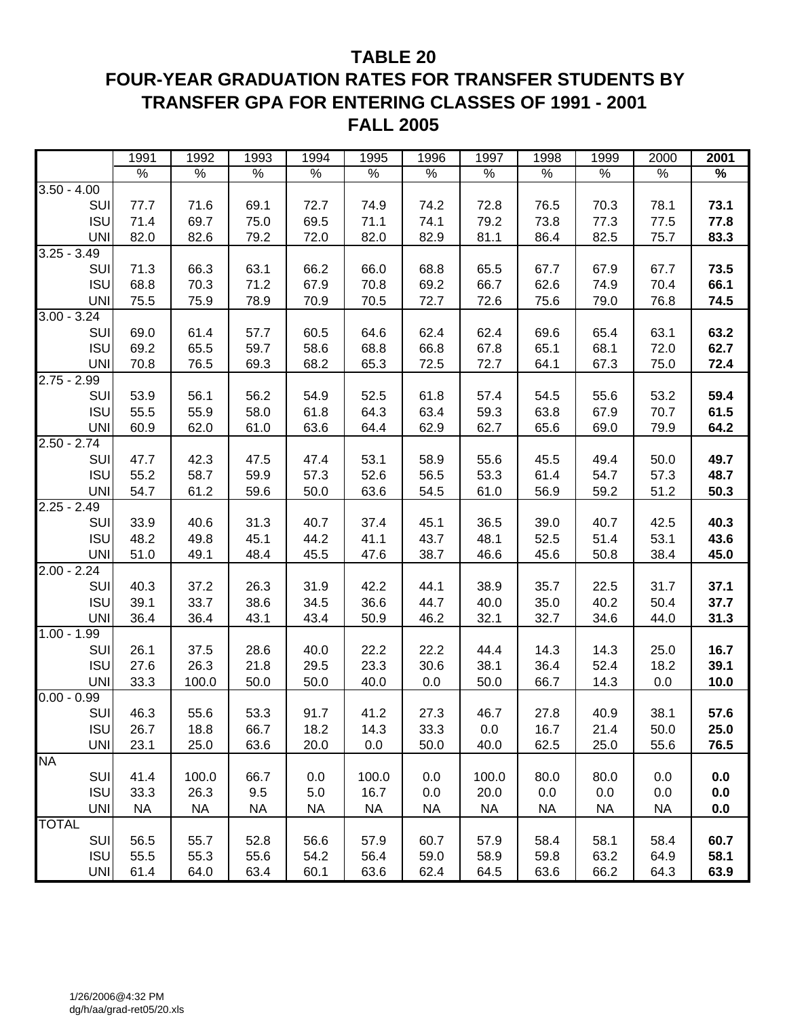#### **TABLE 20**

## **FOUR-YEAR GRADUATION RATES FOR TRANSFER STUDENTS BY TRANSFER GPA FOR ENTERING CLASSES OF 1991 - 2001 FALL 2005**

|               | 1991          | 1992          | 1993          | 1994          | 1995          | 1996          | 1997          | 1998          | 1999      | 2000      | 2001    |
|---------------|---------------|---------------|---------------|---------------|---------------|---------------|---------------|---------------|-----------|-----------|---------|
|               | $\frac{9}{6}$ | $\frac{8}{6}$ | $\frac{8}{6}$ | $\frac{8}{6}$ | $\frac{0}{6}$ | $\frac{0}{6}$ | $\frac{8}{6}$ | $\frac{8}{6}$ | $\%$      | $\%$      | $\%$    |
| $3.50 - 4.00$ |               |               |               |               |               |               |               |               |           |           |         |
| SUI           | 77.7          | 71.6          | 69.1          | 72.7          | 74.9          | 74.2          | 72.8          | 76.5          | 70.3      | 78.1      | 73.1    |
| <b>ISU</b>    | 71.4          | 69.7          | 75.0          | 69.5          | 71.1          | 74.1          | 79.2          | 73.8          | 77.3      | 77.5      | 77.8    |
| <b>UNI</b>    | 82.0          | 82.6          | 79.2          | 72.0          | 82.0          | 82.9          | 81.1          | 86.4          | 82.5      | 75.7      | 83.3    |
| $3.25 - 3.49$ |               |               |               |               |               |               |               |               |           |           |         |
| SUI           | 71.3          | 66.3          | 63.1          | 66.2          | 66.0          | 68.8          | 65.5          | 67.7          | 67.9      | 67.7      | 73.5    |
| <b>ISU</b>    | 68.8          | 70.3          | 71.2          | 67.9          | 70.8          | 69.2          | 66.7          | 62.6          | 74.9      | 70.4      | 66.1    |
| <b>UNI</b>    | 75.5          | 75.9          | 78.9          | 70.9          | 70.5          | 72.7          | 72.6          | 75.6          | 79.0      | 76.8      | 74.5    |
| $3.00 - 3.24$ |               |               |               |               |               |               |               |               |           |           |         |
| SUI           | 69.0          | 61.4          | 57.7          | 60.5          | 64.6          | 62.4          | 62.4          | 69.6          | 65.4      | 63.1      | 63.2    |
| <b>ISU</b>    | 69.2          | 65.5          | 59.7          | 58.6          | 68.8          | 66.8          | 67.8          | 65.1          | 68.1      | 72.0      | 62.7    |
| <b>UNI</b>    | 70.8          | 76.5          | 69.3          | 68.2          | 65.3          | 72.5          | 72.7          | 64.1          | 67.3      | 75.0      | 72.4    |
| $2.75 - 2.99$ |               |               |               |               |               |               |               |               |           |           |         |
| SUI           | 53.9          | 56.1          | 56.2          | 54.9          | 52.5          | 61.8          | 57.4          | 54.5          | 55.6      | 53.2      | 59.4    |
| <b>ISU</b>    | 55.5          | 55.9          | 58.0          | 61.8          | 64.3          | 63.4          | 59.3          | 63.8          | 67.9      | 70.7      | 61.5    |
| <b>UNI</b>    | 60.9          | 62.0          | 61.0          | 63.6          | 64.4          | 62.9          | 62.7          | 65.6          | 69.0      | 79.9      | 64.2    |
| $2.50 - 2.74$ |               |               |               |               |               |               |               |               |           |           |         |
| SUI           | 47.7          | 42.3          | 47.5          | 47.4          | 53.1          | 58.9          | 55.6          | 45.5          | 49.4      | 50.0      | 49.7    |
| <b>ISU</b>    | 55.2          | 58.7          | 59.9          | 57.3          | 52.6          | 56.5          | 53.3          | 61.4          | 54.7      | 57.3      | 48.7    |
| <b>UNI</b>    | 54.7          | 61.2          | 59.6          | 50.0          | 63.6          | 54.5          | 61.0          | 56.9          | 59.2      | 51.2      | 50.3    |
| $2.25 - 2.49$ |               |               |               |               |               |               |               |               |           |           |         |
| SUI           | 33.9          | 40.6          | 31.3          | 40.7          | 37.4          | 45.1          | 36.5          | 39.0          | 40.7      | 42.5      | 40.3    |
| <b>ISU</b>    | 48.2          | 49.8          | 45.1          | 44.2          | 41.1          | 43.7          | 48.1          | 52.5          | 51.4      | 53.1      | 43.6    |
| <b>UNI</b>    | 51.0          | 49.1          | 48.4          | 45.5          | 47.6          | 38.7          | 46.6          | 45.6          | 50.8      | 38.4      | 45.0    |
| $2.00 - 2.24$ |               |               |               |               |               |               |               |               |           |           |         |
| SUI           | 40.3          | 37.2          | 26.3          | 31.9          | 42.2          | 44.1          | 38.9          | 35.7          | 22.5      | 31.7      | 37.1    |
| <b>ISU</b>    | 39.1          | 33.7          | 38.6          | 34.5          | 36.6          | 44.7          | 40.0          | 35.0          | 40.2      | 50.4      | 37.7    |
| <b>UNI</b>    | 36.4          | 36.4          | 43.1          | 43.4          | 50.9          | 46.2          | 32.1          | 32.7          | 34.6      | 44.0      | 31.3    |
| $1.00 - 1.99$ |               |               |               |               |               |               |               |               |           |           |         |
| SUI           | 26.1          | 37.5          | 28.6          | 40.0          | 22.2          | 22.2          | 44.4          | 14.3          | 14.3      | 25.0      | 16.7    |
| <b>ISU</b>    | 27.6          | 26.3          | 21.8          | 29.5          | 23.3          | 30.6          | 38.1          | 36.4          | 52.4      | 18.2      | 39.1    |
| <b>UNI</b>    | 33.3          | 100.0         | 50.0          | 50.0          | 40.0          | 0.0           | 50.0          | 66.7          | 14.3      | 0.0       | 10.0    |
| $0.00 - 0.99$ |               |               |               |               |               |               |               |               |           |           |         |
| SUI           | 46.3          | 55.6          | 53.3          | 91.7          | 41.2          | 27.3          | 46.7          | 27.8          | 40.9      | 38.1      | 57.6    |
| <b>ISU</b>    | 26.7          | 18.8          | 66.7          | 18.2          | 14.3          | 33.3          | 0.0           | 16.7          | 21.4      | 50.0      | 25.0    |
| <b>UNI</b>    | 23.1          | 25.0          | 63.6          | 20.0          | 0.0           | 50.0          | 40.0          | 62.5          | 25.0      | 55.6      | 76.5    |
| <b>NA</b>     |               |               |               |               |               |               |               |               |           |           |         |
| SUI           | 41.4          | 100.0         | 66.7          | 0.0           | 100.0         | 0.0           | 100.0         | 80.0          | 80.0      | 0.0       | 0.0     |
| <b>ISU</b>    | 33.3          | 26.3          | 9.5           | 5.0           | 16.7          | 0.0           | 20.0          | 0.0           | 0.0       | 0.0       | 0.0     |
| <b>UNI</b>    | <b>NA</b>     | <b>NA</b>     | <b>NA</b>     | <b>NA</b>     | <b>NA</b>     | <b>NA</b>     | <b>NA</b>     | <b>NA</b>     | <b>NA</b> | <b>NA</b> | $0.0\,$ |
| <b>TOTAL</b>  |               |               |               |               |               |               |               |               |           |           |         |
| SUI           | 56.5          | 55.7          | 52.8          | 56.6          | 57.9          | 60.7          | 57.9          | 58.4          | 58.1      | 58.4      | 60.7    |
| <b>ISU</b>    | 55.5          | 55.3          | 55.6          | 54.2          | 56.4          | 59.0          | 58.9          | 59.8          | 63.2      | 64.9      | 58.1    |
| <b>UNI</b>    | 61.4          | 64.0          | 63.4          | 60.1          | 63.6          | 62.4          | 64.5          | 63.6          | 66.2      | 64.3      | 63.9    |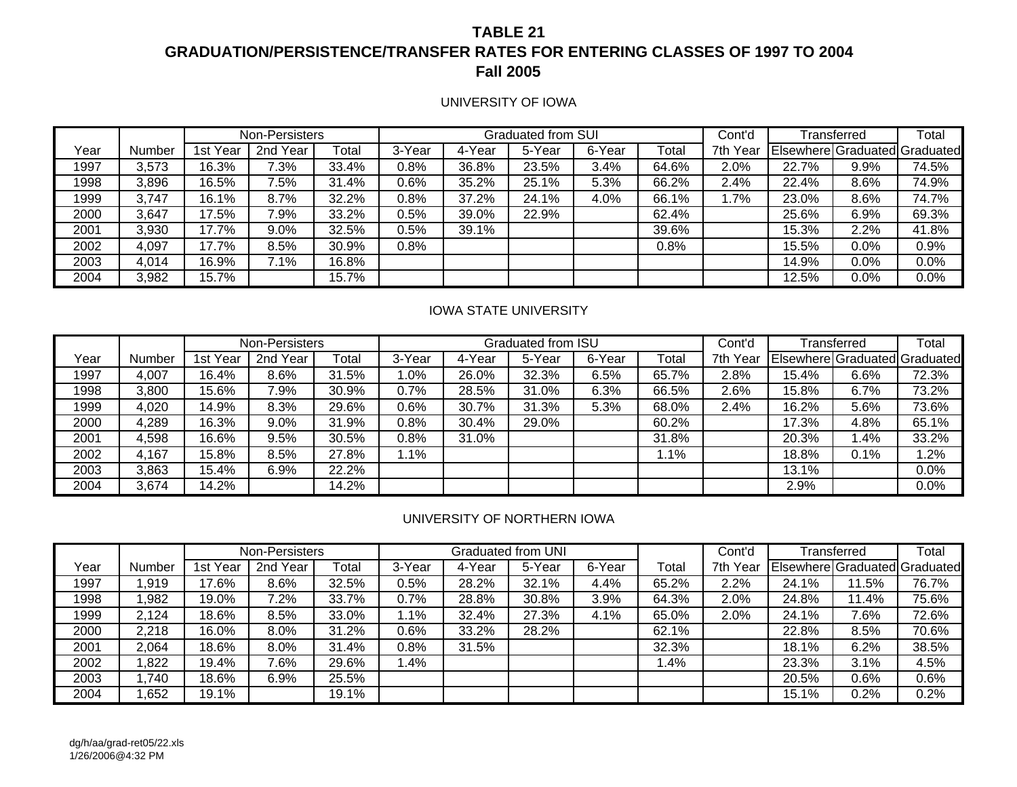### **TABLE 21GRADUATION/PERSISTENCE/TRANSFER RATES FOR ENTERING CLASSES OF 1997 TO 2004 Fall 2005**

#### UNIVERSITY OF IOWA

|      |        |          | Non-Persisters |       |        |        | <b>Graduated from SUI</b> |        |       | Cont'd   |       | Transferred | Total                         |
|------|--------|----------|----------------|-------|--------|--------|---------------------------|--------|-------|----------|-------|-------------|-------------------------------|
| Year | Number | 1st Year | 2nd Year       | Total | 3-Year | 4-Year | 5-Year                    | 6-Year | Total | 7th Year |       |             | Elsewhere Graduated Graduated |
| 1997 | 3,573  | 16.3%    | 7.3%           | 33.4% | 0.8%   | 36.8%  | 23.5%                     | 3.4%   | 64.6% | 2.0%     | 22.7% | 9.9%        | 74.5%                         |
| 1998 | 3,896  | 16.5%    | 7.5%           | 31.4% | 0.6%   | 35.2%  | 25.1%                     | 5.3%   | 66.2% | 2.4%     | 22.4% | 8.6%        | 74.9%                         |
| 1999 | 3,747  | 16.1%    | 8.7%           | 32.2% | 0.8%   | 37.2%  | 24.1%                     | 4.0%   | 66.1% | .7%      | 23.0% | 8.6%        | 74.7%                         |
| 2000 | 3,647  | 17.5%    | 7.9%           | 33.2% | 0.5%   | 39.0%  | 22.9%                     |        | 62.4% |          | 25.6% | 6.9%        | 69.3%                         |
| 2001 | 3,930  | 17.7%    | 9.0%           | 32.5% | 0.5%   | 39.1%  |                           |        | 39.6% |          | 15.3% | 2.2%        | 41.8%                         |
| 2002 | 4,097  | 17.7%    | 8.5%           | 30.9% | 0.8%   |        |                           |        | 0.8%  |          | 15.5% | 0.0%        | 0.9%                          |
| 2003 | 4,014  | 16.9%    | 7.1%           | 16.8% |        |        |                           |        |       |          | 14.9% | 0.0%        | 0.0%                          |
| 2004 | 3,982  | 15.7%    |                | 15.7% |        |        |                           |        |       |          | 12.5% | 0.0%        | 0.0%                          |

#### IOWA STATE UNIVERSITY

|      |        |          | Non-Persisters |       |         |        | Graduated from ISU |        |       | Cont'd   |       | Transferred | Total                         |
|------|--------|----------|----------------|-------|---------|--------|--------------------|--------|-------|----------|-------|-------------|-------------------------------|
| Year | Number | 1st Year | 2nd Year       | Total | 3-Year  | 4-Year | 5-Year             | 6-Year | Total | 7th Year |       |             | Elsewhere Graduated Graduated |
| 1997 | 4,007  | 16.4%    | 8.6%           | 31.5% | .0%     | 26.0%  | 32.3%              | 6.5%   | 65.7% | 2.8%     | 15.4% | $6.6\%$     | 72.3%                         |
| 1998 | 3,800  | 15.6%    | 7.9%           | 30.9% | $0.7\%$ | 28.5%  | 31.0%              | 6.3%   | 66.5% | 2.6%     | 15.8% | 6.7%        | 73.2%                         |
| 1999 | 4,020  | 14.9%    | 8.3%           | 29.6% | 0.6%    | 30.7%  | 31.3%              | 5.3%   | 68.0% | 2.4%     | 16.2% | 5.6%        | $73.6\%$                      |
| 2000 | 4,289  | 16.3%    | 9.0%           | 31.9% | 0.8%    | 30.4%  | 29.0%              |        | 60.2% |          | 17.3% | 4.8%        | 65.1%                         |
| 2001 | 4,598  | 16.6%    | 9.5%           | 30.5% | 0.8%    | 31.0%  |                    |        | 31.8% |          | 20.3% | 4%.ا        | 33.2%                         |
| 2002 | 4,167  | 15.8%    | 8.5%           | 27.8% | $.1\%$  |        |                    |        | 1.1%  |          | 18.8% | 0.1%        | $.2\%$                        |
| 2003 | 3,863  | 15.4%    | 6.9%           | 22.2% |         |        |                    |        |       |          | 13.1% |             | $0.0\%$                       |
| 2004 | 3,674  | 14.2%    |                | 14.2% |         |        |                    |        |       |          | 2.9%  |             | 0.0%                          |

#### UNIVERSITY OF NORTHERN IOWA

|      |        |          | Non-Persisters |       |         |        | Graduated from UNI |        |       | Cont'd   |       | Transferred | Total                         |
|------|--------|----------|----------------|-------|---------|--------|--------------------|--------|-------|----------|-------|-------------|-------------------------------|
| Year | Number | 1st Year | 2nd Year       | Total | 3-Year  | 4-Year | 5-Year             | 6-Year | Total | 7th Year |       |             | Elsewhere Graduated Graduated |
| 1997 | .919   | 17.6%    | 8.6%           | 32.5% | 0.5%    | 28.2%  | 32.1%              | 4.4%   | 65.2% | 2.2%     | 24.1% | 11.5%       | 76.7%                         |
| 1998 | ,982   | 19.0%    | 7.2%           | 33.7% | 0.7%    | 28.8%  | 30.8%              | 3.9%   | 64.3% | 2.0%     | 24.8% | 11.4%       | 75.6%                         |
| 1999 | 2,124  | 18.6%    | 8.5%           | 33.0% | 1.1%    | 32.4%  | 27.3%              | 4.1%   | 65.0% | 2.0%     | 24.1% | 7.6%        | 72.6%                         |
| 2000 | 2,218  | 16.0%    | 8.0%           | 31.2% | $0.6\%$ | 33.2%  | 28.2%              |        | 62.1% |          | 22.8% | 8.5%        | 70.6%                         |
| 2001 | 2,064  | 18.6%    | 8.0%           | 31.4% | 0.8%    | 31.5%  |                    |        | 32.3% |          | 18.1% | 6.2%        | 38.5%                         |
| 2002 | ,822   | 19.4%    | 7.6%           | 29.6% | .4%     |        |                    |        | 1.4%  |          | 23.3% | 3.1%        | 4.5%                          |
| 2003 | ,740   | 18.6%    | 6.9%           | 25.5% |         |        |                    |        |       |          | 20.5% | 0.6%        | 0.6%                          |
| 2004 | ,652   | 19.1%    |                | 19.1% |         |        |                    |        |       |          | 15.1% | 0.2%        | 0.2%                          |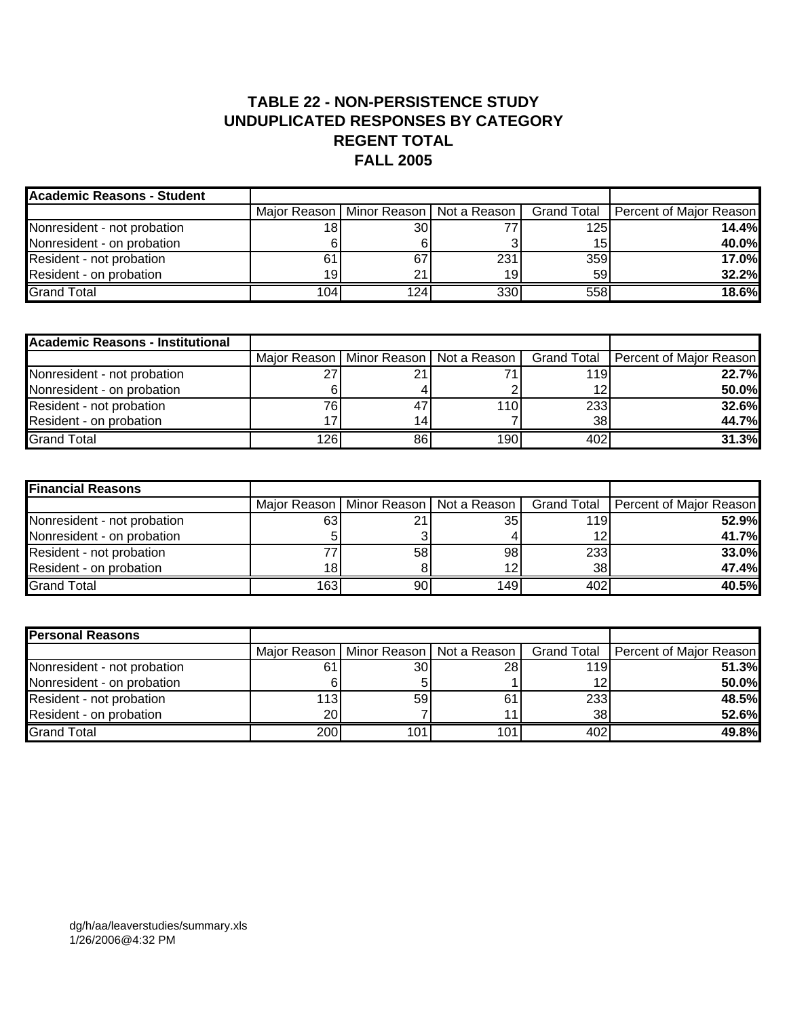#### **TABLE 22 - NON-PERSISTENCE STUDY UNDUPLICATED RESPONSES BY CATEGORY REGENT TOTAL FALL 2005**

| <b>Academic Reasons - Student</b> |                  |                  |     |                  |                                                                                    |
|-----------------------------------|------------------|------------------|-----|------------------|------------------------------------------------------------------------------------|
|                                   |                  |                  |     |                  | Major Reason   Minor Reason   Not a Reason   Grand Total   Percent of Major Reason |
| Nonresident - not probation       | 18ı              | 30               |     | 125 <sub>1</sub> | 14.4%                                                                              |
| Nonresident - on probation        |                  |                  |     | 15               | 40.0%                                                                              |
| Resident - not probation          |                  | 67               | 231 | 359              | <b>17.0%</b>                                                                       |
| Resident - on probation           | 19               | 21               | 19  | 59               | 32.2%                                                                              |
| <b>Grand Total</b>                | 104 <sub>1</sub> | 124 <sub>1</sub> | 330 | 558              | 18.6%                                                                              |

| <b>Academic Reasons - Institutional</b> |      |     |      |     |                                                                                    |
|-----------------------------------------|------|-----|------|-----|------------------------------------------------------------------------------------|
|                                         |      |     |      |     | Major Reason   Minor Reason   Not a Reason   Grand Total   Percent of Major Reason |
| Nonresident - not probation             |      | 21  |      | 119 | 22.7%                                                                              |
| Nonresident - on probation              |      |     |      | 12  | 50.0%                                                                              |
| Resident - not probation                | 761  | 47  | 110I | 233 | 32.6%                                                                              |
| Resident - on probation                 |      | 14. |      | 38  | 44.7%                                                                              |
| <b>Grand Total</b>                      | 126I | 86  | 1901 | 402 | 31.3%                                                                              |

| <b>Financial Reasons</b>    |     |                 |                                            |                 |                                       |
|-----------------------------|-----|-----------------|--------------------------------------------|-----------------|---------------------------------------|
|                             |     |                 | Major Reason   Minor Reason   Not a Reason |                 | Grand Total   Percent of Major Reason |
| Nonresident - not probation | 63  | 21              | 35                                         | <b>119</b>      | 52.9%                                 |
| Nonresident - on probation  |     |                 |                                            | 12              | 41.7%                                 |
| Resident - not probation    |     | 58 <sub>l</sub> | 98                                         | 233             | 33.0%                                 |
| Resident - on probation     | 181 |                 | 1つ                                         | 38 <sub>l</sub> | 47.4%                                 |
| <b>Grand Total</b>          | 163 | 90I             | 149                                        | 402             | 40.5%                                 |

| <b>Personal Reasons</b>     |           |                                            |                 |     |                                       |
|-----------------------------|-----------|--------------------------------------------|-----------------|-----|---------------------------------------|
|                             |           | Major Reason   Minor Reason   Not a Reason |                 |     | Grand Total   Percent of Major Reason |
| Nonresident - not probation | 61        | 30 <sup>l</sup>                            | 28 <sub>l</sub> | 119 | 51.3%                                 |
| Nonresident - on probation  |           |                                            |                 | 12  | 50.0%                                 |
| Resident - not probation    | 113       | 59                                         | 61              | 233 | 48.5%                                 |
| Resident - on probation     | <b>20</b> |                                            |                 | 38  | 52.6%                                 |
| <b>Grand Total</b>          | 200       | 101l                                       | 101             | 402 | 49.8%                                 |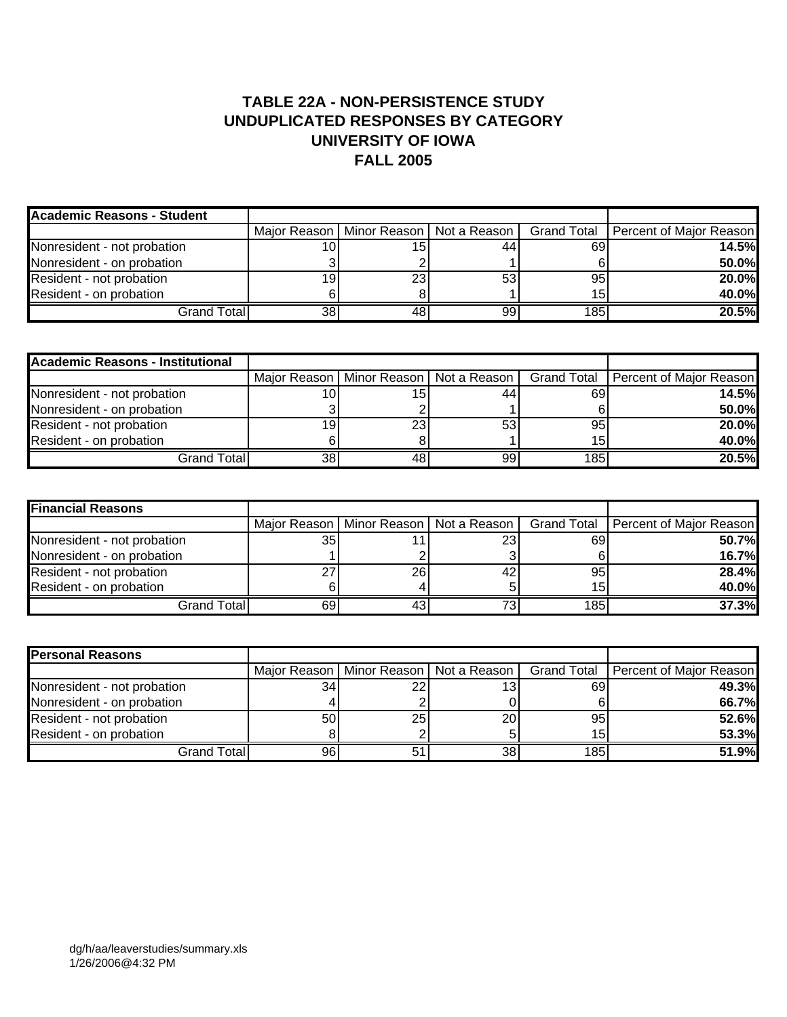### **TABLE 22A - NON-PERSISTENCE STUDY UNDUPLICATED RESPONSES BY CATEGORY UNIVERSITY OF IOWA FALL 2005**

| Academic Reasons - Student  |                 |                                            |    |     |                                       |
|-----------------------------|-----------------|--------------------------------------------|----|-----|---------------------------------------|
|                             |                 | Major Reason   Minor Reason   Not a Reason |    |     | Grand Total   Percent of Major Reason |
| Nonresident - not probation |                 | 15                                         | 44 | 69  | <b>14.5%</b>                          |
| Nonresident - on probation  |                 |                                            |    |     | 50.0%                                 |
| Resident - not probation    | 19              | 23                                         | 53 | 95  | 20.0%                                 |
| Resident - on probation     |                 |                                            |    | 15  | 40.0%                                 |
| Grand Total                 | 38 <sub>1</sub> | 48                                         | 99 | 185 | 20.5%                                 |

| <b>Academic Reasons - Institutional</b> |    |                                            |    |                 |                                       |
|-----------------------------------------|----|--------------------------------------------|----|-----------------|---------------------------------------|
|                                         |    | Major Reason   Minor Reason   Not a Reason |    |                 | Grand Total   Percent of Major Reason |
| Nonresident - not probation             |    | 15                                         |    | 69              | 14.5%                                 |
| Nonresident - on probation              |    |                                            |    |                 | 50.0%                                 |
| Resident - not probation                |    | 23                                         | 53 | 95              | 20.0%                                 |
| Resident - on probation                 |    |                                            |    | 15 <sub>1</sub> | 40.0%                                 |
| Grand Total <b>l</b>                    | 38 | 48                                         | 99 | 185             | 20.5%                                 |

| <b>Financial Reasons</b>    |        |     |                                            |     |                                       |
|-----------------------------|--------|-----|--------------------------------------------|-----|---------------------------------------|
|                             |        |     | Major Reason   Minor Reason   Not a Reason |     | Grand Total   Percent of Major Reason |
| Nonresident - not probation | 35     |     | 231                                        | 69  | 50.7%                                 |
| Nonresident - on probation  |        |     |                                            |     | <b>16.7%</b>                          |
| Resident - not probation    | $\sim$ | 26  |                                            | 95  | 28.4%                                 |
| Resident - on probation     |        |     |                                            | 15  | 40.0%                                 |
| Grand Totall                | 69     | 431 |                                            | 185 | 37.3%                                 |

| <b>Personal Reasons</b>     |    |    |                                            |                 |                                       |
|-----------------------------|----|----|--------------------------------------------|-----------------|---------------------------------------|
|                             |    |    | Major Reason   Minor Reason   Not a Reason |                 | Grand Total   Percent of Major Reason |
| Nonresident - not probation | 34 | 22 | 13                                         | 69              | 49.3%                                 |
| Nonresident - on probation  |    |    |                                            |                 | 66.7%                                 |
| Resident - not probation    | 50 | 25 | 20                                         | 95 <sub>1</sub> | 52.6%                                 |
| Resident - on probation     |    |    |                                            | 15 <sub>1</sub> | 53.3%                                 |
| Grand Total                 | 96 |    | 38                                         | 185             | 51.9%                                 |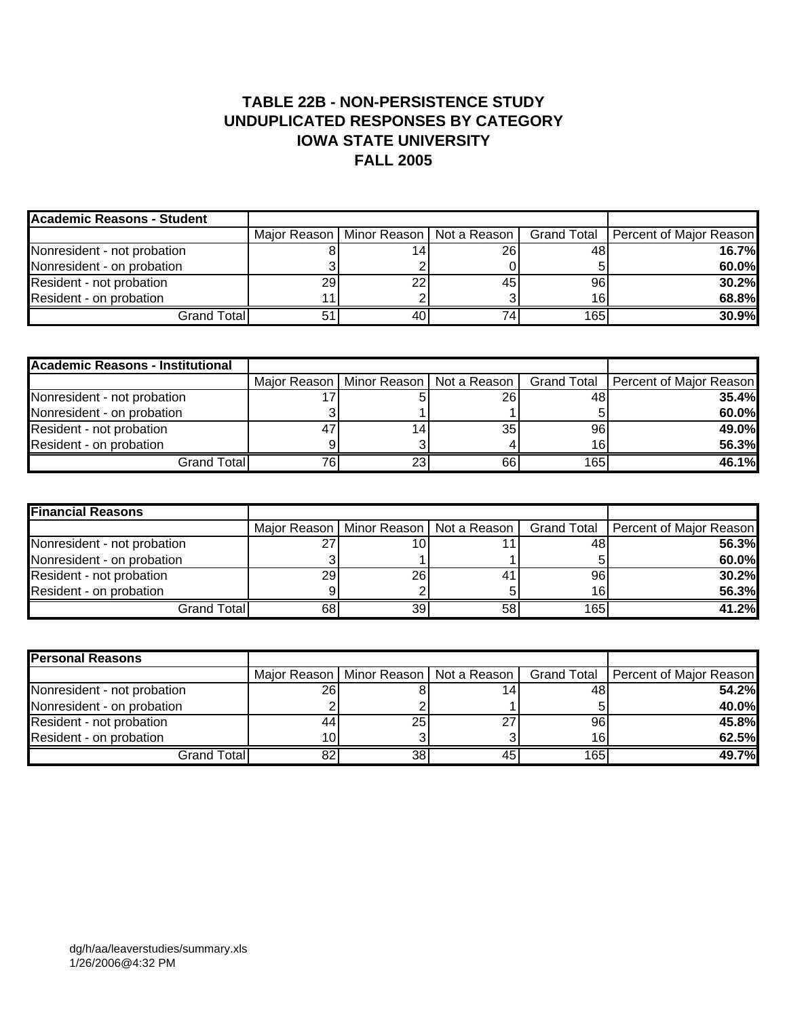### **TABLE 22B - NON-PERSISTENCE STUDY UNDUPLICATED RESPONSES BY CATEGORY IOWA STATE UNIVERSITY FALL 2005**

| <b>Academic Reasons - Student</b> |    |    |                                              |                 |                                       |
|-----------------------------------|----|----|----------------------------------------------|-----------------|---------------------------------------|
|                                   |    |    | Maior Reason I Minor Reason I Not a Reason I |                 | Grand Total   Percent of Major Reason |
| Nonresident - not probation       |    |    | 26                                           | 48              | 16.7%                                 |
| Nonresident - on probation        |    |    |                                              |                 | 60.0%                                 |
| Resident - not probation          | 29 | 22 | 45                                           | 96 <sub>1</sub> | 30.2%                                 |
| Resident - on probation           |    |    |                                              | 16 <sub>1</sub> | 68.8%                                 |
| <b>Grand Total</b>                |    | 40 |                                              | 165             | 30.9%                                 |

| <b>Academic Reasons - Institutional</b> |    |                 |                                            |     |                                       |
|-----------------------------------------|----|-----------------|--------------------------------------------|-----|---------------------------------------|
|                                         |    |                 | Major Reason   Minor Reason   Not a Reason |     | Grand Total   Percent of Major Reason |
| Nonresident - not probation             |    |                 | <b>26</b>                                  | 48  | 35.4%                                 |
| Nonresident - on probation              |    |                 |                                            |     | 60.0%                                 |
| Resident - not probation                | 47 | 14 <sub>1</sub> | 35 l                                       | 96  | 49.0%                                 |
| Resident - on probation                 |    |                 |                                            | 16  | 56.3%                                 |
| Grand Total                             |    | <b>23</b>       | 661                                        | 165 | 46.1%                                 |

| <b>Financial Reasons</b>    |                 |                                            |    |     |                                       |
|-----------------------------|-----------------|--------------------------------------------|----|-----|---------------------------------------|
|                             |                 | Major Reason   Minor Reason   Not a Reason |    |     | Grand Total   Percent of Major Reason |
| Nonresident - not probation | דר<br>∠         | 10                                         |    | 48  | 56.3%                                 |
| Nonresident - on probation  |                 |                                            |    |     | 60.0%                                 |
| Resident - not probation    | 29 <sub>1</sub> | 26I                                        |    | 96  | 30.2%                                 |
| Resident - on probation     |                 |                                            |    | 16  | 56.3%                                 |
| Grand Total                 | 68              | 39                                         | 58 | 165 | 41.2%                                 |

| <b>Personal Reasons</b>     |    |    |                                            |     |                                       |
|-----------------------------|----|----|--------------------------------------------|-----|---------------------------------------|
|                             |    |    | Major Reason   Minor Reason   Not a Reason |     | Grand Total   Percent of Major Reason |
| Nonresident - not probation | 26 |    |                                            | 48  | 54.2%                                 |
| Nonresident - on probation  |    |    |                                            |     | 40.0%                                 |
| Resident - not probation    | 44 | 25 |                                            | 96  | 45.8%                                 |
| Resident - on probation     |    |    |                                            | 16  | 62.5%                                 |
| Grand Total                 | 82 | 38 | 45                                         | 165 | 49.7%                                 |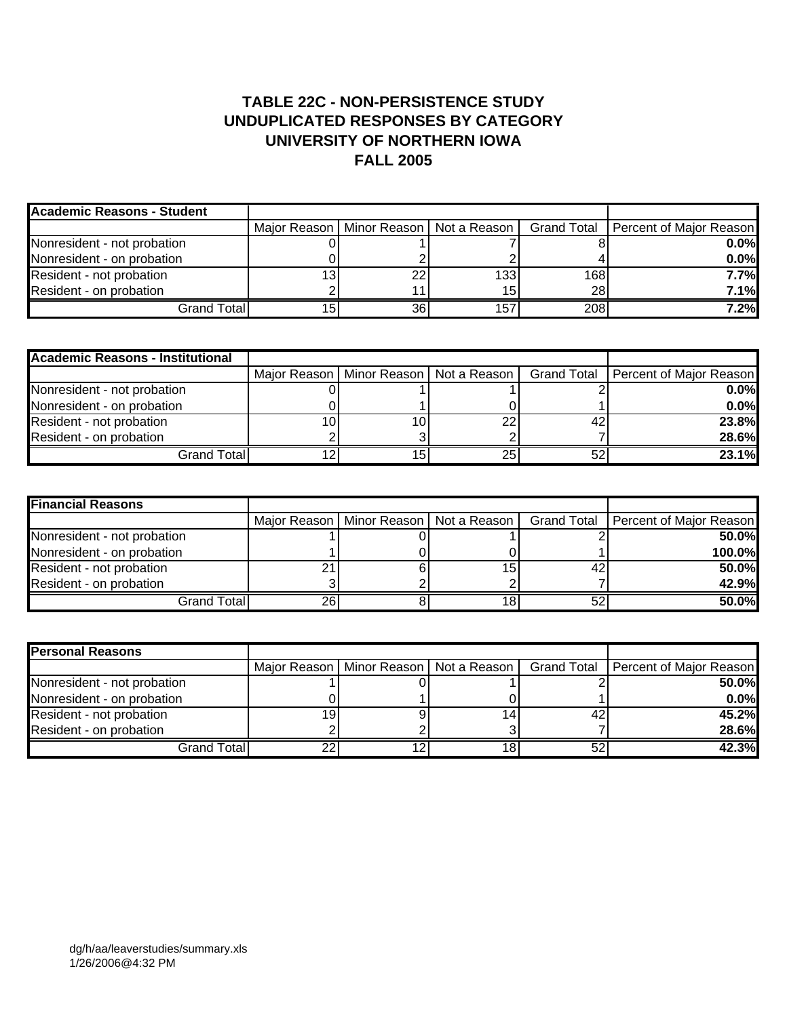### **TABLE 22C - NON-PERSISTENCE STUDY UNDUPLICATED RESPONSES BY CATEGORY UNIVERSITY OF NORTHERN IOWA FALL 2005**

| Academic Reasons - Student  |    |                                            |     |                                       |
|-----------------------------|----|--------------------------------------------|-----|---------------------------------------|
|                             |    | Major Reason   Minor Reason   Not a Reason |     | Grand Total   Percent of Major Reason |
| Nonresident - not probation |    |                                            |     | $0.0\%$                               |
| Nonresident - on probation  |    |                                            |     | $0.0\%$                               |
| Resident - not probation    | 22 | 133                                        | 168 | 7.7%                                  |
| Resident - on probation     |    | 15                                         | 28  | 7.1%                                  |
| Grand Total <b>l</b>        | 36 | 157                                        | 208 | 7.2%                                  |

| <b>Academic Reasons - Institutional</b> |     |                                            |    |                                       |
|-----------------------------------------|-----|--------------------------------------------|----|---------------------------------------|
|                                         |     | Major Reason   Minor Reason   Not a Reason |    | Grand Total   Percent of Major Reason |
| Nonresident - not probation             |     |                                            |    | 0.0%                                  |
| Nonresident - on probation              |     |                                            |    | 0.0%                                  |
| Resident - not probation                | 10. |                                            | 42 | 23.8%                                 |
| Resident - on probation                 |     |                                            |    | 28.6%                                 |
| Grand Total                             | 15. | 25                                         | 52 | 23.1%                                 |

| <b>Financial Reasons</b>    |    |                                            |    |                                       |
|-----------------------------|----|--------------------------------------------|----|---------------------------------------|
|                             |    | Major Reason   Minor Reason   Not a Reason |    | Grand Total   Percent of Major Reason |
| Nonresident - not probation |    |                                            |    | 50.0%                                 |
| Nonresident - on probation  |    |                                            |    | 100.0%                                |
| Resident - not probation    | η, | 15.                                        | 42 | 50.0%                                 |
| Resident - on probation     |    |                                            |    | 42.9%                                 |
| Grand Total                 | 26 |                                            | 52 | 50.0%                                 |

| <b>Personal Reasons</b>     |    |                                            |    |                                       |
|-----------------------------|----|--------------------------------------------|----|---------------------------------------|
|                             |    | Major Reason   Minor Reason   Not a Reason |    | Grand Total   Percent of Major Reason |
| Nonresident - not probation |    |                                            |    | 50.0%                                 |
| Nonresident - on probation  |    |                                            |    | $0.0\%$                               |
| Resident - not probation    |    |                                            | 42 | 45.2%                                 |
| Resident - on probation     |    |                                            |    | 28.6%                                 |
| Grand Total                 | n, |                                            | 52 | 42.3%                                 |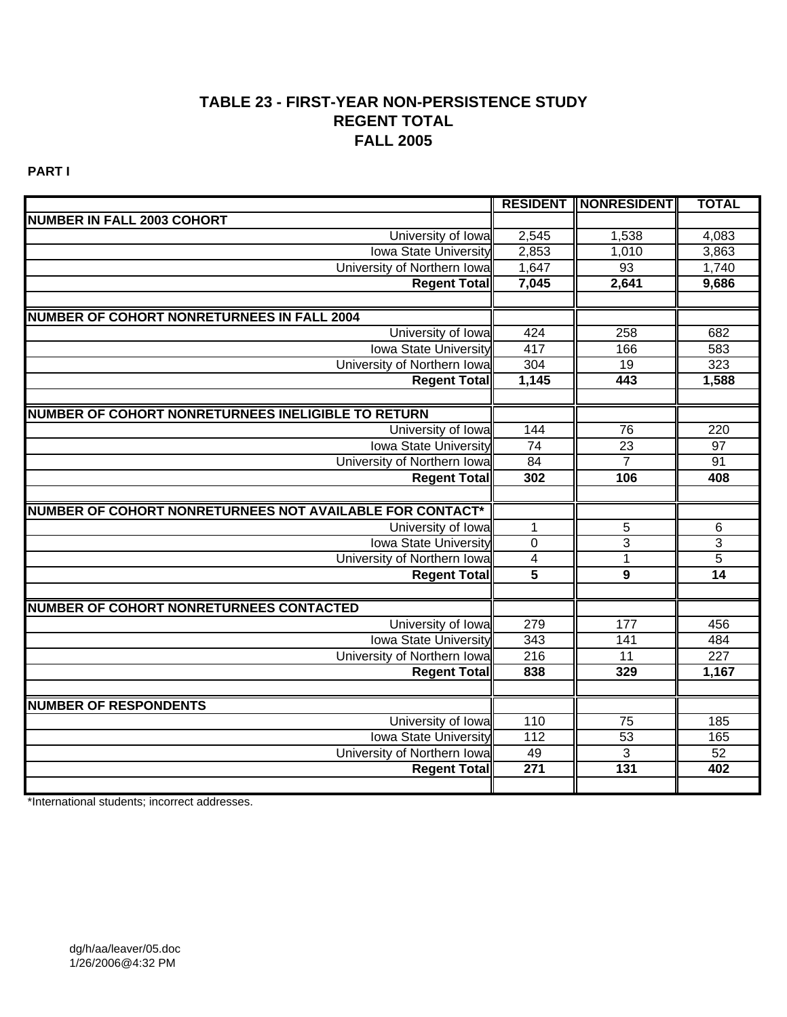### **TABLE 23 - FIRST-YEAR NON-PERSISTENCE STUDY REGENT TOTAL FALL 2005**

**PART I**

|                                                          |                         | <b>RESIDENT   NONRESIDENT</b> | <b>TOTAL</b>              |
|----------------------------------------------------------|-------------------------|-------------------------------|---------------------------|
| <b>NUMBER IN FALL 2003 COHORT</b>                        |                         |                               |                           |
| University of Iowa                                       | 2,545                   | 1,538                         | 4,083                     |
| <b>Iowa State University</b>                             | 2,853                   | 1,010                         | 3,863                     |
| University of Northern Iowa                              | 1,647                   | 93                            | 1,740                     |
| <b>Regent Total</b>                                      | 7,045                   | 2,641                         | 9,686                     |
|                                                          |                         |                               |                           |
| <b>NUMBER OF COHORT NONRETURNEES IN FALL 2004</b>        |                         |                               |                           |
| University of Iowa                                       | 424                     | 258                           | 682                       |
| <b>Iowa State University</b>                             | 417                     | 166                           | 583                       |
| University of Northern Iowa                              | 304                     | 19                            | 323                       |
| <b>Regent Total</b>                                      | 1,145                   | 443                           | 1,588                     |
|                                                          |                         |                               |                           |
| NUMBER OF COHORT NONRETURNEES INELIGIBLE TO RETURN       |                         |                               |                           |
| University of Iowa                                       | 144                     | 76                            | 220                       |
| <b>Iowa State University</b>                             | $\overline{74}$         | 23                            | $\overline{97}$           |
| University of Northern Iowa                              | 84                      | $\overline{7}$                | 91                        |
| <b>Regent Total</b>                                      | 302                     | 106                           | 408                       |
|                                                          |                         |                               |                           |
| NUMBER OF COHORT NONRETURNEES NOT AVAILABLE FOR CONTACT* |                         |                               |                           |
| University of Iowa                                       | $\mathbf{1}$            | $\sqrt{5}$                    | 6                         |
| <b>Iowa State University</b>                             | $\mathbf 0$             | $\overline{3}$                | $\ensuremath{\mathsf{3}}$ |
| University of Northern Iowa                              | $\overline{\mathbf{4}}$ | $\overline{5}$                |                           |
| <b>Regent Total</b>                                      | $\overline{5}$          | $\overline{9}$                | $\overline{14}$           |
|                                                          |                         |                               |                           |
| <b>NUMBER OF COHORT NONRETURNEES CONTACTED</b>           |                         |                               |                           |
| University of Iowa                                       | 279                     | 177                           | 456                       |
| <b>Iowa State University</b>                             | 343                     | 141                           | 484                       |
| University of Northern Iowa                              | 216                     | $\overline{11}$               | 227                       |
| <b>Regent Total</b>                                      | 838                     | 329                           | 1,167                     |
|                                                          |                         |                               |                           |
| <b>NUMBER OF RESPONDENTS</b>                             |                         |                               |                           |
| University of Iowa                                       | 110                     | 75                            | 185                       |
| <b>Iowa State University</b>                             | $\overline{112}$        | $\overline{53}$               | 165                       |
| University of Northern Iowa                              | 49                      | $\overline{3}$                | 52                        |
| <b>Regent Total</b>                                      | $\overline{271}$        | $\overline{131}$              | 402                       |
|                                                          |                         |                               |                           |

\*International students; incorrect addresses.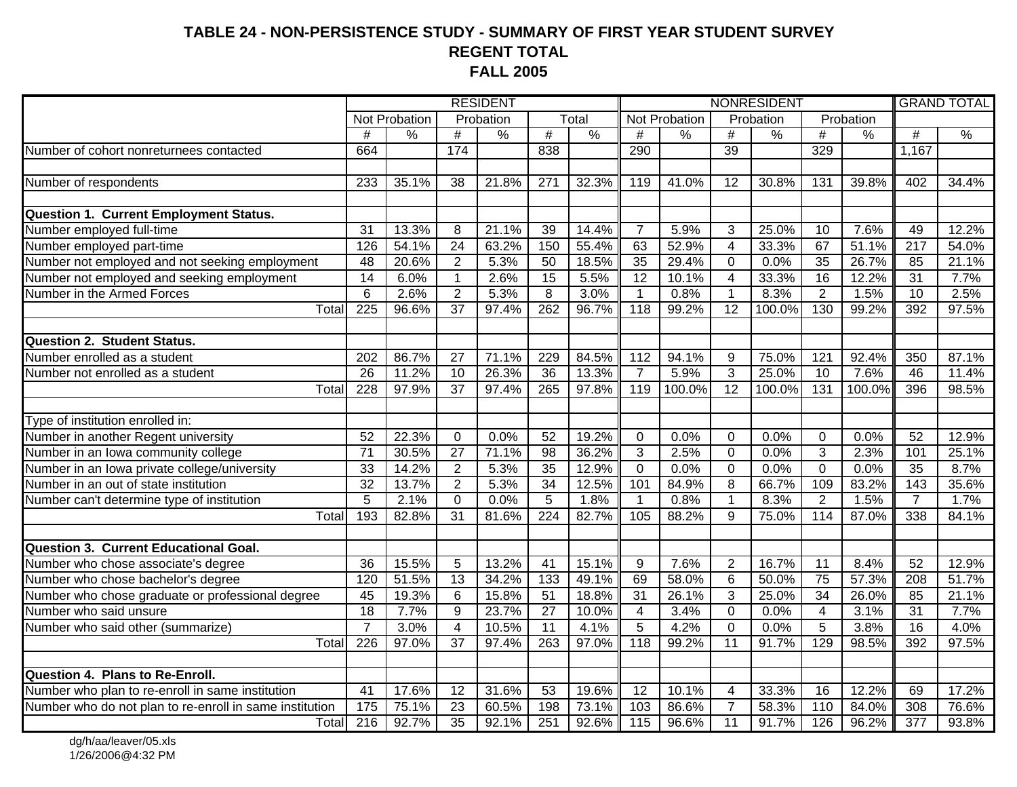#### **TABLE 24 - NON-PERSISTENCE STUDY - SUMMARY OF FIRST YEAR STUDENT SURVEY REGENT TOTAL FALL 2005**

| $\overline{T}$ <sub>O</sub> tal<br>Not Probation<br>Probation<br>Not Probation<br>Probation<br>Probation<br>#<br>$\frac{0}{0}$<br>$\frac{0}{0}$<br>#<br>#<br>$\frac{0}{6}$<br>$\overline{\#}$<br>$\frac{0}{6}$<br>%<br>$\#$<br>$\frac{9}{6}$<br>$\#$<br>$\sqrt{2}$<br>#<br>Number of cohort nonreturnees contacted<br>174<br>838<br>39<br>329<br>1,167<br>664<br>290<br>35.1%<br>21.8%<br>$\overline{271}$<br>32.3%<br>41.0%<br>30.8%<br>39.8%<br>233<br>38<br>119<br>12<br>131<br>402<br>34.4%<br><b>Question 1. Current Employment Status.</b><br>Number employed full-time<br>31<br>13.3%<br>21.1%<br>39<br>14.4%<br>$\overline{7}$<br>5.9%<br>3<br>25.0%<br>7.6%<br>12.2%<br>8<br>10<br>49<br>Number employed part-time<br>126<br>54.1%<br>$\overline{24}$<br>63.2%<br>150<br>55.4%<br>52.9%<br>67<br>51.1%<br>$\overline{217}$<br>63<br>4<br>33.3%<br>54.0%<br>Number not employed and not seeking employment<br>20.6%<br>$\overline{35}$<br>35<br>26.7%<br>$\overline{48}$<br>$\overline{2}$<br>5.3%<br>50<br>18.5%<br>29.4%<br>$\mathbf 0$<br>0.0%<br>85<br>21.1%<br>Number not employed and seeking employment<br>$\overline{14}$<br>$\overline{15}$<br>$\overline{12}$<br>$\overline{\mathbf{4}}$<br>$\overline{16}$<br>$\overline{31}$<br>6.0%<br>$\overline{1}$<br>2.6%<br>5.5%<br>10.1%<br>33.3%<br>12.2%<br>7.7%<br>Number in the Armed Forces<br>$\overline{6}$<br>$\overline{2}$<br>$\overline{8}$<br>$\overline{2}$<br>2.6%<br>5.3%<br>3.0%<br>0.8%<br>$\mathbf{1}$<br>8.3%<br>1.5%<br>$\overline{10}$<br>2.5%<br>$\mathbf{1}$<br>225<br>262<br>Total<br>96.6%<br>$\overline{37}$<br>97.4%<br>96.7%<br>$\overline{118}$<br>99.2%<br>$\overline{12}$<br>100.0%<br>130<br>99.2%<br>392<br>97.5%<br>Number enrolled as a student<br>86.7%<br>84.5%<br>202<br>27<br>71.1%<br>229<br>112<br>94.1%<br>9<br>75.0%<br>121<br>92.4%<br>350<br>87.1%<br>Number not enrolled as a student<br>26<br>11.2%<br>$\overline{36}$<br>13.3%<br>$\overline{7}$<br>5.9%<br>3<br>25.0%<br>7.6%<br>46<br>10<br>26.3%<br>$\overline{10}$<br>11.4%<br>$\overline{37}$<br>12<br>228<br>97.9%<br>97.4%<br>265<br>119<br>100.0%<br>100.0%<br>131<br>100.0%<br>396<br>98.5%<br>Total<br>97.8%<br>Number in another Regent university<br>Number in an Iowa community college<br>52<br>22.3%<br>52<br>19.2%<br>52<br>12.9%<br>0<br>0.0%<br>$\Omega$<br>0.0%<br>$\mathbf 0$<br>0.0%<br>$\mathbf 0$<br>0.0%<br>$\overline{71}$<br>$\overline{27}$<br>98<br>$\overline{3}$<br>2.5%<br>$\overline{3}$<br>2.3%<br>30.5%<br>71.1%<br>36.2%<br>$\overline{0}$<br>0.0%<br>101<br>25.1%<br>Number in an Iowa private college/university<br>35<br>$\overline{0}$<br>8.7%<br>33<br>14.2%<br>$\overline{2}$<br>5.3%<br>12.9%<br>$\overline{0}$<br>0.0%<br>$\overline{0}$<br>0.0%<br>0.0%<br>$\overline{35}$<br>Number in an out of state institution<br>32<br>$\overline{2}$<br>34<br>$\overline{8}$<br>13.7%<br>5.3%<br>12.5%<br>101<br>84.9%<br>66.7%<br>109<br>83.2%<br>$\overline{143}$<br>35.6%<br>Number can't determine type of institution<br>$\overline{5}$<br>$\overline{5}$<br>$\overline{2}$<br>2.1%<br>$\Omega$<br>0.0%<br>1.8%<br>0.8%<br>8.3%<br>1.5%<br>1.7%<br>$\mathbf{1}$<br>1<br>$\overline{7}$<br>193<br>$\overline{9}$<br>82.8%<br>$\overline{31}$<br>81.6%<br>224<br>82.7%<br>105<br>88.2%<br>75.0%<br>87.0%<br>338<br>114<br>84.1%<br>Total<br>Number who chose associate's degree<br>15.5%<br>13.2%<br>7.6%<br>$\overline{36}$<br>5<br>$\overline{41}$<br>15.1%<br>9<br>$\overline{2}$<br>16.7%<br>8.4%<br>52<br>12.9%<br>11<br>13<br>34.2%<br>133<br>$\overline{6}$<br>$\overline{75}$<br>57.3%<br>120<br>51.5%<br>49.1%<br>69<br>58.0%<br>50.0%<br>$\overline{208}$<br>51.7%<br>Number who chose graduate or professional degree<br>$\overline{3}$<br>$6\phantom{1}6$<br>$\overline{51}$<br>31<br>$\overline{34}$<br>26.0%<br>85<br>45<br>19.3%<br>15.8%<br>18.8%<br>26.1%<br>25.0%<br>21.1%<br>$\overline{18}$<br>9<br>$\overline{0}$<br>7.7%<br>23.7%<br>27<br>10.0%<br>3.4%<br>0.0%<br>4<br>3.1%<br>31<br>7.7%<br>4<br>$\overline{7}$<br>$\overline{4}$<br>10.5%<br>4.1%<br>5<br>4.2%<br>$\overline{0}$<br>0.0%<br>5<br>3.8%<br>$\overline{16}$<br>4.0%<br>3.0%<br>11<br>129<br>Total<br>226<br>$\overline{37}$<br>263<br>118<br>99.2%<br>$\overline{11}$<br>91.7%<br>98.5%<br>392<br>97.5%<br>97.0%<br>97.4%<br>97.0%<br>Number who plan to re-enroll in same institution<br>41<br>17.6%<br>12<br>31.6%<br>53<br>19.6%<br>12<br>10.1%<br>33.3%<br>12.2%<br>69<br>17.2%<br>4<br>16<br>Number who do not plan to re-enroll in same institution<br>$\frac{175}{175}$<br>$\overline{23}$<br>198<br>103<br>86.6%<br>$\overline{7}$<br>$\overline{58.3\%}$<br>75.1%<br>60.5%<br>73.1%<br>110<br>84.0%<br>308<br>76.6%<br>$\overline{11}$<br>Totall |                                              |     |       |    | <b>RESIDENT</b> |     |       | NONRESIDENT |       |  |       |     | <b>GRAND TOTAL</b> |                  |       |
|---------------------------------------------------------------------------------------------------------------------------------------------------------------------------------------------------------------------------------------------------------------------------------------------------------------------------------------------------------------------------------------------------------------------------------------------------------------------------------------------------------------------------------------------------------------------------------------------------------------------------------------------------------------------------------------------------------------------------------------------------------------------------------------------------------------------------------------------------------------------------------------------------------------------------------------------------------------------------------------------------------------------------------------------------------------------------------------------------------------------------------------------------------------------------------------------------------------------------------------------------------------------------------------------------------------------------------------------------------------------------------------------------------------------------------------------------------------------------------------------------------------------------------------------------------------------------------------------------------------------------------------------------------------------------------------------------------------------------------------------------------------------------------------------------------------------------------------------------------------------------------------------------------------------------------------------------------------------------------------------------------------------------------------------------------------------------------------------------------------------------------------------------------------------------------------------------------------------------------------------------------------------------------------------------------------------------------------------------------------------------------------------------------------------------------------------------------------------------------------------------------------------------------------------------------------------------------------------------------------------------------------------------------------------------------------------------------------------------------------------------------------------------------------------------------------------------------------------------------------------------------------------------------------------------------------------------------------------------------------------------------------------------------------------------------------------------------------------------------------------------------------------------------------------------------------------------------------------------------------------------------------------------------------------------------------------------------------------------------------------------------------------------------------------------------------------------------------------------------------------------------------------------------------------------------------------------------------------------------------------------------------------------------------------------------------------------------------------------------------------------------------------------------------------------------------------------------------------------------------------------------------------------------------------------------------------------------------------------------------------------------------------------------------------------------------------------------------------------------------------------------------------------------------------------------------------------------------------------------------------------------------------------------------------------------------------------------------------------------------------------------------------------------------------------------------------------------------------------------------------------------------------------------------------------------------------------------------------------------------------------------------------------------------------------------------------------------------------------------------------------|----------------------------------------------|-----|-------|----|-----------------|-----|-------|-------------|-------|--|-------|-----|--------------------|------------------|-------|
|                                                                                                                                                                                                                                                                                                                                                                                                                                                                                                                                                                                                                                                                                                                                                                                                                                                                                                                                                                                                                                                                                                                                                                                                                                                                                                                                                                                                                                                                                                                                                                                                                                                                                                                                                                                                                                                                                                                                                                                                                                                                                                                                                                                                                                                                                                                                                                                                                                                                                                                                                                                                                                                                                                                                                                                                                                                                                                                                                                                                                                                                                                                                                                                                                                                                                                                                                                                                                                                                                                                                                                                                                                                                                                                                                                                                                                                                                                                                                                                                                                                                                                                                                                                                                                                                                                                                                                                                                                                                                                                                                                                                                                                                                                                                                   |                                              |     |       |    |                 |     |       |             |       |  |       |     |                    |                  |       |
|                                                                                                                                                                                                                                                                                                                                                                                                                                                                                                                                                                                                                                                                                                                                                                                                                                                                                                                                                                                                                                                                                                                                                                                                                                                                                                                                                                                                                                                                                                                                                                                                                                                                                                                                                                                                                                                                                                                                                                                                                                                                                                                                                                                                                                                                                                                                                                                                                                                                                                                                                                                                                                                                                                                                                                                                                                                                                                                                                                                                                                                                                                                                                                                                                                                                                                                                                                                                                                                                                                                                                                                                                                                                                                                                                                                                                                                                                                                                                                                                                                                                                                                                                                                                                                                                                                                                                                                                                                                                                                                                                                                                                                                                                                                                                   |                                              |     |       |    |                 |     |       |             |       |  |       |     |                    |                  |       |
|                                                                                                                                                                                                                                                                                                                                                                                                                                                                                                                                                                                                                                                                                                                                                                                                                                                                                                                                                                                                                                                                                                                                                                                                                                                                                                                                                                                                                                                                                                                                                                                                                                                                                                                                                                                                                                                                                                                                                                                                                                                                                                                                                                                                                                                                                                                                                                                                                                                                                                                                                                                                                                                                                                                                                                                                                                                                                                                                                                                                                                                                                                                                                                                                                                                                                                                                                                                                                                                                                                                                                                                                                                                                                                                                                                                                                                                                                                                                                                                                                                                                                                                                                                                                                                                                                                                                                                                                                                                                                                                                                                                                                                                                                                                                                   |                                              |     |       |    |                 |     |       |             |       |  |       |     |                    |                  |       |
|                                                                                                                                                                                                                                                                                                                                                                                                                                                                                                                                                                                                                                                                                                                                                                                                                                                                                                                                                                                                                                                                                                                                                                                                                                                                                                                                                                                                                                                                                                                                                                                                                                                                                                                                                                                                                                                                                                                                                                                                                                                                                                                                                                                                                                                                                                                                                                                                                                                                                                                                                                                                                                                                                                                                                                                                                                                                                                                                                                                                                                                                                                                                                                                                                                                                                                                                                                                                                                                                                                                                                                                                                                                                                                                                                                                                                                                                                                                                                                                                                                                                                                                                                                                                                                                                                                                                                                                                                                                                                                                                                                                                                                                                                                                                                   |                                              |     |       |    |                 |     |       |             |       |  |       |     |                    |                  |       |
|                                                                                                                                                                                                                                                                                                                                                                                                                                                                                                                                                                                                                                                                                                                                                                                                                                                                                                                                                                                                                                                                                                                                                                                                                                                                                                                                                                                                                                                                                                                                                                                                                                                                                                                                                                                                                                                                                                                                                                                                                                                                                                                                                                                                                                                                                                                                                                                                                                                                                                                                                                                                                                                                                                                                                                                                                                                                                                                                                                                                                                                                                                                                                                                                                                                                                                                                                                                                                                                                                                                                                                                                                                                                                                                                                                                                                                                                                                                                                                                                                                                                                                                                                                                                                                                                                                                                                                                                                                                                                                                                                                                                                                                                                                                                                   | Number of respondents                        |     |       |    |                 |     |       |             |       |  |       |     |                    |                  |       |
|                                                                                                                                                                                                                                                                                                                                                                                                                                                                                                                                                                                                                                                                                                                                                                                                                                                                                                                                                                                                                                                                                                                                                                                                                                                                                                                                                                                                                                                                                                                                                                                                                                                                                                                                                                                                                                                                                                                                                                                                                                                                                                                                                                                                                                                                                                                                                                                                                                                                                                                                                                                                                                                                                                                                                                                                                                                                                                                                                                                                                                                                                                                                                                                                                                                                                                                                                                                                                                                                                                                                                                                                                                                                                                                                                                                                                                                                                                                                                                                                                                                                                                                                                                                                                                                                                                                                                                                                                                                                                                                                                                                                                                                                                                                                                   |                                              |     |       |    |                 |     |       |             |       |  |       |     |                    |                  |       |
|                                                                                                                                                                                                                                                                                                                                                                                                                                                                                                                                                                                                                                                                                                                                                                                                                                                                                                                                                                                                                                                                                                                                                                                                                                                                                                                                                                                                                                                                                                                                                                                                                                                                                                                                                                                                                                                                                                                                                                                                                                                                                                                                                                                                                                                                                                                                                                                                                                                                                                                                                                                                                                                                                                                                                                                                                                                                                                                                                                                                                                                                                                                                                                                                                                                                                                                                                                                                                                                                                                                                                                                                                                                                                                                                                                                                                                                                                                                                                                                                                                                                                                                                                                                                                                                                                                                                                                                                                                                                                                                                                                                                                                                                                                                                                   |                                              |     |       |    |                 |     |       |             |       |  |       |     |                    |                  |       |
|                                                                                                                                                                                                                                                                                                                                                                                                                                                                                                                                                                                                                                                                                                                                                                                                                                                                                                                                                                                                                                                                                                                                                                                                                                                                                                                                                                                                                                                                                                                                                                                                                                                                                                                                                                                                                                                                                                                                                                                                                                                                                                                                                                                                                                                                                                                                                                                                                                                                                                                                                                                                                                                                                                                                                                                                                                                                                                                                                                                                                                                                                                                                                                                                                                                                                                                                                                                                                                                                                                                                                                                                                                                                                                                                                                                                                                                                                                                                                                                                                                                                                                                                                                                                                                                                                                                                                                                                                                                                                                                                                                                                                                                                                                                                                   |                                              |     |       |    |                 |     |       |             |       |  |       |     |                    |                  |       |
|                                                                                                                                                                                                                                                                                                                                                                                                                                                                                                                                                                                                                                                                                                                                                                                                                                                                                                                                                                                                                                                                                                                                                                                                                                                                                                                                                                                                                                                                                                                                                                                                                                                                                                                                                                                                                                                                                                                                                                                                                                                                                                                                                                                                                                                                                                                                                                                                                                                                                                                                                                                                                                                                                                                                                                                                                                                                                                                                                                                                                                                                                                                                                                                                                                                                                                                                                                                                                                                                                                                                                                                                                                                                                                                                                                                                                                                                                                                                                                                                                                                                                                                                                                                                                                                                                                                                                                                                                                                                                                                                                                                                                                                                                                                                                   |                                              |     |       |    |                 |     |       |             |       |  |       |     |                    |                  |       |
|                                                                                                                                                                                                                                                                                                                                                                                                                                                                                                                                                                                                                                                                                                                                                                                                                                                                                                                                                                                                                                                                                                                                                                                                                                                                                                                                                                                                                                                                                                                                                                                                                                                                                                                                                                                                                                                                                                                                                                                                                                                                                                                                                                                                                                                                                                                                                                                                                                                                                                                                                                                                                                                                                                                                                                                                                                                                                                                                                                                                                                                                                                                                                                                                                                                                                                                                                                                                                                                                                                                                                                                                                                                                                                                                                                                                                                                                                                                                                                                                                                                                                                                                                                                                                                                                                                                                                                                                                                                                                                                                                                                                                                                                                                                                                   |                                              |     |       |    |                 |     |       |             |       |  |       |     |                    |                  |       |
|                                                                                                                                                                                                                                                                                                                                                                                                                                                                                                                                                                                                                                                                                                                                                                                                                                                                                                                                                                                                                                                                                                                                                                                                                                                                                                                                                                                                                                                                                                                                                                                                                                                                                                                                                                                                                                                                                                                                                                                                                                                                                                                                                                                                                                                                                                                                                                                                                                                                                                                                                                                                                                                                                                                                                                                                                                                                                                                                                                                                                                                                                                                                                                                                                                                                                                                                                                                                                                                                                                                                                                                                                                                                                                                                                                                                                                                                                                                                                                                                                                                                                                                                                                                                                                                                                                                                                                                                                                                                                                                                                                                                                                                                                                                                                   |                                              |     |       |    |                 |     |       |             |       |  |       |     |                    |                  |       |
|                                                                                                                                                                                                                                                                                                                                                                                                                                                                                                                                                                                                                                                                                                                                                                                                                                                                                                                                                                                                                                                                                                                                                                                                                                                                                                                                                                                                                                                                                                                                                                                                                                                                                                                                                                                                                                                                                                                                                                                                                                                                                                                                                                                                                                                                                                                                                                                                                                                                                                                                                                                                                                                                                                                                                                                                                                                                                                                                                                                                                                                                                                                                                                                                                                                                                                                                                                                                                                                                                                                                                                                                                                                                                                                                                                                                                                                                                                                                                                                                                                                                                                                                                                                                                                                                                                                                                                                                                                                                                                                                                                                                                                                                                                                                                   |                                              |     |       |    |                 |     |       |             |       |  |       |     |                    |                  |       |
|                                                                                                                                                                                                                                                                                                                                                                                                                                                                                                                                                                                                                                                                                                                                                                                                                                                                                                                                                                                                                                                                                                                                                                                                                                                                                                                                                                                                                                                                                                                                                                                                                                                                                                                                                                                                                                                                                                                                                                                                                                                                                                                                                                                                                                                                                                                                                                                                                                                                                                                                                                                                                                                                                                                                                                                                                                                                                                                                                                                                                                                                                                                                                                                                                                                                                                                                                                                                                                                                                                                                                                                                                                                                                                                                                                                                                                                                                                                                                                                                                                                                                                                                                                                                                                                                                                                                                                                                                                                                                                                                                                                                                                                                                                                                                   |                                              |     |       |    |                 |     |       |             |       |  |       |     |                    |                  |       |
|                                                                                                                                                                                                                                                                                                                                                                                                                                                                                                                                                                                                                                                                                                                                                                                                                                                                                                                                                                                                                                                                                                                                                                                                                                                                                                                                                                                                                                                                                                                                                                                                                                                                                                                                                                                                                                                                                                                                                                                                                                                                                                                                                                                                                                                                                                                                                                                                                                                                                                                                                                                                                                                                                                                                                                                                                                                                                                                                                                                                                                                                                                                                                                                                                                                                                                                                                                                                                                                                                                                                                                                                                                                                                                                                                                                                                                                                                                                                                                                                                                                                                                                                                                                                                                                                                                                                                                                                                                                                                                                                                                                                                                                                                                                                                   |                                              |     |       |    |                 |     |       |             |       |  |       |     |                    |                  |       |
|                                                                                                                                                                                                                                                                                                                                                                                                                                                                                                                                                                                                                                                                                                                                                                                                                                                                                                                                                                                                                                                                                                                                                                                                                                                                                                                                                                                                                                                                                                                                                                                                                                                                                                                                                                                                                                                                                                                                                                                                                                                                                                                                                                                                                                                                                                                                                                                                                                                                                                                                                                                                                                                                                                                                                                                                                                                                                                                                                                                                                                                                                                                                                                                                                                                                                                                                                                                                                                                                                                                                                                                                                                                                                                                                                                                                                                                                                                                                                                                                                                                                                                                                                                                                                                                                                                                                                                                                                                                                                                                                                                                                                                                                                                                                                   | <b>Question 2. Student Status.</b>           |     |       |    |                 |     |       |             |       |  |       |     |                    |                  |       |
|                                                                                                                                                                                                                                                                                                                                                                                                                                                                                                                                                                                                                                                                                                                                                                                                                                                                                                                                                                                                                                                                                                                                                                                                                                                                                                                                                                                                                                                                                                                                                                                                                                                                                                                                                                                                                                                                                                                                                                                                                                                                                                                                                                                                                                                                                                                                                                                                                                                                                                                                                                                                                                                                                                                                                                                                                                                                                                                                                                                                                                                                                                                                                                                                                                                                                                                                                                                                                                                                                                                                                                                                                                                                                                                                                                                                                                                                                                                                                                                                                                                                                                                                                                                                                                                                                                                                                                                                                                                                                                                                                                                                                                                                                                                                                   |                                              |     |       |    |                 |     |       |             |       |  |       |     |                    |                  |       |
|                                                                                                                                                                                                                                                                                                                                                                                                                                                                                                                                                                                                                                                                                                                                                                                                                                                                                                                                                                                                                                                                                                                                                                                                                                                                                                                                                                                                                                                                                                                                                                                                                                                                                                                                                                                                                                                                                                                                                                                                                                                                                                                                                                                                                                                                                                                                                                                                                                                                                                                                                                                                                                                                                                                                                                                                                                                                                                                                                                                                                                                                                                                                                                                                                                                                                                                                                                                                                                                                                                                                                                                                                                                                                                                                                                                                                                                                                                                                                                                                                                                                                                                                                                                                                                                                                                                                                                                                                                                                                                                                                                                                                                                                                                                                                   |                                              |     |       |    |                 |     |       |             |       |  |       |     |                    |                  |       |
|                                                                                                                                                                                                                                                                                                                                                                                                                                                                                                                                                                                                                                                                                                                                                                                                                                                                                                                                                                                                                                                                                                                                                                                                                                                                                                                                                                                                                                                                                                                                                                                                                                                                                                                                                                                                                                                                                                                                                                                                                                                                                                                                                                                                                                                                                                                                                                                                                                                                                                                                                                                                                                                                                                                                                                                                                                                                                                                                                                                                                                                                                                                                                                                                                                                                                                                                                                                                                                                                                                                                                                                                                                                                                                                                                                                                                                                                                                                                                                                                                                                                                                                                                                                                                                                                                                                                                                                                                                                                                                                                                                                                                                                                                                                                                   |                                              |     |       |    |                 |     |       |             |       |  |       |     |                    |                  |       |
|                                                                                                                                                                                                                                                                                                                                                                                                                                                                                                                                                                                                                                                                                                                                                                                                                                                                                                                                                                                                                                                                                                                                                                                                                                                                                                                                                                                                                                                                                                                                                                                                                                                                                                                                                                                                                                                                                                                                                                                                                                                                                                                                                                                                                                                                                                                                                                                                                                                                                                                                                                                                                                                                                                                                                                                                                                                                                                                                                                                                                                                                                                                                                                                                                                                                                                                                                                                                                                                                                                                                                                                                                                                                                                                                                                                                                                                                                                                                                                                                                                                                                                                                                                                                                                                                                                                                                                                                                                                                                                                                                                                                                                                                                                                                                   |                                              |     |       |    |                 |     |       |             |       |  |       |     |                    |                  |       |
|                                                                                                                                                                                                                                                                                                                                                                                                                                                                                                                                                                                                                                                                                                                                                                                                                                                                                                                                                                                                                                                                                                                                                                                                                                                                                                                                                                                                                                                                                                                                                                                                                                                                                                                                                                                                                                                                                                                                                                                                                                                                                                                                                                                                                                                                                                                                                                                                                                                                                                                                                                                                                                                                                                                                                                                                                                                                                                                                                                                                                                                                                                                                                                                                                                                                                                                                                                                                                                                                                                                                                                                                                                                                                                                                                                                                                                                                                                                                                                                                                                                                                                                                                                                                                                                                                                                                                                                                                                                                                                                                                                                                                                                                                                                                                   | Type of institution enrolled in:             |     |       |    |                 |     |       |             |       |  |       |     |                    |                  |       |
|                                                                                                                                                                                                                                                                                                                                                                                                                                                                                                                                                                                                                                                                                                                                                                                                                                                                                                                                                                                                                                                                                                                                                                                                                                                                                                                                                                                                                                                                                                                                                                                                                                                                                                                                                                                                                                                                                                                                                                                                                                                                                                                                                                                                                                                                                                                                                                                                                                                                                                                                                                                                                                                                                                                                                                                                                                                                                                                                                                                                                                                                                                                                                                                                                                                                                                                                                                                                                                                                                                                                                                                                                                                                                                                                                                                                                                                                                                                                                                                                                                                                                                                                                                                                                                                                                                                                                                                                                                                                                                                                                                                                                                                                                                                                                   |                                              |     |       |    |                 |     |       |             |       |  |       |     |                    |                  |       |
|                                                                                                                                                                                                                                                                                                                                                                                                                                                                                                                                                                                                                                                                                                                                                                                                                                                                                                                                                                                                                                                                                                                                                                                                                                                                                                                                                                                                                                                                                                                                                                                                                                                                                                                                                                                                                                                                                                                                                                                                                                                                                                                                                                                                                                                                                                                                                                                                                                                                                                                                                                                                                                                                                                                                                                                                                                                                                                                                                                                                                                                                                                                                                                                                                                                                                                                                                                                                                                                                                                                                                                                                                                                                                                                                                                                                                                                                                                                                                                                                                                                                                                                                                                                                                                                                                                                                                                                                                                                                                                                                                                                                                                                                                                                                                   |                                              |     |       |    |                 |     |       |             |       |  |       |     |                    |                  |       |
|                                                                                                                                                                                                                                                                                                                                                                                                                                                                                                                                                                                                                                                                                                                                                                                                                                                                                                                                                                                                                                                                                                                                                                                                                                                                                                                                                                                                                                                                                                                                                                                                                                                                                                                                                                                                                                                                                                                                                                                                                                                                                                                                                                                                                                                                                                                                                                                                                                                                                                                                                                                                                                                                                                                                                                                                                                                                                                                                                                                                                                                                                                                                                                                                                                                                                                                                                                                                                                                                                                                                                                                                                                                                                                                                                                                                                                                                                                                                                                                                                                                                                                                                                                                                                                                                                                                                                                                                                                                                                                                                                                                                                                                                                                                                                   |                                              |     |       |    |                 |     |       |             |       |  |       |     |                    |                  |       |
|                                                                                                                                                                                                                                                                                                                                                                                                                                                                                                                                                                                                                                                                                                                                                                                                                                                                                                                                                                                                                                                                                                                                                                                                                                                                                                                                                                                                                                                                                                                                                                                                                                                                                                                                                                                                                                                                                                                                                                                                                                                                                                                                                                                                                                                                                                                                                                                                                                                                                                                                                                                                                                                                                                                                                                                                                                                                                                                                                                                                                                                                                                                                                                                                                                                                                                                                                                                                                                                                                                                                                                                                                                                                                                                                                                                                                                                                                                                                                                                                                                                                                                                                                                                                                                                                                                                                                                                                                                                                                                                                                                                                                                                                                                                                                   |                                              |     |       |    |                 |     |       |             |       |  |       |     |                    |                  |       |
|                                                                                                                                                                                                                                                                                                                                                                                                                                                                                                                                                                                                                                                                                                                                                                                                                                                                                                                                                                                                                                                                                                                                                                                                                                                                                                                                                                                                                                                                                                                                                                                                                                                                                                                                                                                                                                                                                                                                                                                                                                                                                                                                                                                                                                                                                                                                                                                                                                                                                                                                                                                                                                                                                                                                                                                                                                                                                                                                                                                                                                                                                                                                                                                                                                                                                                                                                                                                                                                                                                                                                                                                                                                                                                                                                                                                                                                                                                                                                                                                                                                                                                                                                                                                                                                                                                                                                                                                                                                                                                                                                                                                                                                                                                                                                   |                                              |     |       |    |                 |     |       |             |       |  |       |     |                    |                  |       |
|                                                                                                                                                                                                                                                                                                                                                                                                                                                                                                                                                                                                                                                                                                                                                                                                                                                                                                                                                                                                                                                                                                                                                                                                                                                                                                                                                                                                                                                                                                                                                                                                                                                                                                                                                                                                                                                                                                                                                                                                                                                                                                                                                                                                                                                                                                                                                                                                                                                                                                                                                                                                                                                                                                                                                                                                                                                                                                                                                                                                                                                                                                                                                                                                                                                                                                                                                                                                                                                                                                                                                                                                                                                                                                                                                                                                                                                                                                                                                                                                                                                                                                                                                                                                                                                                                                                                                                                                                                                                                                                                                                                                                                                                                                                                                   |                                              |     |       |    |                 |     |       |             |       |  |       |     |                    |                  |       |
|                                                                                                                                                                                                                                                                                                                                                                                                                                                                                                                                                                                                                                                                                                                                                                                                                                                                                                                                                                                                                                                                                                                                                                                                                                                                                                                                                                                                                                                                                                                                                                                                                                                                                                                                                                                                                                                                                                                                                                                                                                                                                                                                                                                                                                                                                                                                                                                                                                                                                                                                                                                                                                                                                                                                                                                                                                                                                                                                                                                                                                                                                                                                                                                                                                                                                                                                                                                                                                                                                                                                                                                                                                                                                                                                                                                                                                                                                                                                                                                                                                                                                                                                                                                                                                                                                                                                                                                                                                                                                                                                                                                                                                                                                                                                                   |                                              |     |       |    |                 |     |       |             |       |  |       |     |                    |                  |       |
|                                                                                                                                                                                                                                                                                                                                                                                                                                                                                                                                                                                                                                                                                                                                                                                                                                                                                                                                                                                                                                                                                                                                                                                                                                                                                                                                                                                                                                                                                                                                                                                                                                                                                                                                                                                                                                                                                                                                                                                                                                                                                                                                                                                                                                                                                                                                                                                                                                                                                                                                                                                                                                                                                                                                                                                                                                                                                                                                                                                                                                                                                                                                                                                                                                                                                                                                                                                                                                                                                                                                                                                                                                                                                                                                                                                                                                                                                                                                                                                                                                                                                                                                                                                                                                                                                                                                                                                                                                                                                                                                                                                                                                                                                                                                                   | <b>Question 3. Current Educational Goal.</b> |     |       |    |                 |     |       |             |       |  |       |     |                    |                  |       |
|                                                                                                                                                                                                                                                                                                                                                                                                                                                                                                                                                                                                                                                                                                                                                                                                                                                                                                                                                                                                                                                                                                                                                                                                                                                                                                                                                                                                                                                                                                                                                                                                                                                                                                                                                                                                                                                                                                                                                                                                                                                                                                                                                                                                                                                                                                                                                                                                                                                                                                                                                                                                                                                                                                                                                                                                                                                                                                                                                                                                                                                                                                                                                                                                                                                                                                                                                                                                                                                                                                                                                                                                                                                                                                                                                                                                                                                                                                                                                                                                                                                                                                                                                                                                                                                                                                                                                                                                                                                                                                                                                                                                                                                                                                                                                   |                                              |     |       |    |                 |     |       |             |       |  |       |     |                    |                  |       |
|                                                                                                                                                                                                                                                                                                                                                                                                                                                                                                                                                                                                                                                                                                                                                                                                                                                                                                                                                                                                                                                                                                                                                                                                                                                                                                                                                                                                                                                                                                                                                                                                                                                                                                                                                                                                                                                                                                                                                                                                                                                                                                                                                                                                                                                                                                                                                                                                                                                                                                                                                                                                                                                                                                                                                                                                                                                                                                                                                                                                                                                                                                                                                                                                                                                                                                                                                                                                                                                                                                                                                                                                                                                                                                                                                                                                                                                                                                                                                                                                                                                                                                                                                                                                                                                                                                                                                                                                                                                                                                                                                                                                                                                                                                                                                   | Number who chose bachelor's degree           |     |       |    |                 |     |       |             |       |  |       |     |                    |                  |       |
|                                                                                                                                                                                                                                                                                                                                                                                                                                                                                                                                                                                                                                                                                                                                                                                                                                                                                                                                                                                                                                                                                                                                                                                                                                                                                                                                                                                                                                                                                                                                                                                                                                                                                                                                                                                                                                                                                                                                                                                                                                                                                                                                                                                                                                                                                                                                                                                                                                                                                                                                                                                                                                                                                                                                                                                                                                                                                                                                                                                                                                                                                                                                                                                                                                                                                                                                                                                                                                                                                                                                                                                                                                                                                                                                                                                                                                                                                                                                                                                                                                                                                                                                                                                                                                                                                                                                                                                                                                                                                                                                                                                                                                                                                                                                                   |                                              |     |       |    |                 |     |       |             |       |  |       |     |                    |                  |       |
|                                                                                                                                                                                                                                                                                                                                                                                                                                                                                                                                                                                                                                                                                                                                                                                                                                                                                                                                                                                                                                                                                                                                                                                                                                                                                                                                                                                                                                                                                                                                                                                                                                                                                                                                                                                                                                                                                                                                                                                                                                                                                                                                                                                                                                                                                                                                                                                                                                                                                                                                                                                                                                                                                                                                                                                                                                                                                                                                                                                                                                                                                                                                                                                                                                                                                                                                                                                                                                                                                                                                                                                                                                                                                                                                                                                                                                                                                                                                                                                                                                                                                                                                                                                                                                                                                                                                                                                                                                                                                                                                                                                                                                                                                                                                                   | Number who said unsure                       |     |       |    |                 |     |       |             |       |  |       |     |                    |                  |       |
|                                                                                                                                                                                                                                                                                                                                                                                                                                                                                                                                                                                                                                                                                                                                                                                                                                                                                                                                                                                                                                                                                                                                                                                                                                                                                                                                                                                                                                                                                                                                                                                                                                                                                                                                                                                                                                                                                                                                                                                                                                                                                                                                                                                                                                                                                                                                                                                                                                                                                                                                                                                                                                                                                                                                                                                                                                                                                                                                                                                                                                                                                                                                                                                                                                                                                                                                                                                                                                                                                                                                                                                                                                                                                                                                                                                                                                                                                                                                                                                                                                                                                                                                                                                                                                                                                                                                                                                                                                                                                                                                                                                                                                                                                                                                                   | Number who said other (summarize)            |     |       |    |                 |     |       |             |       |  |       |     |                    |                  |       |
|                                                                                                                                                                                                                                                                                                                                                                                                                                                                                                                                                                                                                                                                                                                                                                                                                                                                                                                                                                                                                                                                                                                                                                                                                                                                                                                                                                                                                                                                                                                                                                                                                                                                                                                                                                                                                                                                                                                                                                                                                                                                                                                                                                                                                                                                                                                                                                                                                                                                                                                                                                                                                                                                                                                                                                                                                                                                                                                                                                                                                                                                                                                                                                                                                                                                                                                                                                                                                                                                                                                                                                                                                                                                                                                                                                                                                                                                                                                                                                                                                                                                                                                                                                                                                                                                                                                                                                                                                                                                                                                                                                                                                                                                                                                                                   |                                              |     |       |    |                 |     |       |             |       |  |       |     |                    |                  |       |
|                                                                                                                                                                                                                                                                                                                                                                                                                                                                                                                                                                                                                                                                                                                                                                                                                                                                                                                                                                                                                                                                                                                                                                                                                                                                                                                                                                                                                                                                                                                                                                                                                                                                                                                                                                                                                                                                                                                                                                                                                                                                                                                                                                                                                                                                                                                                                                                                                                                                                                                                                                                                                                                                                                                                                                                                                                                                                                                                                                                                                                                                                                                                                                                                                                                                                                                                                                                                                                                                                                                                                                                                                                                                                                                                                                                                                                                                                                                                                                                                                                                                                                                                                                                                                                                                                                                                                                                                                                                                                                                                                                                                                                                                                                                                                   |                                              |     |       |    |                 |     |       |             |       |  |       |     |                    |                  |       |
|                                                                                                                                                                                                                                                                                                                                                                                                                                                                                                                                                                                                                                                                                                                                                                                                                                                                                                                                                                                                                                                                                                                                                                                                                                                                                                                                                                                                                                                                                                                                                                                                                                                                                                                                                                                                                                                                                                                                                                                                                                                                                                                                                                                                                                                                                                                                                                                                                                                                                                                                                                                                                                                                                                                                                                                                                                                                                                                                                                                                                                                                                                                                                                                                                                                                                                                                                                                                                                                                                                                                                                                                                                                                                                                                                                                                                                                                                                                                                                                                                                                                                                                                                                                                                                                                                                                                                                                                                                                                                                                                                                                                                                                                                                                                                   | Question 4. Plans to Re-Enroll.              |     |       |    |                 |     |       |             |       |  |       |     |                    |                  |       |
|                                                                                                                                                                                                                                                                                                                                                                                                                                                                                                                                                                                                                                                                                                                                                                                                                                                                                                                                                                                                                                                                                                                                                                                                                                                                                                                                                                                                                                                                                                                                                                                                                                                                                                                                                                                                                                                                                                                                                                                                                                                                                                                                                                                                                                                                                                                                                                                                                                                                                                                                                                                                                                                                                                                                                                                                                                                                                                                                                                                                                                                                                                                                                                                                                                                                                                                                                                                                                                                                                                                                                                                                                                                                                                                                                                                                                                                                                                                                                                                                                                                                                                                                                                                                                                                                                                                                                                                                                                                                                                                                                                                                                                                                                                                                                   |                                              |     |       |    |                 |     |       |             |       |  |       |     |                    |                  |       |
|                                                                                                                                                                                                                                                                                                                                                                                                                                                                                                                                                                                                                                                                                                                                                                                                                                                                                                                                                                                                                                                                                                                                                                                                                                                                                                                                                                                                                                                                                                                                                                                                                                                                                                                                                                                                                                                                                                                                                                                                                                                                                                                                                                                                                                                                                                                                                                                                                                                                                                                                                                                                                                                                                                                                                                                                                                                                                                                                                                                                                                                                                                                                                                                                                                                                                                                                                                                                                                                                                                                                                                                                                                                                                                                                                                                                                                                                                                                                                                                                                                                                                                                                                                                                                                                                                                                                                                                                                                                                                                                                                                                                                                                                                                                                                   |                                              |     |       |    |                 |     |       |             |       |  |       |     |                    |                  |       |
|                                                                                                                                                                                                                                                                                                                                                                                                                                                                                                                                                                                                                                                                                                                                                                                                                                                                                                                                                                                                                                                                                                                                                                                                                                                                                                                                                                                                                                                                                                                                                                                                                                                                                                                                                                                                                                                                                                                                                                                                                                                                                                                                                                                                                                                                                                                                                                                                                                                                                                                                                                                                                                                                                                                                                                                                                                                                                                                                                                                                                                                                                                                                                                                                                                                                                                                                                                                                                                                                                                                                                                                                                                                                                                                                                                                                                                                                                                                                                                                                                                                                                                                                                                                                                                                                                                                                                                                                                                                                                                                                                                                                                                                                                                                                                   |                                              | 216 | 92.7% | 35 | 92.1%           | 251 | 92.6% | 115         | 96.6% |  | 91.7% | 126 | 96.2%              | $\overline{377}$ | 93.8% |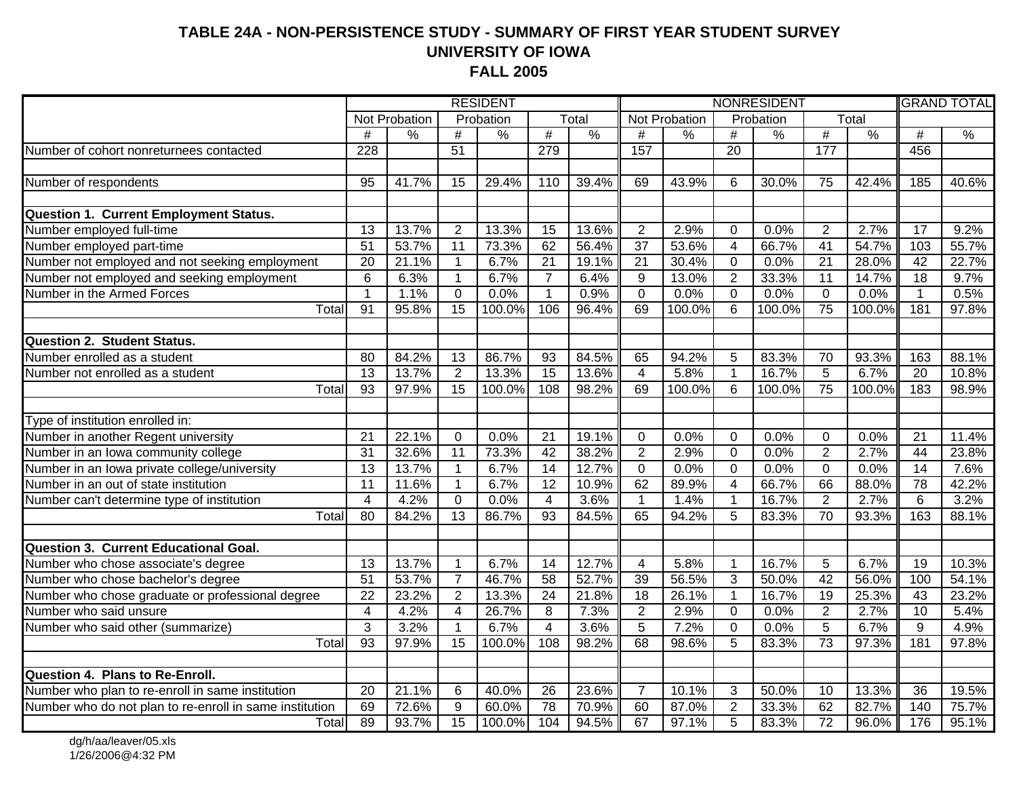#### **TABLE 24A - NON-PERSISTENCE STUDY - SUMMARY OF FIRST YEAR STUDENT SURVEYUNIVERSITY OF IOWA FALL 2005**

|                                                         | <b>RESIDENT</b> |               |                 |               | NONRESIDENT     |               |                         |               |                | <b>GRAND TOTAL</b> |                 |               |                 |               |
|---------------------------------------------------------|-----------------|---------------|-----------------|---------------|-----------------|---------------|-------------------------|---------------|----------------|--------------------|-----------------|---------------|-----------------|---------------|
|                                                         |                 | Not Probation |                 | Probation     |                 | Total         |                         | Not Probation |                | Probation          |                 | Total         |                 |               |
|                                                         | #               | $\frac{9}{6}$ | $\#$            | $\frac{0}{0}$ | $\overline{\#}$ | $\frac{0}{6}$ | #                       | $\frac{9}{6}$ | #              | $\frac{8}{6}$      | $\overline{\#}$ | $\frac{0}{0}$ | #               | $\frac{0}{6}$ |
| Number of cohort nonreturnees contacted                 | 228             |               | 51              |               | 279             |               | 157                     |               | 20             |                    | 177             |               | 456             |               |
|                                                         |                 |               |                 |               |                 |               |                         |               |                |                    |                 |               |                 |               |
| Number of respondents                                   | 95              | 41.7%         | 15              | 29.4%         | 110             | 39.4%         | 69                      | 43.9%         | 6              | 30.0%              | 75              | 42.4%         | 185             | 40.6%         |
|                                                         |                 |               |                 |               |                 |               |                         |               |                |                    |                 |               |                 |               |
| Question 1. Current Employment Status.                  |                 |               |                 |               |                 |               |                         |               |                |                    |                 |               |                 |               |
| Number employed full-time                               | 13              | 13.7%         | $\overline{2}$  | 13.3%         | 15              | 13.6%         | $\overline{2}$          | 2.9%          | $\mathbf 0$    | 0.0%               | 2               | 2.7%          | 17              | 9.2%          |
| Number employed part-time                               | $\overline{51}$ | 53.7%         | $\overline{11}$ | 73.3%         | 62              | 56.4%         | $\overline{37}$         | 53.6%         | $\overline{4}$ | 66.7%              | 41              | 54.7%         | 103             | 55.7%         |
| Number not employed and not seeking employment          | 20              | 21.1%         | $\mathbf 1$     | 6.7%          | $\overline{21}$ | 19.1%         | 21                      | 30.4%         | $\mathbf 0$    | 0.0%               | $\overline{21}$ | 28.0%         | 42              | 22.7%         |
| Number not employed and seeking employment              | 6               | 6.3%          | $\mathbf{1}$    | 6.7%          | $\overline{7}$  | 6.4%          | 9                       | 13.0%         | $\overline{2}$ | 33.3%              | 11              | 14.7%         | 18              | 9.7%          |
| Number in the Armed Forces                              | $\mathbf{1}$    | 1.1%          | $\Omega$        | 0.0%          | $\mathbf{1}$    | 0.9%          | $\Omega$                | 0.0%          | $\Omega$       | 0.0%               | 0               | 0.0%          | $\mathbf{1}$    | 0.5%          |
| Total                                                   | 91              | 95.8%         | 15              | 100.0%        | 106             | 96.4%         | 69                      | 100.0%        | 6              | 100.0%             | $\overline{75}$ | 100.0%        | 181             | 97.8%         |
| <b>Question 2. Student Status.</b>                      |                 |               |                 |               |                 |               |                         |               |                |                    |                 |               |                 |               |
| Number enrolled as a student                            | 80              | 84.2%         | 13              | 86.7%         | 93              | 84.5%         | 65                      | 94.2%         | 5              | 83.3%              | 70              | 93.3%         | 163             | 88.1%         |
| Number not enrolled as a student                        | $\overline{13}$ | 13.7%         | $\overline{2}$  | 13.3%         | $\overline{15}$ | 13.6%         | $\overline{\mathbf{4}}$ | 5.8%          | $\overline{1}$ | 16.7%              | $\overline{5}$  | 6.7%          | 20              | 10.8%         |
| Total                                                   | $\overline{93}$ | 97.9%         | $\overline{15}$ | 100.0%        | 108             | 98.2%         | 69                      | 100.0%        | $6\phantom{1}$ | 100.0%             | 75              | 100.0%        | 183             | 98.9%         |
|                                                         |                 |               |                 |               |                 |               |                         |               |                |                    |                 |               |                 |               |
| Type of institution enrolled in:                        |                 |               |                 |               |                 |               |                         |               |                |                    |                 |               |                 |               |
| Number in another Regent university                     | 21              | 22.1%         | 0               | 0.0%          | $\overline{21}$ | 19.1%         | 0                       | 0.0%          | 0              | 0.0%               | $\mathbf 0$     | 0.0%          | $\overline{21}$ | 11.4%         |
| Number in an lowa community college                     | $\overline{31}$ | 32.6%         | $\overline{11}$ | 73.3%         | 42              | 38.2%         | $\overline{2}$          | 2.9%          | $\mathbf 0$    | 0.0%               | $\overline{2}$  | 2.7%          | 44              | 23.8%         |
| Number in an Iowa private college/university            | $\overline{13}$ | 13.7%         | $\overline{1}$  | 6.7%          | 14              | 12.7%         | $\overline{0}$          | 0.0%          | $\overline{0}$ | 0.0%               | $\overline{0}$  | 0.0%          | $\overline{14}$ | 7.6%          |
| Number in an out of state institution                   | $\overline{11}$ | 11.6%         | $\overline{1}$  | 6.7%          | 12              | 10.9%         | 62                      | 89.9%         | $\overline{4}$ | 66.7%              | 66              | 88.0%         | 78              | 42.2%         |
| Number can't determine type of institution              | $\overline{4}$  | 4.2%          | $\mathbf 0$     | 0.0%          | $\overline{4}$  | 3.6%          | $\mathbf{1}$            | 1.4%          | $\mathbf{1}$   | 16.7%              | $\overline{2}$  | 2.7%          | 6               | 3.2%          |
| Total                                                   | $\overline{80}$ | 84.2%         | $\overline{13}$ | 86.7%         | 93              | 84.5%         | 65                      | 94.2%         | 5              | 83.3%              | 70              | 93.3%         | 163             | 88.1%         |
| Question 3. Current Educational Goal.                   |                 |               |                 |               |                 |               |                         |               |                |                    |                 |               |                 |               |
| Number who chose associate's degree                     | 13              | 13.7%         | $\overline{1}$  | 6.7%          | 14              | 12.7%         | $\overline{4}$          | 5.8%          | $\mathbf{1}$   | 16.7%              | 5               | 6.7%          | 19              | 10.3%         |
| Number who chose bachelor's degree                      | 51              | 53.7%         | $\overline{7}$  | 46.7%         | 58              | 52.7%         | 39                      | 56.5%         | $\overline{3}$ | 50.0%              | 42              | 56.0%         | 100             | 54.1%         |
| Number who chose graduate or professional degree        | $\overline{22}$ | 23.2%         | $\overline{2}$  | 13.3%         | $\overline{24}$ | 21.8%         | 18                      | 26.1%         | $\mathbf{1}$   | 16.7%              | $\overline{19}$ | 25.3%         | 43              | 23.2%         |
| Number who said unsure                                  | 4               | 4.2%          | $\overline{4}$  | 26.7%         | 8               | 7.3%          | $\overline{2}$          | 2.9%          | $\mathbf 0$    | 0.0%               | $\overline{2}$  | 2.7%          | 10              | 5.4%          |
| Number who said other (summarize)                       | $\overline{3}$  | 3.2%          | $\overline{1}$  | 6.7%          | $\overline{4}$  | 3.6%          | $\overline{5}$          | 7.2%          | $\Omega$       | 0.0%               | $\overline{5}$  | 6.7%          | $\overline{9}$  | 4.9%          |
| Total                                                   | $\overline{93}$ | 97.9%         | 15              | 100.0%        | 108             | 98.2%         | 68                      | 98.6%         | 5              | 83.3%              | 73              | 97.3%         | 181             | 97.8%         |
|                                                         |                 |               |                 |               |                 |               |                         |               |                |                    |                 |               |                 |               |
| Question 4. Plans to Re-Enroll.                         |                 |               |                 |               |                 |               |                         |               |                |                    |                 |               |                 |               |
| Number who plan to re-enroll in same institution        | 20              | 21.1%         | 6               | 40.0%         | 26              | 23.6%         | $\overline{7}$          | 10.1%         | $\sqrt{3}$     | 50.0%              | 10              | 13.3%         | 36              | 19.5%         |
| Number who do not plan to re-enroll in same institution | 69              | 72.6%         | 9               | 60.0%         | $\overline{78}$ | 70.9%         | 60                      | 87.0%         | $\overline{2}$ | 33.3%              | 62              | 82.7%         | 140             | 75.7%         |
| Total                                                   | 89              | 93.7%         | $\overline{15}$ | 100.0%        | 104             | 94.5%         | 67                      | 97.1%         | $\overline{5}$ | 83.3%              | $\overline{72}$ | 96.0%         | 176             | 95.1%         |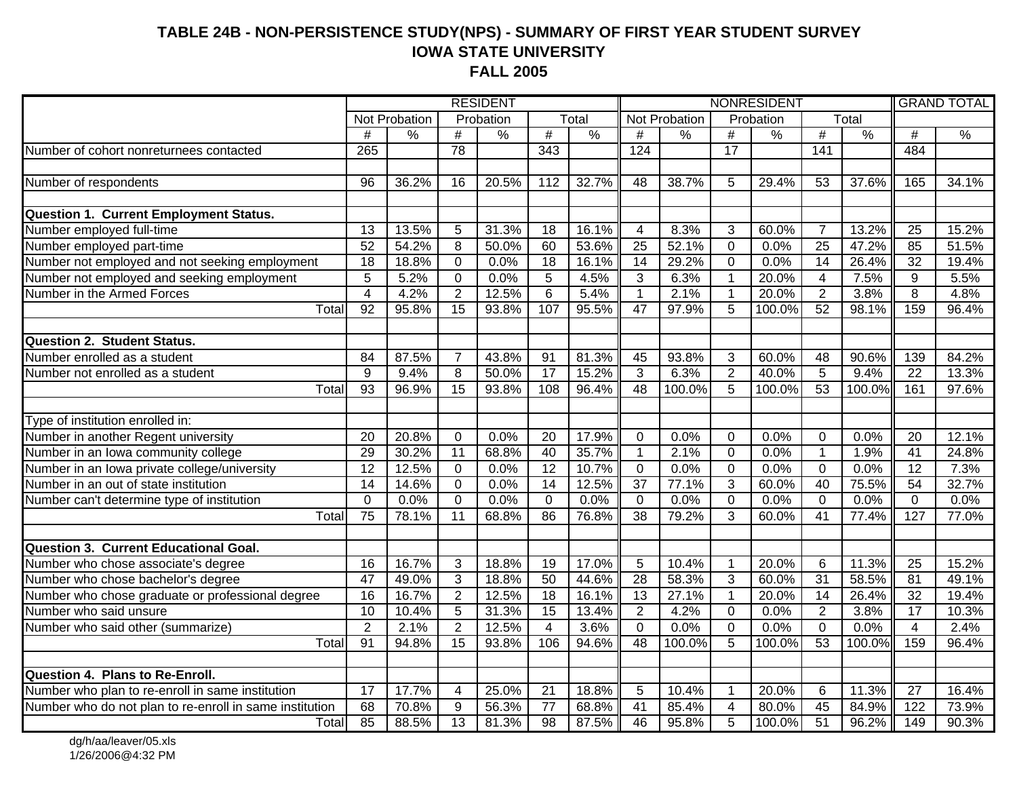#### **TABLE 24B - NON-PERSISTENCE STUDY(NPS) - SUMMARY OF FIRST YEAR STUDENT SURVEY IOWA STATE UNIVERSITY FALL 2005**

|                                                         | <b>RESIDENT</b> |               |                 |               | NONRESIDENT     |               |                 |                    |                 | <b>GRAND TOTAL</b> |                 |               |                 |               |
|---------------------------------------------------------|-----------------|---------------|-----------------|---------------|-----------------|---------------|-----------------|--------------------|-----------------|--------------------|-----------------|---------------|-----------------|---------------|
|                                                         |                 | Not Probation |                 | Probation     |                 | Total         |                 | Not Probation      |                 | Probation          |                 | Total         |                 |               |
|                                                         | #               | $\frac{9}{6}$ | #               | $\frac{0}{0}$ | $\overline{\#}$ | $\frac{0}{6}$ | #               | $\frac{9}{6}$      | $\#$            | $\frac{0}{0}$      | $\overline{\#}$ | $\frac{0}{6}$ | #               | $\frac{0}{6}$ |
| Number of cohort nonreturnees contacted                 | 265             |               | 78              |               | 343             |               | 124             |                    | $\overline{17}$ |                    | 141             |               | 484             |               |
|                                                         |                 |               |                 |               |                 |               |                 |                    |                 |                    |                 |               |                 |               |
| Number of respondents                                   | 96              | 36.2%         | 16              | 20.5%         | 112             | 32.7%         | 48              | 38.7%              | 5               | 29.4%              | 53              | 37.6%         | 165             | 34.1%         |
|                                                         |                 |               |                 |               |                 |               |                 |                    |                 |                    |                 |               |                 |               |
| <b>Question 1. Current Employment Status.</b>           |                 |               |                 |               |                 |               |                 |                    |                 |                    |                 |               |                 |               |
| Number employed full-time                               | $\overline{13}$ | 13.5%         | 5               | 31.3%         | 18              | 16.1%         | $\overline{4}$  | 8.3%               | $\mathbf{3}$    | 60.0%              | $\overline{7}$  | 13.2%         | $\overline{25}$ | 15.2%         |
| Number employed part-time                               | $\overline{52}$ | 54.2%         | 8               | 50.0%         | 60              | 53.6%         | $\overline{25}$ | 52.1%              | $\mathbf 0$     | 0.0%               | $\overline{25}$ | 47.2%         | 85              | 51.5%         |
| Number not employed and not seeking employment          | $\overline{18}$ | 18.8%         | $\overline{0}$  | 0.0%          | $\overline{18}$ | 16.1%         | $\overline{14}$ | 29.2%              | $\overline{0}$  | 0.0%               | $\overline{14}$ | 26.4%         | $\overline{32}$ | 19.4%         |
| Number not employed and seeking employment              | 5               | 5.2%          | $\mathbf 0$     | 0.0%          | 5               | 4.5%          | 3               | 6.3%               | $\mathbf{1}$    | 20.0%              | 4               | 7.5%          | 9               | 5.5%          |
| Number in the Armed Forces                              | $\overline{4}$  | 4.2%          | $\overline{2}$  | 12.5%         | 6               | 5.4%          | $\mathbf{1}$    | 2.1%               | $\overline{1}$  | 20.0%              | $\overline{2}$  | 3.8%          | 8               | 4.8%          |
| $\overline{T}$ <sub>otal</sub>                          | 92              | 95.8%         | $\overline{15}$ | 93.8%         | 107             | 95.5%         | $\overline{47}$ | 97.9%              | 5               | 100.0%             | $\overline{52}$ | 98.1%         | 159             | 96.4%         |
|                                                         |                 |               |                 |               |                 |               |                 |                    |                 |                    |                 |               |                 |               |
| <b>Question 2. Student Status.</b>                      |                 |               |                 |               |                 |               |                 |                    |                 |                    |                 |               |                 |               |
| Number enrolled as a student                            | $\overline{84}$ | 87.5%         | $\overline{7}$  | 43.8%         | $\overline{91}$ | 81.3%         | 45              | 93.8%              | $\mathbf{3}$    | 60.0%              | $\overline{48}$ | 90.6%         | 139             | 84.2%         |
| Number not enrolled as a student                        | 9               | 9.4%          | 8               | 50.0%         | $\overline{17}$ | 15.2%         | 3               | 6.3%               | $\overline{2}$  | 40.0%              | $\overline{5}$  | 9.4%          | $\overline{22}$ | 13.3%         |
| Total                                                   | 93              | 96.9%         | $\overline{15}$ | 93.8%         | 108             | 96.4%         | $\overline{48}$ | 100.0%             | $\overline{5}$  | 100.0%             | $\overline{53}$ | 100.0%        | 161             | 97.6%         |
|                                                         |                 |               |                 |               |                 |               |                 |                    |                 |                    |                 |               |                 |               |
| Type of institution enrolled in:                        |                 |               |                 |               |                 |               |                 |                    |                 |                    |                 |               |                 |               |
| Number in another Regent university                     | 20              | 20.8%         | 0               | 0.0%          | $\overline{20}$ | 17.9%         | 0               | 0.0%               | 0               | 0.0%               | $\mathbf 0$     | 0.0%          | 20              | 12.1%         |
| Number in an Iowa community college                     | 29              | 30.2%         | $\overline{11}$ | 68.8%         | 40              | 35.7%         | $\overline{1}$  | 2.1%               | 0               | 0.0%               | $\mathbf{1}$    | 1.9%          | $\overline{41}$ | 24.8%         |
| Number in an Iowa private college/university            | $\overline{12}$ | 12.5%         | $\overline{0}$  | 0.0%          | $\overline{12}$ | 10.7%         | $\overline{0}$  | 0.0%               | $\overline{0}$  | 0.0%               | $\overline{0}$  | 0.0%          | 12              | 7.3%          |
| Number in an out of state institution                   | $\overline{14}$ | 14.6%         | $\overline{0}$  | 0.0%          | $\overline{14}$ | 12.5%         | $\overline{37}$ | 77.1%              | $\overline{3}$  | 60.0%              | 40              | 75.5%         | 54              | 32.7%         |
| Number can't determine type of institution              | $\mathbf 0$     | 0.0%          | $\mathbf 0$     | 0.0%          | $\mathbf 0$     | 0.0%          | $\mathbf 0$     | 0.0%               | $\overline{0}$  | 0.0%               | $\Omega$        | 0.0%          | $\mathbf 0$     | 0.0%          |
| Total                                                   | $\overline{75}$ | 78.1%         | $\overline{11}$ | 68.8%         | 86              | 76.8%         | $\overline{38}$ | 79.2%              | 3               | 60.0%              | $\overline{41}$ | 77.4%         | 127             | 77.0%         |
|                                                         |                 |               |                 |               |                 |               |                 |                    |                 |                    |                 |               |                 |               |
| Question 3. Current Educational Goal.                   |                 |               |                 |               |                 |               |                 |                    |                 |                    |                 |               |                 |               |
| Number who chose associate's degree                     | $\overline{16}$ | 16.7%         | $\mathbf{3}$    | 18.8%         | 19              | 17.0%         | 5               | 10.4%              | $\overline{1}$  | 20.0%              | $6\phantom{1}6$ | 11.3%         | $\overline{25}$ | 15.2%         |
| Number who chose bachelor's degree                      | $\overline{47}$ | 49.0%         | 3               | 18.8%         | 50              | 44.6%         | $\overline{28}$ | $\frac{1}{58.3\%}$ | 3               | 60.0%              | 31              | 58.5%         | $\overline{81}$ | 49.1%         |
| Number who chose graduate or professional degree        | $\overline{16}$ | 16.7%         | $\overline{2}$  | 12.5%         | 18              | 16.1%         | $\overline{13}$ | 27.1%              | $\mathbf{1}$    | 20.0%              | $\overline{14}$ | 26.4%         | $\overline{32}$ | 19.4%         |
| Number who said unsure                                  | $\overline{10}$ | 10.4%         | 5               | 31.3%         | $\overline{15}$ | 13.4%         | $\overline{2}$  | 4.2%               | $\mathbf 0$     | 0.0%               | $\overline{2}$  | 3.8%          | $\overline{17}$ | 10.3%         |
| Number who said other (summarize)                       | $\overline{2}$  | 2.1%          | $\overline{2}$  | 12.5%         | $\overline{4}$  | 3.6%          | $\Omega$        | 0.0%               | $\overline{0}$  | 0.0%               | $\Omega$        | 0.0%          | $\overline{4}$  | 2.4%          |
| Total                                                   | 91              | 94.8%         | $\overline{15}$ | 93.8%         | 106             | 94.6%         | 48              | 100.0%             | 5               | 100.0%             | 53              | 100.0%        | 159             | 96.4%         |
|                                                         |                 |               |                 |               |                 |               |                 |                    |                 |                    |                 |               |                 |               |
| Question 4. Plans to Re-Enroll.                         |                 |               |                 |               |                 |               |                 |                    |                 |                    |                 |               |                 |               |
| Number who plan to re-enroll in same institution        | $\overline{17}$ | 17.7%         | $\overline{4}$  | 25.0%         | $\overline{21}$ | 18.8%         | 5               | 10.4%              | $\overline{1}$  | 20.0%              | 6               | 11.3%         | $\overline{27}$ | 16.4%         |
| Number who do not plan to re-enroll in same institution | 68              | 70.8%         | 9               | 56.3%         | 77              | 68.8%         | 41              | 85.4%              | $\overline{4}$  | 80.0%              | $\overline{45}$ | 84.9%         | 122             | 73.9%         |
| Total                                                   | 85              | 88.5%         | $\overline{13}$ | 81.3%         | $\overline{98}$ | 87.5%         | 46              | 95.8%              | 5               | 100.0%             | $\overline{51}$ | 96.2%         | 149             | 90.3%         |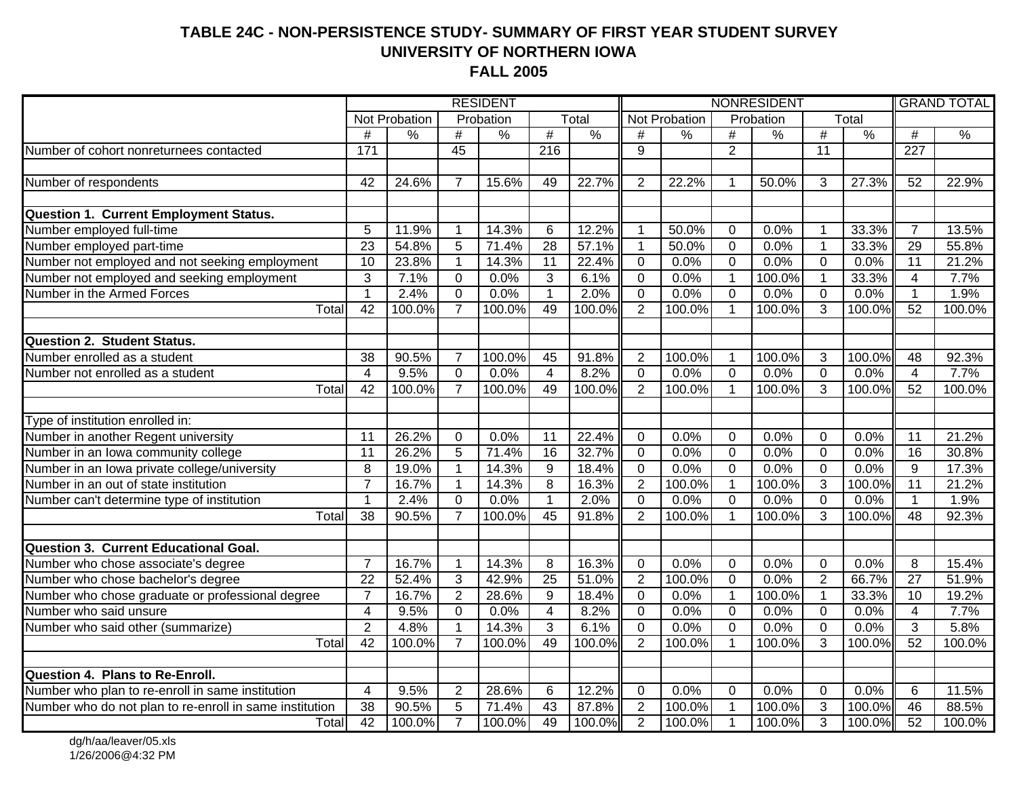#### **TABLE 24C - NON-PERSISTENCE STUDY- SUMMARY OF FIRST YEAR STUDENT SURVEYUNIVERSITY OF NORTHERN IOWA FALL 2005**

|                                                         | <b>RESIDENT</b> |               |                 |               | NONRESIDENT             |               |                |               | <b>GRAND TOTAL</b> |               |                |               |                         |               |
|---------------------------------------------------------|-----------------|---------------|-----------------|---------------|-------------------------|---------------|----------------|---------------|--------------------|---------------|----------------|---------------|-------------------------|---------------|
|                                                         |                 | Not Probation |                 | Probation     |                         | Total         |                | Not Probation |                    | Probation     |                | Total         |                         |               |
|                                                         | $\#$            | $\frac{9}{6}$ | $\#$            | $\frac{9}{6}$ | $\#$                    | $\frac{9}{6}$ | #              | $\frac{9}{6}$ | $\#$               | $\frac{8}{6}$ | #              | $\frac{9}{6}$ | #                       | $\frac{0}{6}$ |
| Number of cohort nonreturnees contacted                 | 171             |               | $\overline{45}$ |               | $\overline{216}$        |               | 9              |               | $\overline{2}$     |               | 11             |               | $\overline{227}$        |               |
|                                                         |                 |               |                 |               |                         |               |                |               |                    |               |                |               |                         |               |
| Number of respondents                                   | 42              | 24.6%         | $\overline{7}$  | 15.6%         | 49                      | 22.7%         | $\overline{2}$ | 22.2%         | 1                  | 50.0%         | 3              | 27.3%         | 52                      | 22.9%         |
|                                                         |                 |               |                 |               |                         |               |                |               |                    |               |                |               |                         |               |
| <b>Question 1. Current Employment Status.</b>           |                 |               |                 |               |                         |               |                |               |                    |               |                |               |                         |               |
| Number employed full-time                               | 5               | 11.9%         | $\mathbf 1$     | 14.3%         | 6                       | 12.2%         | 1              | 50.0%         | $\mathbf 0$        | 0.0%          | $\mathbf{1}$   | 33.3%         | $\overline{7}$          | 13.5%         |
| Number employed part-time                               | 23              | 54.8%         | 5               | 71.4%         | $\overline{28}$         | 57.1%         | $\mathbf{1}$   | 50.0%         | $\mathbf 0$        | 0.0%          | $\mathbf{1}$   | 33.3%         | 29                      | 55.8%         |
| Number not employed and not seeking employment          | 10              | 23.8%         | $\mathbf{1}$    | 14.3%         | 11                      | 22.4%         | $\overline{0}$ | 0.0%          | $\mathbf 0$        | 0.0%          | $\mathbf 0$    | 0.0%          | 11                      | 21.2%         |
| Number not employed and seeking employment              | 3               | 7.1%          | $\Omega$        | 0.0%          | 3                       | 6.1%          | $\overline{0}$ | 0.0%          | $\mathbf{1}$       | 100.0%        | $\mathbf{1}$   | 33.3%         | 4                       | 7.7%          |
| Number in the Armed Forces                              | $\mathbf{1}$    | 2.4%          | $\mathbf 0$     | 0.0%          | $\mathbf{1}$            | 2.0%          | $\overline{0}$ | 0.0%          | $\overline{0}$     | 0.0%          | 0              | 0.0%          | $\mathbf 1$             | 1.9%          |
| Total                                                   | 42              | 100.0%        | $\overline{7}$  | 100.0%        | 49                      | 100.0%        | $\overline{2}$ | 100.0%        | $\overline{1}$     | 100.0%        | 3              | 100.0%        | 52                      | 100.0%        |
|                                                         |                 |               |                 |               |                         |               |                |               |                    |               |                |               |                         |               |
| <b>Question 2. Student Status.</b>                      |                 |               |                 |               |                         |               |                |               |                    |               |                |               |                         |               |
| Number enrolled as a student                            | 38              | 90.5%         | $\overline{7}$  | 100.0%        | 45                      | 91.8%         | $\overline{2}$ | 100.0%        | $\overline{1}$     | 100.0%        | 3              | 100.0%        | 48                      | 92.3%         |
| Number not enrolled as a student                        | $\overline{4}$  | 9.5%          | $\overline{0}$  | 0.0%          | $\overline{4}$          | 8.2%          | $\overline{0}$ | 0.0%          | $\overline{0}$     | 0.0%          | $\mathbf 0$    | 0.0%          | $\overline{4}$          | 7.7%          |
| Total                                                   | $\overline{42}$ | 100.0%        | $\overline{7}$  | 100.0%        | 49                      | 100.0%        | $\overline{2}$ | 100.0%        |                    | 100.0%        | 3              | 100.0%        | 52                      | 100.0%        |
|                                                         |                 |               |                 |               |                         |               |                |               |                    |               |                |               |                         |               |
| Type of institution enrolled in:                        |                 |               |                 |               |                         |               |                |               |                    |               |                |               |                         |               |
| Number in another Regent university                     | 11              | 26.2%         | $\Omega$        | 0.0%          | 11                      | 22.4%         | $\mathbf 0$    | 0.0%          | $\overline{0}$     | 0.0%          | $\Omega$       | 0.0%          | 11                      | 21.2%         |
| Number in an Iowa community college                     | $\overline{11}$ | 26.2%         | $\overline{5}$  | 71.4%         | 16                      | 32.7%         | $\overline{0}$ | 0.0%          | $\overline{0}$     | 0.0%          | $\overline{0}$ | 0.0%          | 16                      | 30.8%         |
| Number in an Iowa private college/university            | $\overline{8}$  | 19.0%         | $\overline{1}$  | 14.3%         | $\overline{9}$          | 18.4%         | $\overline{0}$ | 0.0%          | $\overline{0}$     | 0.0%          | $\overline{0}$ | 0.0%          | $\overline{9}$          | 17.3%         |
| Number in an out of state institution                   | $\overline{7}$  | 16.7%         | $\mathbf{1}$    | 14.3%         | $\overline{8}$          | 16.3%         | $\overline{2}$ | 100.0%        | $\mathbf{1}$       | 100.0%        | $\overline{3}$ | 100.0%        | 11                      | 21.2%         |
| Number can't determine type of institution              | $\mathbf 1$     | 2.4%          | $\Omega$        | 0.0%          | $\mathbf{1}$            | 2.0%          | $\overline{0}$ | 0.0%          | $\mathbf 0$        | 0.0%          | $\mathbf 0$    | 0.0%          | $\mathbf{1}$            | 1.9%          |
| Total                                                   | 38              | 90.5%         | $\overline{7}$  | 100.0%        | 45                      | 91.8%         | $\overline{2}$ | 100.0%        |                    | 100.0%        | 3              | 100.0%        | $\overline{48}$         | 92.3%         |
|                                                         |                 |               |                 |               |                         |               |                |               |                    |               |                |               |                         |               |
| <b>Question 3. Current Educational Goal.</b>            |                 |               |                 |               |                         |               |                |               |                    |               |                |               |                         |               |
| Number who chose associate's degree                     | $\overline{7}$  | 16.7%         | $\overline{1}$  | 14.3%         | 8                       | 16.3%         | $\mathbf 0$    | 0.0%          | $\mathbf 0$        | 0.0%          | $\mathbf 0$    | 0.0%          | 8                       | 15.4%         |
| Number who chose bachelor's degree                      | $\overline{22}$ | 52.4%         | 3               | 42.9%         | $\overline{25}$         | 51.0%         | $\overline{2}$ | 100.0%        | $\overline{0}$     | 0.0%          | $\overline{2}$ | 66.7%         | $\overline{27}$         | 51.9%         |
| Number who chose graduate or professional degree        | $\overline{7}$  | 16.7%         | $\overline{2}$  | 28.6%         | $\overline{9}$          | 18.4%         | $\overline{0}$ | 0.0%          | $\overline{1}$     | 100.0%        | $\overline{1}$ | 33.3%         | $\overline{10}$         | 19.2%         |
| Number who said unsure                                  | 4               | 9.5%          | $\mathbf 0$     | 0.0%          | $\overline{\mathbf{4}}$ | 8.2%          | $\overline{0}$ | 0.0%          | $\overline{0}$     | 0.0%          | $\mathbf 0$    | 0.0%          | $\overline{\mathbf{4}}$ | 7.7%          |
| Number who said other (summarize)                       | $\overline{2}$  | 4.8%          | $\overline{1}$  | 14.3%         | 3                       | 6.1%          | $\overline{0}$ | 0.0%          | $\overline{0}$     | 0.0%          | $\overline{0}$ | 0.0%          | 3                       | 5.8%          |
| Total                                                   | 42              | 100.0%        | $\overline{7}$  | 100.0%        | 49                      | $100.0\%$     | $\overline{2}$ | 100.0%        | 1                  | 100.0%        | 3              | 100.0%        | $\overline{52}$         | 100.0%        |
|                                                         |                 |               |                 |               |                         |               |                |               |                    |               |                |               |                         |               |
| <b>Question 4. Plans to Re-Enroll.</b>                  |                 |               |                 |               |                         |               |                |               |                    |               |                |               |                         |               |
| Number who plan to re-enroll in same institution        | $\overline{4}$  | 9.5%          | $\overline{2}$  | 28.6%         | 6                       | 12.2%         | $\overline{0}$ | 0.0%          | $\mathbf 0$        | 0.0%          | $\mathbf 0$    | 0.0%          | 6                       | 11.5%         |
| Number who do not plan to re-enroll in same institution | 38              | 90.5%         | $\overline{5}$  | 71.4%         | 43                      | 87.8%         | $\overline{2}$ | 100.0%        | $\overline{1}$     | 100.0%        | $\overline{3}$ | 100.0%        | 46                      | 88.5%         |
| Total                                                   | 42              | 100.0%        | $\overline{7}$  | 100.0%        | 49                      | 100.0%        | $\overline{2}$ | 100.0%        | $\mathbf 1$        | 100.0%        | 3              | 100.0%        | 52                      | 100.0%        |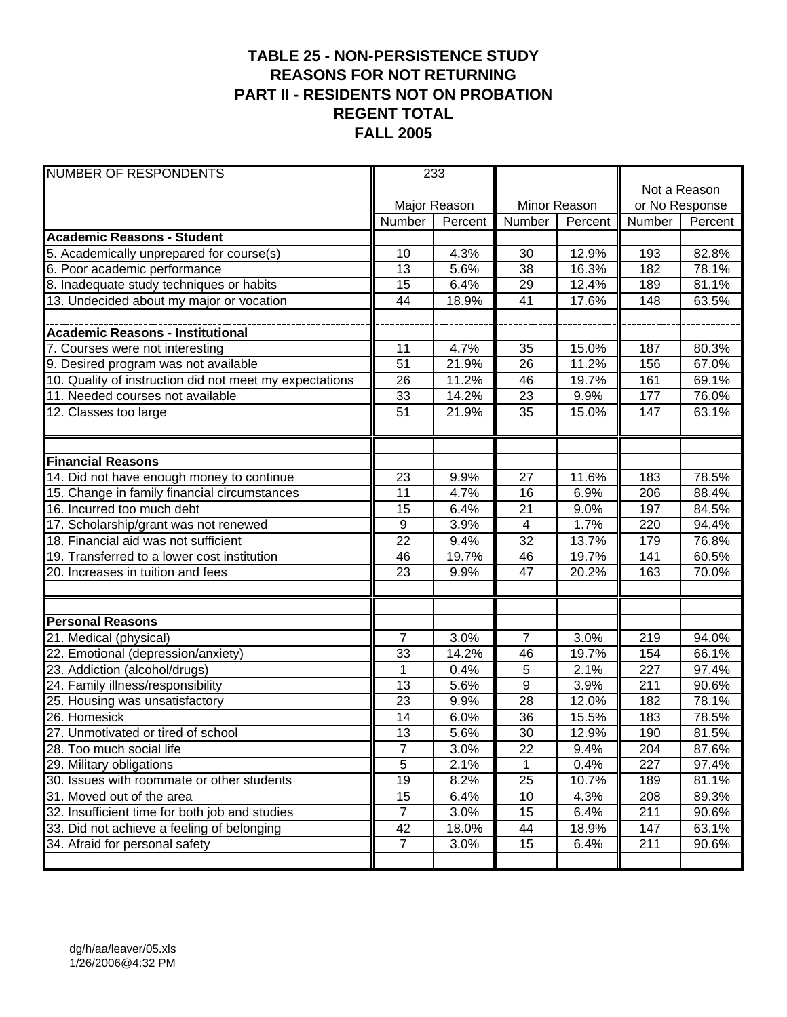#### **TABLE 25 - NON-PERSISTENCE STUDY REASONS FOR NOT RETURNING PART II - RESIDENTS NOT ON PROBATION REGENT TOTAL FALL 2005**

| <b>NUMBER OF RESPONDENTS</b>                            | 233             |                    |                 |              |              |                |  |
|---------------------------------------------------------|-----------------|--------------------|-----------------|--------------|--------------|----------------|--|
|                                                         |                 |                    |                 |              | Not a Reason |                |  |
|                                                         |                 | Major Reason       |                 | Minor Reason |              | or No Response |  |
|                                                         | Number          | Percent            | Number          | Percent      | Number       | Percent        |  |
| <b>Academic Reasons - Student</b>                       |                 |                    |                 |              |              |                |  |
| 5. Academically unprepared for course(s)                | 10              | $\overline{4.3\%}$ | 30              | 12.9%        | 193          | 82.8%          |  |
| 6. Poor academic performance                            | 13              | 5.6%               | $\overline{38}$ | 16.3%        | 182          | 78.1%          |  |
| 8. Inadequate study techniques or habits                | 15              | 6.4%               | 29              | 12.4%        | 189          | 81.1%          |  |
| 13. Undecided about my major or vocation                | 44              | 18.9%              | 41              | 17.6%        | 148          | 63.5%          |  |
|                                                         |                 |                    |                 |              |              |                |  |
| Academic Reasons - Institutional                        |                 |                    |                 |              |              |                |  |
| 7. Courses were not interesting                         | 11              | 4.7%               | 35              | 15.0%        | 187          | 80.3%          |  |
| 9. Desired program was not available                    | 51              | 21.9%              | 26              | 11.2%        | 156          | 67.0%          |  |
| 10. Quality of instruction did not meet my expectations | 26              | 11.2%              | 46              | 19.7%        | 161          | 69.1%          |  |
| 11. Needed courses not available                        | 33              | 14.2%              | 23              | 9.9%         | 177          | 76.0%          |  |
| 12. Classes too large                                   | 51              | 21.9%              | $\overline{35}$ | 15.0%        | 147          | 63.1%          |  |
|                                                         |                 |                    |                 |              |              |                |  |
|                                                         |                 |                    |                 |              |              |                |  |
| <b>Financial Reasons</b>                                |                 |                    |                 |              |              |                |  |
| 14. Did not have enough money to continue               | 23              | 9.9%               | $\overline{27}$ | 11.6%        | 183          | 78.5%          |  |
| 15. Change in family financial circumstances            | 11              | 4.7%               | 16              | 6.9%         | 206          | 88.4%          |  |
| 16. Incurred too much debt                              | 15              | 6.4%               | 21              | 9.0%         | 197          | 84.5%          |  |
| 17. Scholarship/grant was not renewed                   | $9\,$           | 3.9%               | $\overline{4}$  | 1.7%         | 220          | 94.4%          |  |
| 18. Financial aid was not sufficient                    | 22              | 9.4%               | $\overline{32}$ | 13.7%        | 179          | 76.8%          |  |
| 19. Transferred to a lower cost institution             | 46              | 19.7%              | 46              | 19.7%        | 141          | 60.5%          |  |
| 20. Increases in tuition and fees                       | 23              | 9.9%               | 47              | 20.2%        | 163          | 70.0%          |  |
|                                                         |                 |                    |                 |              |              |                |  |
|                                                         |                 |                    |                 |              |              |                |  |
| <b>Personal Reasons</b>                                 |                 |                    |                 |              |              |                |  |
| 21. Medical (physical)                                  | 7               | 3.0%               | $\overline{7}$  | 3.0%         | 219          | 94.0%          |  |
| 22. Emotional (depression/anxiety)                      | 33              | 14.2%              | 46              | 19.7%        | 154          | 66.1%          |  |
| 23. Addiction (alcohol/drugs)                           | 1               | 0.4%               | 5               | 2.1%         | 227          | 97.4%          |  |
| 24. Family illness/responsibility                       | 13              | 5.6%               | 9               | 3.9%         | 211          | 90.6%          |  |
| 25. Housing was unsatisfactory                          | 23              | 9.9%               | 28              | 12.0%        | 182          | 78.1%          |  |
| 26. Homesick                                            | 14              | 6.0%               | 36              | 15.5%        | 183          | 78.5%          |  |
| 27. Unmotivated or tired of school                      | 13              | 5.6%               | $\overline{30}$ | 12.9%        | 190          | 81.5%          |  |
| 28. Too much social life                                | 7               | 3.0%               | 22              | 9.4%         | 204          | 87.6%          |  |
| 29. Military obligations                                | $\overline{5}$  | 2.1%               | $\mathbf{1}$    | 0.4%         | 227          | 97.4%          |  |
| 30. Issues with roommate or other students              | $\overline{19}$ | 8.2%               | $\overline{25}$ | 10.7%        | 189          | 81.1%          |  |
| 31. Moved out of the area                               | 15              | 6.4%               | 10              | 4.3%         | 208          | 89.3%          |  |
| 32. Insufficient time for both job and studies          | $\overline{7}$  | 3.0%               | 15              | 6.4%         | 211          | 90.6%          |  |
| 33. Did not achieve a feeling of belonging              | 42              | 18.0%              | 44              | 18.9%        | 147          | 63.1%          |  |
| 34. Afraid for personal safety                          | $\overline{7}$  | 3.0%               | 15              | 6.4%         | 211          | 90.6%          |  |
|                                                         |                 |                    |                 |              |              |                |  |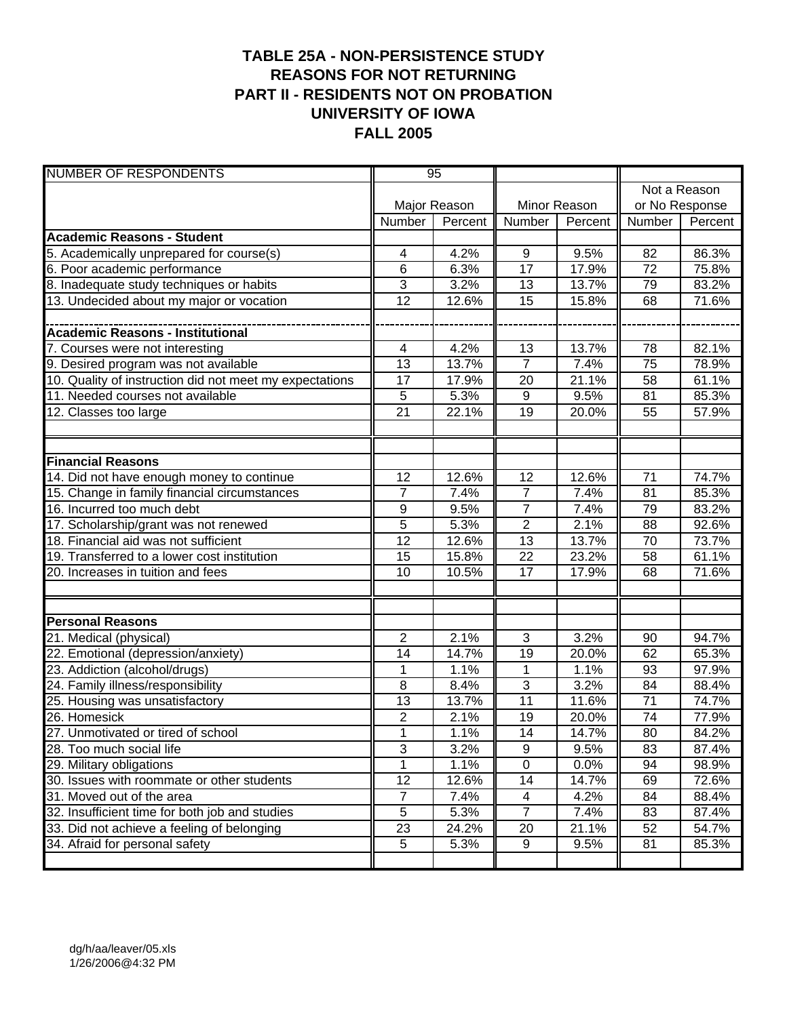#### **TABLE 25A - NON-PERSISTENCE STUDY REASONS FOR NOT RETURNING PART II - RESIDENTS NOT ON PROBATION UNIVERSITY OF IOWA FALL 2005**

| <b>NUMBER OF RESPONDENTS</b>                            | 95                        |              |                  |              |                 |                |
|---------------------------------------------------------|---------------------------|--------------|------------------|--------------|-----------------|----------------|
|                                                         |                           |              |                  |              |                 | Not a Reason   |
|                                                         |                           | Major Reason |                  | Minor Reason |                 | or No Response |
|                                                         | Number                    | Percent      | Number           | Percent      | Number          | Percent        |
| <b>Academic Reasons - Student</b>                       |                           |              |                  |              |                 |                |
| 5. Academically unprepared for course(s)                | 4                         | 4.2%         | 9                | 9.5%         | 82              | 86.3%          |
| 6. Poor academic performance                            | 6                         | 6.3%         | 17               | 17.9%        | $\overline{72}$ | 75.8%          |
| 8. Inadequate study techniques or habits                | 3                         | 3.2%         | 13               | 13.7%        | 79              | 83.2%          |
| 13. Undecided about my major or vocation                | 12                        | 12.6%        | 15               | 15.8%        | 68              | 71.6%          |
|                                                         |                           |              |                  |              |                 |                |
| <b>Academic Reasons - Institutional</b>                 |                           |              |                  |              |                 |                |
| 7. Courses were not interesting                         | 4                         | 4.2%         | 13               | 13.7%        | 78              | 82.1%          |
| 9. Desired program was not available                    | 13                        | 13.7%        | $\overline{7}$   | 7.4%         | 75              | 78.9%          |
| 10. Quality of instruction did not meet my expectations | 17                        | 17.9%        | 20               | 21.1%        | 58              | 61.1%          |
| 11. Needed courses not available                        | 5                         | 5.3%         | $9\,$            | 9.5%         | 81              | 85.3%          |
| 12. Classes too large                                   | 21                        | 22.1%        | 19               | 20.0%        | 55              | 57.9%          |
|                                                         |                           |              |                  |              |                 |                |
|                                                         |                           |              |                  |              |                 |                |
| <b>Financial Reasons</b>                                |                           |              |                  |              |                 |                |
| 14. Did not have enough money to continue               | 12                        | 12.6%        | $\overline{12}$  | 12.6%        | $\overline{71}$ | 74.7%          |
| 15. Change in family financial circumstances            | $\overline{7}$            | 7.4%         | $\overline{7}$   | 7.4%         | 81              | 85.3%          |
| 16. Incurred too much debt                              | 9                         | 9.5%         | $\overline{7}$   | 7.4%         | 79              | 83.2%          |
| 17. Scholarship/grant was not renewed                   | $\overline{5}$            | 5.3%         | $\overline{2}$   | 2.1%         | 88              | 92.6%          |
| 18. Financial aid was not sufficient                    | $\overline{12}$           | 12.6%        | $\overline{13}$  | 13.7%        | 70              | 73.7%          |
| 19. Transferred to a lower cost institution             | 15                        | 15.8%        | $\overline{22}$  | 23.2%        | 58              | 61.1%          |
| 20. Increases in tuition and fees                       | 10                        | 10.5%        | 17               | 17.9%        | 68              | 71.6%          |
|                                                         |                           |              |                  |              |                 |                |
|                                                         |                           |              |                  |              |                 |                |
| <b>Personal Reasons</b>                                 |                           |              |                  |              |                 |                |
| 21. Medical (physical)                                  | $\overline{2}$            | 2.1%         | 3                | 3.2%         | 90              | 94.7%          |
| 22. Emotional (depression/anxiety)                      | 14                        | 14.7%        | 19               | 20.0%        | 62              | 65.3%          |
| 23. Addiction (alcohol/drugs)                           | 1                         | 1.1%         | 1                | 1.1%         | 93              | 97.9%          |
| 24. Family illness/responsibility                       | 8                         | 8.4%         | 3                | 3.2%         | 84              | 88.4%          |
| 25. Housing was unsatisfactory                          | 13                        | 13.7%        | 11               | 11.6%        | 71              | 74.7%          |
| 26. Homesick                                            | 2                         | 2.1%         | 19               | 20.0%        | 74              | 77.9%          |
| 27. Unmotivated or tired of school                      | $\overline{1}$            | 1.1%         | 14               | 14.7%        | $\overline{80}$ | 84.2%          |
| 28. Too much social life                                | $\ensuremath{\mathsf{3}}$ | 3.2%         | $\boldsymbol{9}$ | 9.5%         | 83              | 87.4%          |
| 29. Military obligations                                | 1                         | 1.1%         | $\overline{0}$   | 0.0%         | 94              | 98.9%          |
| 30. Issues with roommate or other students              | 12                        | 12.6%        | 14               | 14.7%        | 69              | 72.6%          |
| 31. Moved out of the area                               | $\overline{7}$            | 7.4%         | 4                | 4.2%         | 84              | 88.4%          |
| 32. Insufficient time for both job and studies          | 5                         | 5.3%         | $\overline{7}$   | 7.4%         | 83              | 87.4%          |
| 33. Did not achieve a feeling of belonging              | 23                        | 24.2%        | 20               | 21.1%        | 52              | 54.7%          |
| 34. Afraid for personal safety                          | $\sqrt{5}$                | 5.3%         | 9                | 9.5%         | 81              | 85.3%          |
|                                                         |                           |              |                  |              |                 |                |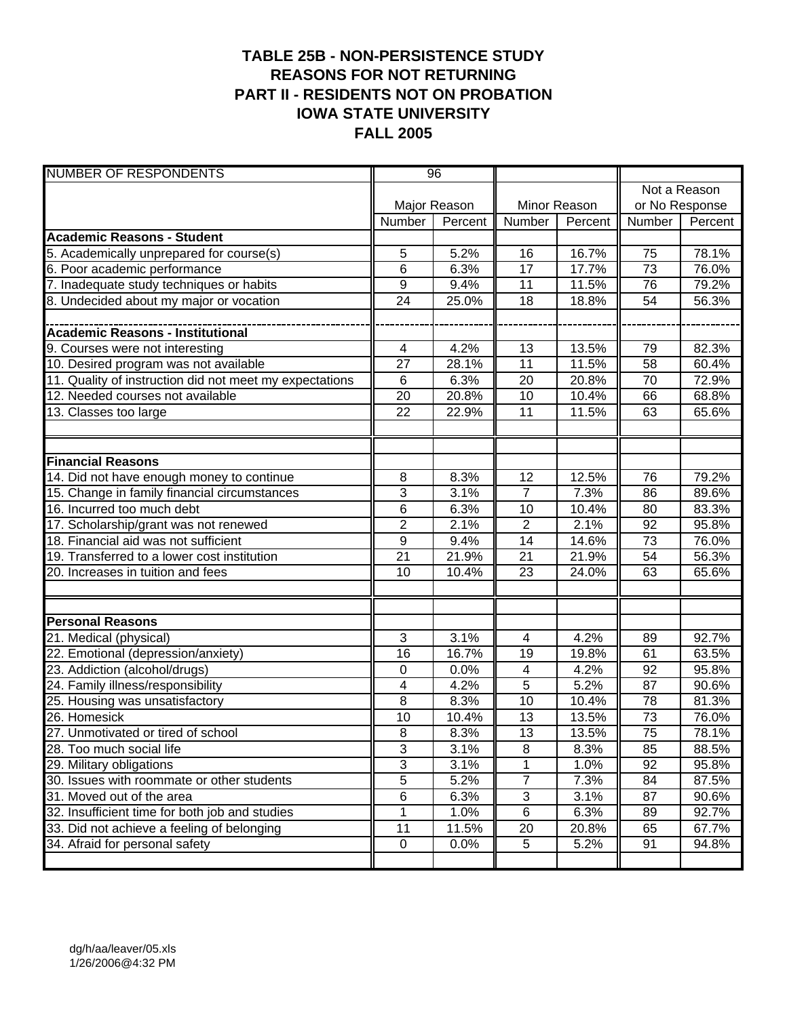#### **TABLE 25B - NON-PERSISTENCE STUDY REASONS FOR NOT RETURNING PART II - RESIDENTS NOT ON PROBATION IOWA STATE UNIVERSITY FALL 2005**

| <b>NUMBER OF RESPONDENTS</b>                            | 96              |              |                 |              |                 |              |
|---------------------------------------------------------|-----------------|--------------|-----------------|--------------|-----------------|--------------|
|                                                         |                 |              |                 |              |                 | Not a Reason |
|                                                         |                 | Major Reason |                 | Minor Reason | or No Response  |              |
|                                                         | Number          | Percent      | Number          | Percent      | Number          | Percent      |
| <b>Academic Reasons - Student</b>                       |                 |              |                 |              |                 |              |
| 5. Academically unprepared for course(s)                | 5               | 5.2%         | 16              | 16.7%        | 75              | 78.1%        |
| 6. Poor academic performance                            | 6               | 6.3%         | $\overline{17}$ | 17.7%        | 73              | 76.0%        |
| 7. Inadequate study techniques or habits                | 9               | 9.4%         | 11              | 11.5%        | 76              | 79.2%        |
| 8. Undecided about my major or vocation                 | 24              | 25.0%        | 18              | 18.8%        | 54              | 56.3%        |
|                                                         |                 |              |                 |              |                 |              |
| <b>Academic Reasons - Institutional</b>                 |                 |              |                 |              |                 |              |
| 9. Courses were not interesting                         | 4               | 4.2%         | 13              | 13.5%        | 79              | 82.3%        |
| 10. Desired program was not available                   | 27              | 28.1%        | $\overline{11}$ | 11.5%        | 58              | 60.4%        |
| 11. Quality of instruction did not meet my expectations | 6               | 6.3%         | 20              | 20.8%        | 70              | 72.9%        |
| 12. Needed courses not available                        | 20              | 20.8%        | 10              | 10.4%        | 66              | 68.8%        |
| 13. Classes too large                                   | 22              | 22.9%        | 11              | 11.5%        | 63              | 65.6%        |
|                                                         |                 |              |                 |              |                 |              |
|                                                         |                 |              |                 |              |                 |              |
| <b>Financial Reasons</b>                                |                 |              |                 |              |                 |              |
| 14. Did not have enough money to continue               | 8               | 8.3%         | $\overline{12}$ | 12.5%        | 76              | 79.2%        |
| 15. Change in family financial circumstances            | 3               | 3.1%         | $\overline{7}$  | 7.3%         | 86              | 89.6%        |
| 16. Incurred too much debt                              | 6               | 6.3%         | 10              | 10.4%        | 80              | 83.3%        |
| 17. Scholarship/grant was not renewed                   | $\overline{2}$  | 2.1%         | $\overline{2}$  | 2.1%         | 92              | 95.8%        |
| 18. Financial aid was not sufficient                    | $\overline{9}$  | 9.4%         | 14              | 14.6%        | 73              | 76.0%        |
| 19. Transferred to a lower cost institution             | $\overline{21}$ | 21.9%        | $\overline{21}$ | 21.9%        | 54              | 56.3%        |
| 20. Increases in tuition and fees                       | 10              | 10.4%        | 23              | 24.0%        | 63              | 65.6%        |
|                                                         |                 |              |                 |              |                 |              |
|                                                         |                 |              |                 |              |                 |              |
| <b>Personal Reasons</b>                                 |                 |              |                 |              |                 |              |
| 21. Medical (physical)                                  | 3               | 3.1%         | $\overline{4}$  | 4.2%         | 89              | 92.7%        |
| 22. Emotional (depression/anxiety)                      | 16              | 16.7%        | 19              | 19.8%        | 61              | 63.5%        |
| 23. Addiction (alcohol/drugs)                           | $\mathbf 0$     | 0.0%         | 4               | 4.2%         | 92              | 95.8%        |
| 24. Family illness/responsibility                       | 4               | 4.2%         | 5               | 5.2%         | 87              | 90.6%        |
| 25. Housing was unsatisfactory                          | 8               | 8.3%         | 10              | 10.4%        | 78              | 81.3%        |
| 26. Homesick                                            | 10              | 10.4%        | 13              | 13.5%        | 73              | 76.0%        |
| 27. Unmotivated or tired of school                      | $\overline{8}$  | 8.3%         | 13              | 13.5%        | $\overline{75}$ | 78.1%        |
| 28. Too much social life                                | 3               | 3.1%         | 8               | 8.3%         | 85              | 88.5%        |
| 29. Military obligations                                | $\overline{3}$  | 3.1%         |                 | 1.0%         | 92              | 95.8%        |
| 30. Issues with roommate or other students              | $\overline{5}$  | 5.2%         | $\overline{7}$  | 7.3%         | 84              | 87.5%        |
| 31. Moved out of the area                               | $\overline{6}$  | 6.3%         | 3               | 3.1%         | 87              | 90.6%        |
| 32. Insufficient time for both job and studies          | 1               | 1.0%         | 6               | 6.3%         | 89              | 92.7%        |
| 33. Did not achieve a feeling of belonging              | 11              | 11.5%        | 20              | 20.8%        | 65              | 67.7%        |
| 34. Afraid for personal safety                          | $\mathbf 0$     | 0.0%         | 5               | 5.2%         | 91              | 94.8%        |
|                                                         |                 |              |                 |              |                 |              |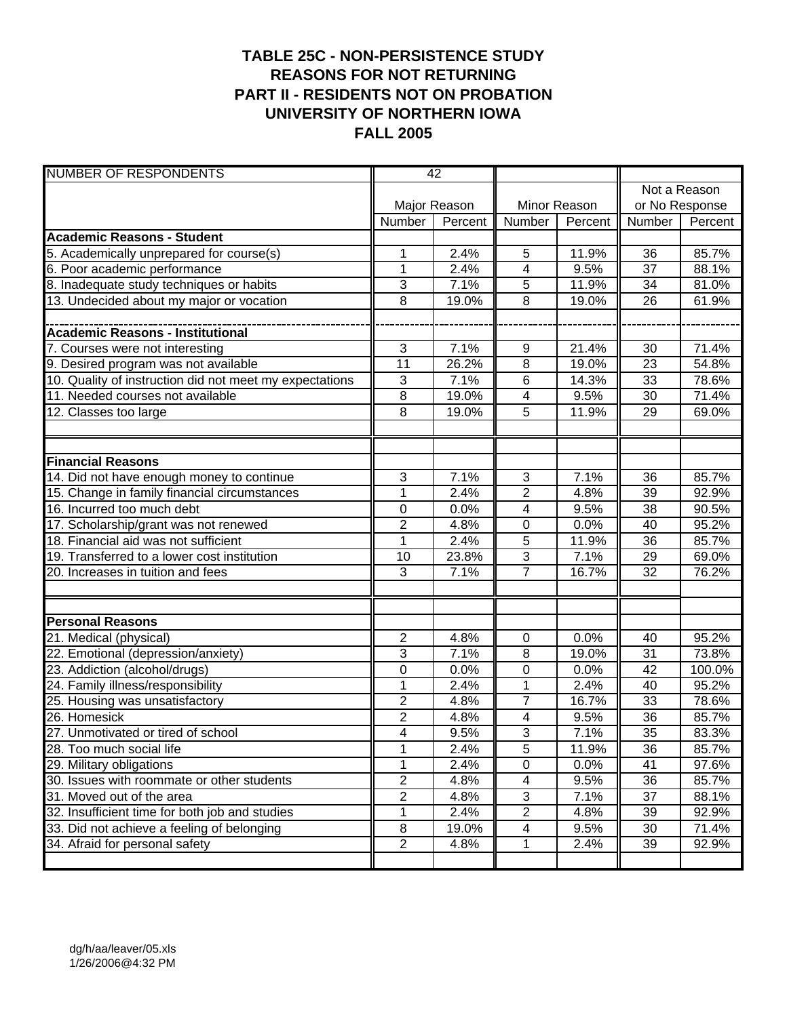#### **TABLE 25C - NON-PERSISTENCE STUDY REASONS FOR NOT RETURNING PART II - RESIDENTS NOT ON PROBATION UNIVERSITY OF NORTHERN IOWA FALL 2005**

| <b>NUMBER OF RESPONDENTS</b>                            | 42             |              |                |              |                 |              |
|---------------------------------------------------------|----------------|--------------|----------------|--------------|-----------------|--------------|
|                                                         |                |              |                |              |                 | Not a Reason |
|                                                         |                | Major Reason |                | Minor Reason | or No Response  |              |
|                                                         | Number         | Percent      | Number         | Percent      | Number          | Percent      |
| <b>Academic Reasons - Student</b>                       |                |              |                |              |                 |              |
| 5. Academically unprepared for course(s)                | 1              | 2.4%         | 5              | 11.9%        | 36              | 85.7%        |
| 6. Poor academic performance                            | $\mathbf{1}$   | 2.4%         | 4              | 9.5%         | 37              | 88.1%        |
| 8. Inadequate study techniques or habits                | 3              | 7.1%         | 5              | 11.9%        | 34              | 81.0%        |
| 13. Undecided about my major or vocation                | 8              | 19.0%        | 8              | 19.0%        | 26              | 61.9%        |
|                                                         |                |              |                |              |                 |              |
| <b>Academic Reasons - Institutional</b>                 |                |              |                |              |                 |              |
| 7. Courses were not interesting                         | 3              | 7.1%         | 9              | 21.4%        | 30              | 71.4%        |
| 9. Desired program was not available                    | 11             | 26.2%        | 8              | 19.0%        | 23              | 54.8%        |
| 10. Quality of instruction did not meet my expectations | 3              | 7.1%         | $\,6$          | 14.3%        | 33              | 78.6%        |
| 11. Needed courses not available                        | $\overline{8}$ | 19.0%        | 4              | 9.5%         | 30              | 71.4%        |
| 12. Classes too large                                   | 8              | 19.0%        | 5              | 11.9%        | 29              | 69.0%        |
|                                                         |                |              |                |              |                 |              |
|                                                         |                |              |                |              |                 |              |
| <b>Financial Reasons</b>                                |                |              |                |              |                 |              |
| 14. Did not have enough money to continue               | 3              | 7.1%         | $\overline{3}$ | 7.1%         | 36              | 85.7%        |
| 15. Change in family financial circumstances            | $\mathbf 1$    | 2.4%         | $\overline{c}$ | 4.8%         | 39              | 92.9%        |
| 16. Incurred too much debt                              | 0              | 0.0%         | 4              | 9.5%         | 38              | 90.5%        |
| 17. Scholarship/grant was not renewed                   | 2              | 4.8%         | $\mathbf 0$    | 0.0%         | 40              | 95.2%        |
| 18. Financial aid was not sufficient                    | $\overline{1}$ | 2.4%         | 5              | 11.9%        | 36              | 85.7%        |
| 19. Transferred to a lower cost institution             | 10             | 23.8%        | 3              | 7.1%         | 29              | 69.0%        |
| 20. Increases in tuition and fees                       | 3              | 7.1%         | $\overline{7}$ | 16.7%        | 32              | 76.2%        |
|                                                         |                |              |                |              |                 |              |
|                                                         |                |              |                |              |                 |              |
| <b>Personal Reasons</b>                                 |                |              |                |              |                 |              |
| 21. Medical (physical)                                  | $\overline{c}$ | 4.8%         | 0              | 0.0%         | 40              | 95.2%        |
| 22. Emotional (depression/anxiety)                      | 3              | 7.1%         | 8              | 19.0%        | 31              | 73.8%        |
| 23. Addiction (alcohol/drugs)                           | 0              | 0.0%         | $\mathbf 0$    | 0.0%         | 42              | 100.0%       |
| 24. Family illness/responsibility                       | 1              | 2.4%         | 1              | 2.4%         | 40              | 95.2%        |
| 25. Housing was unsatisfactory                          | 2              | 4.8%         | $\overline{7}$ | 16.7%        | 33              | 78.6%        |
| 26. Homesick                                            | 2              | 4.8%         | 4              | 9.5%         | 36              | 85.7%        |
| 27. Unmotivated or tired of school                      | $\overline{4}$ | 9.5%         | $\overline{3}$ | 7.1%         | $\overline{35}$ | 83.3%        |
| 28. Too much social life                                | 1              | 2.4%         | $\sqrt{5}$     | 11.9%        | 36              | 85.7%        |
| 29. Military obligations                                | 1              | 2.4%         | $\overline{0}$ | 0.0%         | 41              | 97.6%        |
| 30. Issues with roommate or other students              | $\overline{2}$ | 4.8%         | 4              | 9.5%         | 36              | 85.7%        |
| 31. Moved out of the area                               | $\overline{2}$ | 4.8%         | $\sqrt{3}$     | 7.1%         | 37              | 88.1%        |
| 32. Insufficient time for both job and studies          | 1              | 2.4%         | $\overline{2}$ | 4.8%         | 39              | 92.9%        |
| 33. Did not achieve a feeling of belonging              | 8              | 19.0%        | 4              | 9.5%         | 30              | 71.4%        |
| 34. Afraid for personal safety                          | 2              | 4.8%         | 1              | 2.4%         | 39              | 92.9%        |
|                                                         |                |              |                |              |                 |              |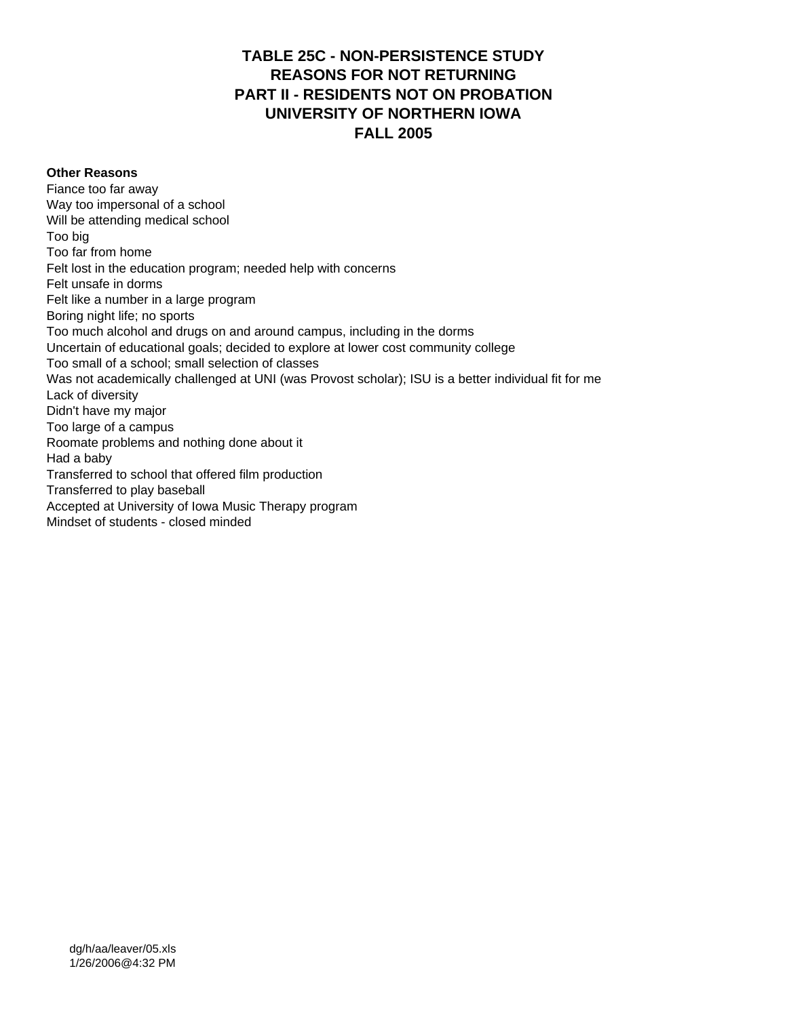#### **TABLE 25C - NON-PERSISTENCE STUDY REASONS FOR NOT RETURNING PART II - RESIDENTS NOT ON PROBATION UNIVERSITY OF NORTHERN IOWA FALL 2005**

#### **Other Reasons**

Fiance too far away Way too impersonal of a school Will be attending medical school Too big Too far from home Felt lost in the education program; needed help with concerns Felt unsafe in dorms Felt like a number in a large program Boring night life; no sports Too much alcohol and drugs on and around campus, including in the dorms Uncertain of educational goals; decided to explore at lower cost community college Too small of a school; small selection of classes Was not academically challenged at UNI (was Provost scholar); ISU is a better individual fit for me Lack of diversity Didn't have my major Too large of a campus Roomate problems and nothing done about it Had a baby Transferred to school that offered film production Transferred to play baseball Accepted at University of Iowa Music Therapy program Mindset of students - closed minded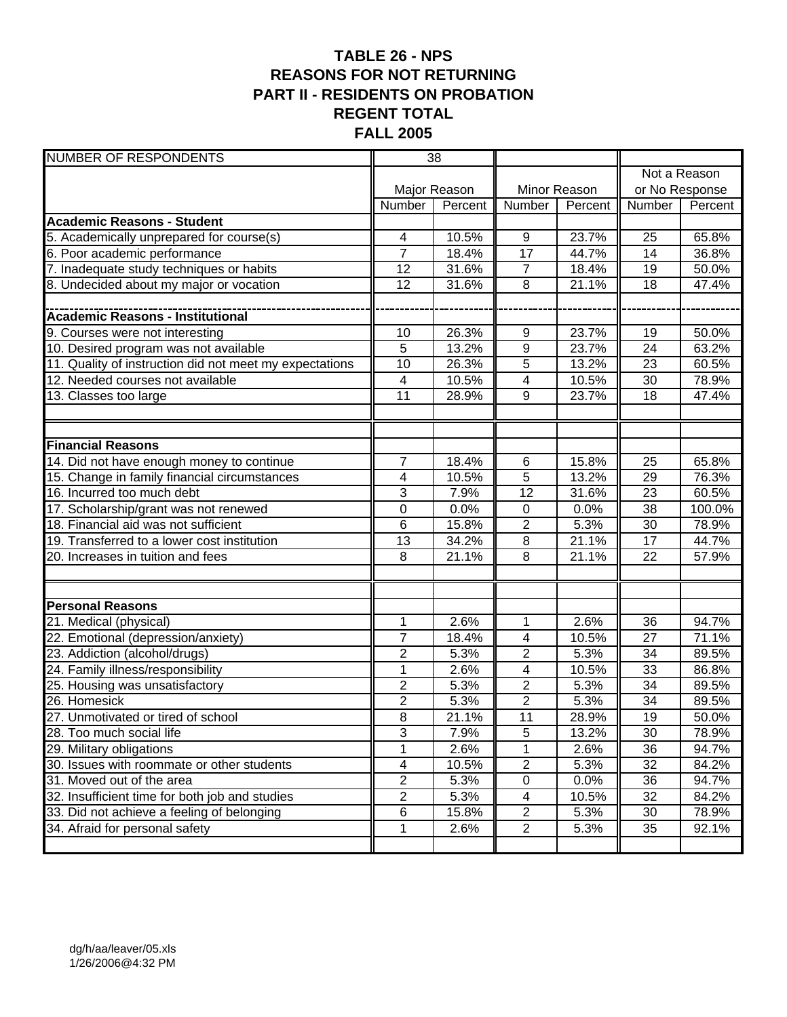### **TABLE 26 - NPS REASONS FOR NOT RETURNING PART II - RESIDENTS ON PROBATION REGENT TOTAL FALL 2005**

| <b>NUMBER OF RESPONDENTS</b>                            | 38             |              |                          |              |                 |              |
|---------------------------------------------------------|----------------|--------------|--------------------------|--------------|-----------------|--------------|
|                                                         |                |              |                          |              |                 | Not a Reason |
|                                                         |                | Major Reason |                          | Minor Reason | or No Response  |              |
|                                                         | Number         | Percent      | Number                   | Percent      | Number          | Percent      |
| <b>Academic Reasons - Student</b>                       |                |              |                          |              |                 |              |
| 5. Academically unprepared for course(s)                | 4              | 10.5%        | 9                        | 23.7%        | 25              | 65.8%        |
| 6. Poor academic performance                            | $\overline{7}$ | 18.4%        | 17                       | 44.7%        | 14              | 36.8%        |
| 7. Inadequate study techniques or habits                | 12             | 31.6%        | $\overline{7}$           | 18.4%        | 19              | 50.0%        |
| 8. Undecided about my major or vocation                 | 12             | 31.6%        | 8                        | 21.1%        | 18              | 47.4%        |
|                                                         |                |              |                          |              |                 |              |
| <b>Academic Reasons - Institutional</b>                 |                |              |                          |              |                 |              |
| 9. Courses were not interesting                         | 10             | 26.3%        | 9                        | 23.7%        | 19              | 50.0%        |
| 10. Desired program was not available                   | 5              | 13.2%        | $\overline{9}$           | 23.7%        | 24              | 63.2%        |
| 11. Quality of instruction did not meet my expectations | 10             | 26.3%        | $\overline{5}$           | 13.2%        | 23              | 60.5%        |
| 12. Needed courses not available                        | 4              | 10.5%        | 4                        | 10.5%        | 30              | 78.9%        |
| 13. Classes too large                                   | 11             | 28.9%        | $\overline{9}$           | 23.7%        | 18              | 47.4%        |
|                                                         |                |              |                          |              |                 |              |
|                                                         |                |              |                          |              |                 |              |
| <b>Financial Reasons</b>                                |                |              |                          |              |                 |              |
| 14. Did not have enough money to continue               | $\overline{7}$ | 18.4%        | 6                        | 15.8%        | $\overline{25}$ | 65.8%        |
| 15. Change in family financial circumstances            | 4              | 10.5%        | $\overline{5}$           | 13.2%        | 29              | 76.3%        |
| 16. Incurred too much debt                              | 3              | 7.9%         | 12                       | 31.6%        | 23              | 60.5%        |
| 17. Scholarship/grant was not renewed                   | $\mathbf 0$    | 0.0%         | $\mathbf 0$              | 0.0%         | 38              | 100.0%       |
| 18. Financial aid was not sufficient                    | 6              | 15.8%        | $\overline{2}$           | 5.3%         | 30              | 78.9%        |
| 19. Transferred to a lower cost institution             | 13             | 34.2%        | $\overline{8}$           | 21.1%        | 17              | 44.7%        |
| 20. Increases in tuition and fees                       | 8              | 21.1%        | 8                        | 21.1%        | 22              | 57.9%        |
|                                                         |                |              |                          |              |                 |              |
|                                                         |                |              |                          |              |                 |              |
| <b>Personal Reasons</b>                                 |                |              |                          |              |                 |              |
| 21. Medical (physical)                                  | $\mathbf 1$    | 2.6%         | 1                        | 2.6%         | 36              | 94.7%        |
| 22. Emotional (depression/anxiety)                      | $\overline{7}$ | 18.4%        | 4                        | 10.5%        | 27              | 71.1%        |
| 23. Addiction (alcohol/drugs)                           | $\overline{2}$ | 5.3%         | $\mathbf{2}$             | 5.3%         | 34              | 89.5%        |
| 24. Family illness/responsibility                       | 1              | 2.6%         | $\overline{\mathcal{A}}$ | 10.5%        | 33              | 86.8%        |
| 25. Housing was unsatisfactory                          | $\overline{2}$ | 5.3%         | $\overline{2}$           | 5.3%         | 34              | 89.5%        |
| 26. Homesick                                            | $\overline{2}$ | 5.3%         | $\overline{2}$           | 5.3%         | 34              | 89.5%        |
| 27. Unmotivated or tired of school                      | 8              | 21.1%        | 11                       | 28.9%        | 19              | 50.0%        |
| 28. Too much social life                                | 3              | 7.9%         | 5                        | 13.2%        | 30              | 78.9%        |
| 29. Military obligations                                | $\mathbf 1$    | 2.6%         | 1                        | 2.6%         | 36              | 94.7%        |
| 30. Issues with roommate or other students              | 4              | 10.5%        | $\overline{2}$           | 5.3%         | 32              | 84.2%        |
| 31. Moved out of the area                               | $\overline{2}$ | 5.3%         | $\pmb{0}$                | 0.0%         | 36              | 94.7%        |
| 32. Insufficient time for both job and studies          | $\overline{2}$ | 5.3%         | 4                        | 10.5%        | 32              | 84.2%        |
| 33. Did not achieve a feeling of belonging              | 6              | 15.8%        | $\overline{2}$           | 5.3%         | 30              | 78.9%        |
| 34. Afraid for personal safety                          | $\mathbf{1}$   | 2.6%         | $\overline{2}$           | 5.3%         | 35              | 92.1%        |
|                                                         |                |              |                          |              |                 |              |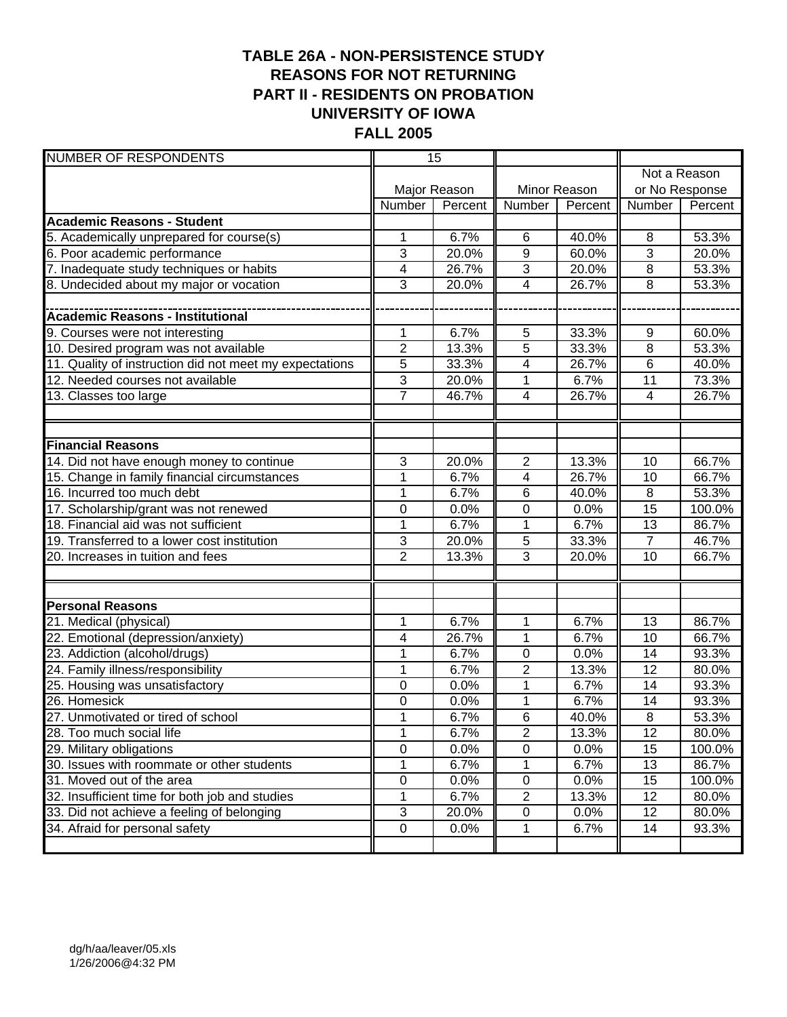#### **TABLE 26A - NON-PERSISTENCE STUDY REASONS FOR NOT RETURNING PART II - RESIDENTS ON PROBATION UNIVERSITY OF IOWA FALL 2005**

| <b>NUMBER OF RESPONDENTS</b>                            | 15             |              |                         |              |                 |              |
|---------------------------------------------------------|----------------|--------------|-------------------------|--------------|-----------------|--------------|
|                                                         |                |              |                         |              |                 | Not a Reason |
|                                                         |                | Major Reason |                         | Minor Reason | or No Response  |              |
|                                                         | Number         | Percent      | Number                  | Percent      | Number          | Percent      |
| <b>Academic Reasons - Student</b>                       |                |              |                         |              |                 |              |
| 5. Academically unprepared for course(s)                | 1              | 6.7%         | 6                       | 40.0%        | 8               | 53.3%        |
| 6. Poor academic performance                            | 3              | 20.0%        | $\overline{9}$          | 60.0%        | $\overline{3}$  | 20.0%        |
| 7. Inadequate study techniques or habits                | 4              | 26.7%        | $\overline{3}$          | 20.0%        | 8               | 53.3%        |
| 8. Undecided about my major or vocation                 | 3              | 20.0%        | $\overline{\mathbf{4}}$ | 26.7%        | 8               | 53.3%        |
|                                                         |                |              |                         |              |                 |              |
| <b>Academic Reasons - Institutional</b>                 |                |              |                         |              |                 |              |
| 9. Courses were not interesting                         | 1              | 6.7%         | 5                       | 33.3%        | 9               | 60.0%        |
| 10. Desired program was not available                   | $\overline{c}$ | 13.3%        | 5                       | 33.3%        | 8               | 53.3%        |
| 11. Quality of instruction did not meet my expectations | $\overline{5}$ | 33.3%        | 4                       | 26.7%        | $\,6$           | 40.0%        |
| 12. Needed courses not available                        | $\overline{3}$ | 20.0%        | 1                       | 6.7%         | $\overline{11}$ | 73.3%        |
| 13. Classes too large                                   | $\overline{7}$ | 46.7%        | 4                       | 26.7%        | 4               | 26.7%        |
|                                                         |                |              |                         |              |                 |              |
|                                                         |                |              |                         |              |                 |              |
| <b>Financial Reasons</b>                                |                |              |                         |              |                 |              |
| 14. Did not have enough money to continue               | 3              | 20.0%        | $\overline{2}$          | 13.3%        | 10              | 66.7%        |
| 15. Change in family financial circumstances            | 1              | 6.7%         | 4                       | 26.7%        | 10              | 66.7%        |
| 16. Incurred too much debt                              | 1              | 6.7%         | 6                       | 40.0%        | $\overline{8}$  | 53.3%        |
| 17. Scholarship/grant was not renewed                   | 0              | 0.0%         | 0                       | 0.0%         | $\overline{15}$ | 100.0%       |
| 18. Financial aid was not sufficient                    | $\overline{1}$ | 6.7%         | $\overline{1}$          | 6.7%         | $\overline{13}$ | 86.7%        |
| 19. Transferred to a lower cost institution             | 3              | 20.0%        | 5                       | 33.3%        | $\overline{7}$  | 46.7%        |
| 20. Increases in tuition and fees                       | $\overline{2}$ | 13.3%        | 3                       | 20.0%        | 10              | 66.7%        |
|                                                         |                |              |                         |              |                 |              |
|                                                         |                |              |                         |              |                 |              |
| <b>Personal Reasons</b>                                 |                |              |                         |              |                 |              |
| 21. Medical (physical)                                  | 1              | 6.7%         | 1                       | 6.7%         | 13              | 86.7%        |
| 22. Emotional (depression/anxiety)                      | 4              | 26.7%        | 1                       | 6.7%         | 10              | 66.7%        |
| 23. Addiction (alcohol/drugs)                           | 1              | 6.7%         | 0                       | 0.0%         | 14              | 93.3%        |
| 24. Family illness/responsibility                       | 1              | 6.7%         | $\overline{2}$          | 13.3%        | 12              | 80.0%        |
| 25. Housing was unsatisfactory                          | 0              | 0.0%         | 1                       | 6.7%         | 14              | 93.3%        |
| 26. Homesick                                            | 0              | 0.0%         | 1                       | 6.7%         | 14              | 93.3%        |
| 27. Unmotivated or tired of school                      | $\overline{1}$ | 6.7%         | $\overline{6}$          | 40.0%        | $\overline{8}$  | 53.3%        |
| 28. Too much social life                                | $\mathbf 1$    | 6.7%         | $\overline{\mathbf{c}}$ | 13.3%        | 12              | 80.0%        |
| 29. Military obligations                                | 0              | 0.0%         | 0                       | 0.0%         | 15              | 100.0%       |
| 30. Issues with roommate or other students              | 1              | 6.7%         | 1                       | 6.7%         | 13              | 86.7%        |
| 31. Moved out of the area                               | $\overline{0}$ | 0.0%         | $\pmb{0}$               | 0.0%         | 15              | 100.0%       |
| 32. Insufficient time for both job and studies          | 1              | 6.7%         | $\overline{2}$          | 13.3%        | 12              | 80.0%        |
| 33. Did not achieve a feeling of belonging              | 3              | 20.0%        | $\pmb{0}$               | 0.0%         | 12              | 80.0%        |
| 34. Afraid for personal safety                          | $\pmb{0}$      | 0.0%         | 1                       | 6.7%         | 14              | 93.3%        |
|                                                         |                |              |                         |              |                 |              |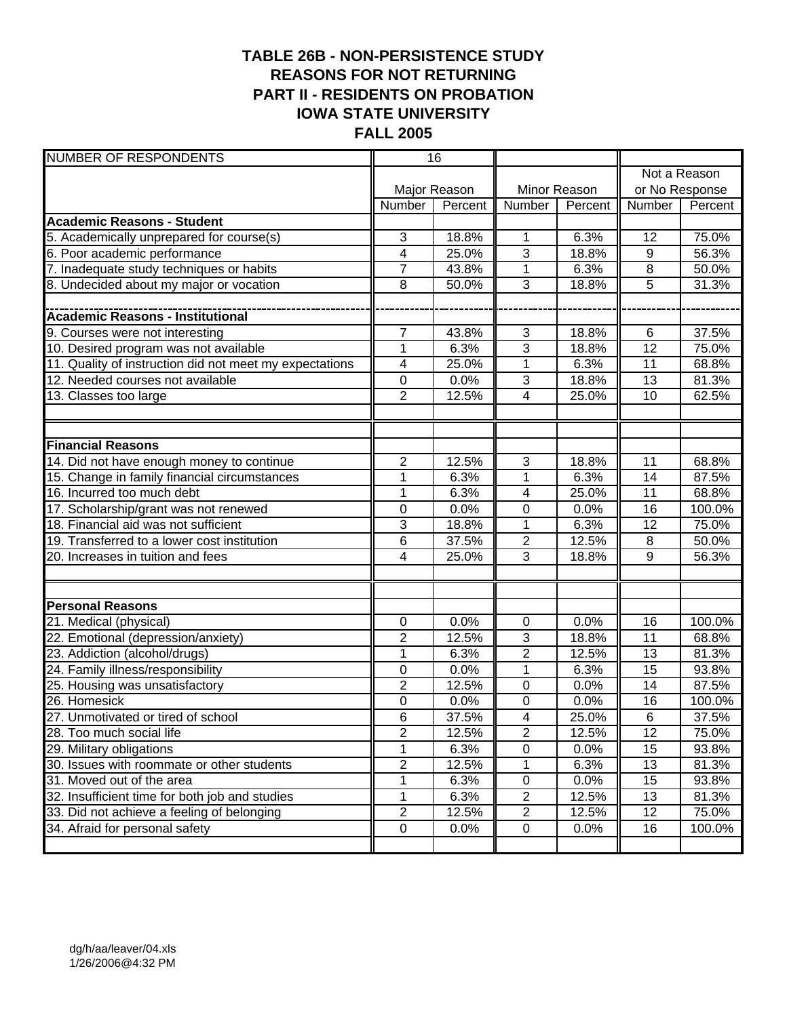### **TABLE 26B - NON-PERSISTENCE STUDY REASONS FOR NOT RETURNING PART II - RESIDENTS ON PROBATION IOWA STATE UNIVERSITY FALL 2005**

| <b>NUMBER OF RESPONDENTS</b>                            | 16             |              |                         |              |                 |              |
|---------------------------------------------------------|----------------|--------------|-------------------------|--------------|-----------------|--------------|
|                                                         |                |              |                         |              |                 | Not a Reason |
|                                                         |                | Major Reason |                         | Minor Reason | or No Response  |              |
|                                                         | Number         | Percent      | Number                  | Percent      | Number          | Percent      |
| <b>Academic Reasons - Student</b>                       |                |              |                         |              |                 |              |
| 5. Academically unprepared for course(s)                | 3              | 18.8%        | 1                       | 6.3%         | 12              | 75.0%        |
| 6. Poor academic performance                            | 4              | 25.0%        | $\overline{3}$          | 18.8%        | $9\,$           | 56.3%        |
| 7. Inadequate study techniques or habits                | $\overline{7}$ | 43.8%        | $\mathbf 1$             | 6.3%         | 8               | 50.0%        |
| 8. Undecided about my major or vocation                 | 8              | 50.0%        | $\overline{3}$          | 18.8%        | 5               | 31.3%        |
|                                                         |                |              |                         |              |                 |              |
| <b>Academic Reasons - Institutional</b>                 |                |              |                         |              |                 |              |
| 9. Courses were not interesting                         | 7              | 43.8%        | 3                       | 18.8%        | 6               | 37.5%        |
| 10. Desired program was not available                   | $\mathbf{1}$   | 6.3%         | 3                       | 18.8%        | 12              | 75.0%        |
| 11. Quality of instruction did not meet my expectations | 4              | 25.0%        | $\mathbf 1$             | 6.3%         | 11              | 68.8%        |
| 12. Needed courses not available                        | $\mathbf 0$    | 0.0%         | $\overline{3}$          | 18.8%        | 13              | 81.3%        |
| 13. Classes too large                                   | $\overline{2}$ | 12.5%        | $\overline{\mathbf{4}}$ | 25.0%        | 10              | 62.5%        |
|                                                         |                |              |                         |              |                 |              |
|                                                         |                |              |                         |              |                 |              |
| <b>Financial Reasons</b>                                |                |              |                         |              |                 |              |
| 14. Did not have enough money to continue               | $\overline{2}$ | 12.5%        | $\overline{3}$          | 18.8%        | 11              | 68.8%        |
| 15. Change in family financial circumstances            | $\mathbf{1}$   | 6.3%         | $\overline{1}$          | 6.3%         | $\overline{14}$ | 87.5%        |
| 16. Incurred too much debt                              | $\mathbf{1}$   | 6.3%         | $\overline{\mathbf{4}}$ | 25.0%        | 11              | 68.8%        |
| 17. Scholarship/grant was not renewed                   | 0              | 0.0%         | 0                       | 0.0%         | 16              | 100.0%       |
| 18. Financial aid was not sufficient                    | 3              | 18.8%        | $\overline{1}$          | 6.3%         | $\overline{12}$ | 75.0%        |
| 19. Transferred to a lower cost institution             | 6              | 37.5%        | $\overline{c}$          | 12.5%        | 8               | 50.0%        |
| 20. Increases in tuition and fees                       | 4              | 25.0%        | $\overline{3}$          | 18.8%        | 9               | 56.3%        |
|                                                         |                |              |                         |              |                 |              |
|                                                         |                |              |                         |              |                 |              |
| <b>Personal Reasons</b>                                 |                |              |                         |              |                 |              |
| 21. Medical (physical)                                  | 0              | 0.0%         | 0                       | 0.0%         | 16              | 100.0%       |
| 22. Emotional (depression/anxiety)                      | $\overline{c}$ | 12.5%        | 3                       | 18.8%        | 11              | 68.8%        |
| 23. Addiction (alcohol/drugs)                           | $\mathbf{1}$   | 6.3%         | $\overline{2}$          | 12.5%        | 13              | 81.3%        |
| 24. Family illness/responsibility                       | 0              | 0.0%         | 1                       | 6.3%         | 15              | 93.8%        |
| 25. Housing was unsatisfactory                          | $\overline{2}$ | 12.5%        | $\mathbf 0$             | 0.0%         | 14              | 87.5%        |
| 26. Homesick                                            | 0              | 0.0%         | 0                       | 0.0%         | 16              | 100.0%       |
| 27. Unmotivated or tired of school                      | $\overline{6}$ | 37.5%        | $\overline{4}$          | 25.0%        | $\overline{6}$  | 37.5%        |
| 28. Too much social life                                | $\overline{2}$ | 12.5%        | $\overline{\mathbf{c}}$ | 12.5%        | 12              | 75.0%        |
| 29. Military obligations                                | 1              | 6.3%         | 0                       | 0.0%         | 15              | 93.8%        |
| 30. Issues with roommate or other students              | $\overline{2}$ | 12.5%        | 1                       | 6.3%         | 13              | 81.3%        |
| 31. Moved out of the area                               | 1              | 6.3%         | $\pmb{0}$               | 0.0%         | 15              | 93.8%        |
| 32. Insufficient time for both job and studies          | 1              | 6.3%         | $\overline{2}$          | 12.5%        | 13              | 81.3%        |
| 33. Did not achieve a feeling of belonging              | $\overline{2}$ | 12.5%        | $\overline{2}$          | 12.5%        | 12              | 75.0%        |
| 34. Afraid for personal safety                          | $\pmb{0}$      | 0.0%         | $\pmb{0}$               | 0.0%         | 16              | 100.0%       |
|                                                         |                |              |                         |              |                 |              |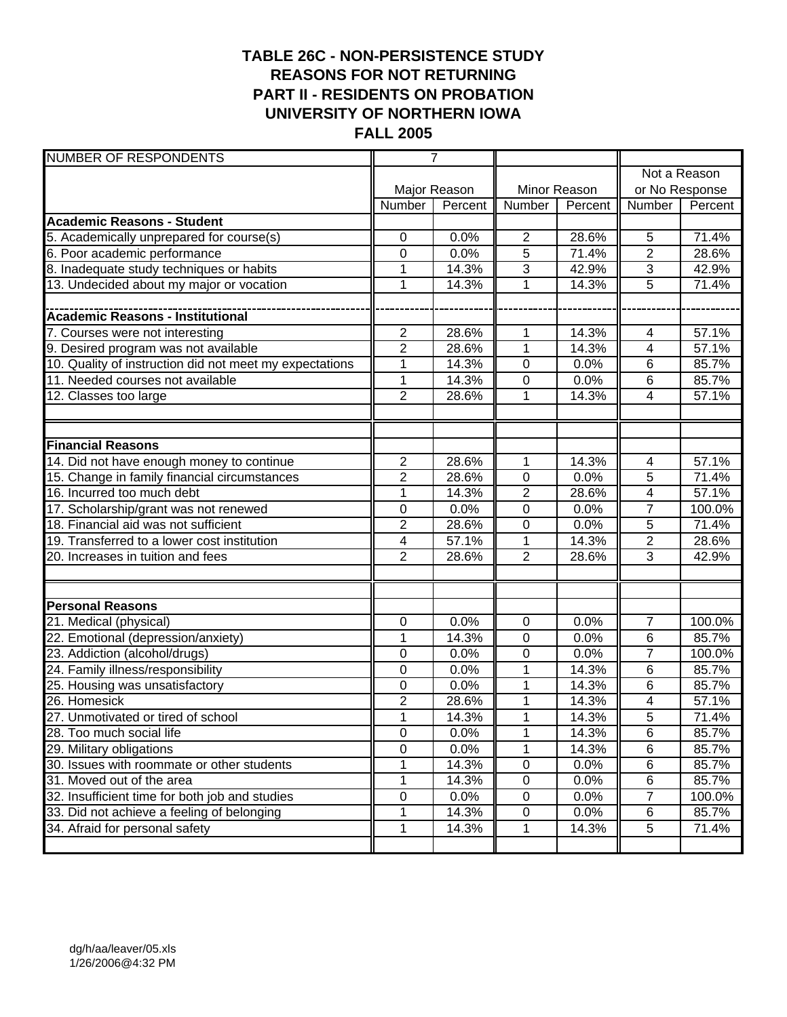### **TABLE 26C - NON-PERSISTENCE STUDY REASONS FOR NOT RETURNING PART II - RESIDENTS ON PROBATION UNIVERSITY OF NORTHERN IOWA FALL 2005**

| <b>NUMBER OF RESPONDENTS</b>                            | $\overline{7}$ |              |                |              |                          |                |  |
|---------------------------------------------------------|----------------|--------------|----------------|--------------|--------------------------|----------------|--|
|                                                         |                |              |                |              | Not a Reason             |                |  |
|                                                         |                | Major Reason |                | Minor Reason |                          | or No Response |  |
|                                                         | Number         | Percent      | <b>Number</b>  | Percent      | Number                   | Percent        |  |
| <b>Academic Reasons - Student</b>                       |                |              |                |              |                          |                |  |
| 5. Academically unprepared for course(s)                | 0              | 0.0%         | $\mathbf{2}$   | 28.6%        | 5                        | 71.4%          |  |
| 6. Poor academic performance                            | 0              | 0.0%         | 5              | 71.4%        | $\overline{2}$           | 28.6%          |  |
| 8. Inadequate study techniques or habits                | 1              | 14.3%        | 3              | 42.9%        | $\overline{3}$           | 42.9%          |  |
| 13. Undecided about my major or vocation                | 1              | 14.3%        | 1              | 14.3%        | 5                        | 71.4%          |  |
|                                                         |                |              |                |              |                          |                |  |
| <b>Academic Reasons - Institutional</b>                 |                |              |                |              |                          |                |  |
| 7. Courses were not interesting                         | $\overline{2}$ | 28.6%        | $\mathbf{1}$   | 14.3%        | $\overline{\mathcal{A}}$ | 57.1%          |  |
| 9. Desired program was not available                    | $\overline{2}$ | 28.6%        | $\mathbf{1}$   | 14.3%        | 4                        | 57.1%          |  |
| 10. Quality of instruction did not meet my expectations | 1              | 14.3%        | $\mathbf 0$    | 0.0%         | 6                        | 85.7%          |  |
| 11. Needed courses not available                        | 1              | 14.3%        | $\mathbf 0$    | 0.0%         | 6                        | 85.7%          |  |
| 12. Classes too large                                   | $\overline{2}$ | 28.6%        | 1              | 14.3%        | 4                        | 57.1%          |  |
|                                                         |                |              |                |              |                          |                |  |
|                                                         |                |              |                |              |                          |                |  |
| <b>Financial Reasons</b>                                |                |              |                |              |                          |                |  |
| 14. Did not have enough money to continue               | $\overline{2}$ | 28.6%        | $\mathbf{1}$   | 14.3%        | $\overline{4}$           | 57.1%          |  |
| 15. Change in family financial circumstances            | $\overline{2}$ | 28.6%        | $\mathbf 0$    | 0.0%         | $\overline{5}$           | 71.4%          |  |
| 16. Incurred too much debt                              | $\mathbf{1}$   | 14.3%        | $\overline{2}$ | 28.6%        | $\overline{\mathbf{4}}$  | 57.1%          |  |
| 17. Scholarship/grant was not renewed                   | 0              | 0.0%         | $\mathbf 0$    | 0.0%         | $\overline{7}$           | 100.0%         |  |
| 18. Financial aid was not sufficient                    | $\overline{2}$ | 28.6%        | $\mathbf 0$    | 0.0%         | 5                        | 71.4%          |  |
| 19. Transferred to a lower cost institution             | 4              | 57.1%        | 1              | 14.3%        | $\overline{2}$           | 28.6%          |  |
| 20. Increases in tuition and fees                       | $\overline{2}$ | 28.6%        | $\overline{2}$ | 28.6%        | $\overline{3}$           | 42.9%          |  |
|                                                         |                |              |                |              |                          |                |  |
|                                                         |                |              |                |              |                          |                |  |
| <b>Personal Reasons</b>                                 |                |              |                |              |                          |                |  |
| 21. Medical (physical)                                  | 0              | 0.0%         | 0              | 0.0%         | 7                        | 100.0%         |  |
| 22. Emotional (depression/anxiety)                      | 1              | 14.3%        | $\mathbf 0$    | 0.0%         | 6                        | 85.7%          |  |
| 23. Addiction (alcohol/drugs)                           | 0              | 0.0%         | 0              | 0.0%         | $\overline{7}$           | 100.0%         |  |
| 24. Family illness/responsibility                       | $\mathbf 0$    | 0.0%         | $\mathbf{1}$   | 14.3%        | 6                        | 85.7%          |  |
| 25. Housing was unsatisfactory                          | 0              | 0.0%         | 1              | 14.3%        | 6                        | 85.7%          |  |
| 26. Homesick                                            | $\overline{2}$ | 28.6%        | 1              | 14.3%        | 4                        | 57.1%          |  |
| 27. Unmotivated or tired of school                      | 1              | 14.3%        | $\mathbf{1}$   | 14.3%        | $\overline{5}$           | 71.4%          |  |
| 28. Too much social life                                | 0              | 0.0%         | $\mathbf{1}$   | 14.3%        | 6                        | 85.7%          |  |
| 29. Military obligations                                | $\pmb{0}$      | 0.0%         | $\mathbf{1}$   | 14.3%        | 6                        | 85.7%          |  |
| 30. Issues with roommate or other students              |                | 14.3%        | $\mathsf 0$    | 0.0%         | 6                        | 85.7%          |  |
| 31. Moved out of the area                               | 1              | 14.3%        | $\pmb{0}$      | 0.0%         | 6                        | 85.7%          |  |
| 32. Insufficient time for both job and studies          | 0              | 0.0%         | $\pmb{0}$      | 0.0%         | $\overline{7}$           | 100.0%         |  |
| 33. Did not achieve a feeling of belonging              | 1              | 14.3%        | $\pmb{0}$      | 0.0%         | 6                        | 85.7%          |  |
| 34. Afraid for personal safety                          | $\mathbf 1$    | 14.3%        | $\mathbf{1}$   | 14.3%        | $\,$ 5 $\,$              | 71.4%          |  |
|                                                         |                |              |                |              |                          |                |  |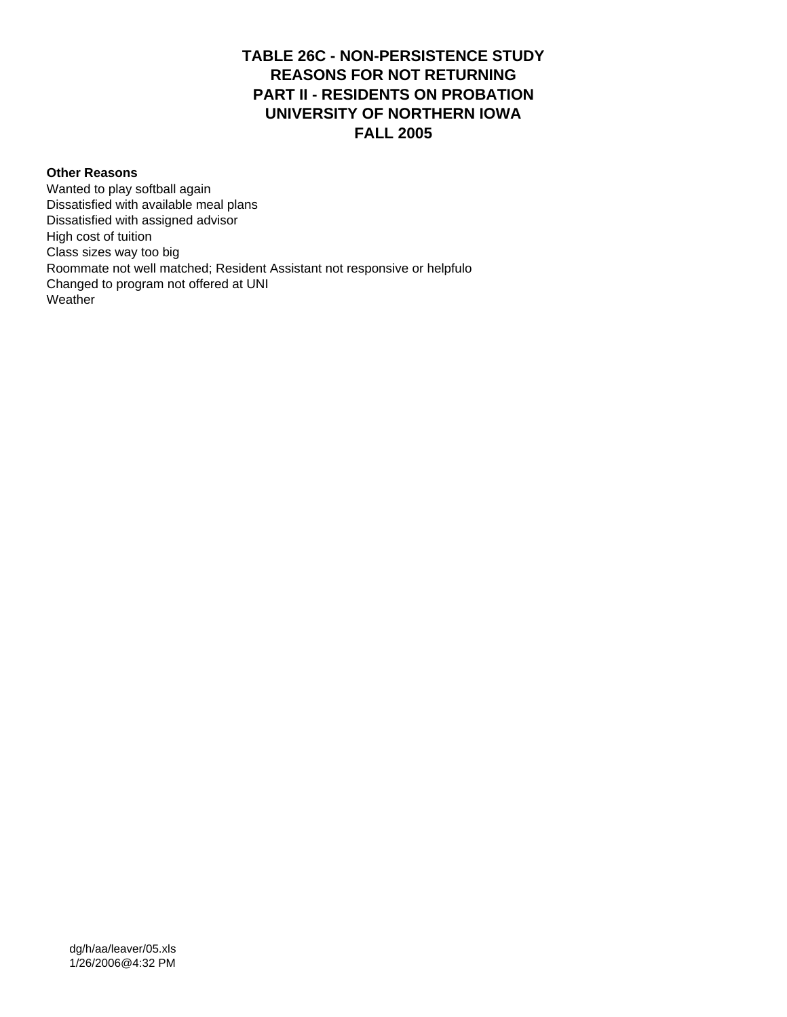#### **TABLE 26C - NON-PERSISTENCE STUDY REASONS FOR NOT RETURNING PART II - RESIDENTS ON PROBATION UNIVERSITY OF NORTHERN IOWA FALL 2005**

#### **Other Reasons**

Wanted to play softball again Dissatisfied with available meal plans Dissatisfied with assigned advisor High cost of tuition Class sizes way too big Roommate not well matched; Resident Assistant not responsive or helpfulo Changed to program not offered at UNI **Weather**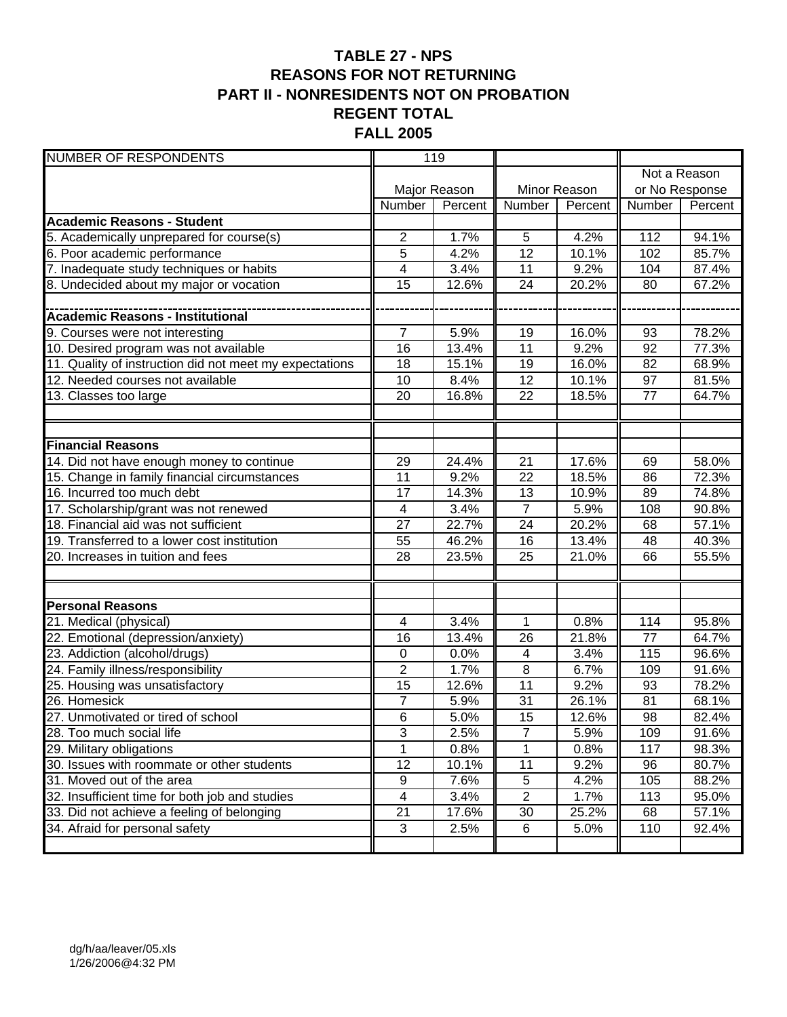#### **TABLE 27 - NPS REASONS FOR NOT RETURNING PART II - NONRESIDENTS NOT ON PROBATION REGENT TOTAL FALL 2005**

| <b>NUMBER OF RESPONDENTS</b>                            | 119             |              |                 |              |                |         |  |
|---------------------------------------------------------|-----------------|--------------|-----------------|--------------|----------------|---------|--|
|                                                         |                 |              |                 |              | Not a Reason   |         |  |
|                                                         |                 | Major Reason |                 | Minor Reason | or No Response |         |  |
|                                                         | Number          | Percent      | Number          | Percent      | Number         | Percent |  |
| <b>Academic Reasons - Student</b>                       |                 |              |                 |              |                |         |  |
| 5. Academically unprepared for course(s)                | 2               | 1.7%         | 5               | 4.2%         | 112            | 94.1%   |  |
| 6. Poor academic performance                            | 5               | 4.2%         | $\overline{12}$ | 10.1%        | 102            | 85.7%   |  |
| 7. Inadequate study techniques or habits                | 4               | 3.4%         | 11              | 9.2%         | 104            | 87.4%   |  |
| 8. Undecided about my major or vocation                 | 15              | 12.6%        | 24              | 20.2%        | 80             | 67.2%   |  |
|                                                         |                 |              |                 |              |                |         |  |
| <b>Academic Reasons - Institutional</b>                 |                 |              |                 |              |                |         |  |
| 9. Courses were not interesting                         | $\overline{7}$  | 5.9%         | 19              | 16.0%        | 93             | 78.2%   |  |
| 10. Desired program was not available                   | 16              | 13.4%        | 11              | 9.2%         | 92             | 77.3%   |  |
| 11. Quality of instruction did not meet my expectations | 18              | 15.1%        | 19              | 16.0%        | 82             | 68.9%   |  |
| 12. Needed courses not available                        | 10              | 8.4%         | 12              | 10.1%        | 97             | 81.5%   |  |
| 13. Classes too large                                   | 20              | 16.8%        | 22              | 18.5%        | 77             | 64.7%   |  |
|                                                         |                 |              |                 |              |                |         |  |
|                                                         |                 |              |                 |              |                |         |  |
| <b>Financial Reasons</b>                                |                 |              |                 |              |                |         |  |
| 14. Did not have enough money to continue               | 29              | 24.4%        | $\overline{21}$ | 17.6%        | 69             | 58.0%   |  |
| 15. Change in family financial circumstances            | $\overline{11}$ | 9.2%         | $\overline{22}$ | 18.5%        | 86             | 72.3%   |  |
| 16. Incurred too much debt                              | 17              | 14.3%        | 13              | 10.9%        | 89             | 74.8%   |  |
| 17. Scholarship/grant was not renewed                   | 4               | 3.4%         | $\overline{7}$  | 5.9%         | 108            | 90.8%   |  |
| 18. Financial aid was not sufficient                    | 27              | 22.7%        | $\overline{24}$ | 20.2%        | 68             | 57.1%   |  |
| 19. Transferred to a lower cost institution             | 55              | 46.2%        | 16              | 13.4%        | 48             | 40.3%   |  |
| 20. Increases in tuition and fees                       | 28              | 23.5%        | 25              | 21.0%        | 66             | 55.5%   |  |
|                                                         |                 |              |                 |              |                |         |  |
|                                                         |                 |              |                 |              |                |         |  |
| <b>Personal Reasons</b>                                 |                 |              |                 |              |                |         |  |
| 21. Medical (physical)                                  | 4               | 3.4%         | 1               | 0.8%         | 114            | 95.8%   |  |
| 22. Emotional (depression/anxiety)                      | 16              | 13.4%        | 26              | 21.8%        | 77             | 64.7%   |  |
| 23. Addiction (alcohol/drugs)                           | $\pmb{0}$       | 0.0%         | $\overline{4}$  | 3.4%         | 115            | 96.6%   |  |
| 24. Family illness/responsibility                       | $\overline{2}$  | 1.7%         | 8               | 6.7%         | 109            | 91.6%   |  |
| 25. Housing was unsatisfactory                          | 15              | 12.6%        | 11              | 9.2%         | 93             | 78.2%   |  |
| 26. Homesick                                            | 7               | 5.9%         | 31              | 26.1%        | 81             | 68.1%   |  |
| 27. Unmotivated or tired of school                      | $6\phantom{1}6$ | 5.0%         | 15              | 12.6%        | 98             | 82.4%   |  |
| 28. Too much social life                                | $\sqrt{3}$      | 2.5%         | 7               | 5.9%         | 109            | 91.6%   |  |
| 29. Military obligations                                |                 | 0.8%         | 1               | 0.8%         | 117            | 98.3%   |  |
| 30. Issues with roommate or other students              | $\overline{12}$ | 10.1%        | 11              | 9.2%         | 96             | 80.7%   |  |
| 31. Moved out of the area                               | $\overline{9}$  | 7.6%         | $\overline{5}$  | 4.2%         | 105            | 88.2%   |  |
| 32. Insufficient time for both job and studies          | 4               | 3.4%         | $\overline{2}$  | 1.7%         | 113            | 95.0%   |  |
| 33. Did not achieve a feeling of belonging              | $\overline{21}$ | 17.6%        | 30              | 25.2%        | 68             | 57.1%   |  |
| 34. Afraid for personal safety                          | $\mathbf{3}$    | 2.5%         | 6               | 5.0%         | 110            | 92.4%   |  |
|                                                         |                 |              |                 |              |                |         |  |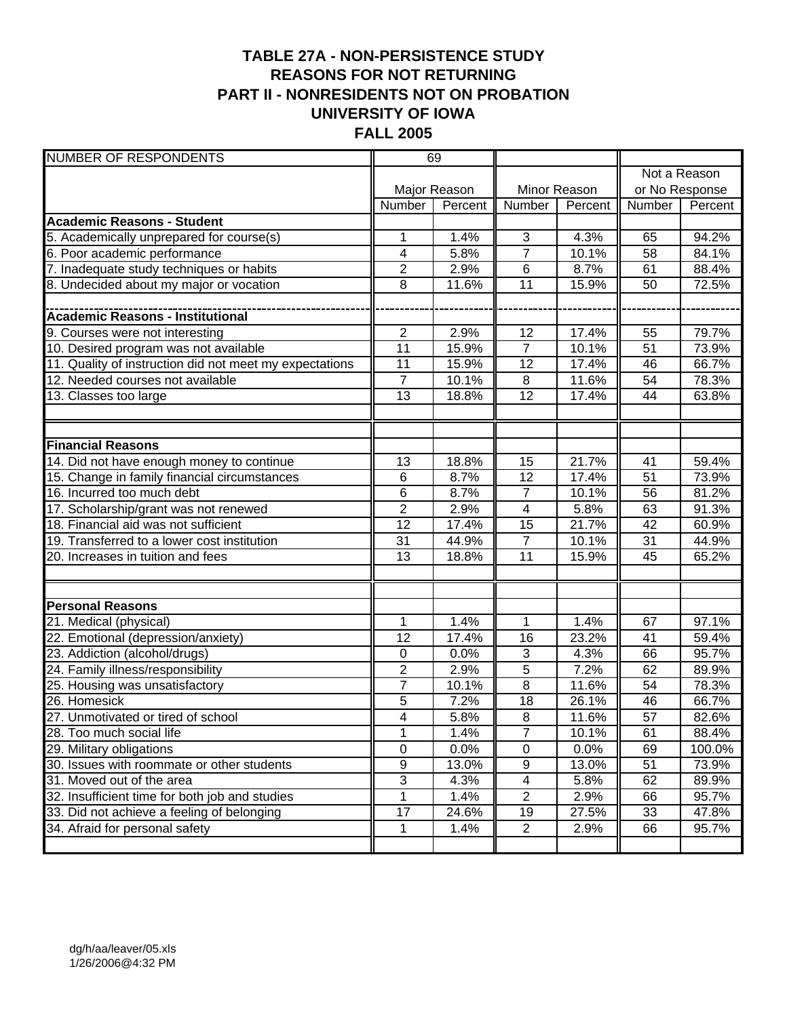### **TABLE 27A - NON-PERSISTENCE STUDY REASONS FOR NOT RETURNING PART II - NONRESIDENTS NOT ON PROBATION UNIVERSITY OF IOWA FALL 2005**

| <b>NUMBER OF RESPONDENTS</b>                            | 69              |              |                         |                    |                 |              |
|---------------------------------------------------------|-----------------|--------------|-------------------------|--------------------|-----------------|--------------|
|                                                         |                 |              |                         |                    |                 | Not a Reason |
|                                                         |                 | Major Reason |                         | Minor Reason       | or No Response  |              |
|                                                         | Number          | Percent      | Number                  | Percent            | Number          | Percent      |
| <b>Academic Reasons - Student</b>                       |                 |              |                         |                    |                 |              |
| 5. Academically unprepared for course(s)                | 1               | 1.4%         | 3                       | 4.3%               | 65              | 94.2%        |
| 6. Poor academic performance                            | 4               | 5.8%         | $\overline{7}$          | 10.1%              | 58              | 84.1%        |
| 7. Inadequate study techniques or habits                | $\overline{2}$  | 2.9%         | 6                       | 8.7%               | 61              | 88.4%        |
| 8. Undecided about my major or vocation                 | 8               | 11.6%        | $\overline{11}$         | 15.9%              | 50              | 72.5%        |
|                                                         |                 |              |                         |                    |                 |              |
|                                                         |                 |              |                         |                    |                 |              |
| 9. Courses were not interesting                         | $\overline{2}$  | 2.9%         | 12                      | 17.4%              | 55              | 79.7%        |
| 10. Desired program was not available                   | $\overline{11}$ | 15.9%        | $\overline{7}$          | 10.1%              | 51              | 73.9%        |
| 11. Quality of instruction did not meet my expectations | 11              | 15.9%        | 12                      | 17.4%              | 46              | 66.7%        |
| 12. Needed courses not available                        | $\overline{7}$  | 10.1%        | $\overline{8}$          | 11.6%              | 54              | 78.3%        |
| 13. Classes too large                                   | 13              | 18.8%        | 12                      | 17.4%              | 44              | 63.8%        |
|                                                         |                 |              |                         |                    |                 |              |
|                                                         |                 |              |                         |                    |                 |              |
| <b>Financial Reasons</b>                                |                 |              |                         |                    |                 |              |
| 14. Did not have enough money to continue               | 13              | 18.8%        | 15                      | 21.7%              | 41              | 59.4%        |
| 15. Change in family financial circumstances            | 6               | 8.7%         | $\overline{12}$         | 17.4%              | $\overline{51}$ | 73.9%        |
| 16. Incurred too much debt                              | 6               | 8.7%         | $\overline{7}$          | 10.1%              | 56              | 81.2%        |
| 17. Scholarship/grant was not renewed                   | $\overline{2}$  | 2.9%         | $\overline{\mathbf{4}}$ | 5.8%               | 63              | 91.3%        |
| 18. Financial aid was not sufficient                    | 12              | 17.4%        | 15                      | 21.7%              | 42              | 60.9%        |
| 19. Transferred to a lower cost institution             | 31              | 44.9%        | $\overline{7}$          | 10.1%              | 31              | 44.9%        |
| 20. Increases in tuition and fees                       | 13              | 18.8%        | 11                      | 15.9%              | 45              | 65.2%        |
|                                                         |                 |              |                         |                    |                 |              |
|                                                         |                 |              |                         |                    |                 |              |
| <b>Personal Reasons</b>                                 |                 |              |                         |                    |                 |              |
| 21. Medical (physical)                                  | 1               | 1.4%         | 1                       | 1.4%               | 67              | 97.1%        |
| 22. Emotional (depression/anxiety)                      | 12              | 17.4%        | 16                      | 23.2%              | 41              | 59.4%        |
| 23. Addiction (alcohol/drugs)                           | 0               | 0.0%         | 3                       | 4.3%               | 66              | 95.7%        |
| 24. Family illness/responsibility                       | $\overline{2}$  | 2.9%         | 5                       | $\overline{7}.2\%$ | 62              | 89.9%        |
| 25. Housing was unsatisfactory                          | $\overline{7}$  | 10.1%        | $\overline{8}$          | 11.6%              | 54              | 78.3%        |
| 26. Homesick                                            | 5               | 7.2%         | 18                      | 26.1%              | 46              | 66.7%        |
| 27. Unmotivated or tired of school                      | 4               | 5.8%         | 8                       | 11.6%              | $\overline{57}$ | 82.6%        |
| 28. Too much social life                                | 1               | 1.4%         | 7                       | 10.1%              | 61              | 88.4%        |
| 29. Military obligations                                | $\overline{0}$  | 0.0%         | $\overline{0}$          | 0.0%               | 69              | 100.0%       |
| 30. Issues with roommate or other students              | $\overline{9}$  | 13.0%        | $\overline{9}$          | 13.0%              | 51              | 73.9%        |
| 31. Moved out of the area                               | $\overline{3}$  | 4.3%         | 4                       | 5.8%               | 62              | 89.9%        |
| 32. Insufficient time for both job and studies          | 1               | 1.4%         | $\overline{2}$          | 2.9%               | 66              | 95.7%        |
| 33. Did not achieve a feeling of belonging              | $\overline{17}$ | 24.6%        | 19                      | 27.5%              | 33              | 47.8%        |
| 34. Afraid for personal safety                          | 1               | 1.4%         | $\overline{2}$          | 2.9%               | 66              | 95.7%        |
|                                                         |                 |              |                         |                    |                 |              |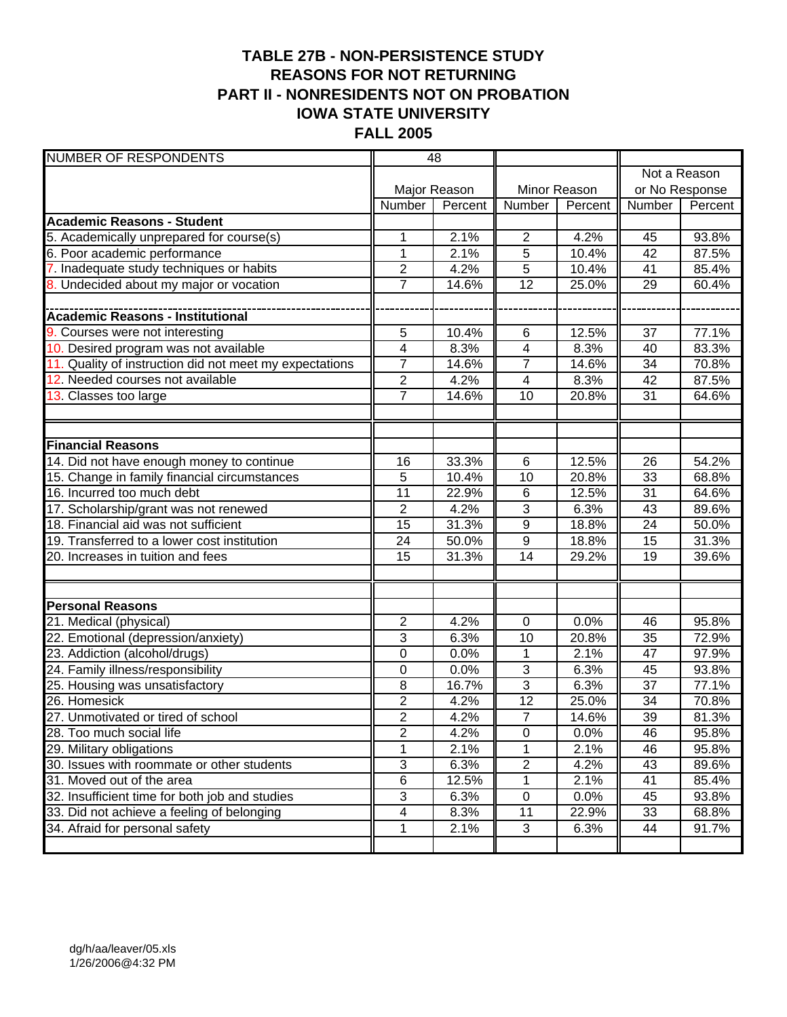### **TABLE 27B - NON-PERSISTENCE STUDY REASONS FOR NOT RETURNING PART II - NONRESIDENTS NOT ON PROBATION IOWA STATE UNIVERSITY FALL 2005**

| <b>NUMBER OF RESPONDENTS</b>                            | 48             |              |                         |              |                |         |
|---------------------------------------------------------|----------------|--------------|-------------------------|--------------|----------------|---------|
|                                                         |                |              |                         |              | Not a Reason   |         |
|                                                         |                | Major Reason |                         | Minor Reason | or No Response |         |
|                                                         | Number         | Percent      | Number                  | Percent      | Number         | Percent |
| <b>Academic Reasons - Student</b>                       |                |              |                         |              |                |         |
| 5. Academically unprepared for course(s)                | 1              | 2.1%         | $\overline{2}$          | 4.2%         | 45             | 93.8%   |
| 6. Poor academic performance                            | 1              | 2.1%         | 5                       | 10.4%        | 42             | 87.5%   |
| 7. Inadequate study techniques or habits                | $\overline{2}$ | 4.2%         | 5                       | 10.4%        | 41             | 85.4%   |
| 8. Undecided about my major or vocation                 | 7              | 14.6%        | 12                      | 25.0%        | 29             | 60.4%   |
|                                                         |                |              |                         |              |                |         |
| Academic Reasons - Institutional                        |                |              |                         |              |                |         |
| 9. Courses were not interesting                         | 5              | 10.4%        | 6                       | 12.5%        | 37             | 77.1%   |
| 10. Desired program was not available                   | 4              | 8.3%         | $\overline{\mathbf{4}}$ | 8.3%         | 40             | 83.3%   |
| 11. Quality of instruction did not meet my expectations | $\overline{7}$ | 14.6%        | $\overline{7}$          | 14.6%        | 34             | 70.8%   |
| 12. Needed courses not available                        | $\overline{2}$ | 4.2%         | $\overline{4}$          | 8.3%         | 42             | 87.5%   |
| 13. Classes too large                                   | $\overline{7}$ | 14.6%        | 10                      | 20.8%        | 31             | 64.6%   |
|                                                         |                |              |                         |              |                |         |
|                                                         |                |              |                         |              |                |         |
| <b>Financial Reasons</b>                                |                |              |                         |              |                |         |
| 14. Did not have enough money to continue               | 16             | 33.3%        | 6                       | 12.5%        | 26             | 54.2%   |
| 15. Change in family financial circumstances            | 5              | 10.4%        | 10                      | 20.8%        | 33             | 68.8%   |
| 16. Incurred too much debt                              | 11             | 22.9%        | 6                       | 12.5%        | 31             | 64.6%   |
| 17. Scholarship/grant was not renewed                   | $\overline{2}$ | 4.2%         | 3                       | 6.3%         | 43             | 89.6%   |
| 18. Financial aid was not sufficient                    | 15             | 31.3%        | 9                       | 18.8%        | 24             | 50.0%   |
| 19. Transferred to a lower cost institution             | 24             | 50.0%        | 9                       | 18.8%        | 15             | 31.3%   |
| 20. Increases in tuition and fees                       | 15             | 31.3%        | 14                      | 29.2%        | 19             | 39.6%   |
|                                                         |                |              |                         |              |                |         |
|                                                         |                |              |                         |              |                |         |
| <b>Personal Reasons</b>                                 |                |              |                         |              |                |         |
| 21. Medical (physical)                                  | 2              | 4.2%         | 0                       | 0.0%         | 46             | 95.8%   |
| 22. Emotional (depression/anxiety)                      | 3              | 6.3%         | 10                      | 20.8%        | 35             | 72.9%   |
| 23. Addiction (alcohol/drugs)                           | 0              | 0.0%         | 1                       | 2.1%         | 47             | 97.9%   |
| 24. Family illness/responsibility                       | 0              | 0.0%         | 3                       | 6.3%         | 45             | 93.8%   |
| 25. Housing was unsatisfactory                          | 8              | 16.7%        | 3                       | 6.3%         | 37             | 77.1%   |
| 26. Homesick                                            | $\overline{2}$ | 4.2%         | 12                      | 25.0%        | 34             | 70.8%   |
| 27. Unmotivated or tired of school                      | $\overline{2}$ | 4.2%         | $\overline{7}$          | 14.6%        | 39             | 81.3%   |
| 28. Too much social life                                | 2              | 4.2%         | $\pmb{0}$               | 0.0%         | 46             | 95.8%   |
| 29. Military obligations                                | 1              | 2.1%         |                         | 2.1%         | 46             | 95.8%   |
| 30. Issues with roommate or other students              | $\overline{3}$ | 6.3%         | $\overline{2}$          | 4.2%         | 43             | 89.6%   |
| 31. Moved out of the area                               | 6              | 12.5%        | 1                       | 2.1%         | 41             | 85.4%   |
| 32. Insufficient time for both job and studies          | 3              | 6.3%         | $\pmb{0}$               | 0.0%         | 45             | 93.8%   |
| 33. Did not achieve a feeling of belonging              | 4              | 8.3%         | 11                      | 22.9%        | 33             | 68.8%   |
| 34. Afraid for personal safety                          | 1              | 2.1%         | $\mathfrak{S}$          | 6.3%         | 44             | 91.7%   |
|                                                         |                |              |                         |              |                |         |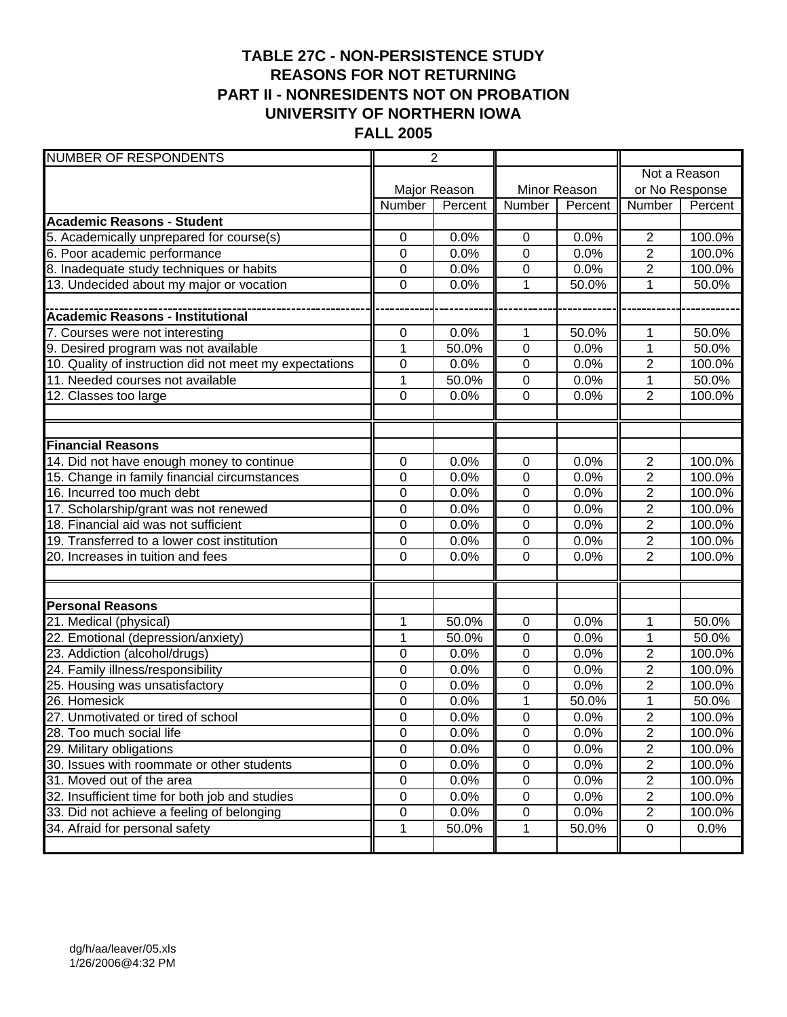### **TABLE 27C - NON-PERSISTENCE STUDY REASONS FOR NOT RETURNING PART II - NONRESIDENTS NOT ON PROBATION UNIVERSITY OF NORTHERN IOWA FALL 2005**

| <b>NUMBER OF RESPONDENTS</b>                            | $\overline{2}$ |              |                |              |                |         |
|---------------------------------------------------------|----------------|--------------|----------------|--------------|----------------|---------|
|                                                         |                |              |                |              | Not a Reason   |         |
|                                                         |                | Major Reason |                | Minor Reason | or No Response |         |
|                                                         | Number         | Percent      | Number         | Percent      | Number         | Percent |
| <b>Academic Reasons - Student</b>                       |                |              |                |              |                |         |
| 5. Academically unprepared for course(s)                | $\mathbf 0$    | 0.0%         | $\pmb{0}$      | 0.0%         | $\overline{2}$ | 100.0%  |
| 6. Poor academic performance                            | $\mathbf 0$    | 0.0%         | 0              | 0.0%         | $\overline{c}$ | 100.0%  |
| 8. Inadequate study techniques or habits                | 0              | 0.0%         | 0              | 0.0%         | $\overline{2}$ | 100.0%  |
| 13. Undecided about my major or vocation                | 0              | 0.0%         | 1              | 50.0%        | 1              | 50.0%   |
|                                                         |                |              |                |              |                |         |
| <b>Academic Reasons - Institutional</b>                 |                |              |                |              |                |         |
| 7. Courses were not interesting                         | $\mathbf 0$    | 0.0%         | 1              | 50.0%        | 1              | 50.0%   |
| 9. Desired program was not available                    | 1              | 50.0%        | 0              | 0.0%         | 1              | 50.0%   |
| 10. Quality of instruction did not meet my expectations | 0              | 0.0%         | $\mathbf 0$    | 0.0%         | $\overline{2}$ | 100.0%  |
| 11. Needed courses not available                        | 1              | 50.0%        | 0              | 0.0%         | 1              | 50.0%   |
| 12. Classes too large                                   | $\overline{0}$ | 0.0%         | 0              | 0.0%         | $\overline{2}$ | 100.0%  |
|                                                         |                |              |                |              |                |         |
|                                                         |                |              |                |              |                |         |
| <b>Financial Reasons</b>                                |                |              |                |              |                |         |
| 14. Did not have enough money to continue               | $\mathbf 0$    | 0.0%         | $\mathbf 0$    | 0.0%         | $\overline{2}$ | 100.0%  |
| 15. Change in family financial circumstances            | 0              | 0.0%         | 0              | 0.0%         | $\overline{2}$ | 100.0%  |
| 16. Incurred too much debt                              | 0              | 0.0%         | 0              | 0.0%         | $\overline{c}$ | 100.0%  |
| 17. Scholarship/grant was not renewed                   | 0              | 0.0%         | $\mathbf 0$    | 0.0%         | $\overline{2}$ | 100.0%  |
| 18. Financial aid was not sufficient                    | 0              | 0.0%         | $\mathbf 0$    | 0.0%         | $\overline{2}$ | 100.0%  |
| 19. Transferred to a lower cost institution             | 0              | 0.0%         | 0              | 0.0%         | $\overline{2}$ | 100.0%  |
| 20. Increases in tuition and fees                       | 0              | 0.0%         | 0              | 0.0%         | $\overline{2}$ | 100.0%  |
|                                                         |                |              |                |              |                |         |
|                                                         |                |              |                |              |                |         |
| <b>Personal Reasons</b>                                 |                |              |                |              |                |         |
| 21. Medical (physical)                                  | 1              | 50.0%        | $\pmb{0}$      | 0.0%         | 1              | 50.0%   |
| 22. Emotional (depression/anxiety)                      | 1              | 50.0%        | $\pmb{0}$      | 0.0%         | $\mathbf{1}$   | 50.0%   |
| 23. Addiction (alcohol/drugs)                           | 0              | 0.0%         | 0              | 0.0%         | $\overline{2}$ | 100.0%  |
| 24. Family illness/responsibility                       | 0              | 0.0%         | 0              | 0.0%         | $\overline{2}$ | 100.0%  |
| 25. Housing was unsatisfactory                          | 0              | 0.0%         | 0              | 0.0%         | $\overline{2}$ | 100.0%  |
| 26. Homesick                                            | $\mathbf 0$    | 0.0%         | $\mathbf 1$    | 50.0%        | $\mathbf 1$    | 50.0%   |
| 27. Unmotivated or tired of school                      | $\mathbf 0$    | 0.0%         | $\mathbf 0$    | 0.0%         | $\overline{2}$ | 100.0%  |
| 28. Too much social life                                | $\mathbf 0$    | 0.0%         | $\pmb{0}$      | 0.0%         | $\overline{2}$ | 100.0%  |
| 29. Military obligations                                | 0              | 0.0%         | 0              | 0.0%         | 2              | 100.0%  |
| 30. Issues with roommate or other students              | $\overline{0}$ | 0.0%         | $\overline{0}$ | 0.0%         | $\overline{2}$ | 100.0%  |
| 31. Moved out of the area                               | $\pmb{0}$      | 0.0%         | $\pmb{0}$      | 0.0%         | $\overline{2}$ | 100.0%  |
| 32. Insufficient time for both job and studies          | $\mathsf 0$    | 0.0%         | $\pmb{0}$      | 0.0%         | $\overline{2}$ | 100.0%  |
| 33. Did not achieve a feeling of belonging              | 0              | 0.0%         | 0              | 0.0%         | $\overline{2}$ | 100.0%  |
| 34. Afraid for personal safety                          | 1              | 50.0%        | 1              | 50.0%        | $\mathbf 0$    | 0.0%    |
|                                                         |                |              |                |              |                |         |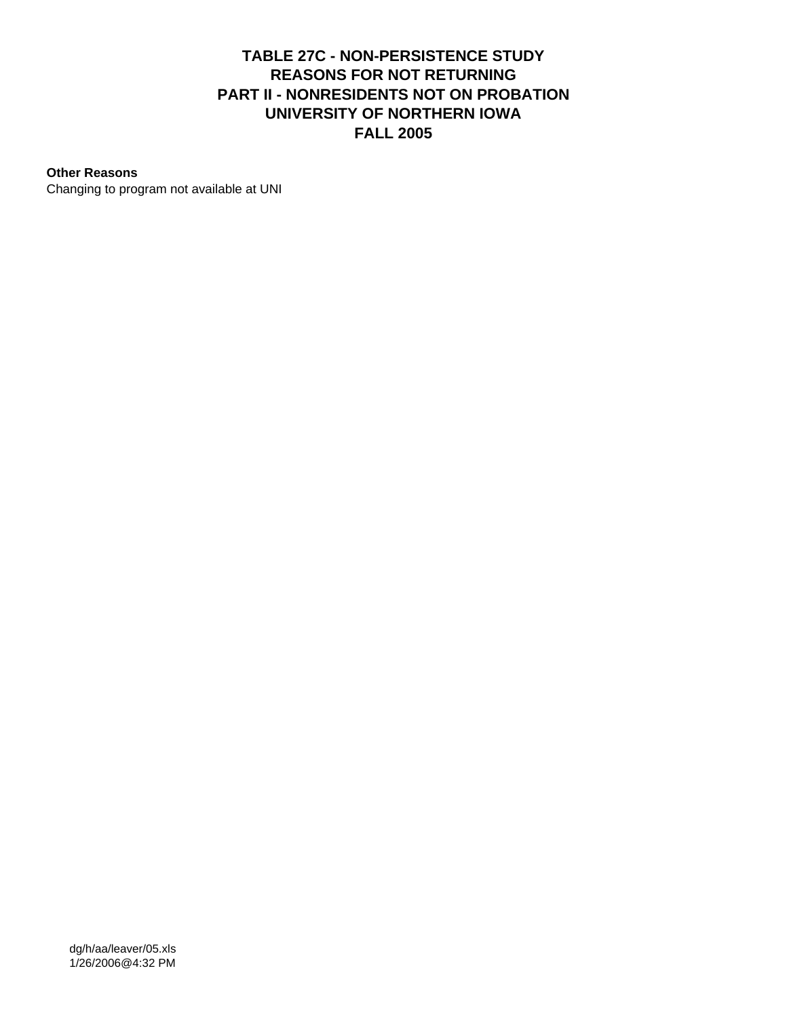#### **TABLE 27C - NON-PERSISTENCE STUDY REASONS FOR NOT RETURNING PART II - NONRESIDENTS NOT ON PROBATION UNIVERSITY OF NORTHERN IOWA FALL 2005**

#### **Other Reasons**

Changing to program not available at UNI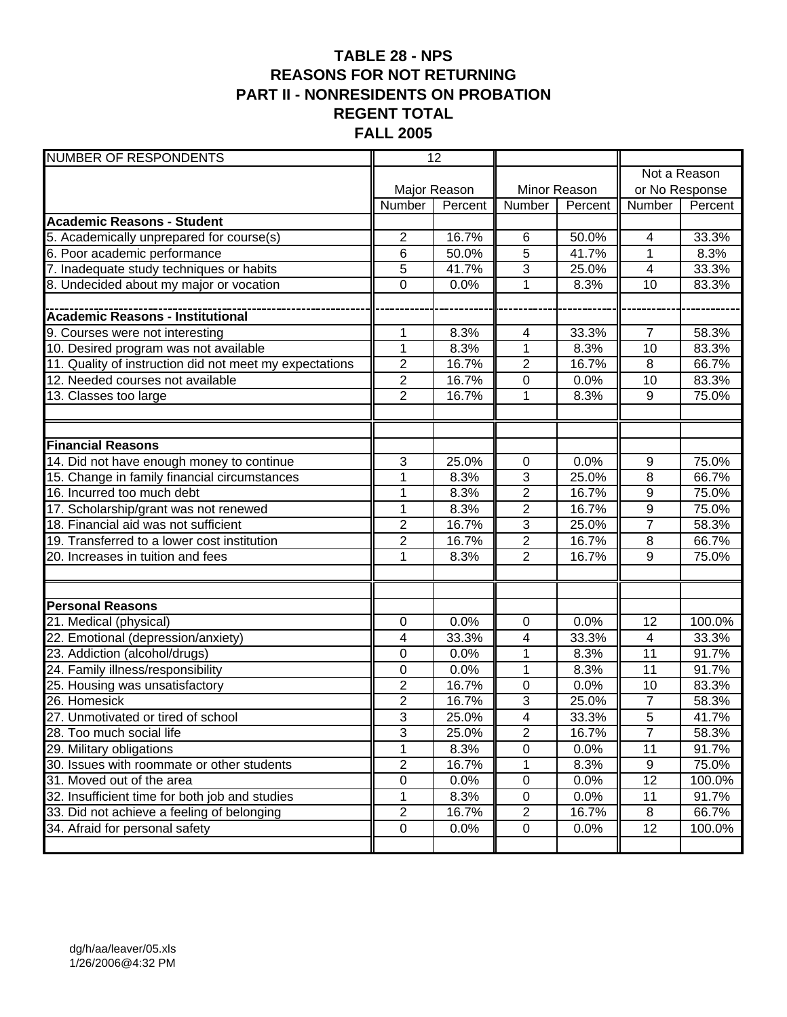### **TABLE 28 - NPS REASONS FOR NOT RETURNING PART II - NONRESIDENTS ON PROBATION REGENT TOTAL FALL 2005**

| <b>NUMBER OF RESPONDENTS</b>                            | 12             |              |                         |              |                 |              |
|---------------------------------------------------------|----------------|--------------|-------------------------|--------------|-----------------|--------------|
|                                                         |                |              |                         |              |                 | Not a Reason |
|                                                         |                | Major Reason |                         | Minor Reason | or No Response  |              |
|                                                         | Number         | Percent      | Number                  | Percent      | Number          | Percent      |
| <b>Academic Reasons - Student</b>                       |                |              |                         |              |                 |              |
| 5. Academically unprepared for course(s)                | $\overline{2}$ | 16.7%        | 6                       | 50.0%        | 4               | 33.3%        |
| 6. Poor academic performance                            | 6              | 50.0%        | 5                       | 41.7%        | 1               | 8.3%         |
| 7. Inadequate study techniques or habits                | 5              | 41.7%        | 3                       | 25.0%        | $\overline{4}$  | 33.3%        |
| 8. Undecided about my major or vocation                 | $\Omega$       | 0.0%         | $\mathbf{1}$            | 8.3%         | 10              | 83.3%        |
|                                                         |                |              |                         |              |                 |              |
|                                                         |                |              |                         |              |                 |              |
| 9. Courses were not interesting                         | 1              | 8.3%         | 4                       | 33.3%        | $\overline{7}$  | 58.3%        |
| 10. Desired program was not available                   | $\overline{1}$ | 8.3%         | $\overline{1}$          | 8.3%         | 10              | 83.3%        |
| 11. Quality of instruction did not meet my expectations | $\overline{c}$ | 16.7%        | $\overline{c}$          | 16.7%        | 8               | 66.7%        |
| 12. Needed courses not available                        | $\overline{2}$ | 16.7%        | 0                       | 0.0%         | 10              | 83.3%        |
| 13. Classes too large                                   | $\overline{2}$ | 16.7%        | 1                       | 8.3%         | 9               | 75.0%        |
|                                                         |                |              |                         |              |                 |              |
|                                                         |                |              |                         |              |                 |              |
| <b>Financial Reasons</b>                                |                |              |                         |              |                 |              |
| 14. Did not have enough money to continue               | 3              | 25.0%        | 0                       | 0.0%         | 9               | 75.0%        |
| 15. Change in family financial circumstances            | 1              | 8.3%         | 3                       | 25.0%        | $\overline{8}$  | 66.7%        |
| 16. Incurred too much debt                              | 1              | 8.3%         | $\overline{2}$          | 16.7%        | $\overline{9}$  | 75.0%        |
| 17. Scholarship/grant was not renewed                   | 1              | 8.3%         | $\overline{2}$          | 16.7%        | $\overline{9}$  | 75.0%        |
| 18. Financial aid was not sufficient                    | $\overline{c}$ | 16.7%        | 3                       | 25.0%        | $\overline{7}$  | 58.3%        |
| 19. Transferred to a lower cost institution             | $\overline{2}$ | 16.7%        | $\overline{2}$          | 16.7%        | 8               | 66.7%        |
| 20. Increases in tuition and fees                       | $\overline{1}$ | 8.3%         | $\overline{2}$          | 16.7%        | 9               | 75.0%        |
|                                                         |                |              |                         |              |                 |              |
|                                                         |                |              |                         |              |                 |              |
| <b>Personal Reasons</b>                                 |                |              |                         |              |                 |              |
| 21. Medical (physical)                                  | 0              | 0.0%         | 0                       | 0.0%         | 12              | 100.0%       |
| 22. Emotional (depression/anxiety)                      | 4              | 33.3%        | 4                       | 33.3%        | $\overline{4}$  | 33.3%        |
| 23. Addiction (alcohol/drugs)                           | 0              | 0.0%         | 1                       | 8.3%         | 11              | 91.7%        |
| 24. Family illness/responsibility                       | 0              | 0.0%         | $\mathbf{1}$            | 8.3%         | 11              | 91.7%        |
| 25. Housing was unsatisfactory                          | $\overline{2}$ | 16.7%        | $\boldsymbol{0}$        | 0.0%         | 10              | 83.3%        |
| 26. Homesick                                            | $\overline{c}$ | 16.7%        | 3                       | 25.0%        | $\overline{7}$  | 58.3%        |
| 27. Unmotivated or tired of school                      | 3              | 25.0%        | $\overline{\mathbf{4}}$ | 33.3%        | $\overline{5}$  | 41.7%        |
| 28. Too much social life                                | 3              | 25.0%        | $\mathbf{2}$            | 16.7%        | $\overline{7}$  | 58.3%        |
| 29. Military obligations                                | $\overline{1}$ | 8.3%         | 0                       | 0.0%         | $\overline{11}$ | 91.7%        |
| 30. Issues with roommate or other students              | $\overline{c}$ | 16.7%        | 1                       | 8.3%         | 9               | 75.0%        |
| 31. Moved out of the area                               | $\overline{0}$ | 0.0%         | $\pmb{0}$               | 0.0%         | $\overline{12}$ | 100.0%       |
| 32. Insufficient time for both job and studies          | 1              | 8.3%         | $\pmb{0}$               | 0.0%         | 11              | 91.7%        |
| 33. Did not achieve a feeling of belonging              | $\overline{2}$ | 16.7%        | $\overline{2}$          | 16.7%        | 8               | 66.7%        |
| 34. Afraid for personal safety                          | $\pmb{0}$      | 0.0%         | $\pmb{0}$               | 0.0%         | 12              | 100.0%       |
|                                                         |                |              |                         |              |                 |              |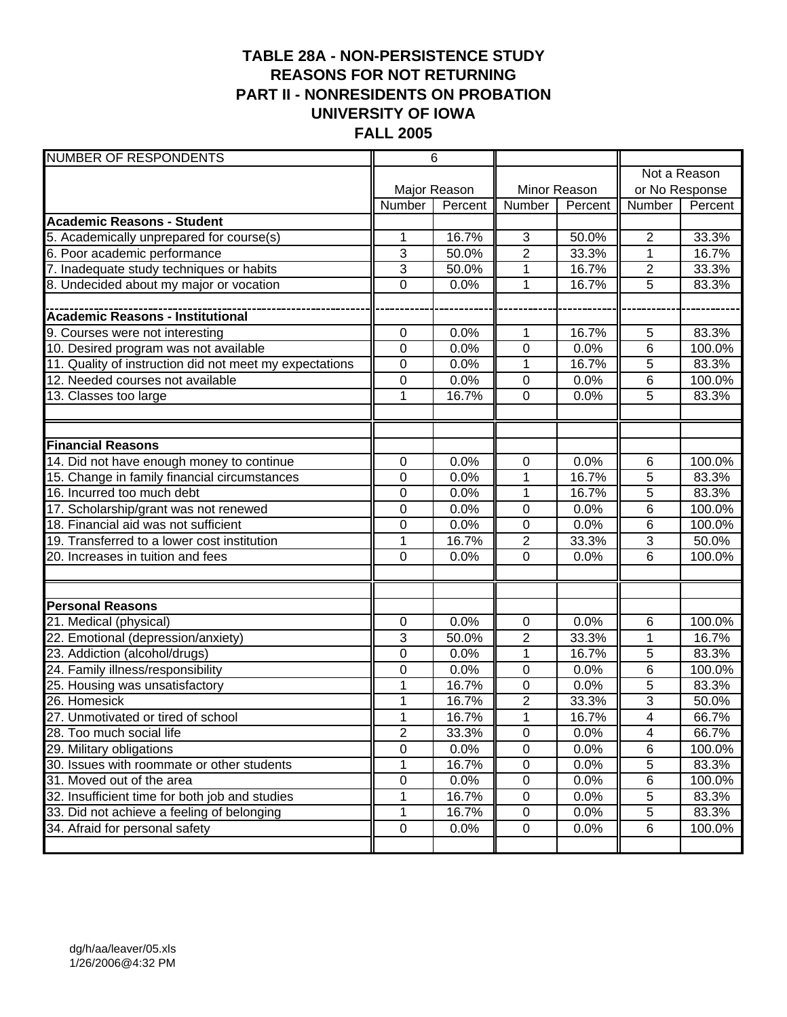### **TABLE 28A - NON-PERSISTENCE STUDY REASONS FOR NOT RETURNING PART II - NONRESIDENTS ON PROBATION UNIVERSITY OF IOWA FALL 2005**

| <b>NUMBER OF RESPONDENTS</b>                            |                | 6            |                |              |                |                |  |
|---------------------------------------------------------|----------------|--------------|----------------|--------------|----------------|----------------|--|
|                                                         |                |              |                |              | Not a Reason   |                |  |
|                                                         |                | Major Reason |                | Minor Reason |                | or No Response |  |
|                                                         | Number         | Percent      | Number         | Percent      | Number         | Percent        |  |
| <b>Academic Reasons - Student</b>                       |                |              |                |              |                |                |  |
| 5. Academically unprepared for course(s)                | 1              | 16.7%        | $\mathbf{3}$   | 50.0%        | $\overline{2}$ | 33.3%          |  |
| 6. Poor academic performance                            | 3              | 50.0%        | $\overline{2}$ | 33.3%        | 1              | 16.7%          |  |
| 7. Inadequate study techniques or habits                | 3              | 50.0%        | 1              | 16.7%        | $\overline{c}$ | 33.3%          |  |
| 8. Undecided about my major or vocation                 | 0              | 0.0%         | $\mathbf{1}$   | 16.7%        | $\overline{5}$ | 83.3%          |  |
|                                                         |                |              |                |              |                |                |  |
|                                                         |                |              |                |              |                |                |  |
| 9. Courses were not interesting                         | 0              | 0.0%         | 1              | 16.7%        | 5              | 83.3%          |  |
| 10. Desired program was not available                   | $\mathbf 0$    | 0.0%         | $\overline{0}$ | 0.0%         | 6              | 100.0%         |  |
| 11. Quality of instruction did not meet my expectations | $\mathbf 0$    | 0.0%         | $\mathbf 1$    | 16.7%        | 5              | 83.3%          |  |
| 12. Needed courses not available                        | 0              | 0.0%         | $\mathbf 0$    | 0.0%         | 6              | 100.0%         |  |
| 13. Classes too large                                   | 1              | 16.7%        | 0              | 0.0%         | 5              | 83.3%          |  |
|                                                         |                |              |                |              |                |                |  |
|                                                         |                |              |                |              |                |                |  |
| <b>Financial Reasons</b>                                |                |              |                |              |                |                |  |
| 14. Did not have enough money to continue               | 0              | 0.0%         | 0              | 0.0%         | 6              | 100.0%         |  |
| 15. Change in family financial circumstances            | 0              | 0.0%         | $\overline{1}$ | 16.7%        | $\overline{5}$ | 83.3%          |  |
| 16. Incurred too much debt                              | 0              | 0.0%         | $\mathbf{1}$   | 16.7%        | $\overline{5}$ | 83.3%          |  |
| 17. Scholarship/grant was not renewed                   | 0              | 0.0%         | 0              | 0.0%         | 6              | 100.0%         |  |
| 18. Financial aid was not sufficient                    | 0              | 0.0%         | $\overline{0}$ | 0.0%         | 6              | 100.0%         |  |
| 19. Transferred to a lower cost institution             | 1              | 16.7%        | $\overline{2}$ | 33.3%        | 3              | 50.0%          |  |
| 20. Increases in tuition and fees                       | $\overline{0}$ | 0.0%         | $\overline{0}$ | 0.0%         | 6              | 100.0%         |  |
|                                                         |                |              |                |              |                |                |  |
|                                                         |                |              |                |              |                |                |  |
| <b>Personal Reasons</b>                                 |                |              |                |              |                |                |  |
| 21. Medical (physical)                                  | $\mathbf 0$    | 0.0%         | $\pmb{0}$      | 0.0%         | 6              | 100.0%         |  |
| 22. Emotional (depression/anxiety)                      | 3              | 50.0%        | $\overline{2}$ | 33.3%        | 1              | 16.7%          |  |
| 23. Addiction (alcohol/drugs)                           | 0              | 0.0%         | 1              | 16.7%        | 5              | 83.3%          |  |
| 24. Family illness/responsibility                       | 0              | 0.0%         | 0              | 0.0%         | 6              | 100.0%         |  |
| 25. Housing was unsatisfactory                          | $\mathbf 1$    | 16.7%        | $\mathbf 0$    | 0.0%         | 5              | 83.3%          |  |
| 26. Homesick                                            | 1              | 16.7%        | $\overline{c}$ | 33.3%        | 3              | 50.0%          |  |
| 27. Unmotivated or tired of school                      | $\mathbf{1}$   | 16.7%        | $\mathbf 1$    | 16.7%        | 4              | 66.7%          |  |
| 28. Too much social life                                | $\mathbf{2}$   | 33.3%        | $\mathbf 0$    | 0.0%         | 4              | 66.7%          |  |
| 29. Military obligations                                | $\overline{0}$ | 0.0%         | 0              | 0.0%         | 6              | 100.0%         |  |
| 30. Issues with roommate or other students              | 1              | 16.7%        | $\pmb{0}$      | 0.0%         | $\overline{5}$ | 83.3%          |  |
| 31. Moved out of the area                               | $\overline{0}$ | 0.0%         | $\pmb{0}$      | 0.0%         | 6              | 100.0%         |  |
| 32. Insufficient time for both job and studies          | 1              | 16.7%        | $\pmb{0}$      | 0.0%         | 5              | 83.3%          |  |
| 33. Did not achieve a feeling of belonging              | 1              | 16.7%        | $\pmb{0}$      | 0.0%         | 5              | 83.3%          |  |
| 34. Afraid for personal safety                          | $\mathsf 0$    | 0.0%         | $\pmb{0}$      | 0.0%         | 6              | 100.0%         |  |
|                                                         |                |              |                |              |                |                |  |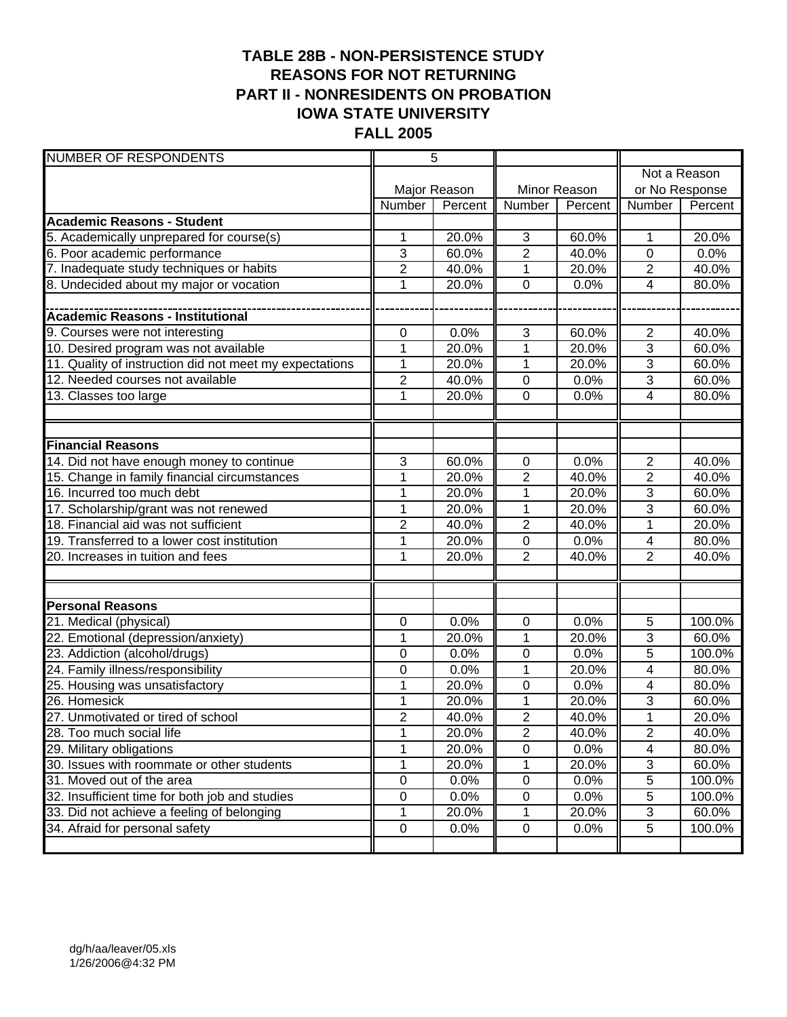### **TABLE 28B - NON-PERSISTENCE STUDY REASONS FOR NOT RETURNING PART II - NONRESIDENTS ON PROBATION IOWA STATE UNIVERSITY FALL 2005**

| <b>NUMBER OF RESPONDENTS</b>                            | $\overline{5}$   |              |                |              |                         |                |
|---------------------------------------------------------|------------------|--------------|----------------|--------------|-------------------------|----------------|
|                                                         |                  |              |                |              |                         | Not a Reason   |
|                                                         |                  | Major Reason |                | Minor Reason |                         | or No Response |
|                                                         | Number           | Percent      | Number         | Percent      | Number                  | Percent        |
| <b>Academic Reasons - Student</b>                       |                  |              |                |              |                         |                |
| 5. Academically unprepared for course(s)                | 1                | 20.0%        | $\mathbf{3}$   | 60.0%        | 1                       | 20.0%          |
| 6. Poor academic performance                            | 3                | 60.0%        | $\overline{2}$ | 40.0%        | 0                       | 0.0%           |
| 7. Inadequate study techniques or habits                | 2                | 40.0%        | 1              | 20.0%        | $\overline{2}$          | 40.0%          |
| 8. Undecided about my major or vocation                 | 1                | 20.0%        | 0              | 0.0%         | $\overline{4}$          | 80.0%          |
|                                                         |                  |              |                |              |                         |                |
|                                                         |                  |              |                |              |                         |                |
| 9. Courses were not interesting                         | 0                | 0.0%         | $\mathbf{3}$   | 60.0%        | 2                       | 40.0%          |
| 10. Desired program was not available                   | $\overline{1}$   | 20.0%        | $\overline{1}$ | 20.0%        | 3                       | 60.0%          |
| 11. Quality of instruction did not meet my expectations | 1                | 20.0%        | 1              | 20.0%        | 3                       | 60.0%          |
| 12. Needed courses not available                        | $\overline{2}$   | 40.0%        | $\mathbf 0$    | 0.0%         | $\overline{3}$          | 60.0%          |
| 13. Classes too large                                   | 1                | 20.0%        | 0              | 0.0%         | $\overline{\mathbf{4}}$ | 80.0%          |
|                                                         |                  |              |                |              |                         |                |
|                                                         |                  |              |                |              |                         |                |
| <b>Financial Reasons</b>                                |                  |              |                |              |                         |                |
| 14. Did not have enough money to continue               | 3                | 60.0%        | 0              | 0.0%         | $\overline{2}$          | 40.0%          |
| 15. Change in family financial circumstances            | 1                | 20.0%        | $\overline{2}$ | 40.0%        | $\overline{2}$          | 40.0%          |
| 16. Incurred too much debt                              | 1                | 20.0%        | $\mathbf 1$    | 20.0%        | $\overline{3}$          | 60.0%          |
| 17. Scholarship/grant was not renewed                   | $\mathbf{1}$     | 20.0%        | $\mathbf{1}$   | 20.0%        | 3                       | 60.0%          |
| 18. Financial aid was not sufficient                    | $\overline{2}$   | 40.0%        | $\overline{2}$ | 40.0%        | 1                       | 20.0%          |
| 19. Transferred to a lower cost institution             | 1                | 20.0%        | 0              | 0.0%         | 4                       | 80.0%          |
| 20. Increases in tuition and fees                       | $\overline{1}$   | 20.0%        | $\overline{2}$ | 40.0%        | $\overline{2}$          | 40.0%          |
|                                                         |                  |              |                |              |                         |                |
|                                                         |                  |              |                |              |                         |                |
| <b>Personal Reasons</b>                                 |                  |              |                |              |                         |                |
| 21. Medical (physical)                                  | $\boldsymbol{0}$ | 0.0%         | 0              | 0.0%         | 5                       | 100.0%         |
| 22. Emotional (depression/anxiety)                      | 1                | 20.0%        | 1              | 20.0%        | 3                       | 60.0%          |
| 23. Addiction (alcohol/drugs)                           | 0                | 0.0%         | 0              | 0.0%         | 5                       | 100.0%         |
| 24. Family illness/responsibility                       | 0                | 0.0%         | 1              | 20.0%        | 4                       | 80.0%          |
| 25. Housing was unsatisfactory                          | 1                | 20.0%        | 0              | 0.0%         | 4                       | 80.0%          |
| 26. Homesick                                            | 1                | 20.0%        | $\mathbf 1$    | 20.0%        | 3                       | 60.0%          |
| 27. Unmotivated or tired of school                      | $\overline{2}$   | 40.0%        | $\overline{2}$ | 40.0%        | 1                       | 20.0%          |
| 28. Too much social life                                | 1                | 20.0%        | $\mathbf{2}$   | 40.0%        | 2                       | 40.0%          |
| 29. Military obligations                                | $\overline{1}$   | 20.0%        | $\overline{0}$ | 0.0%         | 4                       | 80.0%          |
| 30. Issues with roommate or other students              | 1                | 20.0%        | 1              | 20.0%        | 3                       | 60.0%          |
| 31. Moved out of the area                               | $\overline{0}$   | 0.0%         | $\pmb{0}$      | 0.0%         | 5                       | 100.0%         |
| 32. Insufficient time for both job and studies          | 0                | 0.0%         | $\pmb{0}$      | 0.0%         | $\mathbf 5$             | 100.0%         |
| 33. Did not achieve a feeling of belonging              | 1                | 20.0%        | 1              | 20.0%        | 3                       | 60.0%          |
| 34. Afraid for personal safety                          | $\boldsymbol{0}$ | 0.0%         | $\pmb{0}$      | 0.0%         | 5                       | 100.0%         |
|                                                         |                  |              |                |              |                         |                |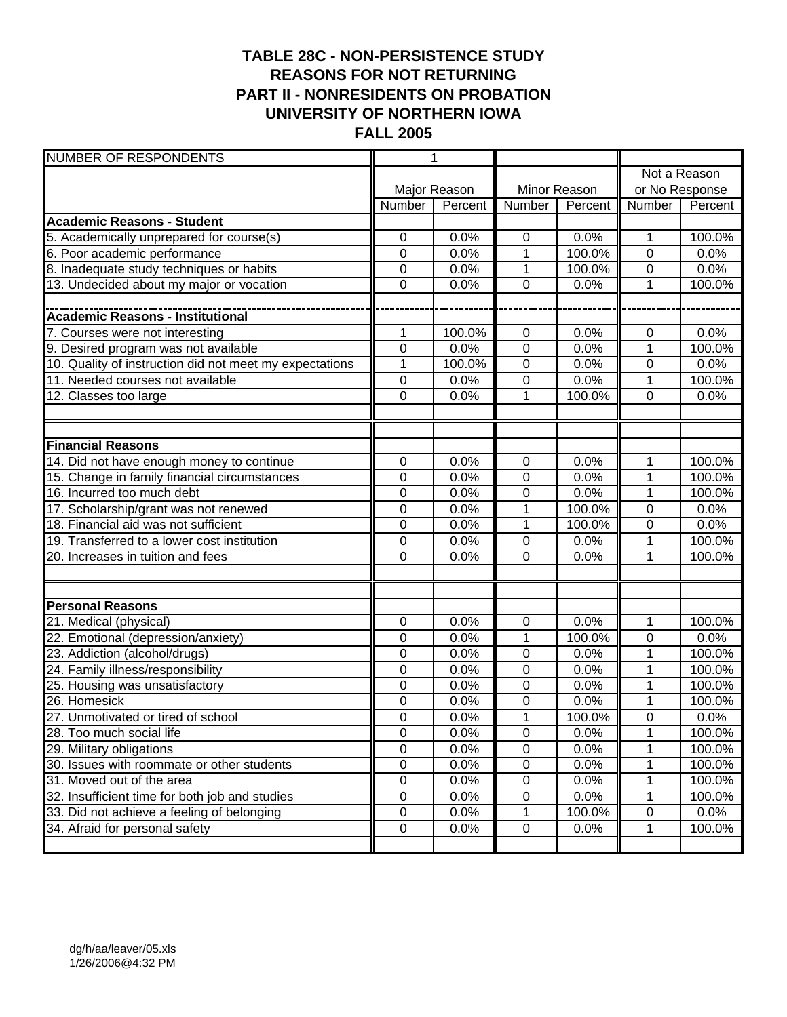### **TABLE 28C - NON-PERSISTENCE STUDY REASONS FOR NOT RETURNING PART II - NONRESIDENTS ON PROBATION UNIVERSITY OF NORTHERN IOWA FALL 2005**

| <b>NUMBER OF RESPONDENTS</b>                            |                | 1            |                  |              |                  |              |
|---------------------------------------------------------|----------------|--------------|------------------|--------------|------------------|--------------|
|                                                         |                |              |                  |              |                  | Not a Reason |
|                                                         |                | Major Reason |                  | Minor Reason | or No Response   |              |
|                                                         | Number         | Percent      | Number           | Percent      | Number           | Percent      |
| <b>Academic Reasons - Student</b>                       |                |              |                  |              |                  |              |
| 5. Academically unprepared for course(s)                | 0              | 0.0%         | $\pmb{0}$        | 0.0%         | 1                | 100.0%       |
| 6. Poor academic performance                            | 0              | 0.0%         | 1                | 100.0%       | $\mathbf 0$      | 0.0%         |
| 8. Inadequate study techniques or habits                | 0              | 0.0%         | 1                | 100.0%       | 0                | 0.0%         |
| 13. Undecided about my major or vocation                | 0              | 0.0%         | $\overline{0}$   | 0.0%         | 1                | 100.0%       |
|                                                         |                |              |                  |              |                  |              |
|                                                         |                |              |                  |              |                  |              |
| 7. Courses were not interesting                         | 1              | 100.0%       | $\pmb{0}$        | 0.0%         | 0                | 0.0%         |
| 9. Desired program was not available                    | $\overline{0}$ | 0.0%         | $\overline{0}$   | 0.0%         | $\overline{1}$   | 100.0%       |
| 10. Quality of instruction did not meet my expectations | $\mathbf{1}$   | 100.0%       | $\pmb{0}$        | 0.0%         | $\boldsymbol{0}$ | 0.0%         |
| 11. Needed courses not available                        | $\mathbf 0$    | 0.0%         | 0                | 0.0%         | 1                | 100.0%       |
| 12. Classes too large                                   | 0              | 0.0%         | 1                | 100.0%       | $\mathbf 0$      | 0.0%         |
|                                                         |                |              |                  |              |                  |              |
|                                                         |                |              |                  |              |                  |              |
| <b>Financial Reasons</b>                                |                |              |                  |              |                  |              |
| 14. Did not have enough money to continue               | 0              | 0.0%         | 0                | 0.0%         | 1                | 100.0%       |
| 15. Change in family financial circumstances            | 0              | 0.0%         | $\mathbf 0$      | 0.0%         | $\overline{1}$   | 100.0%       |
| 16. Incurred too much debt                              | $\mathbf 0$    | 0.0%         | $\overline{0}$   | 0.0%         | 1                | 100.0%       |
| 17. Scholarship/grant was not renewed                   | $\mathbf 0$    | 0.0%         | 1                | 100.0%       | $\mathbf 0$      | 0.0%         |
| 18. Financial aid was not sufficient                    | $\mathbf 0$    | 0.0%         | 1                | 100.0%       | 0                | 0.0%         |
| 19. Transferred to a lower cost institution             | 0              | 0.0%         | $\boldsymbol{0}$ | 0.0%         | 1                | 100.0%       |
| 20. Increases in tuition and fees                       | 0              | 0.0%         | $\overline{0}$   | 0.0%         | 1                | 100.0%       |
|                                                         |                |              |                  |              |                  |              |
|                                                         |                |              |                  |              |                  |              |
| <b>Personal Reasons</b>                                 |                |              |                  |              |                  |              |
| 21. Medical (physical)                                  | 0              | 0.0%         | $\pmb{0}$        | 0.0%         | 1                | 100.0%       |
| 22. Emotional (depression/anxiety)                      | 0              | 0.0%         | 1                | 100.0%       | $\boldsymbol{0}$ | 0.0%         |
| 23. Addiction (alcohol/drugs)                           | 0              | 0.0%         | 0                | 0.0%         | 1                | 100.0%       |
| 24. Family illness/responsibility                       | 0              | 0.0%         | 0                | 0.0%         | 1                | 100.0%       |
| 25. Housing was unsatisfactory                          | $\mathbf 0$    | 0.0%         | $\mathbf 0$      | 0.0%         | 1                | 100.0%       |
| 26. Homesick                                            | 0              | 0.0%         | 0                | 0.0%         | 1                | 100.0%       |
| 27. Unmotivated or tired of school                      | $\mathbf 0$    | 0.0%         | $\mathbf 1$      | 100.0%       | $\mathbf 0$      | 0.0%         |
| 28. Too much social life                                | $\pmb{0}$      | 0.0%         | $\pmb{0}$        | 0.0%         | 1                | 100.0%       |
| 29. Military obligations                                | $\overline{0}$ | 0.0%         | $\overline{0}$   | 0.0%         |                  | 100.0%       |
| 30. Issues with roommate or other students              | $\pmb{0}$      | 0.0%         | $\overline{0}$   | 0.0%         | 1                | 100.0%       |
| 31. Moved out of the area                               | $\mathsf 0$    | 0.0%         | $\pmb{0}$        | 0.0%         | 1                | 100.0%       |
| 32. Insufficient time for both job and studies          | $\pmb{0}$      | 0.0%         | $\pmb{0}$        | 0.0%         | 1                | 100.0%       |
| 33. Did not achieve a feeling of belonging              | $\pmb{0}$      | 0.0%         | 1                | 100.0%       | $\pmb{0}$        | 0.0%         |
| 34. Afraid for personal safety                          | $\pmb{0}$      | 0.0%         | $\pmb{0}$        | 0.0%         | 1                | 100.0%       |
|                                                         |                |              |                  |              |                  |              |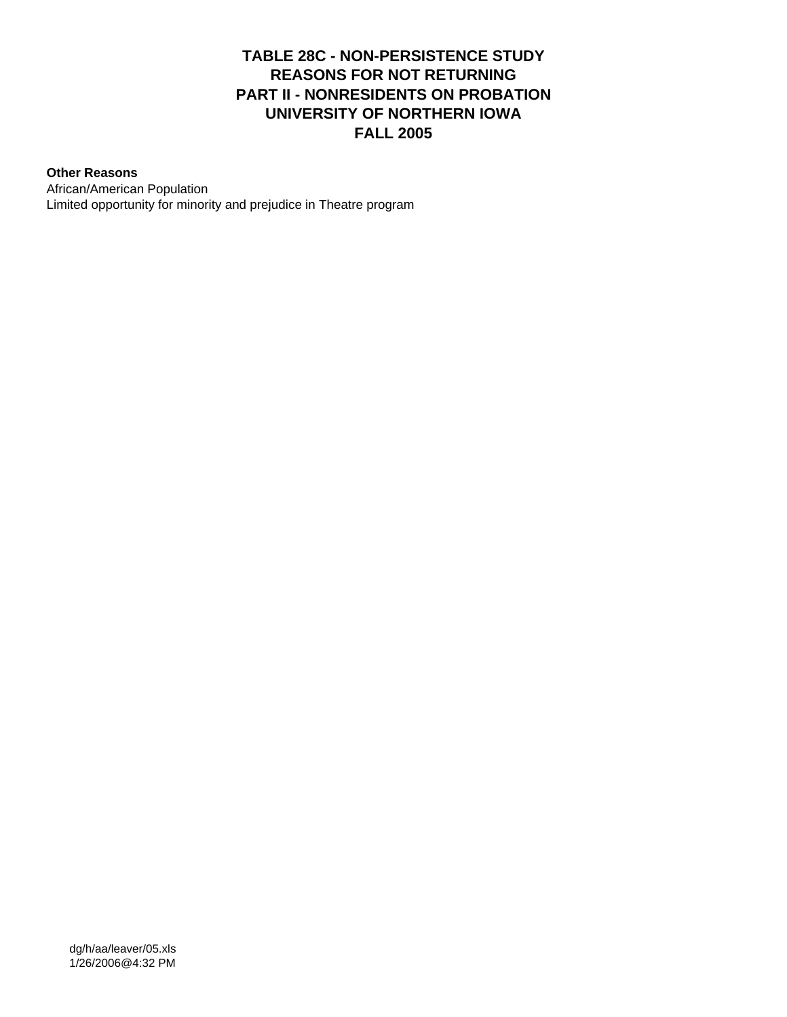#### **TABLE 28C - NON-PERSISTENCE STUDY REASONS FOR NOT RETURNING PART II - NONRESIDENTS ON PROBATION UNIVERSITY OF NORTHERN IOWA FALL 2005**

#### **Other Reasons**

African/American Population Limited opportunity for minority and prejudice in Theatre program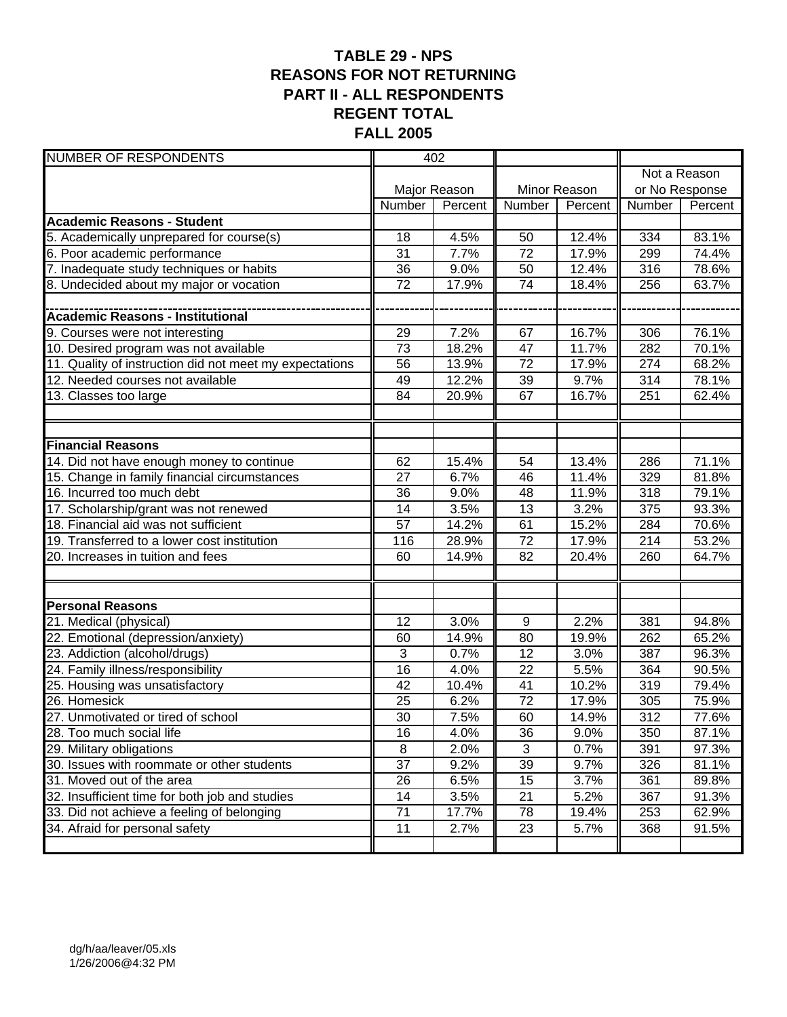### **TABLE 29 - NPS REASONS FOR NOT RETURNING PART II - ALL RESPONDENTS REGENT TOTAL FALL 2005**

| <b>NUMBER OF RESPONDENTS</b>                            | 402             |              |                 |              |        |                |
|---------------------------------------------------------|-----------------|--------------|-----------------|--------------|--------|----------------|
|                                                         |                 |              |                 |              |        | Not a Reason   |
|                                                         |                 | Major Reason |                 | Minor Reason |        | or No Response |
|                                                         | Number          | Percent      | Number          | Percent      | Number | Percent        |
| <b>Academic Reasons - Student</b>                       |                 |              |                 |              |        |                |
| 5. Academically unprepared for course(s)                | 18              | 4.5%         | 50              | 12.4%        | 334    | 83.1%          |
| 6. Poor academic performance                            | $\overline{31}$ | 7.7%         | 72              | 17.9%        | 299    | 74.4%          |
| 7. Inadequate study techniques or habits                | 36              | 9.0%         | 50              | 12.4%        | 316    | 78.6%          |
| 8. Undecided about my major or vocation                 | 72              | 17.9%        | $\overline{74}$ | 18.4%        | 256    | 63.7%          |
|                                                         |                 |              |                 |              |        |                |
| <b>Academic Reasons - Institutional</b>                 |                 |              |                 |              |        |                |
| 9. Courses were not interesting                         | 29              | 7.2%         | 67              | 16.7%        | 306    | 76.1%          |
| 10. Desired program was not available                   | 73              | 18.2%        | 47              | 11.7%        | 282    | 70.1%          |
| 11. Quality of instruction did not meet my expectations | 56              | 13.9%        | 72              | 17.9%        | 274    | 68.2%          |
| 12. Needed courses not available                        | 49              | 12.2%        | $\overline{39}$ | 9.7%         | 314    | 78.1%          |
| 13. Classes too large                                   | 84              | 20.9%        | 67              | 16.7%        | 251    | 62.4%          |
|                                                         |                 |              |                 |              |        |                |
|                                                         |                 |              |                 |              |        |                |
| <b>Financial Reasons</b>                                |                 |              |                 |              |        |                |
| 14. Did not have enough money to continue               | 62              | 15.4%        | 54              | 13.4%        | 286    | 71.1%          |
| 15. Change in family financial circumstances            | $\overline{27}$ | 6.7%         | 46              | 11.4%        | 329    | 81.8%          |
| 16. Incurred too much debt                              | 36              | 9.0%         | 48              | 11.9%        | 318    | 79.1%          |
| 17. Scholarship/grant was not renewed                   | 14              | 3.5%         | 13              | 3.2%         | 375    | 93.3%          |
| 18. Financial aid was not sufficient                    | 57              | 14.2%        | 61              | 15.2%        | 284    | 70.6%          |
| 19. Transferred to a lower cost institution             | 116             | 28.9%        | $\overline{72}$ | 17.9%        | 214    | 53.2%          |
| 20. Increases in tuition and fees                       | 60              | 14.9%        | 82              | 20.4%        | 260    | 64.7%          |
|                                                         |                 |              |                 |              |        |                |
|                                                         |                 |              |                 |              |        |                |
| <b>Personal Reasons</b>                                 |                 |              |                 |              |        |                |
| 21. Medical (physical)                                  | 12              | 3.0%         | 9               | 2.2%         | 381    | 94.8%          |
| 22. Emotional (depression/anxiety)                      | 60              | 14.9%        | 80              | 19.9%        | 262    | 65.2%          |
| 23. Addiction (alcohol/drugs)                           | 3               | 0.7%         | $\overline{12}$ | 3.0%         | 387    | 96.3%          |
| 24. Family illness/responsibility                       | 16              | 4.0%         | 22              | 5.5%         | 364    | 90.5%          |
| 25. Housing was unsatisfactory                          | 42              | 10.4%        | 41              | 10.2%        | 319    | 79.4%          |
| 26. Homesick                                            | 25              | 6.2%         | 72              | 17.9%        | 305    | 75.9%          |
| 27. Unmotivated or tired of school                      | 30              | 7.5%         | 60              | 14.9%        | 312    | 77.6%          |
| 28. Too much social life                                | 16              | 4.0%         | 36              | 9.0%         | 350    | 87.1%          |
| 29. Military obligations                                | 8               | 2.0%         | 3               | 0.7%         | 391    | 97.3%          |
| 30. Issues with roommate or other students              | 37              | 9.2%         | 39              | 9.7%         | 326    | 81.1%          |
| 31. Moved out of the area                               | $\overline{26}$ | 6.5%         | $\overline{15}$ | 3.7%         | 361    | 89.8%          |
| 32. Insufficient time for both job and studies          | 14              | 3.5%         | $\overline{21}$ | 5.2%         | 367    | 91.3%          |
| 33. Did not achieve a feeling of belonging              | $\overline{71}$ | 17.7%        | 78              | 19.4%        | 253    | 62.9%          |
| 34. Afraid for personal safety                          | 11              | 2.7%         | 23              | 5.7%         | 368    | 91.5%          |
|                                                         |                 |              |                 |              |        |                |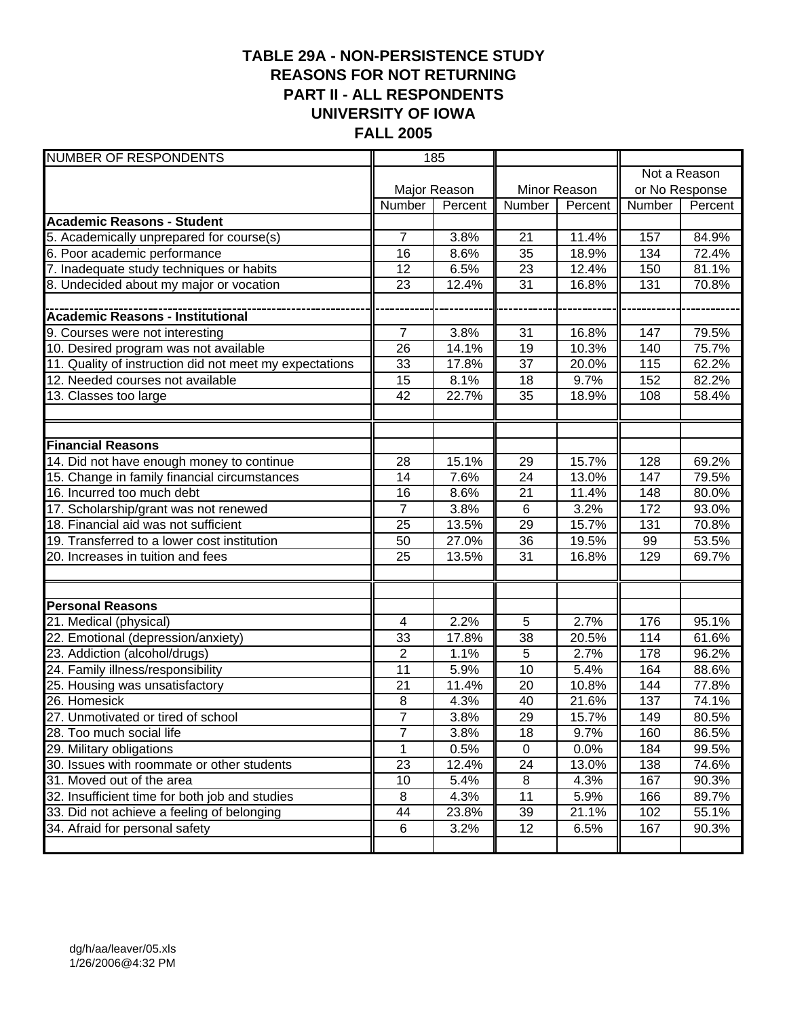#### **TABLE 29A - NON-PERSISTENCE STUDY REASONS FOR NOT RETURNING PART II - ALL RESPONDENTS UNIVERSITY OF IOWA FALL 2005**

| <b>NUMBER OF RESPONDENTS</b>                            | 185            |              |                 |              |                |              |
|---------------------------------------------------------|----------------|--------------|-----------------|--------------|----------------|--------------|
|                                                         |                |              |                 |              |                | Not a Reason |
|                                                         |                | Major Reason |                 | Minor Reason | or No Response |              |
|                                                         | Number         | Percent      | Number          | Percent      | Number         | Percent      |
| <b>Academic Reasons - Student</b>                       |                |              |                 |              |                |              |
| 5. Academically unprepared for course(s)                | 7              | 3.8%         | 21              | 11.4%        | 157            | 84.9%        |
| 6. Poor academic performance                            | 16             | 8.6%         | 35              | 18.9%        | 134            | 72.4%        |
| 7. Inadequate study techniques or habits                | 12             | 6.5%         | 23              | 12.4%        | 150            | 81.1%        |
| 8. Undecided about my major or vocation                 | 23             | 12.4%        | 31              | 16.8%        | 131            | 70.8%        |
|                                                         |                |              |                 |              |                |              |
| <b>Academic Reasons - Institutional</b>                 |                |              |                 |              |                |              |
| 9. Courses were not interesting                         | $\overline{7}$ | 3.8%         | 31              | 16.8%        | 147            | 79.5%        |
| 10. Desired program was not available                   | 26             | 14.1%        | 19              | 10.3%        | 140            | 75.7%        |
| 11. Quality of instruction did not meet my expectations | 33             | 17.8%        | $\overline{37}$ | 20.0%        | 115            | 62.2%        |
| 12. Needed courses not available                        | 15             | 8.1%         | 18              | 9.7%         | 152            | 82.2%        |
| 13. Classes too large                                   | 42             | 22.7%        | 35              | 18.9%        | 108            | 58.4%        |
|                                                         |                |              |                 |              |                |              |
|                                                         |                |              |                 |              |                |              |
| <b>Financial Reasons</b>                                |                |              |                 |              |                |              |
| 14. Did not have enough money to continue               | 28             | 15.1%        | 29              | 15.7%        | 128            | 69.2%        |
| 15. Change in family financial circumstances            | 14             | 7.6%         | $\overline{24}$ | 13.0%        | 147            | 79.5%        |
| 16. Incurred too much debt                              | 16             | 8.6%         | 21              | 11.4%        | 148            | 80.0%        |
| 17. Scholarship/grant was not renewed                   | $\overline{7}$ | 3.8%         | $\overline{6}$  | 3.2%         | 172            | 93.0%        |
| 18. Financial aid was not sufficient                    | 25             | 13.5%        | 29              | 15.7%        | 131            | 70.8%        |
| 19. Transferred to a lower cost institution             | 50             | 27.0%        | $\overline{36}$ | 19.5%        | 99             | 53.5%        |
| 20. Increases in tuition and fees                       | 25             | 13.5%        | $\overline{31}$ | 16.8%        | 129            | 69.7%        |
|                                                         |                |              |                 |              |                |              |
|                                                         |                |              |                 |              |                |              |
| <b>Personal Reasons</b>                                 |                |              |                 |              |                |              |
| 21. Medical (physical)                                  | 4              | 2.2%         | 5               | 2.7%         | 176            | 95.1%        |
| 22. Emotional (depression/anxiety)                      | 33             | 17.8%        | 38              | 20.5%        | 114            | 61.6%        |
| 23. Addiction (alcohol/drugs)                           | $\overline{2}$ | 1.1%         | 5               | 2.7%         | 178            | 96.2%        |
| 24. Family illness/responsibility                       | 11             | 5.9%         | 10              | 5.4%         | 164            | 88.6%        |
| 25. Housing was unsatisfactory                          | 21             | 11.4%        | 20              | 10.8%        | 144            | 77.8%        |
| 26. Homesick                                            | 8              | 4.3%         | 40              | 21.6%        | 137            | 74.1%        |
| 27. Unmotivated or tired of school                      | $\overline{7}$ | 3.8%         | 29              | 15.7%        | 149            | 80.5%        |
| 28. Too much social life                                | $\overline{7}$ | 3.8%         | 18              | 9.7%         | 160            | 86.5%        |
| 29. Military obligations                                | 1              | 0.5%         | $\mathsf 0$     | 0.0%         | 184            | 99.5%        |
| 30. Issues with roommate or other students              | 23             | 12.4%        | $\overline{24}$ | 13.0%        | 138            | 74.6%        |
| 31. Moved out of the area                               | 10             | 5.4%         | 8               | 4.3%         | 167            | 90.3%        |
| 32. Insufficient time for both job and studies          | 8              | 4.3%         | 11              | 5.9%         | 166            | 89.7%        |
| 33. Did not achieve a feeling of belonging              | 44             | 23.8%        | 39              | 21.1%        | 102            | 55.1%        |
| 34. Afraid for personal safety                          | $\,6\,$        | 3.2%         | 12              | 6.5%         | 167            | 90.3%        |
|                                                         |                |              |                 |              |                |              |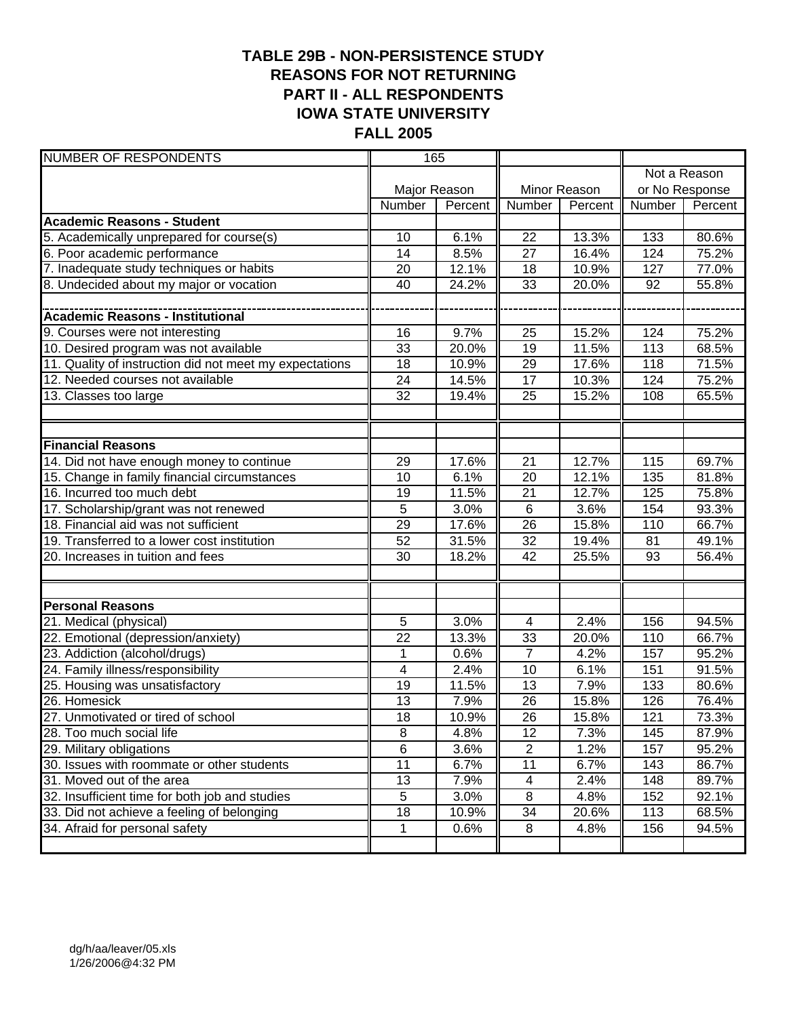#### **TABLE 29B - NON-PERSISTENCE STUDY REASONS FOR NOT RETURNING PART II - ALL RESPONDENTS IOWA STATE UNIVERSITY FALL 2005**

| <b>NUMBER OF RESPONDENTS</b>                            | 165             |         |                 |              |                  |              |
|---------------------------------------------------------|-----------------|---------|-----------------|--------------|------------------|--------------|
|                                                         |                 |         |                 |              |                  | Not a Reason |
|                                                         | Major Reason    |         |                 | Minor Reason | or No Response   |              |
|                                                         | Number          | Percent | Number          | Percent      | Number           | Percent      |
| <b>Academic Reasons - Student</b>                       |                 |         |                 |              |                  |              |
| 5. Academically unprepared for course(s)                | 10              | 6.1%    | 22              | 13.3%        | 133              | 80.6%        |
| 6. Poor academic performance                            | 14              | 8.5%    | 27              | 16.4%        | 124              | 75.2%        |
| 7. Inadequate study techniques or habits                | 20              | 12.1%   | 18              | 10.9%        | 127              | 77.0%        |
| 8. Undecided about my major or vocation                 | 40              | 24.2%   | 33              | 20.0%        | 92               | 55.8%        |
|                                                         |                 |         |                 |              |                  |              |
| Academic Reasons - Institutional                        |                 |         |                 |              |                  |              |
| 9. Courses were not interesting                         | 16              | 9.7%    | 25              | 15.2%        | 124              | 75.2%        |
| 10. Desired program was not available                   | 33              | 20.0%   | $\overline{19}$ | 11.5%        | 113              | 68.5%        |
| 11. Quality of instruction did not meet my expectations | 18              | 10.9%   | 29              | 17.6%        | 118              | 71.5%        |
| 12. Needed courses not available                        | 24              | 14.5%   | 17              | 10.3%        | 124              | 75.2%        |
| 13. Classes too large                                   | 32              | 19.4%   | 25              | 15.2%        | 108              | 65.5%        |
|                                                         |                 |         |                 |              |                  |              |
|                                                         |                 |         |                 |              |                  |              |
| <b>Financial Reasons</b>                                |                 |         |                 |              |                  |              |
| 14. Did not have enough money to continue               | 29              | 17.6%   | 21              | 12.7%        | 115              | 69.7%        |
| 15. Change in family financial circumstances            | 10              | 6.1%    | $\overline{20}$ | 12.1%        | $\overline{135}$ | 81.8%        |
| 16. Incurred too much debt                              | 19              | 11.5%   | 21              | 12.7%        | 125              | 75.8%        |
| 17. Scholarship/grant was not renewed                   | 5               | 3.0%    | $\overline{6}$  | 3.6%         | 154              | 93.3%        |
| 18. Financial aid was not sufficient                    | 29              | 17.6%   | 26              | 15.8%        | 110              | 66.7%        |
| 19. Transferred to a lower cost institution             | 52              | 31.5%   | 32              | 19.4%        | 81               | 49.1%        |
| 20. Increases in tuition and fees                       | 30              | 18.2%   | 42              | 25.5%        | 93               | 56.4%        |
|                                                         |                 |         |                 |              |                  |              |
|                                                         |                 |         |                 |              |                  |              |
| <b>Personal Reasons</b>                                 |                 |         |                 |              |                  |              |
| 21. Medical (physical)                                  | 5               | 3.0%    | 4               | 2.4%         | 156              | 94.5%        |
| 22. Emotional (depression/anxiety)                      | 22              | 13.3%   | 33              | 20.0%        | 110              | 66.7%        |
| 23. Addiction (alcohol/drugs)                           | 1               | 0.6%    | $\overline{7}$  | 4.2%         | 157              | 95.2%        |
| 24. Family illness/responsibility                       | 4               | 2.4%    | 10              | 6.1%         | 151              | 91.5%        |
| 25. Housing was unsatisfactory                          | 19              | 11.5%   | 13              | 7.9%         | 133              | 80.6%        |
| 26. Homesick                                            | 13              | 7.9%    | 26              | 15.8%        | 126              | 76.4%        |
| 27. Unmotivated or tired of school                      | 18              | 10.9%   | 26              | 15.8%        | 121              | 73.3%        |
| 28. Too much social life                                | 8               | 4.8%    | 12              | 7.3%         | 145              | 87.9%        |
| 29. Military obligations                                | $\overline{6}$  | 3.6%    | $\overline{2}$  | 1.2%         | 157              | $95.2\%$     |
| 30. Issues with roommate or other students              | $\overline{11}$ | 6.7%    | 11              | 6.7%         | 143              | 86.7%        |
| 31. Moved out of the area                               | 13              | 7.9%    | 4               | 2.4%         | 148              | 89.7%        |
| 32. Insufficient time for both job and studies          | 5               | 3.0%    | 8               | 4.8%         | 152              | 92.1%        |
| 33. Did not achieve a feeling of belonging              | 18              | 10.9%   | 34              | 20.6%        | 113              | 68.5%        |
| 34. Afraid for personal safety                          | 1               | 0.6%    | 8               | 4.8%         | 156              | 94.5%        |
|                                                         |                 |         |                 |              |                  |              |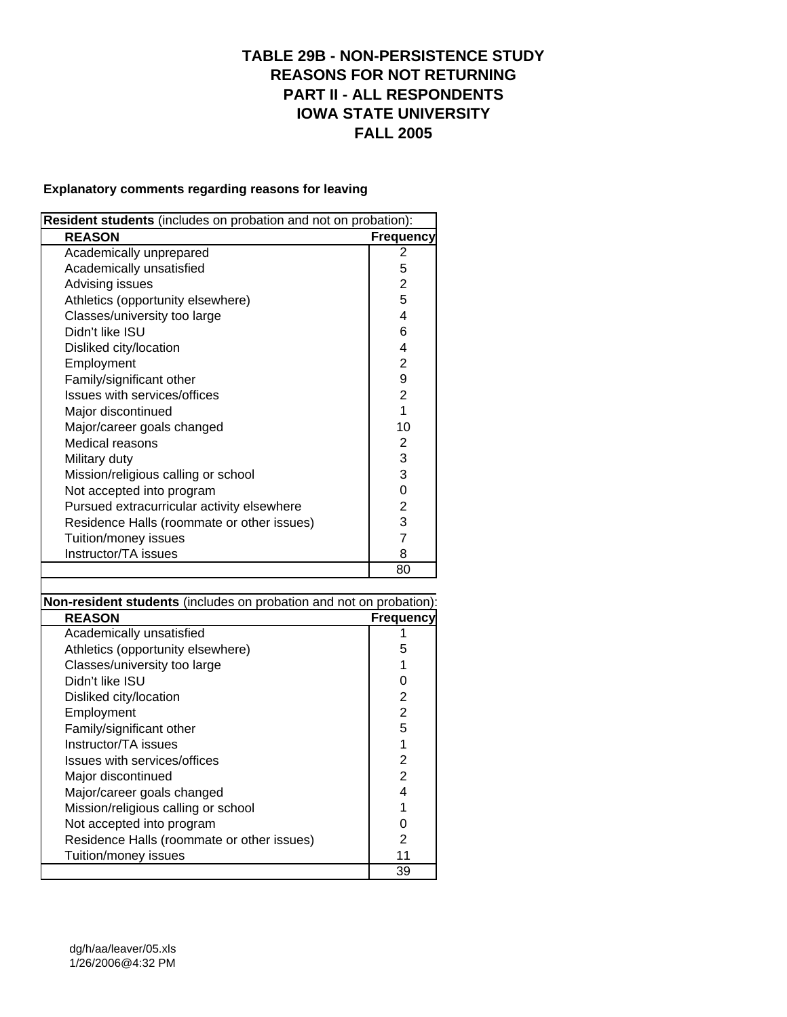#### **TABLE 29B - NON-PERSISTENCE STUDY REASONS FOR NOT RETURNING PART II - ALL RESPONDENTS IOWA STATE UNIVERSITY FALL 2005**

#### **Explanatory comments regarding reasons for leaving**

| Resident students (includes on probation and not on probation): |                  |  |  |  |
|-----------------------------------------------------------------|------------------|--|--|--|
| <b>REASON</b>                                                   | <b>Frequency</b> |  |  |  |
| Academically unprepared                                         | 2                |  |  |  |
| Academically unsatisfied                                        | 5                |  |  |  |
| Advising issues                                                 | $\overline{2}$   |  |  |  |
| Athletics (opportunity elsewhere)                               | 5                |  |  |  |
| Classes/university too large                                    | 4                |  |  |  |
| Didn't like ISU                                                 | 6                |  |  |  |
| Disliked city/location                                          | 4                |  |  |  |
| Employment                                                      | $\overline{2}$   |  |  |  |
| Family/significant other                                        | 9                |  |  |  |
| Issues with services/offices                                    | $\overline{2}$   |  |  |  |
| Major discontinued                                              | 1                |  |  |  |
| Major/career goals changed                                      | 10               |  |  |  |
| Medical reasons                                                 | 2                |  |  |  |
| Military duty                                                   | 3                |  |  |  |
| Mission/religious calling or school                             | 3                |  |  |  |
| Not accepted into program                                       | 0                |  |  |  |
| Pursued extracurricular activity elsewhere                      | $\overline{2}$   |  |  |  |
| Residence Halls (roommate or other issues)                      | 3                |  |  |  |
| Tuition/money issues                                            | $\overline{7}$   |  |  |  |
| Instructor/TA issues                                            | 8                |  |  |  |
|                                                                 | 80               |  |  |  |

**Non-resident students** (includes on probation and not on probation):

| <b>REASON</b>                              | <b>Frequency</b> |
|--------------------------------------------|------------------|
| Academically unsatisfied                   |                  |
| Athletics (opportunity elsewhere)          | 5                |
| Classes/university too large               |                  |
| Didn't like ISU                            | O                |
| Disliked city/location                     | 2                |
| Employment                                 | $\overline{2}$   |
| Family/significant other                   | 5                |
| Instructor/TA issues                       | 1                |
| Issues with services/offices               | 2                |
| Major discontinued                         | 2                |
| Major/career goals changed                 | 4                |
| Mission/religious calling or school        |                  |
| Not accepted into program                  |                  |
| Residence Halls (roommate or other issues) | 2                |
| Tuition/money issues                       | 11               |
|                                            | 39               |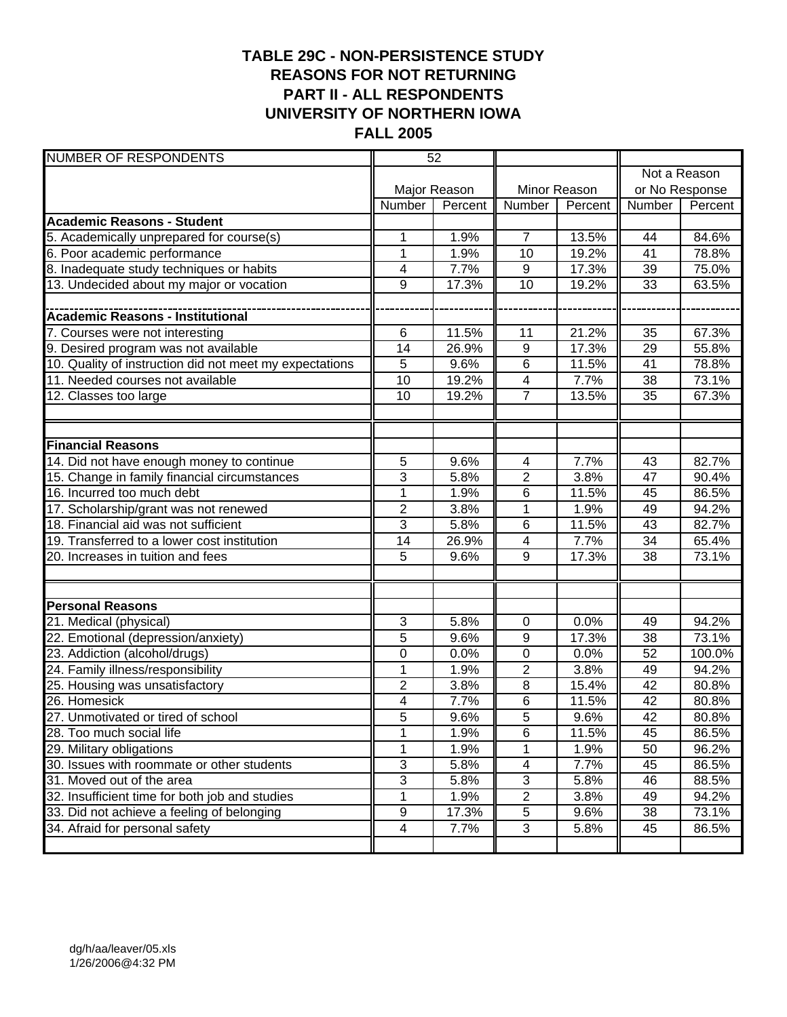#### **TABLE 29C - NON-PERSISTENCE STUDY REASONS FOR NOT RETURNING PART II - ALL RESPONDENTS UNIVERSITY OF NORTHERN IOWA FALL 2005**

| <b>NUMBER OF RESPONDENTS</b>                            | 52                      |         |                         |         |                 |         |
|---------------------------------------------------------|-------------------------|---------|-------------------------|---------|-----------------|---------|
|                                                         |                         |         |                         |         | Not a Reason    |         |
|                                                         | Major Reason            |         | Minor Reason            |         | or No Response  |         |
|                                                         | Number                  | Percent | Number                  | Percent | Number          | Percent |
| <b>Academic Reasons - Student</b>                       |                         |         |                         |         |                 |         |
| 5. Academically unprepared for course(s)                | 1                       | 1.9%    | $\overline{7}$          | 13.5%   | 44              | 84.6%   |
| 6. Poor academic performance                            | 1                       | 1.9%    | 10                      | 19.2%   | 41              | 78.8%   |
| 8. Inadequate study techniques or habits                | 4                       | 7.7%    | $9\,$                   | 17.3%   | 39              | 75.0%   |
| 13. Undecided about my major or vocation                | 9                       | 17.3%   | 10                      | 19.2%   | 33              | 63.5%   |
|                                                         |                         |         |                         |         |                 |         |
|                                                         |                         |         |                         |         |                 |         |
| 7. Courses were not interesting                         | 6                       | 11.5%   | 11                      | 21.2%   | 35              | 67.3%   |
| 9. Desired program was not available                    | 14                      | 26.9%   | 9                       | 17.3%   | 29              | 55.8%   |
| 10. Quality of instruction did not meet my expectations | 5                       | 9.6%    | $\overline{6}$          | 11.5%   | 41              | 78.8%   |
| 11. Needed courses not available                        | 10                      | 19.2%   | 4                       | 7.7%    | 38              | 73.1%   |
| $\overline{12}$ . Classes too large                     | 10                      | 19.2%   | $\overline{7}$          | 13.5%   | 35              | 67.3%   |
|                                                         |                         |         |                         |         |                 |         |
|                                                         |                         |         |                         |         |                 |         |
| <b>Financial Reasons</b>                                |                         |         |                         |         |                 |         |
| 14. Did not have enough money to continue               | 5                       | 9.6%    | 4                       | 7.7%    | 43              | 82.7%   |
| 15. Change in family financial circumstances            | 3                       | 5.8%    | $\overline{2}$          | 3.8%    | 47              | 90.4%   |
| 16. Incurred too much debt                              | 1                       | 1.9%    | 6                       | 11.5%   | 45              | 86.5%   |
| 17. Scholarship/grant was not renewed                   | $\overline{2}$          | 3.8%    | $\overline{1}$          | 1.9%    | 49              | 94.2%   |
| 18. Financial aid was not sufficient                    | 3                       | 5.8%    | 6                       | 11.5%   | 43              | 82.7%   |
| 19. Transferred to a lower cost institution             | 14                      | 26.9%   | $\overline{\mathbf{4}}$ | 7.7%    | 34              | 65.4%   |
| 20. Increases in tuition and fees                       | 5                       | 9.6%    | 9                       | 17.3%   | 38              | 73.1%   |
|                                                         |                         |         |                         |         |                 |         |
|                                                         |                         |         |                         |         |                 |         |
| <b>Personal Reasons</b>                                 |                         |         |                         |         |                 |         |
| 21. Medical (physical)                                  | 3                       | 5.8%    | 0                       | 0.0%    | 49              | 94.2%   |
| 22. Emotional (depression/anxiety)                      | 5                       | 9.6%    | 9                       | 17.3%   | 38              | 73.1%   |
| 23. Addiction (alcohol/drugs)                           | 0                       | 0.0%    | 0                       | 0.0%    | 52              | 100.0%  |
| 24. Family illness/responsibility                       | 1                       | 1.9%    | $\overline{2}$          | 3.8%    | 49              | 94.2%   |
| 25. Housing was unsatisfactory                          | $\overline{2}$          | 3.8%    | 8                       | 15.4%   | 42              | 80.8%   |
| 26. Homesick                                            | $\overline{\mathbf{4}}$ | 7.7%    | $\overline{6}$          | 11.5%   | 42              | 80.8%   |
| 27. Unmotivated or tired of school                      | 5                       | 9.6%    | $\overline{5}$          | 9.6%    | $\overline{42}$ | 80.8%   |
| 28. Too much social life                                | 1                       | 1.9%    | 6                       | 11.5%   | 45              | 86.5%   |
| 29. Military obligations                                | 1                       | 1.9%    | 1                       | 1.9%    | 50              | 96.2%   |
| 30. Issues with roommate or other students              | 3                       | 5.8%    | 4                       | 7.7%    | 45              | 86.5%   |
| 31. Moved out of the area                               | 3                       | 5.8%    | 3                       | 5.8%    | 46              | 88.5%   |
| 32. Insufficient time for both job and studies          | 1                       | 1.9%    | $\overline{2}$          | 3.8%    | 49              | 94.2%   |
| 33. Did not achieve a feeling of belonging              | 9                       | 17.3%   | 5                       | 9.6%    | 38              | 73.1%   |
| 34. Afraid for personal safety                          | 4                       | 7.7%    | 3                       | 5.8%    | 45              | 86.5%   |
|                                                         |                         |         |                         |         |                 |         |